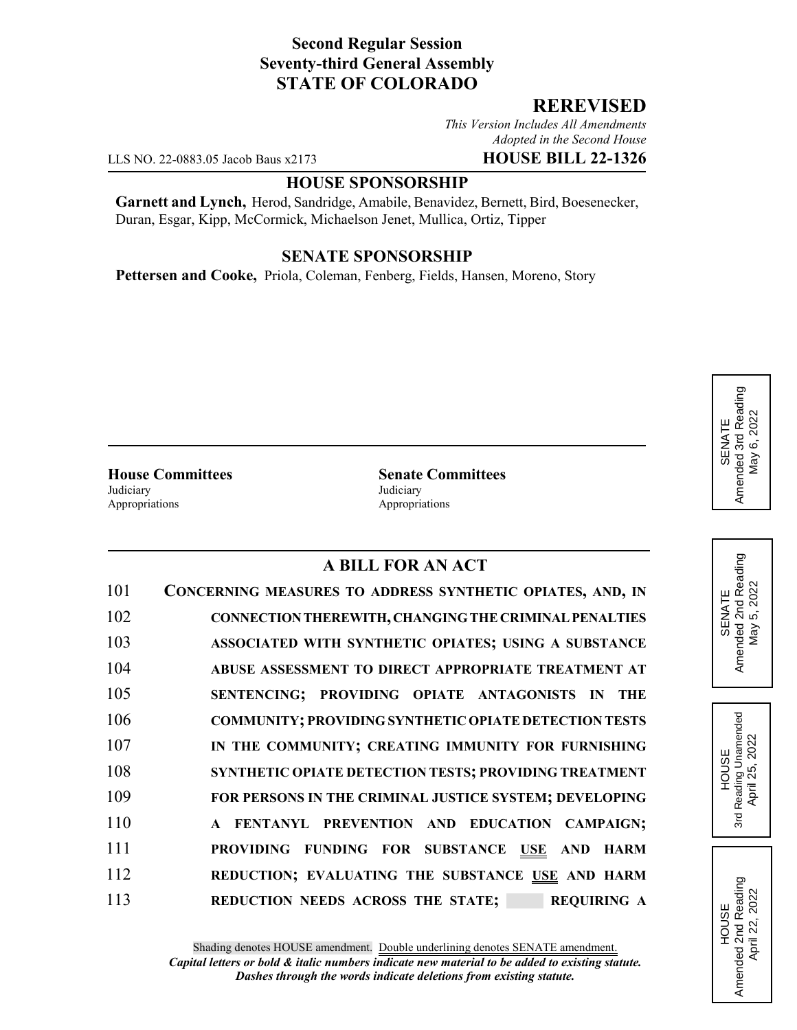# **Second Regular Session Seventy-third General Assembly STATE OF COLORADO**

## **REREVISED**

*This Version Includes All Amendments Adopted in the Second House*

LLS NO. 22-0883.05 Jacob Baus x2173 **HOUSE BILL 22-1326**

### **HOUSE SPONSORSHIP**

**Garnett and Lynch,** Herod, Sandridge, Amabile, Benavidez, Bernett, Bird, Boesenecker, Duran, Esgar, Kipp, McCormick, Michaelson Jenet, Mullica, Ortiz, Tipper

#### **SENATE SPONSORSHIP**

**Pettersen and Cooke,** Priola, Coleman, Fenberg, Fields, Hansen, Moreno, Story

Judiciary Judiciary Appropriations **Appropriations** 

**House Committees Senate Committees**

### **A BILL FOR AN ACT**

| 101 | CONCERNING MEASURES TO ADDRESS SYNTHETIC OPIATES, AND, IN    |
|-----|--------------------------------------------------------------|
| 102 | CONNECTION THEREWITH, CHANGING THE CRIMINAL PENALTIES        |
| 103 | ASSOCIATED WITH SYNTHETIC OPIATES; USING A SUBSTANCE         |
| 104 | ABUSE ASSESSMENT TO DIRECT APPROPRIATE TREATMENT AT          |
| 105 | SENTENCING; PROVIDING OPIATE ANTAGONISTS IN THE              |
| 106 | <b>COMMUNITY; PROVIDING SYNTHETIC OPIATE DETECTION TESTS</b> |
| 107 | IN THE COMMUNITY; CREATING IMMUNITY FOR FURNISHING           |
| 108 | SYNTHETIC OPIATE DETECTION TESTS; PROVIDING TREATMENT        |
| 109 | FOR PERSONS IN THE CRIMINAL JUSTICE SYSTEM; DEVELOPING       |
| 110 | A FENTANYL PREVENTION AND EDUCATION CAMPAIGN;                |
| 111 | PROVIDING FUNDING FOR SUBSTANCE USE AND HARM                 |
| 112 | REDUCTION; EVALUATING THE SUBSTANCE USE AND HARM             |
| 113 | REDUCTION NEEDS ACROSS THE STATE;<br><b>REQUIRING A</b>      |

SENATE<br>Amended 2nd Reading<br>May 5, 2022 Amended 2nd Reading May 5, 2022

HOUSE 3rd Reading Unamended April 25, 2022

Reading Unamended April 25, 2022

3rd

HOUSE Amended 2nd Reading April 22, 2022

Amended 2nd Reading<br>April 22, 2022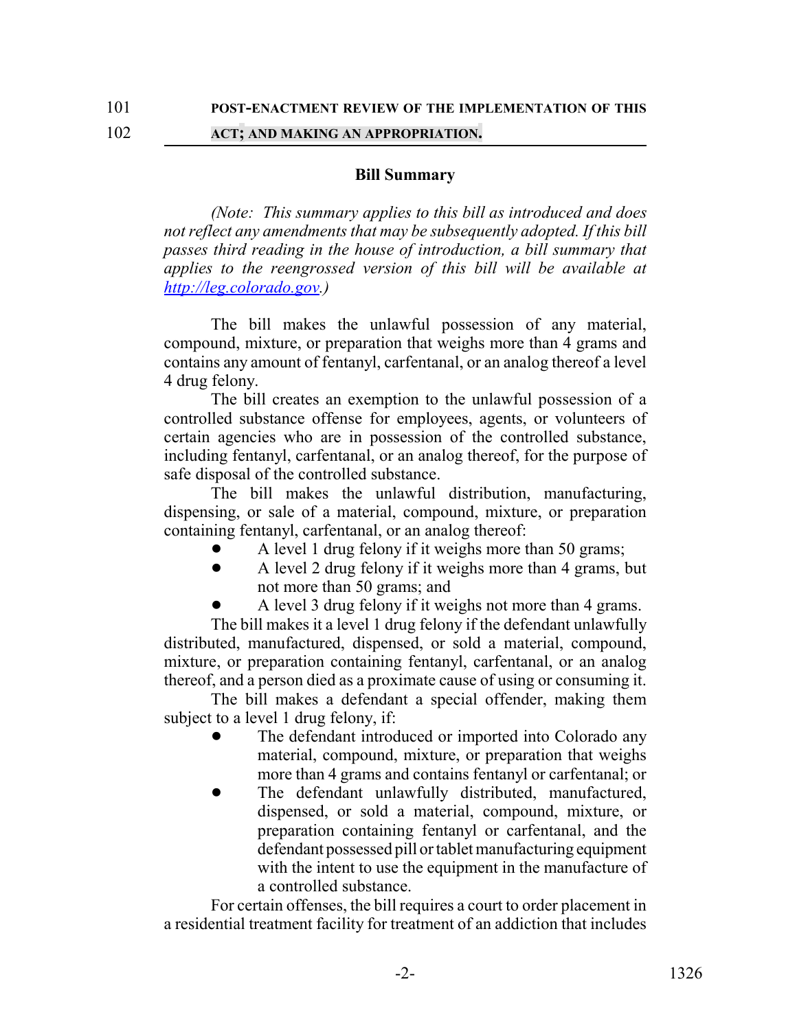### 102 **ACT; AND MAKING AN APPROPRIATION.**

#### **Bill Summary**

*(Note: This summary applies to this bill as introduced and does not reflect any amendments that may be subsequently adopted. If this bill passes third reading in the house of introduction, a bill summary that applies to the reengrossed version of this bill will be available at http://leg.colorado.gov.)*

The bill makes the unlawful possession of any material, compound, mixture, or preparation that weighs more than 4 grams and contains any amount of fentanyl, carfentanal, or an analog thereof a level 4 drug felony.

The bill creates an exemption to the unlawful possession of a controlled substance offense for employees, agents, or volunteers of certain agencies who are in possession of the controlled substance, including fentanyl, carfentanal, or an analog thereof, for the purpose of safe disposal of the controlled substance.

The bill makes the unlawful distribution, manufacturing, dispensing, or sale of a material, compound, mixture, or preparation containing fentanyl, carfentanal, or an analog thereof:

- A level 1 drug felony if it weighs more than 50 grams;
- A level 2 drug felony if it weighs more than 4 grams, but not more than 50 grams; and
- A level 3 drug felony if it weighs not more than 4 grams.

The bill makes it a level 1 drug felony if the defendant unlawfully distributed, manufactured, dispensed, or sold a material, compound, mixture, or preparation containing fentanyl, carfentanal, or an analog thereof, and a person died as a proximate cause of using or consuming it.

The bill makes a defendant a special offender, making them subject to a level 1 drug felony, if:

- The defendant introduced or imported into Colorado any material, compound, mixture, or preparation that weighs more than 4 grams and contains fentanyl or carfentanal; or
- The defendant unlawfully distributed, manufactured, dispensed, or sold a material, compound, mixture, or preparation containing fentanyl or carfentanal, and the defendant possessed pill or tablet manufacturing equipment with the intent to use the equipment in the manufacture of a controlled substance.

For certain offenses, the bill requires a court to order placement in a residential treatment facility for treatment of an addiction that includes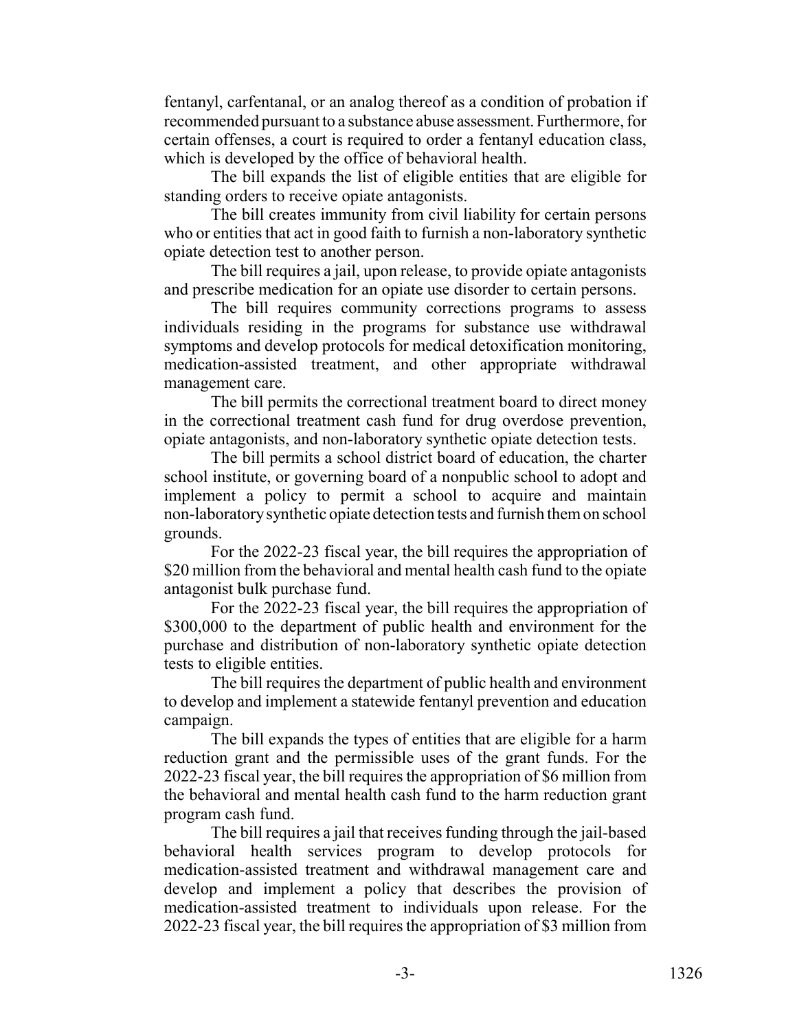fentanyl, carfentanal, or an analog thereof as a condition of probation if recommended pursuant to a substance abuse assessment. Furthermore, for certain offenses, a court is required to order a fentanyl education class, which is developed by the office of behavioral health.

The bill expands the list of eligible entities that are eligible for standing orders to receive opiate antagonists.

The bill creates immunity from civil liability for certain persons who or entities that act in good faith to furnish a non-laboratory synthetic opiate detection test to another person.

The bill requires a jail, upon release, to provide opiate antagonists and prescribe medication for an opiate use disorder to certain persons.

The bill requires community corrections programs to assess individuals residing in the programs for substance use withdrawal symptoms and develop protocols for medical detoxification monitoring, medication-assisted treatment, and other appropriate withdrawal management care.

The bill permits the correctional treatment board to direct money in the correctional treatment cash fund for drug overdose prevention, opiate antagonists, and non-laboratory synthetic opiate detection tests.

The bill permits a school district board of education, the charter school institute, or governing board of a nonpublic school to adopt and implement a policy to permit a school to acquire and maintain non-laboratory synthetic opiate detection tests and furnish them on school grounds.

For the 2022-23 fiscal year, the bill requires the appropriation of \$20 million from the behavioral and mental health cash fund to the opiate antagonist bulk purchase fund.

For the 2022-23 fiscal year, the bill requires the appropriation of \$300,000 to the department of public health and environment for the purchase and distribution of non-laboratory synthetic opiate detection tests to eligible entities.

The bill requires the department of public health and environment to develop and implement a statewide fentanyl prevention and education campaign.

The bill expands the types of entities that are eligible for a harm reduction grant and the permissible uses of the grant funds. For the 2022-23 fiscal year, the bill requires the appropriation of \$6 million from the behavioral and mental health cash fund to the harm reduction grant program cash fund.

The bill requires a jail that receives funding through the jail-based behavioral health services program to develop protocols for medication-assisted treatment and withdrawal management care and develop and implement a policy that describes the provision of medication-assisted treatment to individuals upon release. For the 2022-23 fiscal year, the bill requires the appropriation of \$3 million from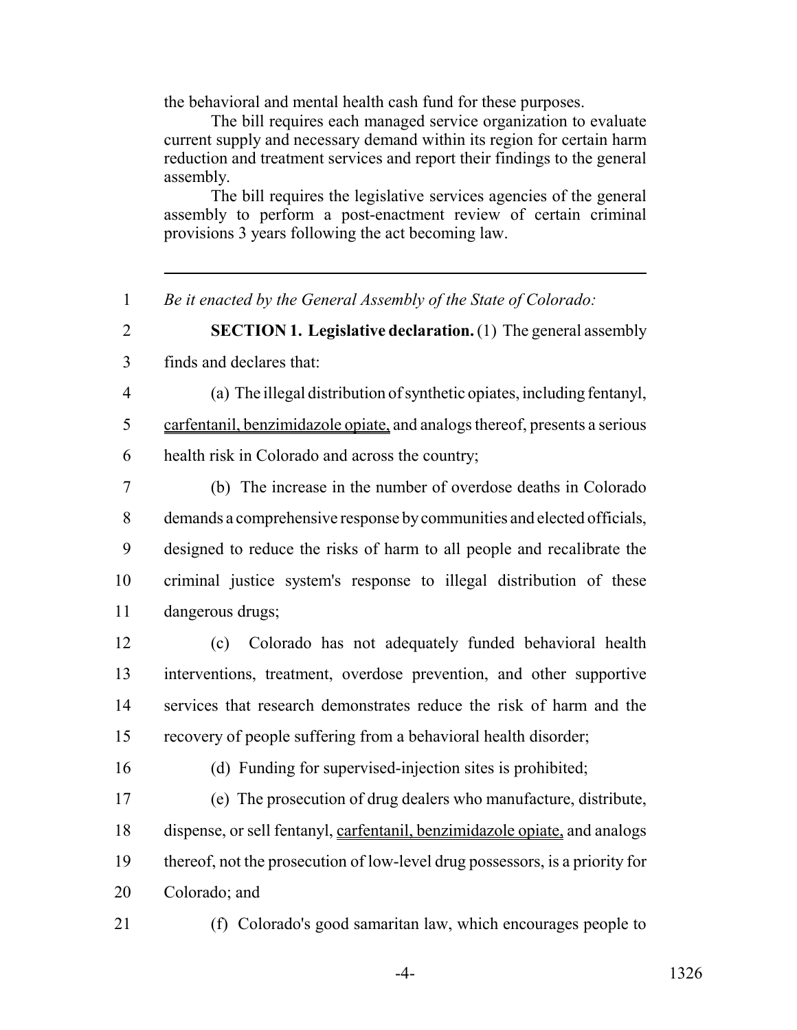the behavioral and mental health cash fund for these purposes.

The bill requires each managed service organization to evaluate current supply and necessary demand within its region for certain harm reduction and treatment services and report their findings to the general assembly.

The bill requires the legislative services agencies of the general assembly to perform a post-enactment review of certain criminal provisions 3 years following the act becoming law.

*Be it enacted by the General Assembly of the State of Colorado:*

 **SECTION 1. Legislative declaration.** (1) The general assembly finds and declares that:

 (a) The illegal distribution of synthetic opiates, including fentanyl, carfentanil, benzimidazole opiate, and analogs thereof, presents a serious health risk in Colorado and across the country;

 (b) The increase in the number of overdose deaths in Colorado demands a comprehensive response by communities and elected officials, designed to reduce the risks of harm to all people and recalibrate the criminal justice system's response to illegal distribution of these dangerous drugs;

 (c) Colorado has not adequately funded behavioral health interventions, treatment, overdose prevention, and other supportive services that research demonstrates reduce the risk of harm and the recovery of people suffering from a behavioral health disorder;

(d) Funding for supervised-injection sites is prohibited;

 (e) The prosecution of drug dealers who manufacture, distribute, dispense, or sell fentanyl, carfentanil, benzimidazole opiate, and analogs thereof, not the prosecution of low-level drug possessors, is a priority for Colorado; and

(f) Colorado's good samaritan law, which encourages people to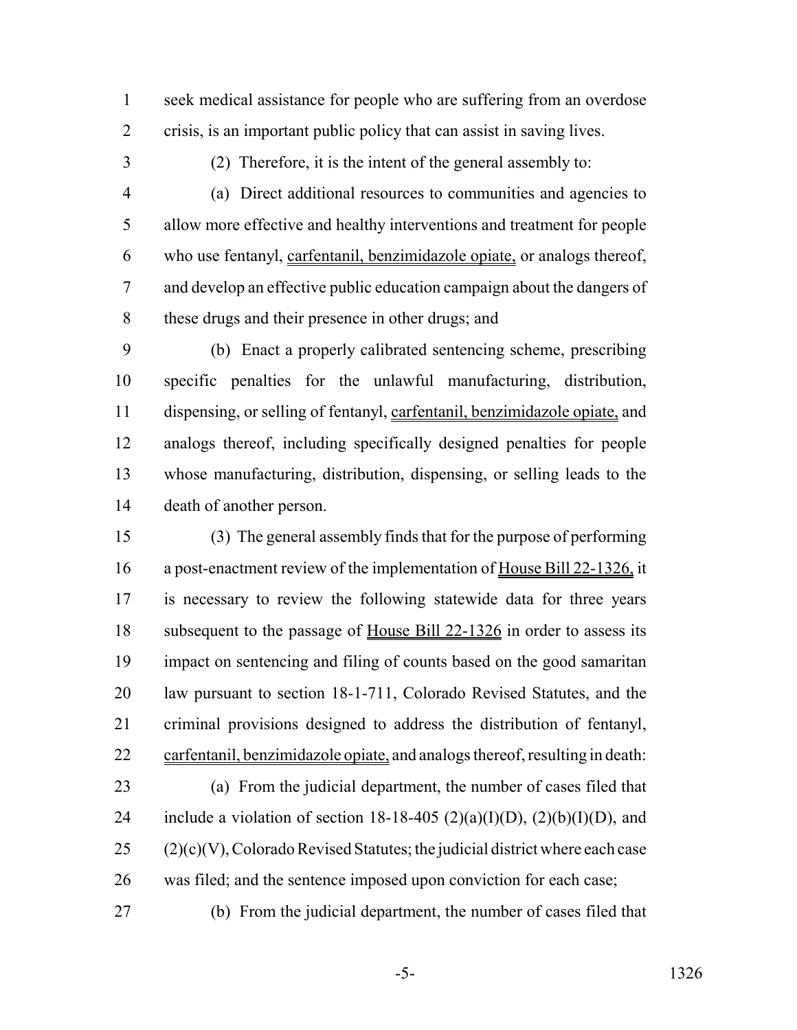seek medical assistance for people who are suffering from an overdose crisis, is an important public policy that can assist in saving lives.

(2) Therefore, it is the intent of the general assembly to:

 (a) Direct additional resources to communities and agencies to allow more effective and healthy interventions and treatment for people who use fentanyl, carfentanil, benzimidazole opiate, or analogs thereof, and develop an effective public education campaign about the dangers of these drugs and their presence in other drugs; and

 (b) Enact a properly calibrated sentencing scheme, prescribing specific penalties for the unlawful manufacturing, distribution, dispensing, or selling of fentanyl, carfentanil, benzimidazole opiate, and analogs thereof, including specifically designed penalties for people whose manufacturing, distribution, dispensing, or selling leads to the death of another person.

 (3) The general assembly finds that for the purpose of performing a post-enactment review of the implementation of House Bill 22-1326, it is necessary to review the following statewide data for three years subsequent to the passage of House Bill 22-1326 in order to assess its impact on sentencing and filing of counts based on the good samaritan law pursuant to section 18-1-711, Colorado Revised Statutes, and the criminal provisions designed to address the distribution of fentanyl, carfentanil, benzimidazole opiate, and analogs thereof, resulting in death: (a) From the judicial department, the number of cases filed that 24 include a violation of section 18-18-405 (2)(a)(I)(D), (2)(b)(I)(D), and (2)(c)(V), Colorado Revised Statutes; the judicial district where each case was filed; and the sentence imposed upon conviction for each case;

(b) From the judicial department, the number of cases filed that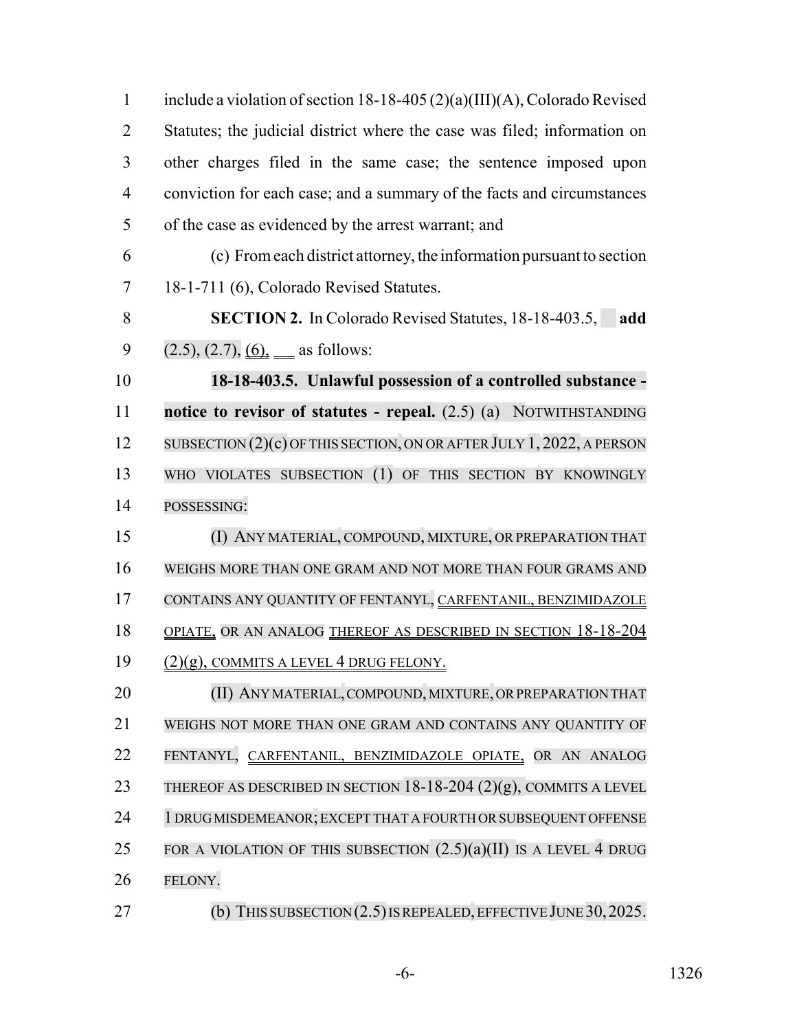| $\mathbf{1}$   | include a violation of section 18-18-405 (2)(a)(III)(A), Colorado Revised |
|----------------|---------------------------------------------------------------------------|
| $\overline{2}$ | Statutes; the judicial district where the case was filed; information on  |
| 3              | other charges filed in the same case; the sentence imposed upon           |
| $\overline{4}$ | conviction for each case; and a summary of the facts and circumstances    |
| 5              | of the case as evidenced by the arrest warrant; and                       |
| 6              | (c) From each district attorney, the information pursuant to section      |
| 7              | 18-1-711 (6), Colorado Revised Statutes.                                  |
| 8              | <b>SECTION 2.</b> In Colorado Revised Statutes, 18-18-403.5,<br>add       |
| 9              | $(2.5), (2.7), (6), \underline{\hspace{1cm}}$ as follows:                 |
| 10             | 18-18-403.5. Unlawful possession of a controlled substance -              |
| 11             | notice to revisor of statutes - repeal. $(2.5)$ (a) NOTWITHSTANDING       |
| 12             | SUBSECTION $(2)(c)$ OF THIS SECTION, ON OR AFTER JULY 1, 2022, A PERSON   |
| 13             | WHO VIOLATES SUBSECTION (1) OF THIS SECTION BY KNOWINGLY                  |
| 14             | POSSESSING:                                                               |
| 15             | (I) ANY MATERIAL, COMPOUND, MIXTURE, OR PREPARATION THAT                  |
| 16             | WEIGHS MORE THAN ONE GRAM AND NOT MORE THAN FOUR GRAMS AND                |
| 17             | CONTAINS ANY QUANTITY OF FENTANYL, CARFENTANIL, BENZIMIDAZOLE             |
| 18             | OPIATE, OR AN ANALOG THEREOF AS DESCRIBED IN SECTION 18-18-204            |
| 19             | <u>(2)(g), COMMITS A LEVEL 4 DRUG FELONY.</u>                             |
| 20             | (II) ANY MATERIAL, COMPOUND, MIXTURE, OR PREPARATION THAT                 |
| 21             | WEIGHS NOT MORE THAN ONE GRAM AND CONTAINS ANY QUANTITY OF                |
| 22             | FENTANYL, CARFENTANIL, BENZIMIDAZOLE OPIATE, OR AN ANALOG                 |
| 23             | THEREOF AS DESCRIBED IN SECTION $18-18-204$ (2)(g), COMMITS A LEVEL       |
| 24             | 1 DRUG MISDEMEANOR; EXCEPT THAT A FOURTH OR SUBSEQUENT OFFENSE            |
| 25             | FOR A VIOLATION OF THIS SUBSECTION $(2.5)(a)(II)$ IS A LEVEL 4 DRUG       |
| 26             | FELONY.                                                                   |
| 27             | (b) THIS SUBSECTION $(2.5)$ IS REPEALED, EFFECTIVE JUNE 30, 2025.         |

-6- 1326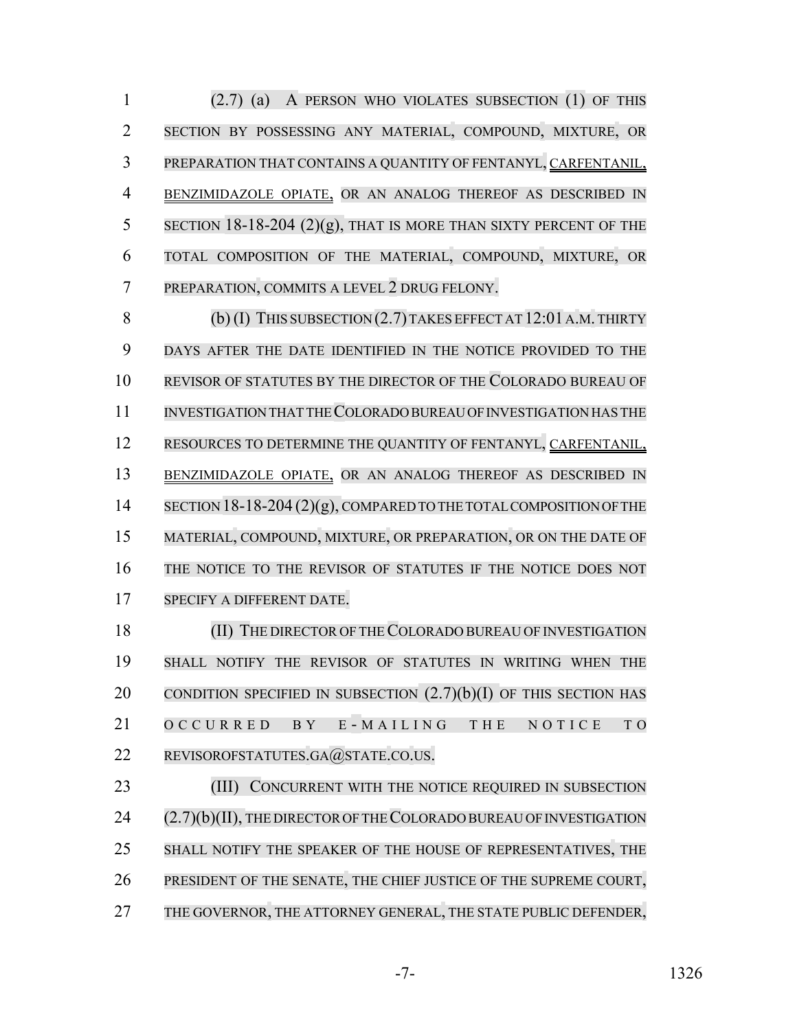(2.7) (a) A PERSON WHO VIOLATES SUBSECTION (1) OF THIS SECTION BY POSSESSING ANY MATERIAL, COMPOUND, MIXTURE, OR PREPARATION THAT CONTAINS A QUANTITY OF FENTANYL, CARFENTANIL, BENZIMIDAZOLE OPIATE, OR AN ANALOG THEREOF AS DESCRIBED IN 5 SECTION 18-18-204  $(2)(g)$ , THAT IS MORE THAN SIXTY PERCENT OF THE TOTAL COMPOSITION OF THE MATERIAL, COMPOUND, MIXTURE, OR PREPARATION, COMMITS A LEVEL 2 DRUG FELONY.

8 (b) (I) THIS SUBSECTION (2.7) TAKES EFFECT AT 12:01 A.M. THIRTY 9 DAYS AFTER THE DATE IDENTIFIED IN THE NOTICE PROVIDED TO THE 10 REVISOR OF STATUTES BY THE DIRECTOR OF THE COLORADO BUREAU OF 11 INVESTIGATION THAT THE COLORADO BUREAU OF INVESTIGATION HAS THE 12 RESOURCES TO DETERMINE THE QUANTITY OF FENTANYL, CARFENTANIL, 13 BENZIMIDAZOLE OPIATE, OR AN ANALOG THEREOF AS DESCRIBED IN 14 SECTION 18-18-204 (2)(g), COMPARED TO THE TOTAL COMPOSITION OF THE 15 MATERIAL, COMPOUND, MIXTURE, OR PREPARATION, OR ON THE DATE OF 16 THE NOTICE TO THE REVISOR OF STATUTES IF THE NOTICE DOES NOT 17 SPECIFY A DIFFERENT DATE.

18 (II) THE DIRECTOR OF THE COLORADO BUREAU OF INVESTIGATION 19 SHALL NOTIFY THE REVISOR OF STATUTES IN WRITING WHEN THE 20 CONDITION SPECIFIED IN SUBSECTION  $(2.7)(b)(I)$  of this section has 21 OCCURRED BY E - MAILING THE NOTICE TO 22 REVISOROFSTATUTES.GA@STATE.CO.US.

23 (III) CONCURRENT WITH THE NOTICE REQUIRED IN SUBSECTION 24 (2.7)(b)(II), THE DIRECTOR OF THE COLORADO BUREAU OF INVESTIGATION 25 SHALL NOTIFY THE SPEAKER OF THE HOUSE OF REPRESENTATIVES, THE 26 PRESIDENT OF THE SENATE, THE CHIEF JUSTICE OF THE SUPREME COURT, 27 THE GOVERNOR, THE ATTORNEY GENERAL, THE STATE PUBLIC DEFENDER,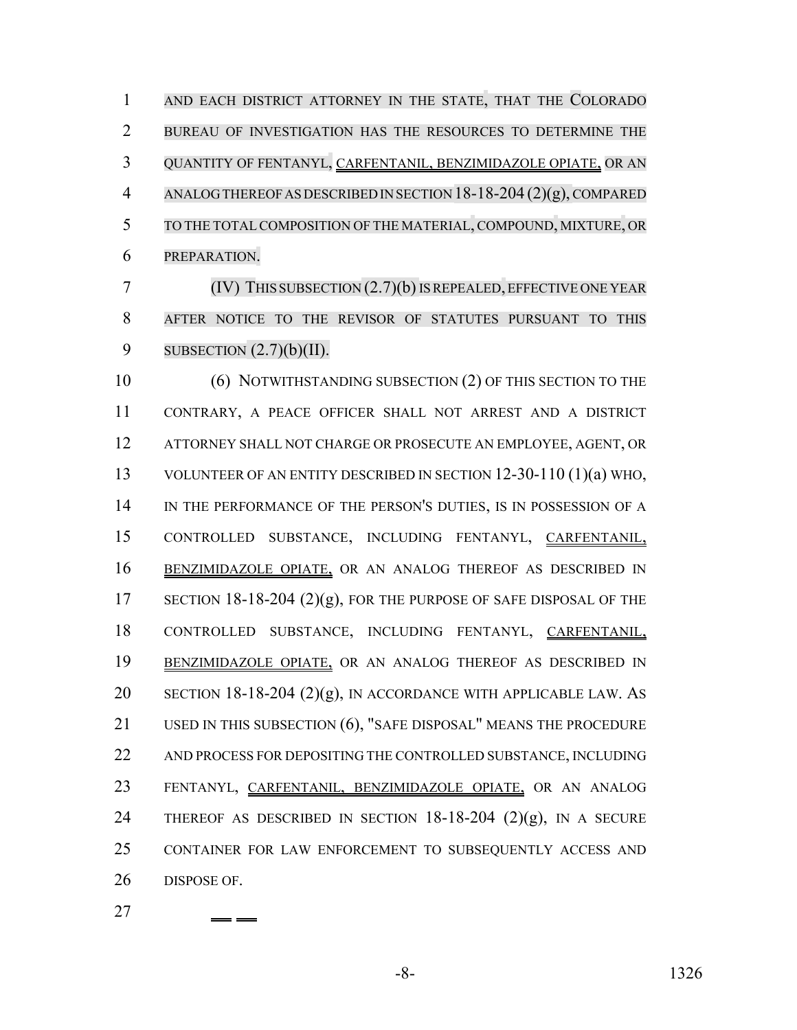AND EACH DISTRICT ATTORNEY IN THE STATE, THAT THE COLORADO BUREAU OF INVESTIGATION HAS THE RESOURCES TO DETERMINE THE QUANTITY OF FENTANYL, CARFENTANIL, BENZIMIDAZOLE OPIATE, OR AN ANALOGTHEREOFASDESCRIBEDINSECTION18-18-204 (2)(g), COMPARED TO THE TOTAL COMPOSITION OF THE MATERIAL, COMPOUND, MIXTURE, OR PREPARATION.

 (IV) THIS SUBSECTION (2.7)(b)ISREPEALED,EFFECTIVE ONE YEAR AFTER NOTICE TO THE REVISOR OF STATUTES PURSUANT TO THIS 9 SUBSECTION  $(2.7)(b)(II)$ .

10 (6) NOTWITHSTANDING SUBSECTION (2) OF THIS SECTION TO THE CONTRARY, A PEACE OFFICER SHALL NOT ARREST AND A DISTRICT ATTORNEY SHALL NOT CHARGE OR PROSECUTE AN EMPLOYEE, AGENT, OR VOLUNTEER OF AN ENTITY DESCRIBED IN SECTION 12-30-110 (1)(a) WHO, 14 IN THE PERFORMANCE OF THE PERSON'S DUTIES, IS IN POSSESSION OF A CONTROLLED SUBSTANCE, INCLUDING FENTANYL, CARFENTANIL, BENZIMIDAZOLE OPIATE, OR AN ANALOG THEREOF AS DESCRIBED IN 17 SECTION 18-18-204 (2)(g), FOR THE PURPOSE OF SAFE DISPOSAL OF THE CONTROLLED SUBSTANCE, INCLUDING FENTANYL, CARFENTANIL, BENZIMIDAZOLE OPIATE, OR AN ANALOG THEREOF AS DESCRIBED IN 20 SECTION 18-18-204  $(2)(g)$ , IN ACCORDANCE WITH APPLICABLE LAW. As 21 USED IN THIS SUBSECTION (6), "SAFE DISPOSAL" MEANS THE PROCEDURE AND PROCESS FOR DEPOSITING THE CONTROLLED SUBSTANCE, INCLUDING 23 FENTANYL, CARFENTANIL, BENZIMIDAZOLE OPIATE, OR AN ANALOG 24 THEREOF AS DESCRIBED IN SECTION  $18-18-204$  (2)(g), IN A SECURE CONTAINER FOR LAW ENFORCEMENT TO SUBSEQUENTLY ACCESS AND DISPOSE OF.

-8- 1326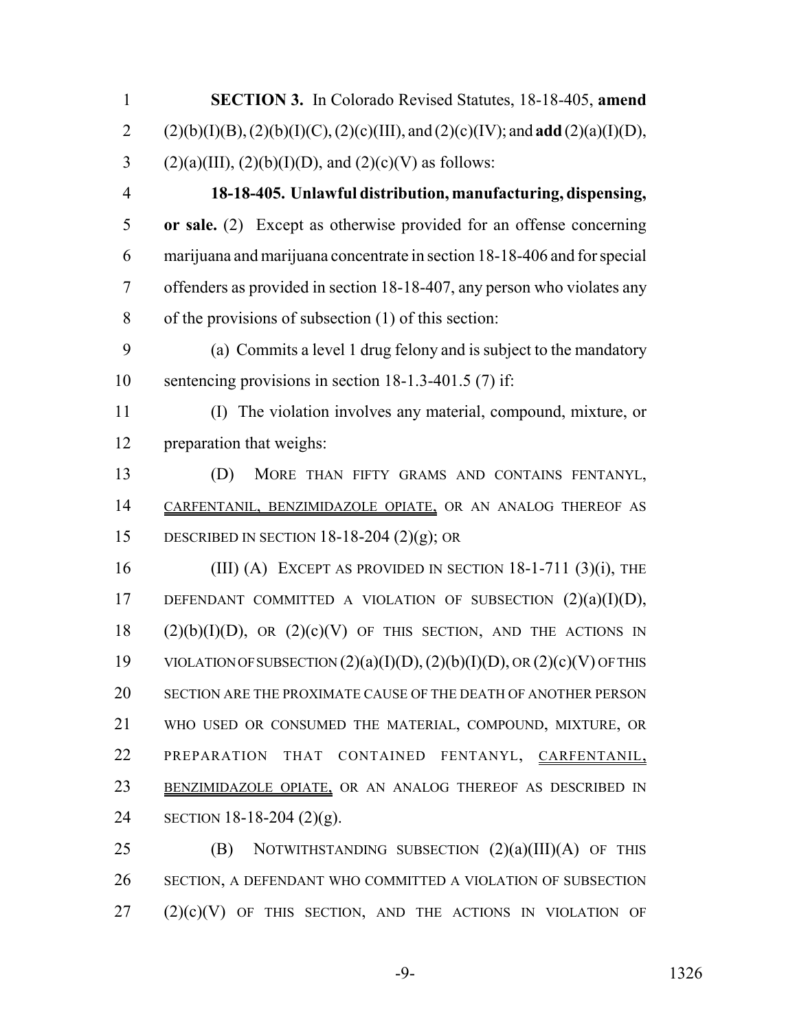| $\mathbf{1}$   | <b>SECTION 3.</b> In Colorado Revised Statutes, 18-18-405, amend                 |
|----------------|----------------------------------------------------------------------------------|
| $\overline{2}$ | $(2)(b)(I)(B), (2)(b)(I)(C), (2)(c)(III), and (2)(c)(IV); and add (2)(a)(I)(D),$ |
| 3              | $(2)(a)(III), (2)(b)(I)(D),$ and $(2)(c)(V)$ as follows:                         |
| $\overline{4}$ | 18-18-405. Unlawful distribution, manufacturing, dispensing,                     |
| 5              | or sale. (2) Except as otherwise provided for an offense concerning              |
| 6              | marijuana and marijuana concentrate in section 18-18-406 and for special         |
| $\overline{7}$ | offenders as provided in section 18-18-407, any person who violates any          |
| 8              | of the provisions of subsection (1) of this section:                             |
| 9              | (a) Commits a level 1 drug felony and is subject to the mandatory                |
| 10             | sentencing provisions in section 18-1.3-401.5 (7) if:                            |
| 11             | (I) The violation involves any material, compound, mixture, or                   |
| 12             | preparation that weighs:                                                         |
| 13             | (D)<br>MORE THAN FIFTY GRAMS AND CONTAINS FENTANYL,                              |
| 14             | CARFENTANIL, BENZIMIDAZOLE OPIATE, OR AN ANALOG THEREOF AS                       |
| 15             | DESCRIBED IN SECTION 18-18-204 (2)(g); OR                                        |
| 16             | (III) (A) EXCEPT AS PROVIDED IN SECTION $18-1-711$ (3)(i), THE                   |
| 17             | DEFENDANT COMMITTED A VIOLATION OF SUBSECTION $(2)(a)(I)(D)$ ,                   |
| 18             | $(2)(b)(I)(D)$ , OR $(2)(c)(V)$ OF THIS SECTION, AND THE ACTIONS IN              |
| 19             | VIOLATION OF SUBSECTION $(2)(a)(I)(D), (2)(b)(I)(D),$ OR $(2)(c)(V)$ OF THIS     |
| 20             | SECTION ARE THE PROXIMATE CAUSE OF THE DEATH OF ANOTHER PERSON                   |
| 21             | WHO USED OR CONSUMED THE MATERIAL, COMPOUND, MIXTURE, OR                         |
| 22             | PREPARATION<br>THAT<br>CONTAINED<br>FENTANYL, CARFENTANIL,                       |
| 23             | BENZIMIDAZOLE OPIATE, OR AN ANALOG THEREOF AS DESCRIBED IN                       |
| 24             | SECTION 18-18-204 $(2)(g)$ .                                                     |
| 25             | NOTWITHSTANDING SUBSECTION $(2)(a)(III)(A)$ OF THIS<br>(B)                       |
| 26             | SECTION, A DEFENDANT WHO COMMITTED A VIOLATION OF SUBSECTION                     |

 $(2)(c)(V)$  OF THIS SECTION, AND THE ACTIONS IN VIOLATION OF

-9- 1326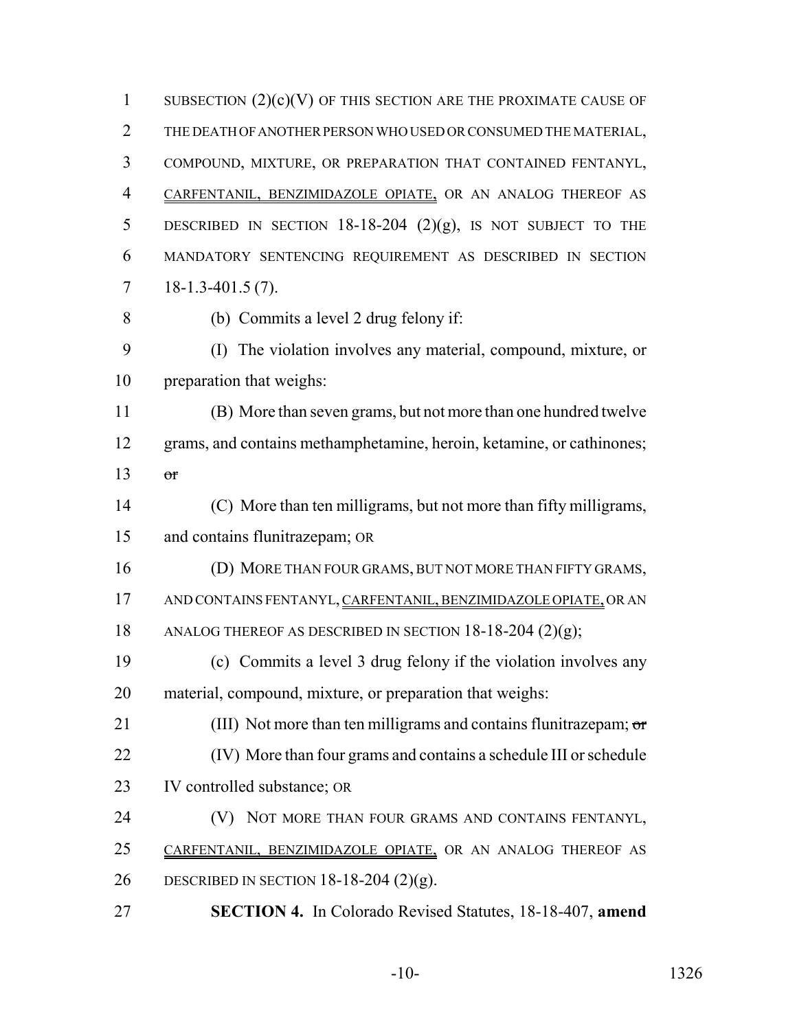1 SUBSECTION  $(2)(c)(V)$  OF THIS SECTION ARE THE PROXIMATE CAUSE OF THE DEATH OF ANOTHER PERSON WHO USED OR CONSUMED THE MATERIAL, COMPOUND, MIXTURE, OR PREPARATION THAT CONTAINED FENTANYL, CARFENTANIL, BENZIMIDAZOLE OPIATE, OR AN ANALOG THEREOF AS 5 DESCRIBED IN SECTION  $18-18-204$   $(2)(g)$ , IS NOT SUBJECT TO THE MANDATORY SENTENCING REQUIREMENT AS DESCRIBED IN SECTION  $7 \quad 18-1.3-401.5(7)$ . (b) Commits a level 2 drug felony if: (I) The violation involves any material, compound, mixture, or preparation that weighs: (B) More than seven grams, but not more than one hundred twelve grams, and contains methamphetamine, heroin, ketamine, or cathinones; or (C) More than ten milligrams, but not more than fifty milligrams, and contains flunitrazepam; OR (D) MORE THAN FOUR GRAMS, BUT NOT MORE THAN FIFTY GRAMS, AND CONTAINS FENTANYL, CARFENTANIL, BENZIMIDAZOLE OPIATE, OR AN 18 ANALOG THEREOF AS DESCRIBED IN SECTION 18-18-204 (2)(g); (c) Commits a level 3 drug felony if the violation involves any material, compound, mixture, or preparation that weighs: 21 (III) Not more than ten milligrams and contains flunitrazepam;  $\sigma$ r (IV) More than four grams and contains a schedule III or schedule IV controlled substance; OR **(V) NOT MORE THAN FOUR GRAMS AND CONTAINS FENTANYL,**  CARFENTANIL, BENZIMIDAZOLE OPIATE, OR AN ANALOG THEREOF AS DESCRIBED IN SECTION 18-18-204 (2)(g). **SECTION 4.** In Colorado Revised Statutes, 18-18-407, **amend**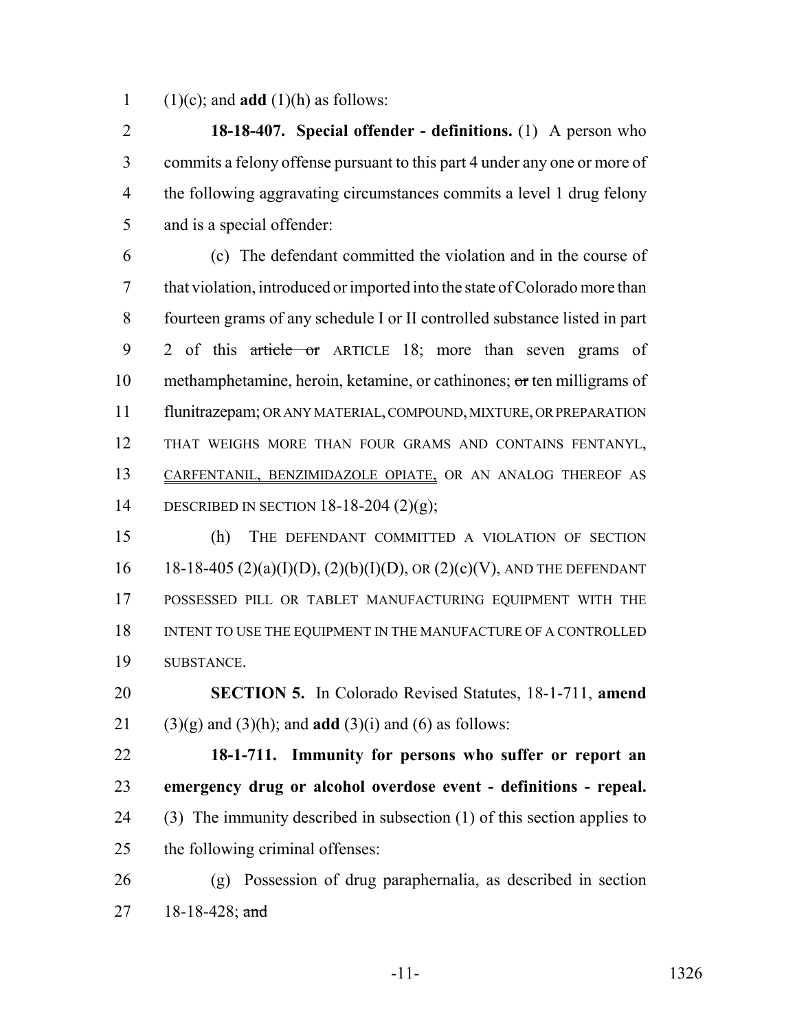1 (1)(c); and **add** (1)(h) as follows:

 **18-18-407. Special offender - definitions.** (1) A person who commits a felony offense pursuant to this part 4 under any one or more of the following aggravating circumstances commits a level 1 drug felony and is a special offender:

 (c) The defendant committed the violation and in the course of that violation, introduced or imported into the state of Colorado more than fourteen grams of any schedule I or II controlled substance listed in part 9 2 of this article or ARTICLE 18; more than seven grams of 10 methamphetamine, heroin, ketamine, or cathinones; or ten milligrams of flunitrazepam; OR ANY MATERIAL, COMPOUND, MIXTURE, OR PREPARATION THAT WEIGHS MORE THAN FOUR GRAMS AND CONTAINS FENTANYL, CARFENTANIL, BENZIMIDAZOLE OPIATE, OR AN ANALOG THEREOF AS DESCRIBED IN SECTION 18-18-204 (2)(g);

 (h) THE DEFENDANT COMMITTED A VIOLATION OF SECTION 16 18-18-405 (2)(a)(I)(D), (2)(b)(I)(D), OR (2)(c)(V), AND THE DEFENDANT POSSESSED PILL OR TABLET MANUFACTURING EQUIPMENT WITH THE 18 INTENT TO USE THE EQUIPMENT IN THE MANUFACTURE OF A CONTROLLED SUBSTANCE.

 **SECTION 5.** In Colorado Revised Statutes, 18-1-711, **amend** 21 (3)(g) and (3)(h); and **add** (3)(i) and (6) as follows:

 **18-1-711. Immunity for persons who suffer or report an emergency drug or alcohol overdose event - definitions - repeal.** (3) The immunity described in subsection (1) of this section applies to the following criminal offenses:

 (g) Possession of drug paraphernalia, as described in section 27 18-18-428; and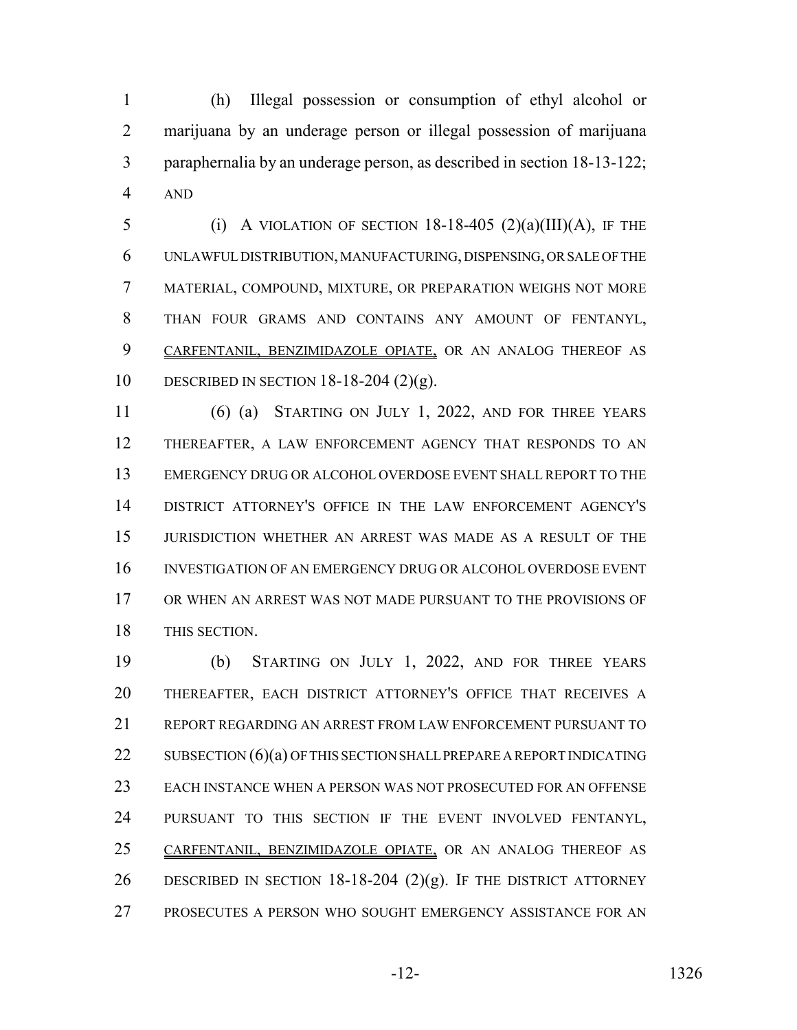(h) Illegal possession or consumption of ethyl alcohol or marijuana by an underage person or illegal possession of marijuana paraphernalia by an underage person, as described in section 18-13-122; AND

5 (i) A VIOLATION OF SECTION 18-18-405  $(2)(a)(III)(A)$ , IF THE UNLAWFUL DISTRIBUTION, MANUFACTURING, DISPENSING, OR SALE OF THE MATERIAL, COMPOUND, MIXTURE, OR PREPARATION WEIGHS NOT MORE THAN FOUR GRAMS AND CONTAINS ANY AMOUNT OF FENTANYL, CARFENTANIL, BENZIMIDAZOLE OPIATE, OR AN ANALOG THEREOF AS DESCRIBED IN SECTION 18-18-204 (2)(g).

 (6) (a) STARTING ON JULY 1, 2022, AND FOR THREE YEARS THEREAFTER, A LAW ENFORCEMENT AGENCY THAT RESPONDS TO AN EMERGENCY DRUG OR ALCOHOL OVERDOSE EVENT SHALL REPORT TO THE DISTRICT ATTORNEY'S OFFICE IN THE LAW ENFORCEMENT AGENCY'S JURISDICTION WHETHER AN ARREST WAS MADE AS A RESULT OF THE INVESTIGATION OF AN EMERGENCY DRUG OR ALCOHOL OVERDOSE EVENT OR WHEN AN ARREST WAS NOT MADE PURSUANT TO THE PROVISIONS OF THIS SECTION.

 (b) STARTING ON JULY 1, 2022, AND FOR THREE YEARS THEREAFTER, EACH DISTRICT ATTORNEY'S OFFICE THAT RECEIVES A REPORT REGARDING AN ARREST FROM LAW ENFORCEMENT PURSUANT TO 22 SUBSECTION  $(6)(a)$  OF THIS SECTION SHALL PREPARE A REPORT INDICATING EACH INSTANCE WHEN A PERSON WAS NOT PROSECUTED FOR AN OFFENSE PURSUANT TO THIS SECTION IF THE EVENT INVOLVED FENTANYL, CARFENTANIL, BENZIMIDAZOLE OPIATE, OR AN ANALOG THEREOF AS 26 DESCRIBED IN SECTION 18-18-204  $(2)(g)$ . If the district attorney PROSECUTES A PERSON WHO SOUGHT EMERGENCY ASSISTANCE FOR AN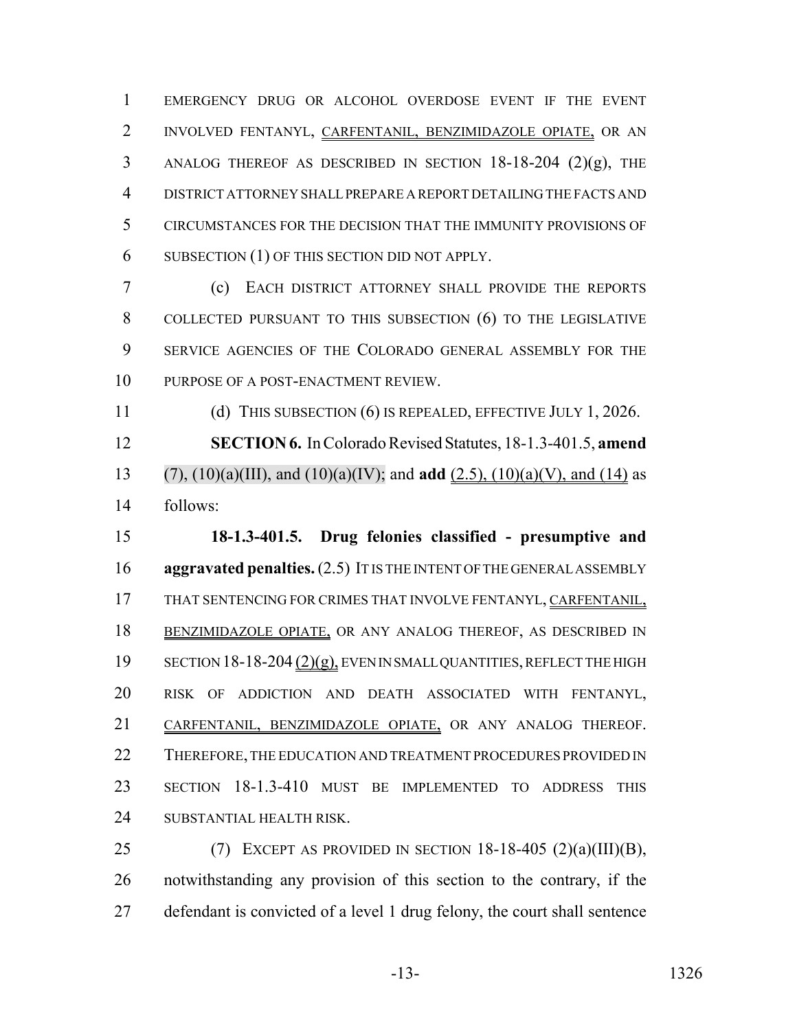EMERGENCY DRUG OR ALCOHOL OVERDOSE EVENT IF THE EVENT INVOLVED FENTANYL, CARFENTANIL, BENZIMIDAZOLE OPIATE, OR AN ANALOG THEREOF AS DESCRIBED IN SECTION 18-18-204 (2)(g), THE DISTRICT ATTORNEY SHALL PREPARE A REPORT DETAILING THE FACTS AND CIRCUMSTANCES FOR THE DECISION THAT THE IMMUNITY PROVISIONS OF SUBSECTION (1) OF THIS SECTION DID NOT APPLY.

 (c) EACH DISTRICT ATTORNEY SHALL PROVIDE THE REPORTS 8 COLLECTED PURSUANT TO THIS SUBSECTION (6) TO THE LEGISLATIVE SERVICE AGENCIES OF THE COLORADO GENERAL ASSEMBLY FOR THE 10 PURPOSE OF A POST-ENACTMENT REVIEW.

 (d) THIS SUBSECTION (6) IS REPEALED, EFFECTIVE JULY 1, 2026. **SECTION 6.** In Colorado Revised Statutes, 18-1.3-401.5, **amend** (7), (10)(a)(III), and (10)(a)(IV); and **add** (2.5), (10)(a)(V), and (14) as follows:

 **18-1.3-401.5. Drug felonies classified - presumptive and aggravated penalties.** (2.5) IT IS THE INTENT OF THE GENERAL ASSEMBLY 17 THAT SENTENCING FOR CRIMES THAT INVOLVE FENTANYL, CARFENTANIL, BENZIMIDAZOLE OPIATE, OR ANY ANALOG THEREOF, AS DESCRIBED IN 19 SECTION 18-18-204 (2)(g), EVEN IN SMALL QUANTITIES, REFLECT THE HIGH RISK OF ADDICTION AND DEATH ASSOCIATED WITH FENTANYL, CARFENTANIL, BENZIMIDAZOLE OPIATE, OR ANY ANALOG THEREOF. 22 THEREFORE, THE EDUCATION AND TREATMENT PROCEDURES PROVIDED IN SECTION 18-1.3-410 MUST BE IMPLEMENTED TO ADDRESS THIS SUBSTANTIAL HEALTH RISK.

25 (7) EXCEPT AS PROVIDED IN SECTION  $18-18-405$  (2)(a)(III)(B), notwithstanding any provision of this section to the contrary, if the defendant is convicted of a level 1 drug felony, the court shall sentence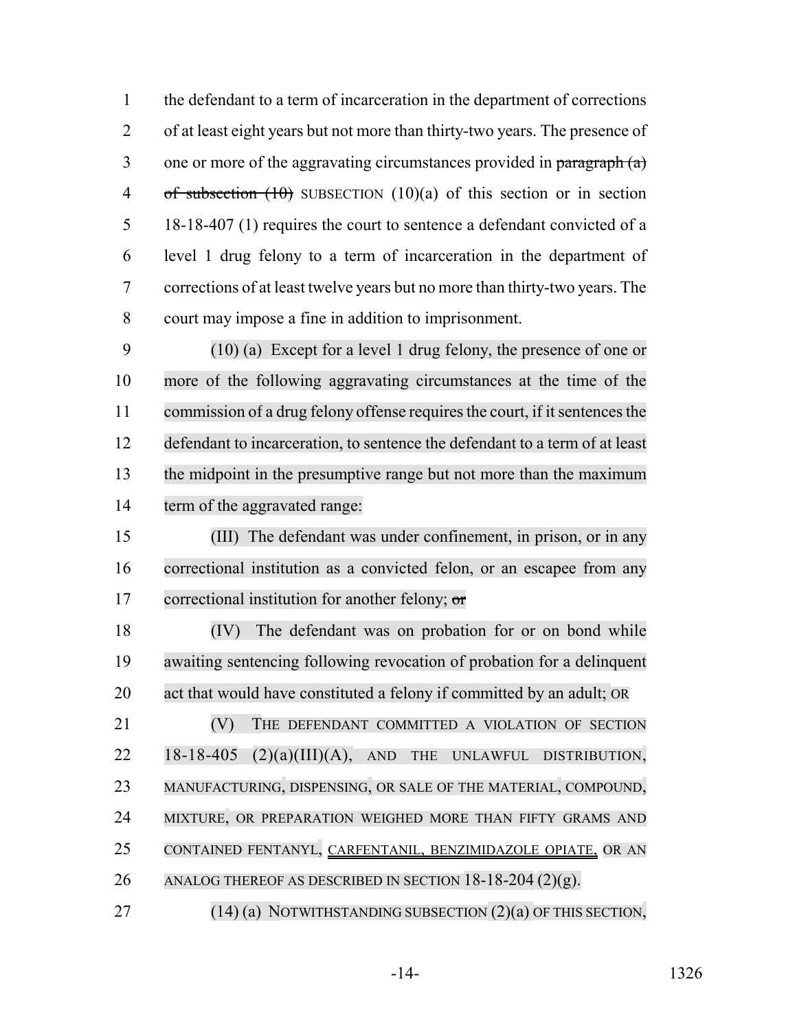the defendant to a term of incarceration in the department of corrections of at least eight years but not more than thirty-two years. The presence of 3 one or more of the aggravating circumstances provided in  $\frac{\partial^2 f}{\partial x^2}$ 4 of subsection (10) SUBSECTION (10)(a) of this section or in section 18-18-407 (1) requires the court to sentence a defendant convicted of a level 1 drug felony to a term of incarceration in the department of corrections of at least twelve years but no more than thirty-two years. The court may impose a fine in addition to imprisonment.

 (10) (a) Except for a level 1 drug felony, the presence of one or more of the following aggravating circumstances at the time of the 11 commission of a drug felony offense requires the court, if it sentences the defendant to incarceration, to sentence the defendant to a term of at least the midpoint in the presumptive range but not more than the maximum term of the aggravated range:

 (III) The defendant was under confinement, in prison, or in any correctional institution as a convicted felon, or an escapee from any 17 correctional institution for another felony;  $\sigma$ 

 (IV) The defendant was on probation for or on bond while awaiting sentencing following revocation of probation for a delinquent act that would have constituted a felony if committed by an adult; OR

**(V)** THE DEFENDANT COMMITTED A VIOLATION OF SECTION 18-18-405 (2)(a)(III)(A), AND THE UNLAWFUL DISTRIBUTION, MANUFACTURING, DISPENSING, OR SALE OF THE MATERIAL, COMPOUND, MIXTURE, OR PREPARATION WEIGHED MORE THAN FIFTY GRAMS AND CONTAINED FENTANYL, CARFENTANIL, BENZIMIDAZOLE OPIATE, OR AN 26 ANALOG THEREOF AS DESCRIBED IN SECTION  $18-18-204(2)(g)$ .

27 (14) (a) NOTWITHSTANDING SUBSECTION (2) (a) OF THIS SECTION,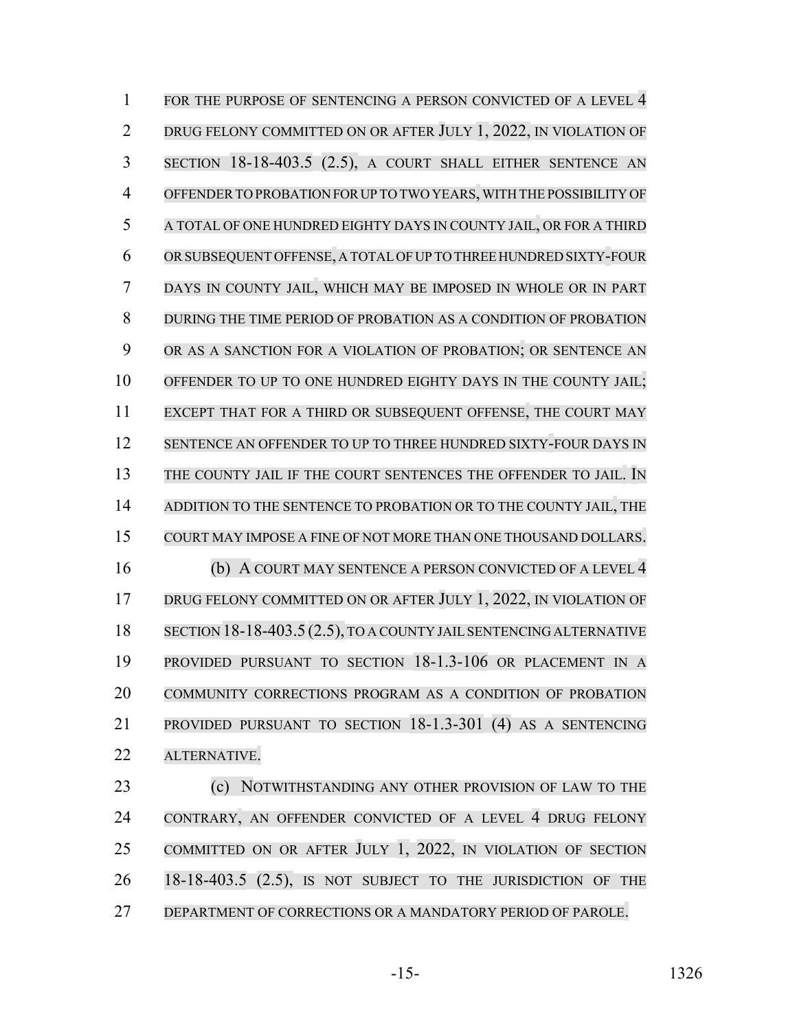1 FOR THE PURPOSE OF SENTENCING A PERSON CONVICTED OF A LEVEL 4 2 DRUG FELONY COMMITTED ON OR AFTER JULY 1, 2022, IN VIOLATION OF SECTION 18-18-403.5 (2.5), A COURT SHALL EITHER SENTENCE AN OFFENDERTO PROBATION FOR UP TO TWO YEARS,WITH THE POSSIBILITY OF A TOTAL OF ONE HUNDRED EIGHTY DAYS IN COUNTY JAIL, OR FOR A THIRD ORSUBSEQUENT OFFENSE, A TOTALOFUP TO THREE HUNDRED SIXTY-FOUR DAYS IN COUNTY JAIL, WHICH MAY BE IMPOSED IN WHOLE OR IN PART DURING THE TIME PERIOD OF PROBATION AS A CONDITION OF PROBATION OR AS A SANCTION FOR A VIOLATION OF PROBATION; OR SENTENCE AN 10 OFFENDER TO UP TO ONE HUNDRED EIGHTY DAYS IN THE COUNTY JAIL; EXCEPT THAT FOR A THIRD OR SUBSEQUENT OFFENSE, THE COURT MAY 12 SENTENCE AN OFFENDER TO UP TO THREE HUNDRED SIXTY-FOUR DAYS IN 13 THE COUNTY JAIL IF THE COURT SENTENCES THE OFFENDER TO JAIL. IN ADDITION TO THE SENTENCE TO PROBATION OR TO THE COUNTY JAIL, THE COURT MAY IMPOSE A FINE OF NOT MORE THAN ONE THOUSAND DOLLARS. (b) A COURT MAY SENTENCE A PERSON CONVICTED OF A LEVEL 4 17 DRUG FELONY COMMITTED ON OR AFTER JULY 1, 2022, IN VIOLATION OF 18 SECTION 18-18-403.5 (2.5), TO A COUNTY JAIL SENTENCING ALTERNATIVE PROVIDED PURSUANT TO SECTION 18-1.3-106 OR PLACEMENT IN A COMMUNITY CORRECTIONS PROGRAM AS A CONDITION OF PROBATION PROVIDED PURSUANT TO SECTION 18-1.3-301 (4) AS A SENTENCING ALTERNATIVE. (c) NOTWITHSTANDING ANY OTHER PROVISION OF LAW TO THE

24 CONTRARY, AN OFFENDER CONVICTED OF A LEVEL 4 DRUG FELONY COMMITTED ON OR AFTER JULY 1, 2022, IN VIOLATION OF SECTION 26 18-18-403.5 (2.5), IS NOT SUBJECT TO THE JURISDICTION OF THE 27 DEPARTMENT OF CORRECTIONS OR A MANDATORY PERIOD OF PAROLE.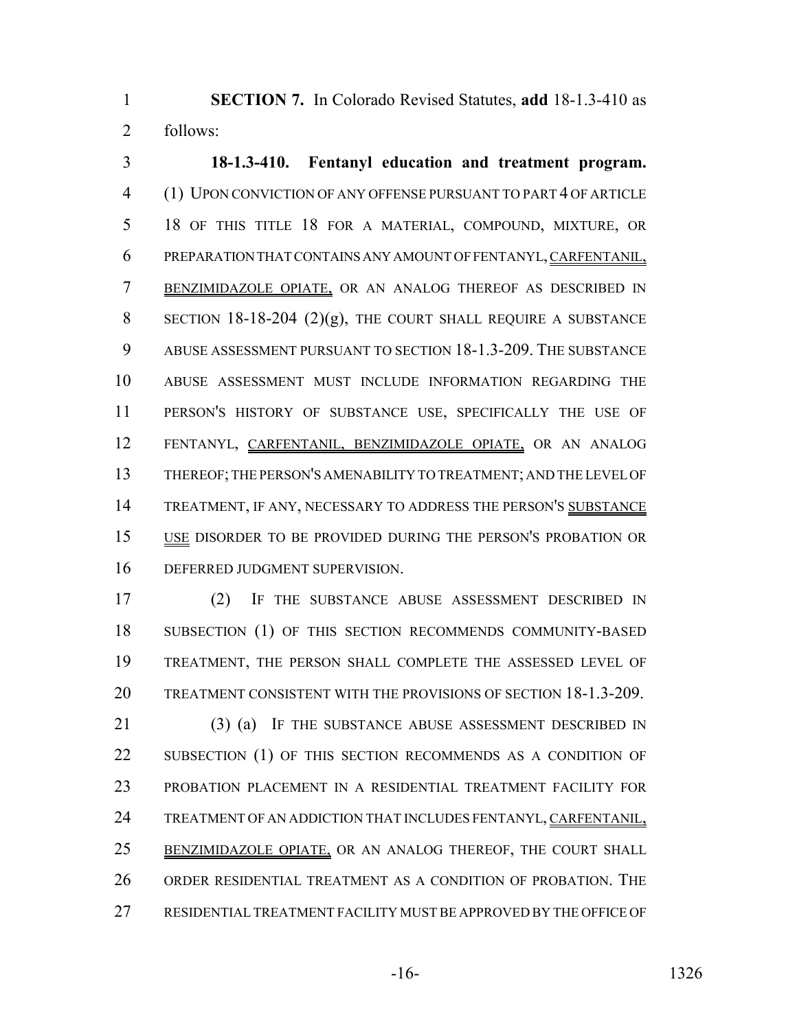**SECTION 7.** In Colorado Revised Statutes, **add** 18-1.3-410 as follows:

 **18-1.3-410. Fentanyl education and treatment program.** (1) UPON CONVICTION OF ANY OFFENSE PURSUANT TO PART 4 OF ARTICLE 18 OF THIS TITLE 18 FOR A MATERIAL, COMPOUND, MIXTURE, OR PREPARATION THAT CONTAINS ANY AMOUNT OF FENTANYL, CARFENTANIL, BENZIMIDAZOLE OPIATE, OR AN ANALOG THEREOF AS DESCRIBED IN 8 SECTION 18-18-204  $(2)(g)$ , THE COURT SHALL REQUIRE A SUBSTANCE ABUSE ASSESSMENT PURSUANT TO SECTION 18-1.3-209. THE SUBSTANCE ABUSE ASSESSMENT MUST INCLUDE INFORMATION REGARDING THE PERSON'S HISTORY OF SUBSTANCE USE, SPECIFICALLY THE USE OF FENTANYL, CARFENTANIL, BENZIMIDAZOLE OPIATE, OR AN ANALOG THEREOF; THE PERSON'S AMENABILITY TO TREATMENT; AND THE LEVEL OF 14 TREATMENT, IF ANY, NECESSARY TO ADDRESS THE PERSON'S SUBSTANCE USE DISORDER TO BE PROVIDED DURING THE PERSON'S PROBATION OR DEFERRED JUDGMENT SUPERVISION.

 (2) IF THE SUBSTANCE ABUSE ASSESSMENT DESCRIBED IN 18 SUBSECTION (1) OF THIS SECTION RECOMMENDS COMMUNITY-BASED TREATMENT, THE PERSON SHALL COMPLETE THE ASSESSED LEVEL OF TREATMENT CONSISTENT WITH THE PROVISIONS OF SECTION 18-1.3-209.

21 (3) (a) IF THE SUBSTANCE ABUSE ASSESSMENT DESCRIBED IN 22 SUBSECTION (1) OF THIS SECTION RECOMMENDS AS A CONDITION OF PROBATION PLACEMENT IN A RESIDENTIAL TREATMENT FACILITY FOR TREATMENT OF AN ADDICTION THAT INCLUDES FENTANYL, CARFENTANIL, 25 BENZIMIDAZOLE OPIATE, OR AN ANALOG THEREOF, THE COURT SHALL ORDER RESIDENTIAL TREATMENT AS A CONDITION OF PROBATION. THE RESIDENTIAL TREATMENT FACILITY MUST BE APPROVED BY THE OFFICE OF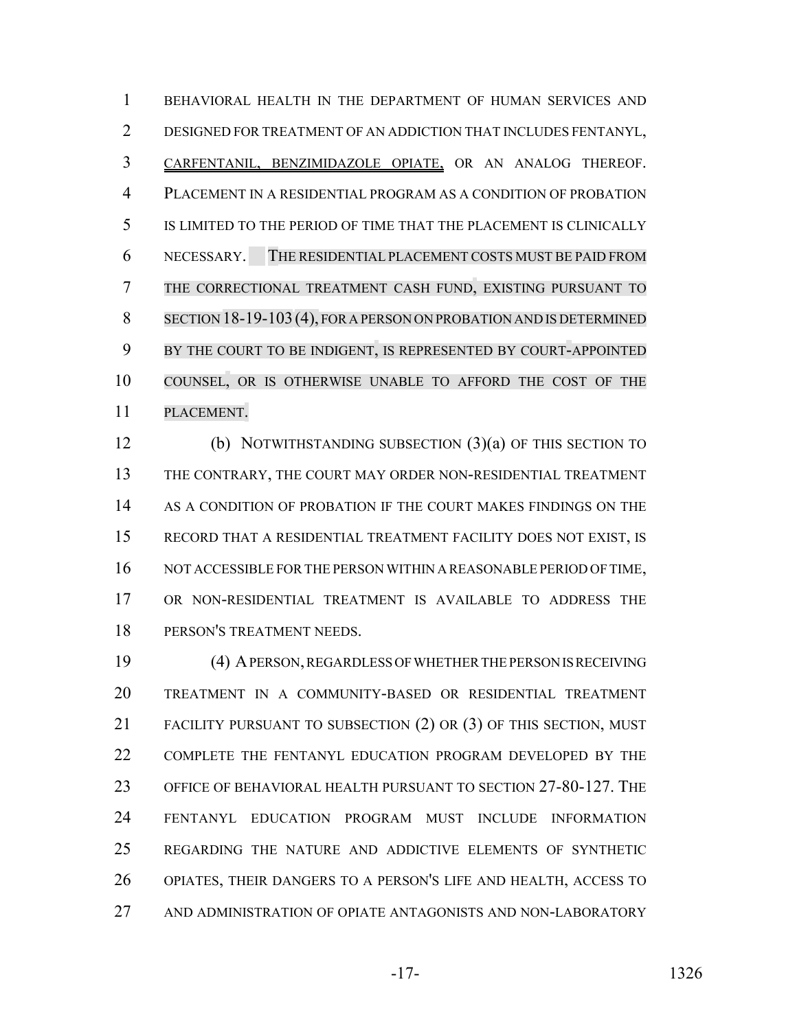BEHAVIORAL HEALTH IN THE DEPARTMENT OF HUMAN SERVICES AND DESIGNED FOR TREATMENT OF AN ADDICTION THAT INCLUDES FENTANYL, CARFENTANIL, BENZIMIDAZOLE OPIATE, OR AN ANALOG THEREOF. PLACEMENT IN A RESIDENTIAL PROGRAM AS A CONDITION OF PROBATION IS LIMITED TO THE PERIOD OF TIME THAT THE PLACEMENT IS CLINICALLY NECESSARY. THE RESIDENTIAL PLACEMENT COSTS MUST BE PAID FROM THE CORRECTIONAL TREATMENT CASH FUND, EXISTING PURSUANT TO SECTION 18-19-103(4), FOR A PERSON ON PROBATION AND IS DETERMINED BY THE COURT TO BE INDIGENT, IS REPRESENTED BY COURT-APPOINTED COUNSEL, OR IS OTHERWISE UNABLE TO AFFORD THE COST OF THE PLACEMENT.

 (b) NOTWITHSTANDING SUBSECTION (3)(a) OF THIS SECTION TO THE CONTRARY, THE COURT MAY ORDER NON-RESIDENTIAL TREATMENT AS A CONDITION OF PROBATION IF THE COURT MAKES FINDINGS ON THE RECORD THAT A RESIDENTIAL TREATMENT FACILITY DOES NOT EXIST, IS 16 NOT ACCESSIBLE FOR THE PERSON WITHIN A REASONABLE PERIOD OF TIME, OR NON-RESIDENTIAL TREATMENT IS AVAILABLE TO ADDRESS THE PERSON'S TREATMENT NEEDS.

 (4) A PERSON, REGARDLESS OF WHETHER THE PERSON IS RECEIVING TREATMENT IN A COMMUNITY-BASED OR RESIDENTIAL TREATMENT FACILITY PURSUANT TO SUBSECTION (2) OR (3) OF THIS SECTION, MUST COMPLETE THE FENTANYL EDUCATION PROGRAM DEVELOPED BY THE OFFICE OF BEHAVIORAL HEALTH PURSUANT TO SECTION 27-80-127. THE FENTANYL EDUCATION PROGRAM MUST INCLUDE INFORMATION REGARDING THE NATURE AND ADDICTIVE ELEMENTS OF SYNTHETIC OPIATES, THEIR DANGERS TO A PERSON'S LIFE AND HEALTH, ACCESS TO AND ADMINISTRATION OF OPIATE ANTAGONISTS AND NON-LABORATORY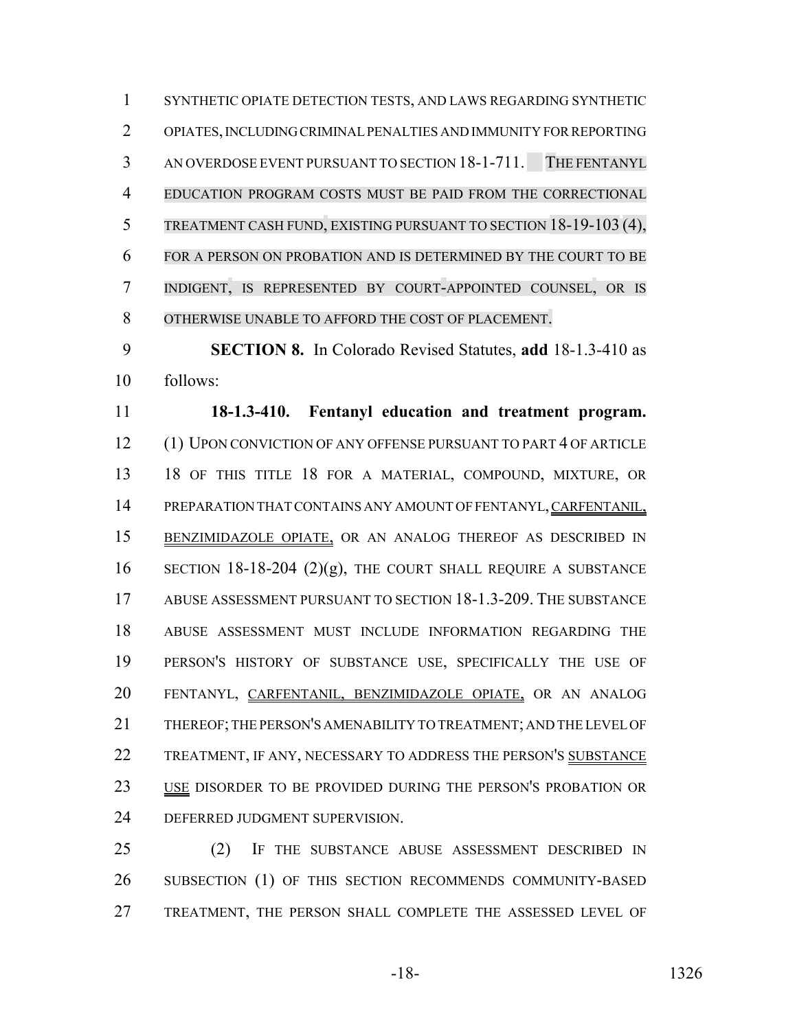SYNTHETIC OPIATE DETECTION TESTS, AND LAWS REGARDING SYNTHETIC OPIATES, INCLUDING CRIMINAL PENALTIES AND IMMUNITY FOR REPORTING AN OVERDOSE EVENT PURSUANT TO SECTION 18-1-711. THE FENTANYL EDUCATION PROGRAM COSTS MUST BE PAID FROM THE CORRECTIONAL TREATMENT CASH FUND, EXISTING PURSUANT TO SECTION 18-19-103 (4), FOR A PERSON ON PROBATION AND IS DETERMINED BY THE COURT TO BE INDIGENT, IS REPRESENTED BY COURT-APPOINTED COUNSEL, OR IS OTHERWISE UNABLE TO AFFORD THE COST OF PLACEMENT.

 **SECTION 8.** In Colorado Revised Statutes, **add** 18-1.3-410 as follows:

 **18-1.3-410. Fentanyl education and treatment program.** (1) UPON CONVICTION OF ANY OFFENSE PURSUANT TO PART 4 OF ARTICLE 18 OF THIS TITLE 18 FOR A MATERIAL, COMPOUND, MIXTURE, OR 14 PREPARATION THAT CONTAINS ANY AMOUNT OF FENTANYL, CARFENTANIL, BENZIMIDAZOLE OPIATE, OR AN ANALOG THEREOF AS DESCRIBED IN 16 SECTION 18-18-204 (2)(g), THE COURT SHALL REQUIRE A SUBSTANCE ABUSE ASSESSMENT PURSUANT TO SECTION 18-1.3-209. THE SUBSTANCE ABUSE ASSESSMENT MUST INCLUDE INFORMATION REGARDING THE PERSON'S HISTORY OF SUBSTANCE USE, SPECIFICALLY THE USE OF FENTANYL, CARFENTANIL, BENZIMIDAZOLE OPIATE, OR AN ANALOG THEREOF; THE PERSON'S AMENABILITY TO TREATMENT; AND THE LEVEL OF TREATMENT, IF ANY, NECESSARY TO ADDRESS THE PERSON'S SUBSTANCE 23 USE DISORDER TO BE PROVIDED DURING THE PERSON'S PROBATION OR DEFERRED JUDGMENT SUPERVISION.

 (2) IF THE SUBSTANCE ABUSE ASSESSMENT DESCRIBED IN 26 SUBSECTION (1) OF THIS SECTION RECOMMENDS COMMUNITY-BASED TREATMENT, THE PERSON SHALL COMPLETE THE ASSESSED LEVEL OF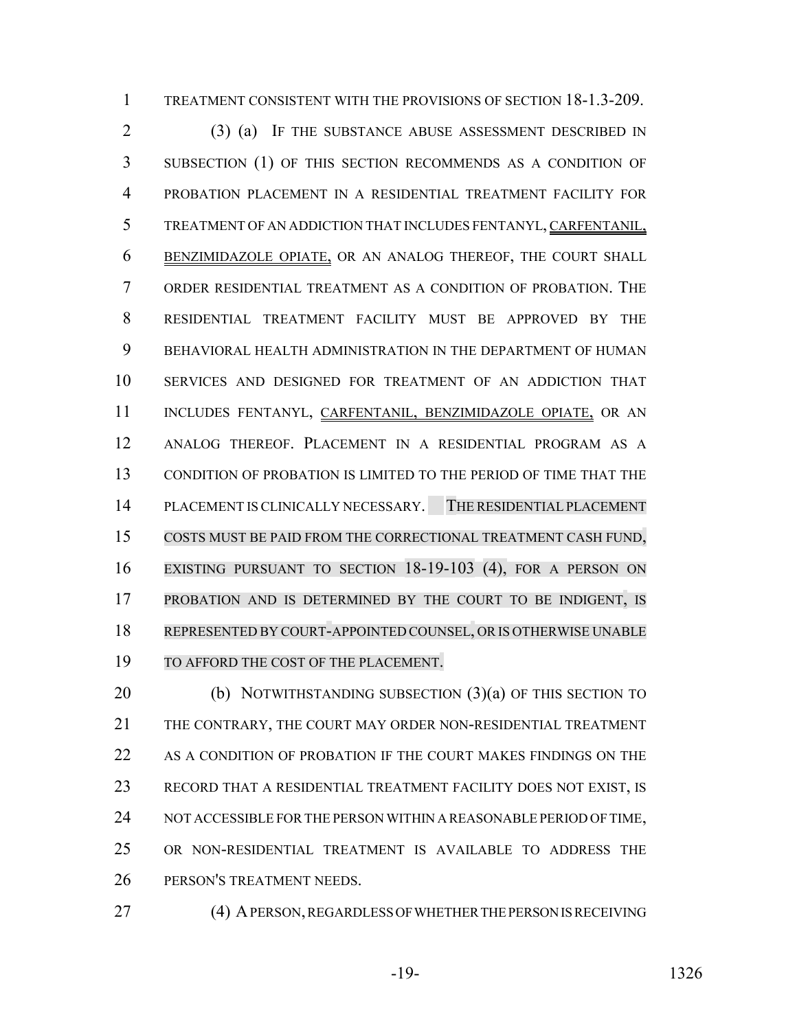TREATMENT CONSISTENT WITH THE PROVISIONS OF SECTION 18-1.3-209.

 (3) (a) IF THE SUBSTANCE ABUSE ASSESSMENT DESCRIBED IN SUBSECTION (1) OF THIS SECTION RECOMMENDS AS A CONDITION OF PROBATION PLACEMENT IN A RESIDENTIAL TREATMENT FACILITY FOR TREATMENT OF AN ADDICTION THAT INCLUDES FENTANYL, CARFENTANIL, BENZIMIDAZOLE OPIATE, OR AN ANALOG THEREOF, THE COURT SHALL ORDER RESIDENTIAL TREATMENT AS A CONDITION OF PROBATION. THE RESIDENTIAL TREATMENT FACILITY MUST BE APPROVED BY THE BEHAVIORAL HEALTH ADMINISTRATION IN THE DEPARTMENT OF HUMAN SERVICES AND DESIGNED FOR TREATMENT OF AN ADDICTION THAT 11 INCLUDES FENTANYL, CARFENTANIL, BENZIMIDAZOLE OPIATE, OR AN ANALOG THEREOF. PLACEMENT IN A RESIDENTIAL PROGRAM AS A CONDITION OF PROBATION IS LIMITED TO THE PERIOD OF TIME THAT THE PLACEMENT IS CLINICALLY NECESSARY. THE RESIDENTIAL PLACEMENT COSTS MUST BE PAID FROM THE CORRECTIONAL TREATMENT CASH FUND, EXISTING PURSUANT TO SECTION 18-19-103 (4), FOR A PERSON ON PROBATION AND IS DETERMINED BY THE COURT TO BE INDIGENT, IS REPRESENTED BY COURT-APPOINTED COUNSEL, OR IS OTHERWISE UNABLE TO AFFORD THE COST OF THE PLACEMENT.

20 (b) NOTWITHSTANDING SUBSECTION (3)(a) OF THIS SECTION TO THE CONTRARY, THE COURT MAY ORDER NON-RESIDENTIAL TREATMENT 22 AS A CONDITION OF PROBATION IF THE COURT MAKES FINDINGS ON THE RECORD THAT A RESIDENTIAL TREATMENT FACILITY DOES NOT EXIST, IS 24 NOT ACCESSIBLE FOR THE PERSON WITHIN A REASONABLE PERIOD OF TIME, OR NON-RESIDENTIAL TREATMENT IS AVAILABLE TO ADDRESS THE PERSON'S TREATMENT NEEDS.

- 
- 27 (4) A PERSON, REGARDLESS OF WHETHER THE PERSON IS RECEIVING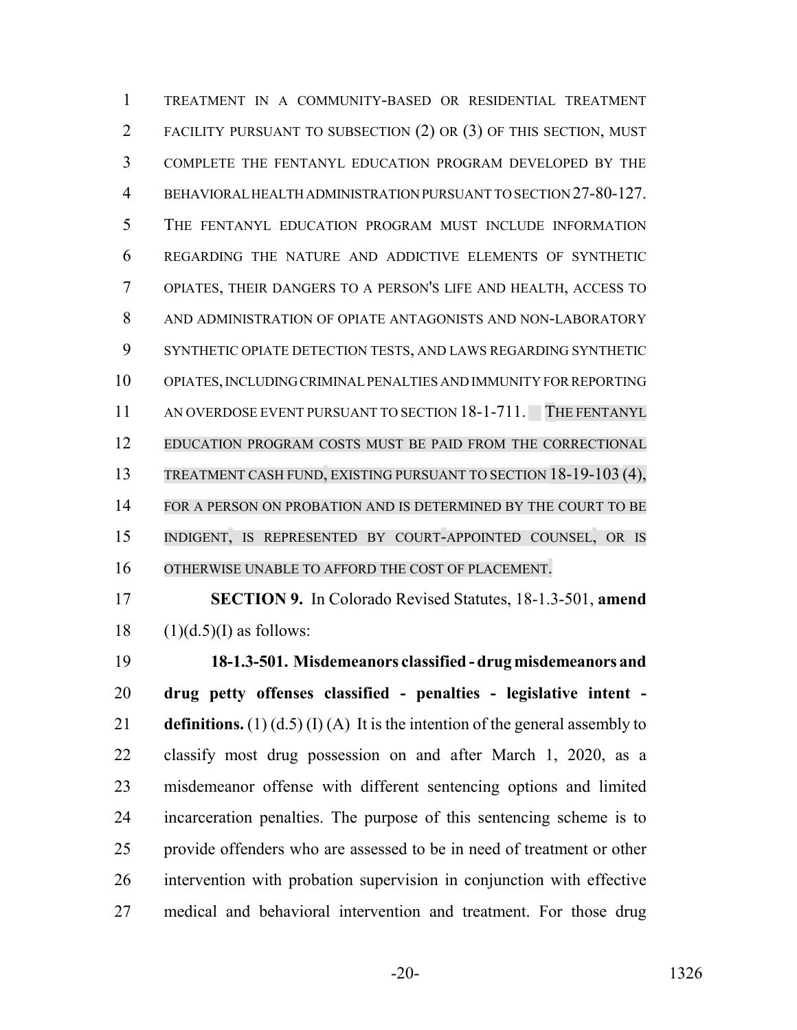TREATMENT IN A COMMUNITY-BASED OR RESIDENTIAL TREATMENT FACILITY PURSUANT TO SUBSECTION (2) OR (3) OF THIS SECTION, MUST COMPLETE THE FENTANYL EDUCATION PROGRAM DEVELOPED BY THE BEHAVIORAL HEALTH ADMINISTRATION PURSUANT TO SECTION 27-80-127. THE FENTANYL EDUCATION PROGRAM MUST INCLUDE INFORMATION REGARDING THE NATURE AND ADDICTIVE ELEMENTS OF SYNTHETIC OPIATES, THEIR DANGERS TO A PERSON'S LIFE AND HEALTH, ACCESS TO AND ADMINISTRATION OF OPIATE ANTAGONISTS AND NON-LABORATORY SYNTHETIC OPIATE DETECTION TESTS, AND LAWS REGARDING SYNTHETIC OPIATES, INCLUDING CRIMINAL PENALTIES AND IMMUNITY FOR REPORTING 11 AN OVERDOSE EVENT PURSUANT TO SECTION 18-1-711. THE FENTANYL EDUCATION PROGRAM COSTS MUST BE PAID FROM THE CORRECTIONAL TREATMENT CASH FUND, EXISTING PURSUANT TO SECTION 18-19-103 (4), 14 FOR A PERSON ON PROBATION AND IS DETERMINED BY THE COURT TO BE INDIGENT, IS REPRESENTED BY COURT-APPOINTED COUNSEL, OR IS OTHERWISE UNABLE TO AFFORD THE COST OF PLACEMENT.

 **SECTION 9.** In Colorado Revised Statutes, 18-1.3-501, **amend**  $18 \quad (1)(d.5)(I)$  as follows:

 **18-1.3-501. Misdemeanors classified - drug misdemeanors and drug petty offenses classified - penalties - legislative intent - definitions.** (1) (d.5) (I) (A) It is the intention of the general assembly to classify most drug possession on and after March 1, 2020, as a misdemeanor offense with different sentencing options and limited incarceration penalties. The purpose of this sentencing scheme is to provide offenders who are assessed to be in need of treatment or other intervention with probation supervision in conjunction with effective medical and behavioral intervention and treatment. For those drug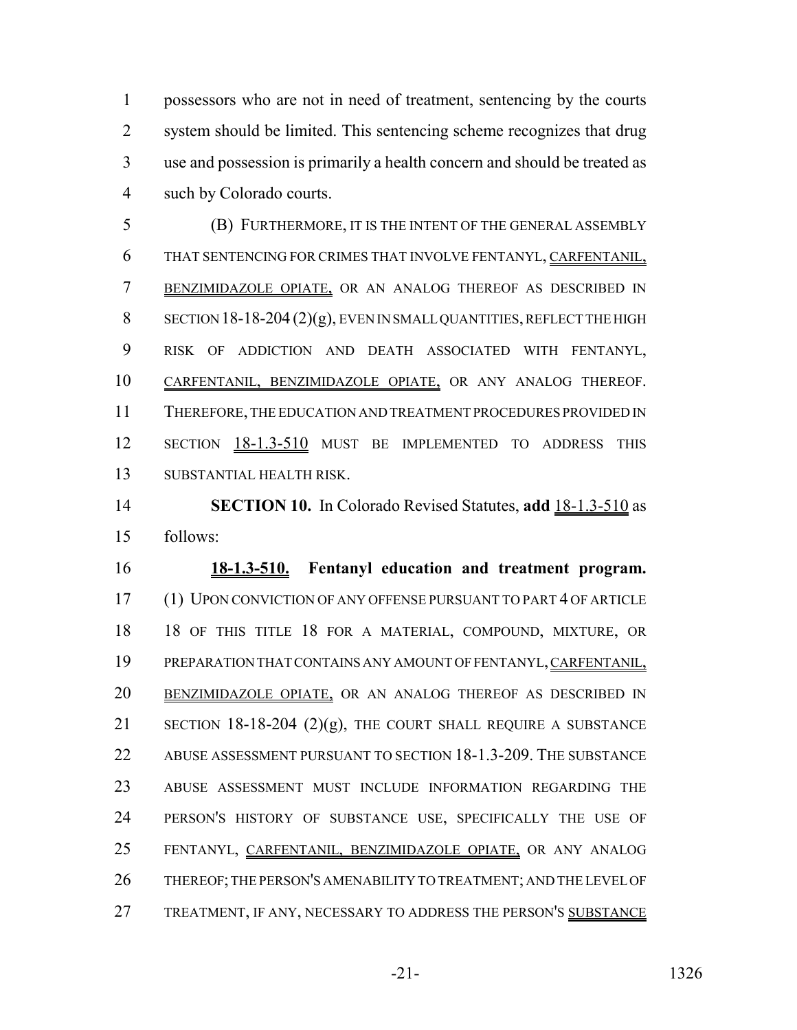possessors who are not in need of treatment, sentencing by the courts system should be limited. This sentencing scheme recognizes that drug use and possession is primarily a health concern and should be treated as such by Colorado courts.

 (B) FURTHERMORE, IT IS THE INTENT OF THE GENERAL ASSEMBLY THAT SENTENCING FOR CRIMES THAT INVOLVE FENTANYL, CARFENTANIL, BENZIMIDAZOLE OPIATE, OR AN ANALOG THEREOF AS DESCRIBED IN SECTION 18-18-204 (2)(g), EVEN IN SMALL QUANTITIES, REFLECT THE HIGH RISK OF ADDICTION AND DEATH ASSOCIATED WITH FENTANYL, CARFENTANIL, BENZIMIDAZOLE OPIATE, OR ANY ANALOG THEREOF. THEREFORE, THE EDUCATION AND TREATMENT PROCEDURES PROVIDED IN 12 SECTION 18-1.3-510 MUST BE IMPLEMENTED TO ADDRESS THIS SUBSTANTIAL HEALTH RISK.

 **SECTION 10.** In Colorado Revised Statutes, **add** 18-1.3-510 as follows:

 **18-1.3-510. Fentanyl education and treatment program.** (1) UPON CONVICTION OF ANY OFFENSE PURSUANT TO PART 4 OF ARTICLE 18 OF THIS TITLE 18 FOR A MATERIAL, COMPOUND, MIXTURE, OR PREPARATION THAT CONTAINS ANY AMOUNT OF FENTANYL, CARFENTANIL, 20 BENZIMIDAZOLE OPIATE, OR AN ANALOG THEREOF AS DESCRIBED IN 21 SECTION 18-18-204  $(2)(g)$ , THE COURT SHALL REQUIRE A SUBSTANCE ABUSE ASSESSMENT PURSUANT TO SECTION 18-1.3-209. THE SUBSTANCE ABUSE ASSESSMENT MUST INCLUDE INFORMATION REGARDING THE PERSON'S HISTORY OF SUBSTANCE USE, SPECIFICALLY THE USE OF FENTANYL, CARFENTANIL, BENZIMIDAZOLE OPIATE, OR ANY ANALOG THEREOF; THE PERSON'S AMENABILITY TO TREATMENT; AND THE LEVEL OF 27 TREATMENT, IF ANY, NECESSARY TO ADDRESS THE PERSON'S SUBSTANCE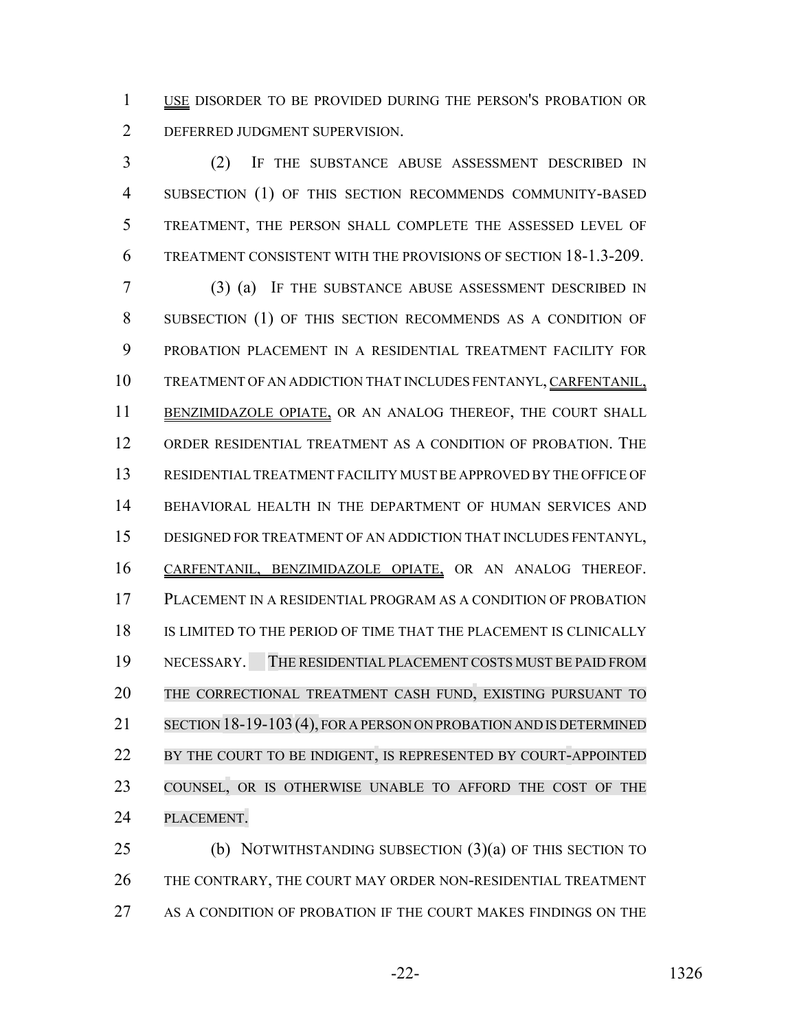1 USE DISORDER TO BE PROVIDED DURING THE PERSON'S PROBATION OR DEFERRED JUDGMENT SUPERVISION.

 (2) IF THE SUBSTANCE ABUSE ASSESSMENT DESCRIBED IN SUBSECTION (1) OF THIS SECTION RECOMMENDS COMMUNITY-BASED TREATMENT, THE PERSON SHALL COMPLETE THE ASSESSED LEVEL OF TREATMENT CONSISTENT WITH THE PROVISIONS OF SECTION 18-1.3-209.

 (3) (a) IF THE SUBSTANCE ABUSE ASSESSMENT DESCRIBED IN SUBSECTION (1) OF THIS SECTION RECOMMENDS AS A CONDITION OF PROBATION PLACEMENT IN A RESIDENTIAL TREATMENT FACILITY FOR TREATMENT OF AN ADDICTION THAT INCLUDES FENTANYL, CARFENTANIL, 11 BENZIMIDAZOLE OPIATE, OR AN ANALOG THEREOF, THE COURT SHALL ORDER RESIDENTIAL TREATMENT AS A CONDITION OF PROBATION. THE RESIDENTIAL TREATMENT FACILITY MUST BE APPROVED BY THE OFFICE OF BEHAVIORAL HEALTH IN THE DEPARTMENT OF HUMAN SERVICES AND DESIGNED FOR TREATMENT OF AN ADDICTION THAT INCLUDES FENTANYL, CARFENTANIL, BENZIMIDAZOLE OPIATE, OR AN ANALOG THEREOF. PLACEMENT IN A RESIDENTIAL PROGRAM AS A CONDITION OF PROBATION IS LIMITED TO THE PERIOD OF TIME THAT THE PLACEMENT IS CLINICALLY NECESSARY. THE RESIDENTIAL PLACEMENT COSTS MUST BE PAID FROM THE CORRECTIONAL TREATMENT CASH FUND, EXISTING PURSUANT TO SECTION 18-19-103(4), FOR A PERSON ON PROBATION AND IS DETERMINED 22 BY THE COURT TO BE INDIGENT, IS REPRESENTED BY COURT-APPOINTED COUNSEL, OR IS OTHERWISE UNABLE TO AFFORD THE COST OF THE PLACEMENT.

 (b) NOTWITHSTANDING SUBSECTION (3)(a) OF THIS SECTION TO 26 THE CONTRARY, THE COURT MAY ORDER NON-RESIDENTIAL TREATMENT 27 AS A CONDITION OF PROBATION IF THE COURT MAKES FINDINGS ON THE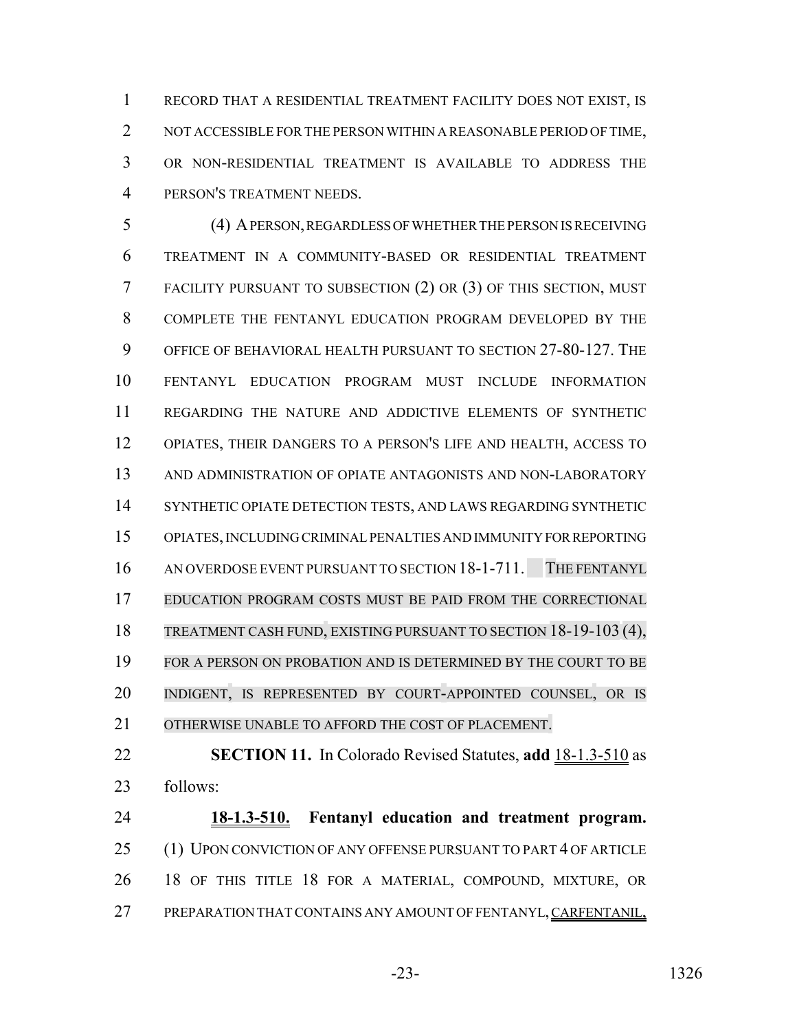RECORD THAT A RESIDENTIAL TREATMENT FACILITY DOES NOT EXIST, IS NOT ACCESSIBLE FOR THE PERSON WITHIN A REASONABLE PERIOD OF TIME, OR NON-RESIDENTIAL TREATMENT IS AVAILABLE TO ADDRESS THE PERSON'S TREATMENT NEEDS.

 (4) A PERSON, REGARDLESS OF WHETHER THE PERSON IS RECEIVING TREATMENT IN A COMMUNITY-BASED OR RESIDENTIAL TREATMENT FACILITY PURSUANT TO SUBSECTION (2) OR (3) OF THIS SECTION, MUST COMPLETE THE FENTANYL EDUCATION PROGRAM DEVELOPED BY THE OFFICE OF BEHAVIORAL HEALTH PURSUANT TO SECTION 27-80-127. THE FENTANYL EDUCATION PROGRAM MUST INCLUDE INFORMATION REGARDING THE NATURE AND ADDICTIVE ELEMENTS OF SYNTHETIC OPIATES, THEIR DANGERS TO A PERSON'S LIFE AND HEALTH, ACCESS TO AND ADMINISTRATION OF OPIATE ANTAGONISTS AND NON-LABORATORY SYNTHETIC OPIATE DETECTION TESTS, AND LAWS REGARDING SYNTHETIC OPIATES, INCLUDING CRIMINAL PENALTIES AND IMMUNITY FOR REPORTING AN OVERDOSE EVENT PURSUANT TO SECTION 18-1-711. THE FENTANYL EDUCATION PROGRAM COSTS MUST BE PAID FROM THE CORRECTIONAL TREATMENT CASH FUND, EXISTING PURSUANT TO SECTION 18-19-103 (4), FOR A PERSON ON PROBATION AND IS DETERMINED BY THE COURT TO BE INDIGENT, IS REPRESENTED BY COURT-APPOINTED COUNSEL, OR IS OTHERWISE UNABLE TO AFFORD THE COST OF PLACEMENT.

 **SECTION 11.** In Colorado Revised Statutes, **add** 18-1.3-510 as follows:

 **18-1.3-510. Fentanyl education and treatment program.** 25 (1) UPON CONVICTION OF ANY OFFENSE PURSUANT TO PART 4 OF ARTICLE 18 OF THIS TITLE 18 FOR A MATERIAL, COMPOUND, MIXTURE, OR PREPARATION THAT CONTAINS ANY AMOUNT OF FENTANYL, CARFENTANIL,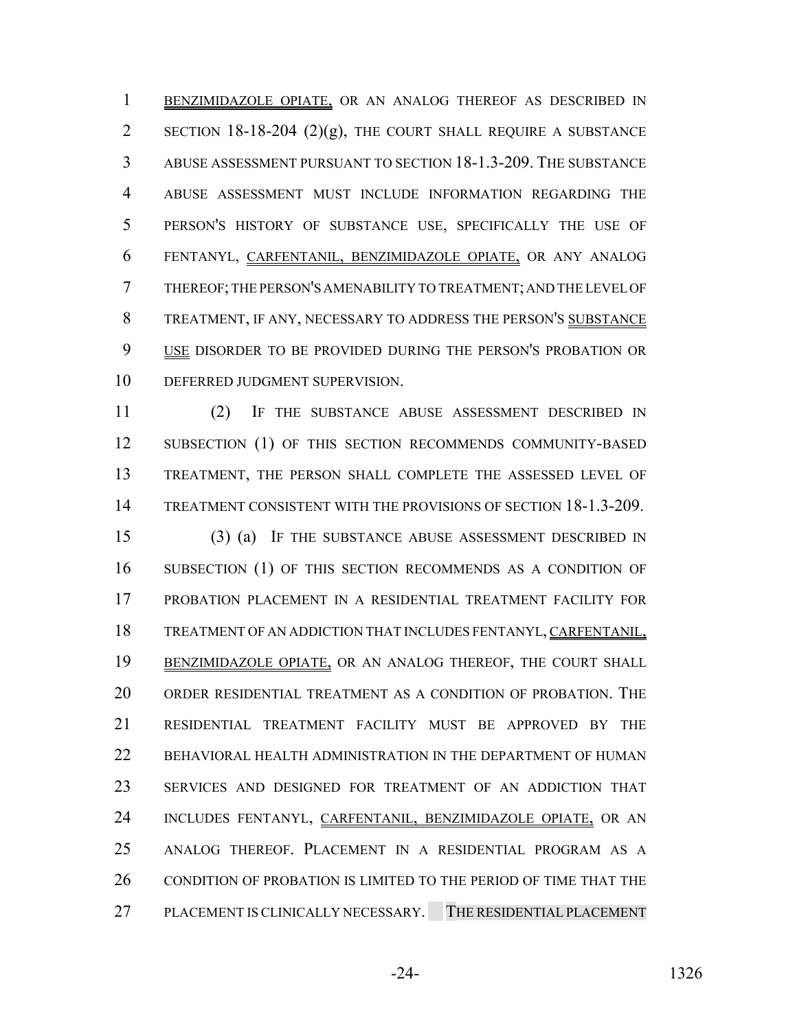BENZIMIDAZOLE OPIATE, OR AN ANALOG THEREOF AS DESCRIBED IN 2 SECTION 18-18-204  $(2)(g)$ , THE COURT SHALL REQUIRE A SUBSTANCE ABUSE ASSESSMENT PURSUANT TO SECTION 18-1.3-209. THE SUBSTANCE ABUSE ASSESSMENT MUST INCLUDE INFORMATION REGARDING THE PERSON'S HISTORY OF SUBSTANCE USE, SPECIFICALLY THE USE OF FENTANYL, CARFENTANIL, BENZIMIDAZOLE OPIATE, OR ANY ANALOG THEREOF; THE PERSON'S AMENABILITY TO TREATMENT; AND THE LEVEL OF TREATMENT, IF ANY, NECESSARY TO ADDRESS THE PERSON'S SUBSTANCE 9 USE DISORDER TO BE PROVIDED DURING THE PERSON'S PROBATION OR DEFERRED JUDGMENT SUPERVISION.

 (2) IF THE SUBSTANCE ABUSE ASSESSMENT DESCRIBED IN 12 SUBSECTION (1) OF THIS SECTION RECOMMENDS COMMUNITY-BASED TREATMENT, THE PERSON SHALL COMPLETE THE ASSESSED LEVEL OF TREATMENT CONSISTENT WITH THE PROVISIONS OF SECTION 18-1.3-209.

 (3) (a) IF THE SUBSTANCE ABUSE ASSESSMENT DESCRIBED IN SUBSECTION (1) OF THIS SECTION RECOMMENDS AS A CONDITION OF PROBATION PLACEMENT IN A RESIDENTIAL TREATMENT FACILITY FOR TREATMENT OF AN ADDICTION THAT INCLUDES FENTANYL, CARFENTANIL, BENZIMIDAZOLE OPIATE, OR AN ANALOG THEREOF, THE COURT SHALL ORDER RESIDENTIAL TREATMENT AS A CONDITION OF PROBATION. THE RESIDENTIAL TREATMENT FACILITY MUST BE APPROVED BY THE 22 BEHAVIORAL HEALTH ADMINISTRATION IN THE DEPARTMENT OF HUMAN SERVICES AND DESIGNED FOR TREATMENT OF AN ADDICTION THAT 24 INCLUDES FENTANYL, CARFENTANIL, BENZIMIDAZOLE OPIATE, OR AN ANALOG THEREOF. PLACEMENT IN A RESIDENTIAL PROGRAM AS A 26 CONDITION OF PROBATION IS LIMITED TO THE PERIOD OF TIME THAT THE PLACEMENT IS CLINICALLY NECESSARY. THE RESIDENTIAL PLACEMENT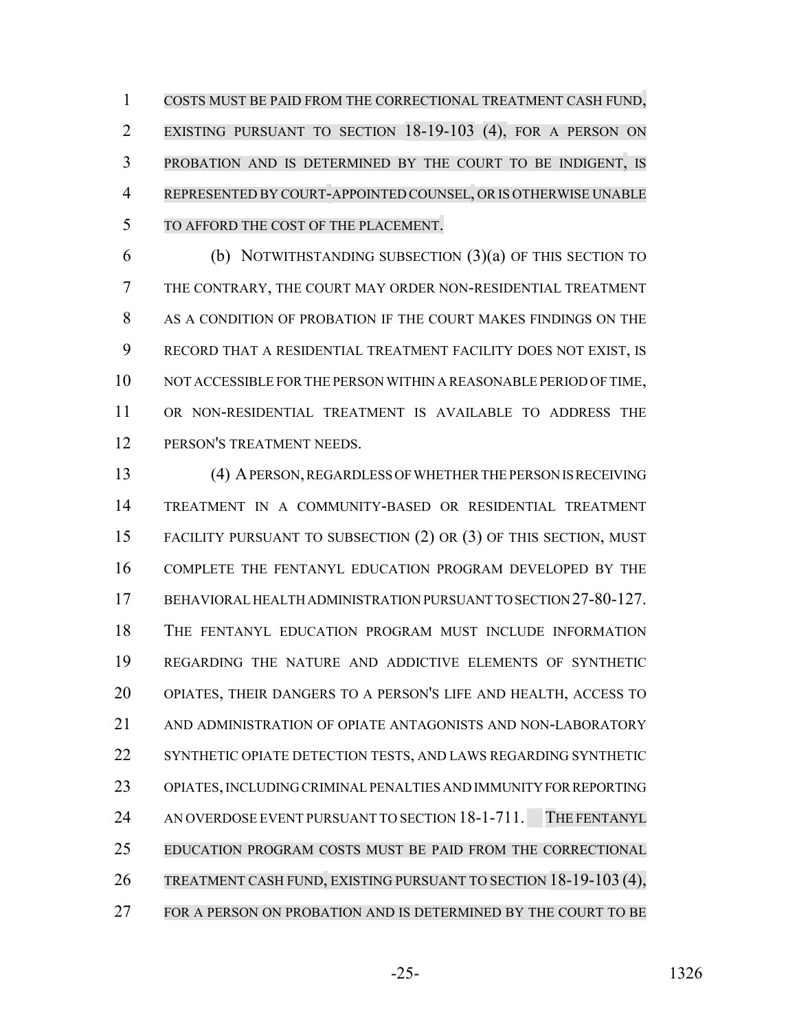COSTS MUST BE PAID FROM THE CORRECTIONAL TREATMENT CASH FUND, EXISTING PURSUANT TO SECTION 18-19-103 (4), FOR A PERSON ON PROBATION AND IS DETERMINED BY THE COURT TO BE INDIGENT, IS REPRESENTED BY COURT-APPOINTED COUNSEL, OR IS OTHERWISE UNABLE TO AFFORD THE COST OF THE PLACEMENT.

 (b) NOTWITHSTANDING SUBSECTION (3)(a) OF THIS SECTION TO THE CONTRARY, THE COURT MAY ORDER NON-RESIDENTIAL TREATMENT AS A CONDITION OF PROBATION IF THE COURT MAKES FINDINGS ON THE RECORD THAT A RESIDENTIAL TREATMENT FACILITY DOES NOT EXIST, IS NOT ACCESSIBLE FOR THE PERSON WITHIN A REASONABLE PERIOD OF TIME, OR NON-RESIDENTIAL TREATMENT IS AVAILABLE TO ADDRESS THE PERSON'S TREATMENT NEEDS.

 (4) A PERSON, REGARDLESS OF WHETHER THE PERSON IS RECEIVING TREATMENT IN A COMMUNITY-BASED OR RESIDENTIAL TREATMENT FACILITY PURSUANT TO SUBSECTION (2) OR (3) OF THIS SECTION, MUST COMPLETE THE FENTANYL EDUCATION PROGRAM DEVELOPED BY THE BEHAVIORAL HEALTH ADMINISTRATION PURSUANT TO SECTION 27-80-127. THE FENTANYL EDUCATION PROGRAM MUST INCLUDE INFORMATION REGARDING THE NATURE AND ADDICTIVE ELEMENTS OF SYNTHETIC OPIATES, THEIR DANGERS TO A PERSON'S LIFE AND HEALTH, ACCESS TO AND ADMINISTRATION OF OPIATE ANTAGONISTS AND NON-LABORATORY SYNTHETIC OPIATE DETECTION TESTS, AND LAWS REGARDING SYNTHETIC OPIATES, INCLUDING CRIMINAL PENALTIES AND IMMUNITY FOR REPORTING 24 AN OVERDOSE EVENT PURSUANT TO SECTION 18-1-711. THE FENTANYL EDUCATION PROGRAM COSTS MUST BE PAID FROM THE CORRECTIONAL TREATMENT CASH FUND, EXISTING PURSUANT TO SECTION 18-19-103 (4), 27 FOR A PERSON ON PROBATION AND IS DETERMINED BY THE COURT TO BE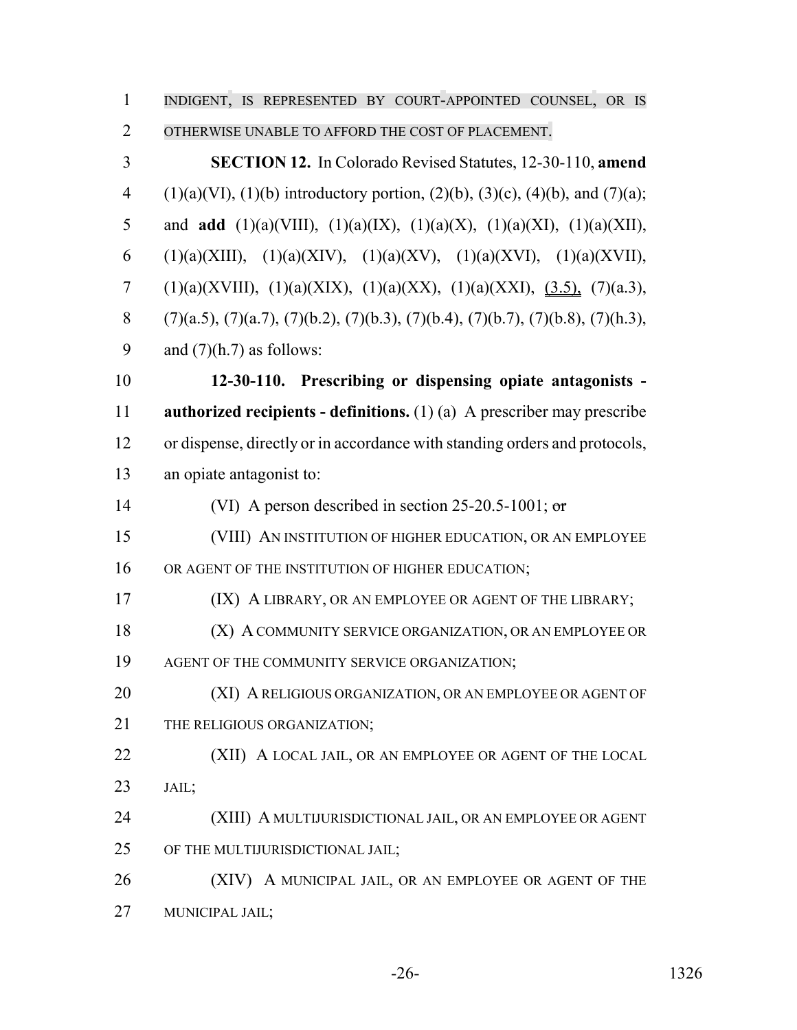| $\mathbf{1}$   | INDIGENT, IS REPRESENTED BY COURT-APPOINTED COUNSEL, OR IS                                    |
|----------------|-----------------------------------------------------------------------------------------------|
| $\overline{2}$ | OTHERWISE UNABLE TO AFFORD THE COST OF PLACEMENT.                                             |
| 3              | <b>SECTION 12.</b> In Colorado Revised Statutes, 12-30-110, amend                             |
| $\overline{4}$ | $(1)(a)(VI)$ , $(1)(b)$ introductory portion, $(2)(b)$ , $(3)(c)$ , $(4)(b)$ , and $(7)(a)$ ; |
| 5              | and <b>add</b> (1)(a)(VIII), (1)(a)(IX), (1)(a)(X), (1)(a)(XI), (1)(a)(XII),                  |
| 6              | $(1)(a)(XIII), (1)(a)(XIV), (1)(a)(XV), (1)(a)(XVI), (1)(a)(XVII),$                           |
| 7              | $(1)(a)(XVIII), (1)(a)(XIX), (1)(a)(XX), (1)(a)(XXI), (3.5), (7)(a.3),$                       |
| 8              | $(7)(a.5), (7)(a.7), (7)(b.2), (7)(b.3), (7)(b.4), (7)(b.7), (7)(b.8), (7)(h.3),$             |
| 9              | and $(7)(h.7)$ as follows:                                                                    |
| 10             | 12-30-110. Prescribing or dispensing opiate antagonists -                                     |
| 11             | <b>authorized recipients - definitions.</b> $(1)(a)$ A prescriber may prescribe               |
| 12             | or dispense, directly or in accordance with standing orders and protocols,                    |
| 13             | an opiate antagonist to:                                                                      |
| 14             | (VI) A person described in section 25-20.5-1001; or                                           |
| 15             | (VIII) AN INSTITUTION OF HIGHER EDUCATION, OR AN EMPLOYEE                                     |
| 16             | OR AGENT OF THE INSTITUTION OF HIGHER EDUCATION;                                              |
| 17             | (IX) A LIBRARY, OR AN EMPLOYEE OR AGENT OF THE LIBRARY;                                       |
| 18             | (X) A COMMUNITY SERVICE ORGANIZATION, OR AN EMPLOYEE OR                                       |
| 19             | AGENT OF THE COMMUNITY SERVICE ORGANIZATION;                                                  |
| 20             | (XI) A RELIGIOUS ORGANIZATION, OR AN EMPLOYEE OR AGENT OF                                     |
| 21             | THE RELIGIOUS ORGANIZATION;                                                                   |
| 22             | (XII) A LOCAL JAIL, OR AN EMPLOYEE OR AGENT OF THE LOCAL                                      |
| 23             | JAIL;                                                                                         |
| 24             | (XIII) A MULTIJURISDICTIONAL JAIL, OR AN EMPLOYEE OR AGENT                                    |
| 25             | OF THE MULTIJURISDICTIONAL JAIL;                                                              |
| 26             | (XIV) A MUNICIPAL JAIL, OR AN EMPLOYEE OR AGENT OF THE                                        |
| 27             | MUNICIPAL JAIL;                                                                               |

-26- 1326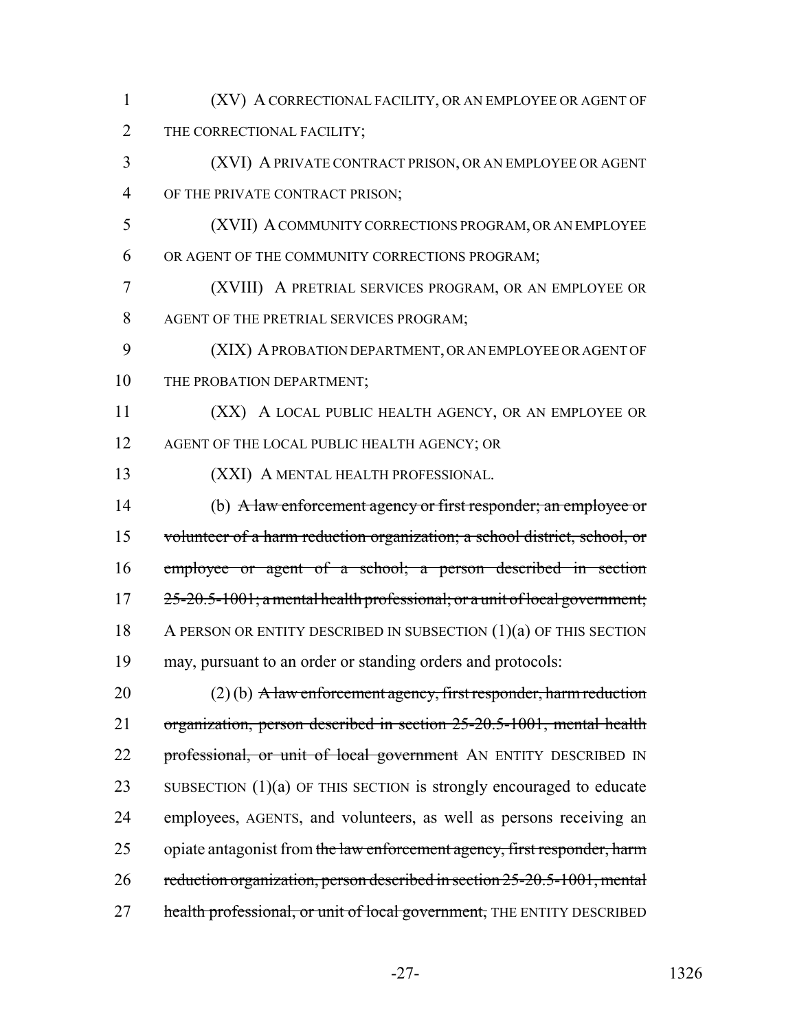| 1              | (XV) A CORRECTIONAL FACILITY, OR AN EMPLOYEE OR AGENT OF                   |
|----------------|----------------------------------------------------------------------------|
| $\overline{2}$ | THE CORRECTIONAL FACILITY;                                                 |
| 3              | (XVI) A PRIVATE CONTRACT PRISON, OR AN EMPLOYEE OR AGENT                   |
| 4              | OF THE PRIVATE CONTRACT PRISON;                                            |
| 5              | (XVII) A COMMUNITY CORRECTIONS PROGRAM, OR AN EMPLOYEE                     |
| 6              | OR AGENT OF THE COMMUNITY CORRECTIONS PROGRAM;                             |
| 7              | (XVIII) A PRETRIAL SERVICES PROGRAM, OR AN EMPLOYEE OR                     |
| 8              | AGENT OF THE PRETRIAL SERVICES PROGRAM;                                    |
| 9              | (XIX) A PROBATION DEPARTMENT, OR AN EMPLOYEE OR AGENT OF                   |
| 10             | THE PROBATION DEPARTMENT;                                                  |
| 11             | (XX) A LOCAL PUBLIC HEALTH AGENCY, OR AN EMPLOYEE OR                       |
| 12             | AGENT OF THE LOCAL PUBLIC HEALTH AGENCY; OR                                |
| 13             | (XXI) A MENTAL HEALTH PROFESSIONAL.                                        |
| 14             | (b) A law enforcement agency or first responder; an employee or            |
| 15             | volunteer of a harm reduction organization; a school district, school, or  |
| 16             | employee or agent of a school; a person described in section               |
| 17             | 25-20.5-1001; a mental health professional; or a unit of local government; |
| 18             | A PERSON OR ENTITY DESCRIBED IN SUBSECTION $(1)(a)$ OF THIS SECTION        |
| 19             | may, pursuant to an order or standing orders and protocols:                |
| 20             | $(2)$ (b) A law enforcement agency, first responder, harm reduction        |
| 21             | organization, person described in section 25-20.5-1001, mental health      |
| 22             | professional, or unit of local government AN ENTITY DESCRIBED IN           |
| 23             | SUBSECTION $(1)(a)$ OF THIS SECTION is strongly encouraged to educate      |
| 24             | employees, AGENTS, and volunteers, as well as persons receiving an         |
| 25             | opiate antagonist from the law enforcement agency, first responder, harm   |
| 26             | reduction organization, person described in section 25-20.5-1001, mental   |
| 27             | health professional, or unit of local government, THE ENTITY DESCRIBED     |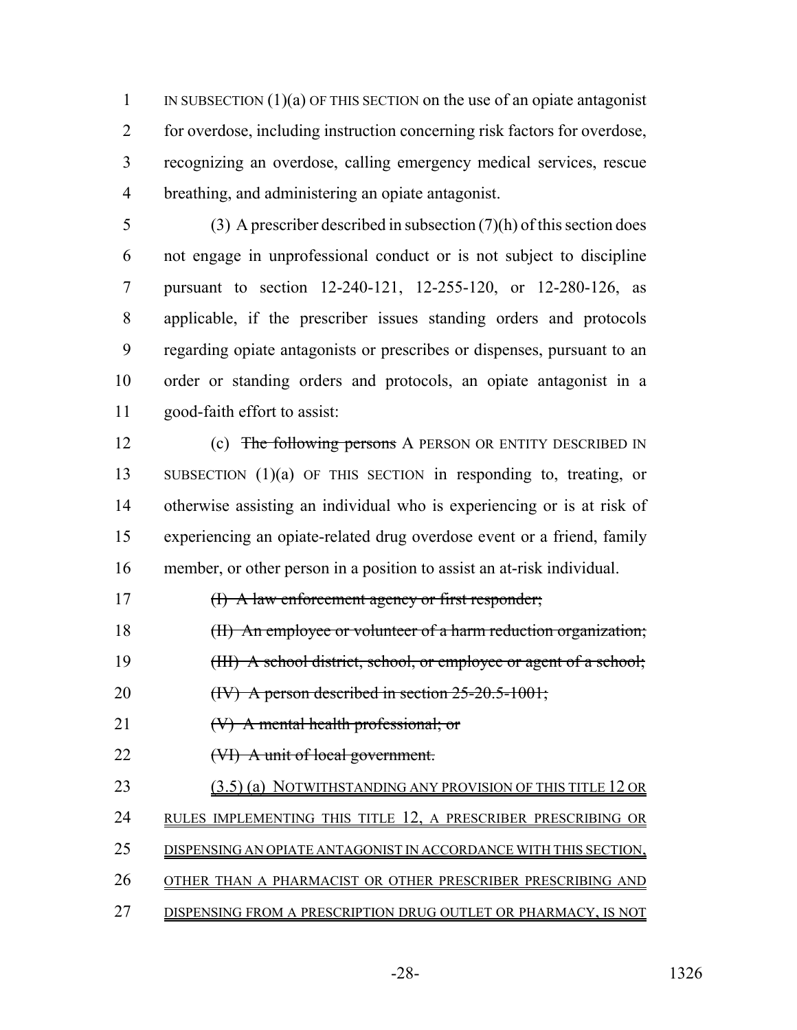1 IN SUBSECTION  $(1)(a)$  OF THIS SECTION on the use of an opiate antagonist for overdose, including instruction concerning risk factors for overdose, recognizing an overdose, calling emergency medical services, rescue breathing, and administering an opiate antagonist.

 (3) A prescriber described in subsection (7)(h) of this section does not engage in unprofessional conduct or is not subject to discipline pursuant to section 12-240-121, 12-255-120, or 12-280-126, as applicable, if the prescriber issues standing orders and protocols regarding opiate antagonists or prescribes or dispenses, pursuant to an order or standing orders and protocols, an opiate antagonist in a good-faith effort to assist:

12 (c) The following persons A PERSON OR ENTITY DESCRIBED IN SUBSECTION (1)(a) OF THIS SECTION in responding to, treating, or otherwise assisting an individual who is experiencing or is at risk of experiencing an opiate-related drug overdose event or a friend, family member, or other person in a position to assist an at-risk individual.

(I) A law enforcement agency or first responder;

18 (II) An employee or volunteer of a harm reduction organization;

19 (III) A school district, school, or employee or agent of a school;

20 (IV) A person described in section 25-20.5-1001;

21 (V) A mental health professional; or

22 (VI) A unit of local government.

23 (3.5) (a) NOTWITHSTANDING ANY PROVISION OF THIS TITLE 12 OR RULES IMPLEMENTING THIS TITLE 12, A PRESCRIBER PRESCRIBING OR DISPENSING AN OPIATE ANTAGONIST IN ACCORDANCE WITH THIS SECTION, OTHER THAN A PHARMACIST OR OTHER PRESCRIBER PRESCRIBING AND

DISPENSING FROM A PRESCRIPTION DRUG OUTLET OR PHARMACY, IS NOT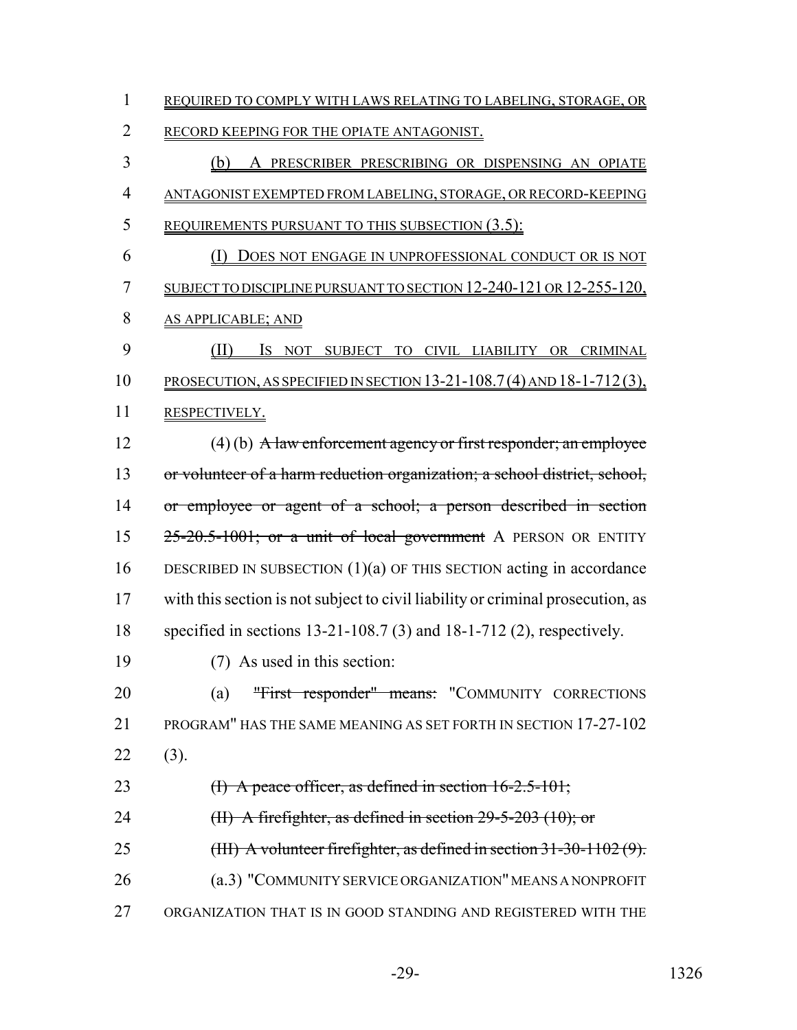| $\mathbf{1}$   | REQUIRED TO COMPLY WITH LAWS RELATING TO LABELING, STORAGE, OR                  |
|----------------|---------------------------------------------------------------------------------|
| $\overline{2}$ | RECORD KEEPING FOR THE OPIATE ANTAGONIST.                                       |
| 3              | A PRESCRIBER PRESCRIBING OR DISPENSING AN OPIATE<br>(b)                         |
| $\overline{4}$ | ANTAGONIST EXEMPTED FROM LABELING, STORAGE, OR RECORD-KEEPING                   |
| 5              | <b>REQUIREMENTS PURSUANT TO THIS SUBSECTION (3.5):</b>                          |
| 6              | <u>(I) DOES NOT ENGAGE IN UNPROFESSIONAL CONDUCT OR IS NOT</u>                  |
| 7              | <u>SUBJECT TO DISCIPLINE PURSUANT TO SECTION 12-240-121 OR 12-255-120,</u>      |
| 8              | <b>AS APPLICABLE; AND</b>                                                       |
| 9              | (II)<br>IS NOT SUBJECT TO CIVIL LIABILITY OR CRIMINAL                           |
| 10             | PROSECUTION, AS SPECIFIED IN SECTION 13-21-108.7(4) AND 18-1-712(3),            |
| 11             | RESPECTIVELY.                                                                   |
| 12             | $(4)$ (b) A law enforcement agency or first responder; an employee              |
| 13             | or volunteer of a harm reduction organization; a school district, school,       |
| 14             | or employee or agent of a school; a person described in section                 |
| 15             | 25-20.5-1001; or a unit of local government A PERSON OR ENTITY                  |
| 16             | DESCRIBED IN SUBSECTION $(1)(a)$ OF THIS SECTION acting in accordance           |
| 17             | with this section is not subject to civil liability or criminal prosecution, as |
| 18             | specified in sections 13-21-108.7 (3) and 18-1-712 (2), respectively.           |
| 19             | (7) As used in this section:                                                    |
| 20             | "First responder" means: "COMMUNITY CORRECTIONS<br>(a)                          |
| 21             | PROGRAM" HAS THE SAME MEANING AS SET FORTH IN SECTION 17-27-102                 |
| 22             | (3).                                                                            |
| 23             | (I) A peace officer, as defined in section 16-2.5-101;                          |
| 24             | (II) A firefighter, as defined in section $29-5-203$ (10); or                   |
| 25             | (III) A volunteer firefighter, as defined in section $31-30-1102(9)$ .          |
| 26             | (a.3) "COMMUNITY SERVICE ORGANIZATION" MEANS A NONPROFIT                        |
| 27             | ORGANIZATION THAT IS IN GOOD STANDING AND REGISTERED WITH THE                   |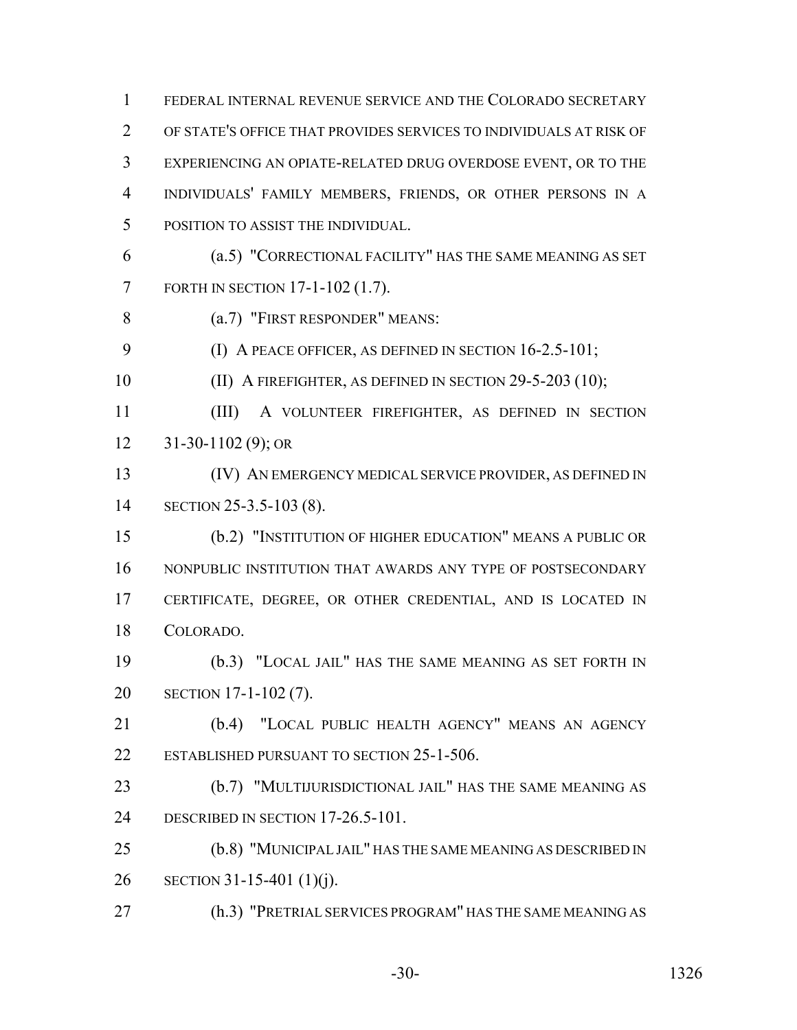FEDERAL INTERNAL REVENUE SERVICE AND THE COLORADO SECRETARY OF STATE'S OFFICE THAT PROVIDES SERVICES TO INDIVIDUALS AT RISK OF EXPERIENCING AN OPIATE-RELATED DRUG OVERDOSE EVENT, OR TO THE INDIVIDUALS' FAMILY MEMBERS, FRIENDS, OR OTHER PERSONS IN A POSITION TO ASSIST THE INDIVIDUAL. (a.5) "CORRECTIONAL FACILITY" HAS THE SAME MEANING AS SET FORTH IN SECTION 17-1-102 (1.7). (a.7) "FIRST RESPONDER" MEANS: 9 (I) A PEACE OFFICER, AS DEFINED IN SECTION 16-2.5-101; 10 (II) A FIREFIGHTER, AS DEFINED IN SECTION 29-5-203 (10);

 (III) A VOLUNTEER FIREFIGHTER, AS DEFINED IN SECTION 31-30-1102 (9); OR

 (IV) AN EMERGENCY MEDICAL SERVICE PROVIDER, AS DEFINED IN SECTION 25-3.5-103 (8).

 (b.2) "INSTITUTION OF HIGHER EDUCATION" MEANS A PUBLIC OR NONPUBLIC INSTITUTION THAT AWARDS ANY TYPE OF POSTSECONDARY CERTIFICATE, DEGREE, OR OTHER CREDENTIAL, AND IS LOCATED IN COLORADO.

 (b.3) "LOCAL JAIL" HAS THE SAME MEANING AS SET FORTH IN SECTION 17-1-102 (7).

 (b.4) "LOCAL PUBLIC HEALTH AGENCY" MEANS AN AGENCY 22 ESTABLISHED PURSUANT TO SECTION 25-1-506.

 (b.7) "MULTIJURISDICTIONAL JAIL" HAS THE SAME MEANING AS DESCRIBED IN SECTION 17-26.5-101.

 (b.8) "MUNICIPAL JAIL" HAS THE SAME MEANING AS DESCRIBED IN SECTION 31-15-401 (1)(j).

(h.3) "PRETRIAL SERVICES PROGRAM" HAS THE SAME MEANING AS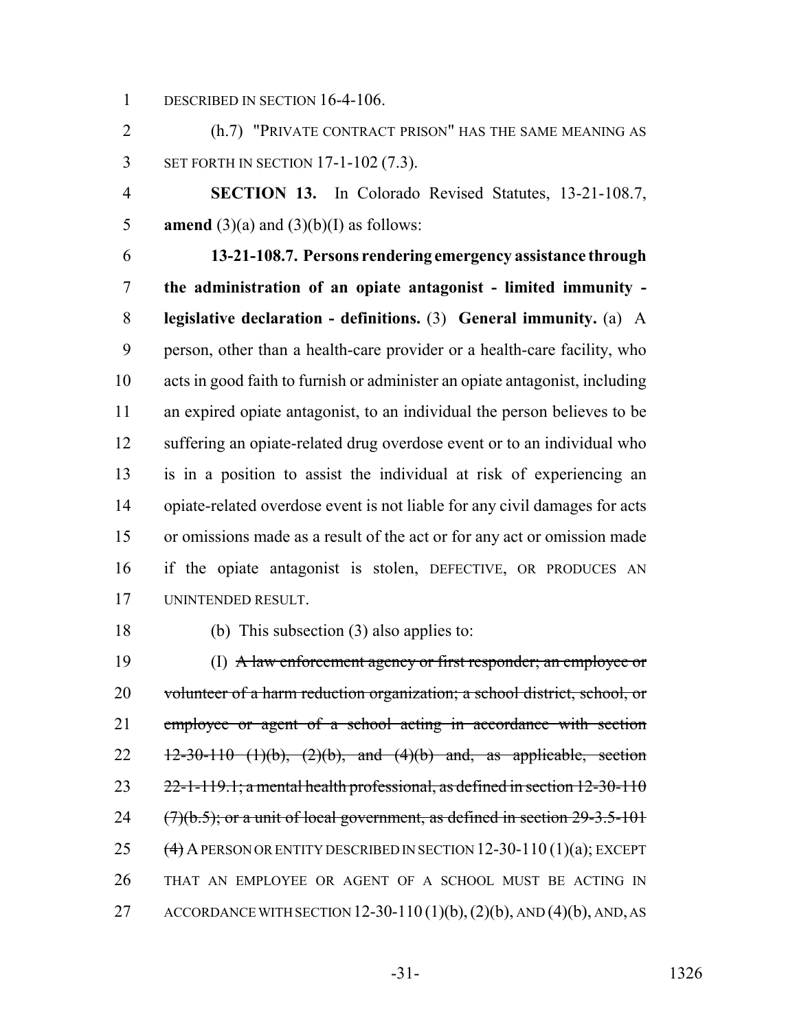1 DESCRIBED IN SECTION 16-4-106.

 (h.7) "PRIVATE CONTRACT PRISON" HAS THE SAME MEANING AS SET FORTH IN SECTION 17-1-102 (7.3).

 **SECTION 13.** In Colorado Revised Statutes, 13-21-108.7, **amend** (3)(a) and (3)(b)(I) as follows:

 **13-21-108.7. Persons rendering emergency assistance through the administration of an opiate antagonist - limited immunity - legislative declaration - definitions.** (3) **General immunity.** (a) A person, other than a health-care provider or a health-care facility, who acts in good faith to furnish or administer an opiate antagonist, including an expired opiate antagonist, to an individual the person believes to be suffering an opiate-related drug overdose event or to an individual who is in a position to assist the individual at risk of experiencing an opiate-related overdose event is not liable for any civil damages for acts or omissions made as a result of the act or for any act or omission made if the opiate antagonist is stolen, DEFECTIVE, OR PRODUCES AN UNINTENDED RESULT.

(b) This subsection (3) also applies to:

 (I) A law enforcement agency or first responder; an employee or 20 volunteer of a harm reduction organization; a school district, school, or 21 employee or agent of a school acting in accordance with section 22  $\frac{12-30-110}{2}$  (1)(b), (2)(b), and (4)(b) and, as applicable, section  $23 \qquad 22$ -1-119.1; a mental health professional, as defined in section 12-30-110  $(7)(b.5)$ ; or a unit of local government, as defined in section  $29-3.5-101$ 25  $(4)$  A PERSON OR ENTITY DESCRIBED IN SECTION 12-30-110 (1)(a); EXCEPT THAT AN EMPLOYEE OR AGENT OF A SCHOOL MUST BE ACTING IN 27 ACCORDANCE WITH SECTION 12-30-110 (1)(b), (2)(b), AND (4)(b), AND, AS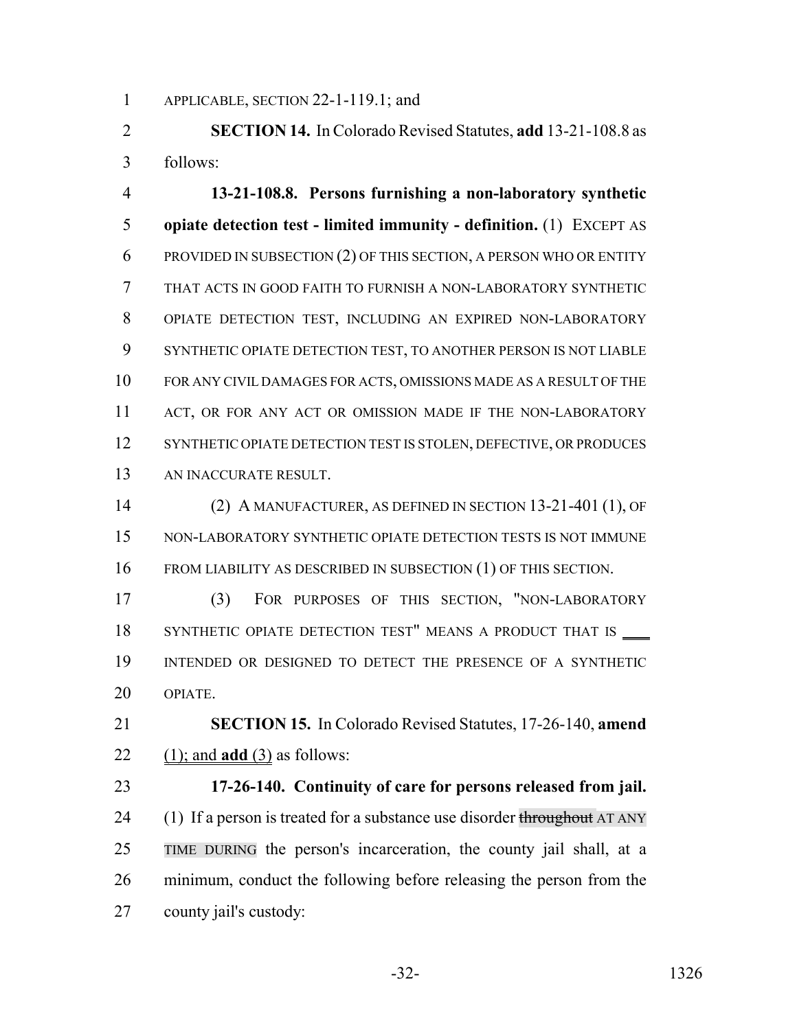APPLICABLE, SECTION 22-1-119.1; and

 **SECTION 14.** In Colorado Revised Statutes, **add** 13-21-108.8 as follows:

 **13-21-108.8. Persons furnishing a non-laboratory synthetic opiate detection test - limited immunity - definition.** (1) EXCEPT AS PROVIDED IN SUBSECTION (2) OF THIS SECTION, A PERSON WHO OR ENTITY THAT ACTS IN GOOD FAITH TO FURNISH A NON-LABORATORY SYNTHETIC OPIATE DETECTION TEST, INCLUDING AN EXPIRED NON-LABORATORY SYNTHETIC OPIATE DETECTION TEST, TO ANOTHER PERSON IS NOT LIABLE FOR ANY CIVIL DAMAGES FOR ACTS, OMISSIONS MADE AS A RESULT OF THE 11 ACT, OR FOR ANY ACT OR OMISSION MADE IF THE NON-LABORATORY 12 SYNTHETIC OPIATE DETECTION TEST IS STOLEN, DEFECTIVE, OR PRODUCES AN INACCURATE RESULT.

 (2) A MANUFACTURER, AS DEFINED IN SECTION 13-21-401 (1), OF NON-LABORATORY SYNTHETIC OPIATE DETECTION TESTS IS NOT IMMUNE FROM LIABILITY AS DESCRIBED IN SUBSECTION (1) OF THIS SECTION.

 (3) FOR PURPOSES OF THIS SECTION, "NON-LABORATORY 18 SYNTHETIC OPIATE DETECTION TEST" MEANS A PRODUCT THAT IS \_\_\_\_ INTENDED OR DESIGNED TO DETECT THE PRESENCE OF A SYNTHETIC OPIATE.

 **SECTION 15.** In Colorado Revised Statutes, 17-26-140, **amend** (1); and **add** (3) as follows:

 **17-26-140. Continuity of care for persons released from jail.** 24 (1) If a person is treated for a substance use disorder throughout AT ANY TIME DURING the person's incarceration, the county jail shall, at a minimum, conduct the following before releasing the person from the county jail's custody: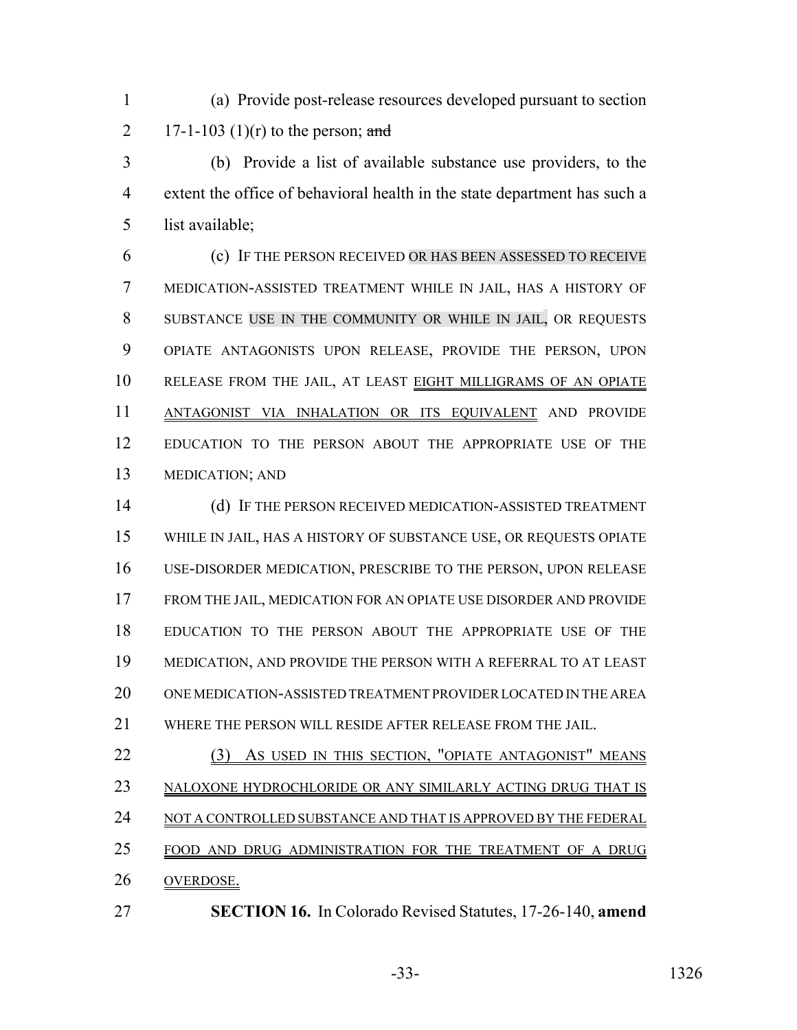(a) Provide post-release resources developed pursuant to section 2 17-1-103 (1)(r) to the person; and

 (b) Provide a list of available substance use providers, to the extent the office of behavioral health in the state department has such a list available;

 (c) IF THE PERSON RECEIVED OR HAS BEEN ASSESSED TO RECEIVE MEDICATION-ASSISTED TREATMENT WHILE IN JAIL, HAS A HISTORY OF SUBSTANCE USE IN THE COMMUNITY OR WHILE IN JAIL, OR REQUESTS OPIATE ANTAGONISTS UPON RELEASE, PROVIDE THE PERSON, UPON RELEASE FROM THE JAIL, AT LEAST EIGHT MILLIGRAMS OF AN OPIATE ANTAGONIST VIA INHALATION OR ITS EQUIVALENT AND PROVIDE EDUCATION TO THE PERSON ABOUT THE APPROPRIATE USE OF THE MEDICATION; AND

 (d) IF THE PERSON RECEIVED MEDICATION-ASSISTED TREATMENT WHILE IN JAIL, HAS A HISTORY OF SUBSTANCE USE, OR REQUESTS OPIATE USE-DISORDER MEDICATION, PRESCRIBE TO THE PERSON, UPON RELEASE FROM THE JAIL, MEDICATION FOR AN OPIATE USE DISORDER AND PROVIDE EDUCATION TO THE PERSON ABOUT THE APPROPRIATE USE OF THE MEDICATION, AND PROVIDE THE PERSON WITH A REFERRAL TO AT LEAST ONE MEDICATION-ASSISTED TREATMENT PROVIDER LOCATED IN THE AREA WHERE THE PERSON WILL RESIDE AFTER RELEASE FROM THE JAIL.

- 22 (3) AS USED IN THIS SECTION, "OPIATE ANTAGONIST" MEANS NALOXONE HYDROCHLORIDE OR ANY SIMILARLY ACTING DRUG THAT IS 24 NOT A CONTROLLED SUBSTANCE AND THAT IS APPROVED BY THE FEDERAL
- 
- FOOD AND DRUG ADMINISTRATION FOR THE TREATMENT OF A DRUG
- OVERDOSE.
- **SECTION 16.** In Colorado Revised Statutes, 17-26-140, **amend**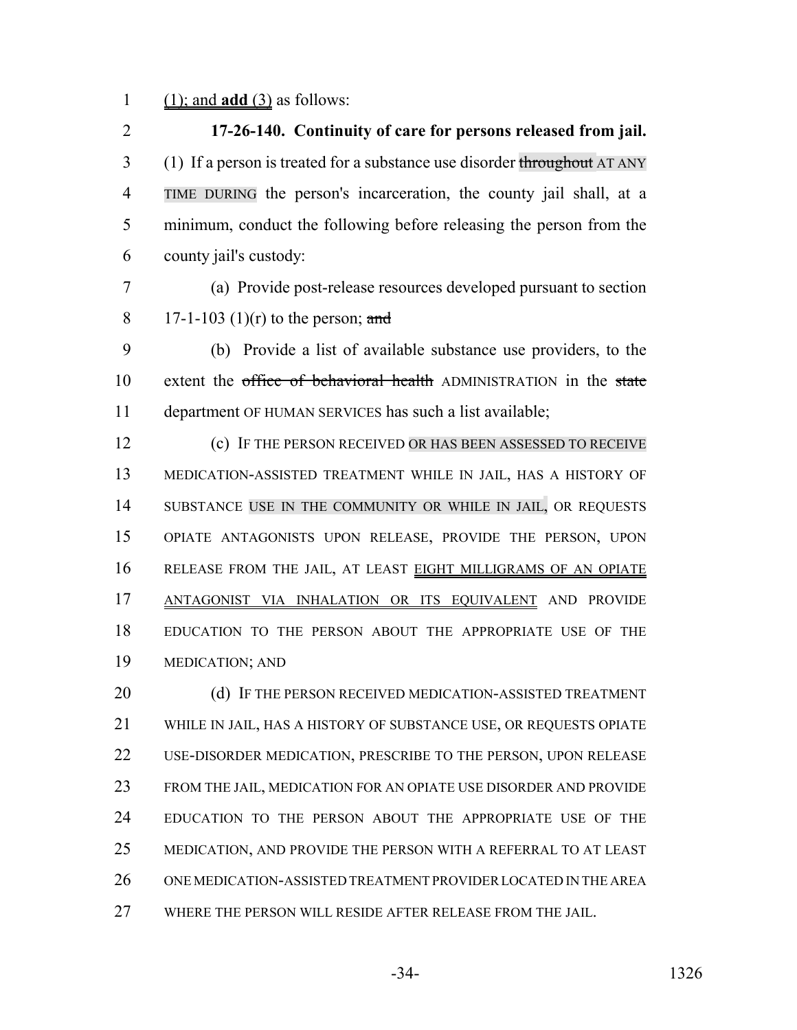(1); and **add** (3) as follows:

 **17-26-140. Continuity of care for persons released from jail.** 3 (1) If a person is treated for a substance use disorder throughout AT ANY TIME DURING the person's incarceration, the county jail shall, at a minimum, conduct the following before releasing the person from the county jail's custody:

 (a) Provide post-release resources developed pursuant to section 8 17-1-103 (1)(r) to the person; and

 (b) Provide a list of available substance use providers, to the 10 extent the office of behavioral health ADMINISTRATION in the state department OF HUMAN SERVICES has such a list available;

 (c) IF THE PERSON RECEIVED OR HAS BEEN ASSESSED TO RECEIVE MEDICATION-ASSISTED TREATMENT WHILE IN JAIL, HAS A HISTORY OF 14 SUBSTANCE USE IN THE COMMUNITY OR WHILE IN JAIL, OR REQUESTS OPIATE ANTAGONISTS UPON RELEASE, PROVIDE THE PERSON, UPON RELEASE FROM THE JAIL, AT LEAST EIGHT MILLIGRAMS OF AN OPIATE ANTAGONIST VIA INHALATION OR ITS EQUIVALENT AND PROVIDE EDUCATION TO THE PERSON ABOUT THE APPROPRIATE USE OF THE MEDICATION; AND

20 (d) IF THE PERSON RECEIVED MEDICATION-ASSISTED TREATMENT WHILE IN JAIL, HAS A HISTORY OF SUBSTANCE USE, OR REQUESTS OPIATE USE-DISORDER MEDICATION, PRESCRIBE TO THE PERSON, UPON RELEASE FROM THE JAIL, MEDICATION FOR AN OPIATE USE DISORDER AND PROVIDE EDUCATION TO THE PERSON ABOUT THE APPROPRIATE USE OF THE 25 MEDICATION, AND PROVIDE THE PERSON WITH A REFERRAL TO AT LEAST ONE MEDICATION-ASSISTED TREATMENT PROVIDER LOCATED IN THE AREA WHERE THE PERSON WILL RESIDE AFTER RELEASE FROM THE JAIL.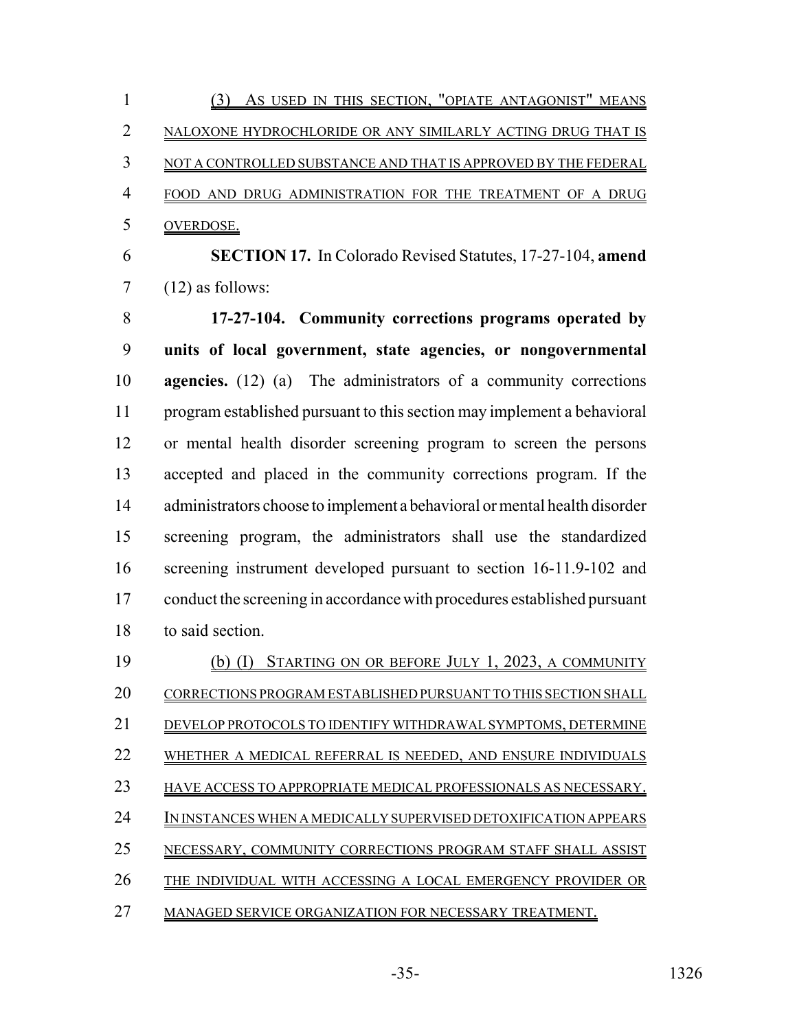|   | AS USED IN THIS SECTION, "OPIATE ANTAGONIST" MEANS                |
|---|-------------------------------------------------------------------|
|   | NALOXONE HYDROCHLORIDE OR ANY SIMILARLY ACTING DRUG THAT IS       |
|   | NOT A CONTROLLED SUBSTANCE AND THAT IS APPROVED BY THE FEDERAL    |
| 4 | FOOD AND DRUG ADMINISTRATION FOR THE TREATMENT OF A DRUG          |
|   | OVERDOSE.                                                         |
| 6 | <b>SECTION 17.</b> In Colorado Revised Statutes, 17-27-104, amend |

 $7 \qquad (12)$  as follows:

 **17-27-104. Community corrections programs operated by units of local government, state agencies, or nongovernmental agencies.** (12) (a) The administrators of a community corrections program established pursuant to this section may implement a behavioral or mental health disorder screening program to screen the persons accepted and placed in the community corrections program. If the administrators choose to implement a behavioral or mental health disorder screening program, the administrators shall use the standardized screening instrument developed pursuant to section 16-11.9-102 and 17 conduct the screening in accordance with procedures established pursuant to said section.

| 19 | STARTING ON OR BEFORE JULY 1, 2023, A COMMUNITY                 |
|----|-----------------------------------------------------------------|
| 20 | CORRECTIONS PROGRAM ESTABLISHED PURSUANT TO THIS SECTION SHALL  |
| 21 | DEVELOP PROTOCOLS TO IDENTIFY WITHDRAWAL SYMPTOMS, DETERMINE    |
| 22 | WHETHER A MEDICAL REFERRAL IS NEEDED, AND ENSURE INDIVIDUALS    |
| 23 | HAVE ACCESS TO APPROPRIATE MEDICAL PROFESSIONALS AS NECESSARY.  |
| 24 | IN INSTANCES WHEN A MEDICALLY SUPERVISED DETOXIFICATION APPEARS |
| 25 | NECESSARY, COMMUNITY CORRECTIONS PROGRAM STAFF SHALL ASSIST     |
| 26 | THE INDIVIDUAL WITH ACCESSING A LOCAL EMERGENCY PROVIDER OR     |
| 27 | MANAGED SERVICE ORGANIZATION FOR NECESSARY TREATMENT.           |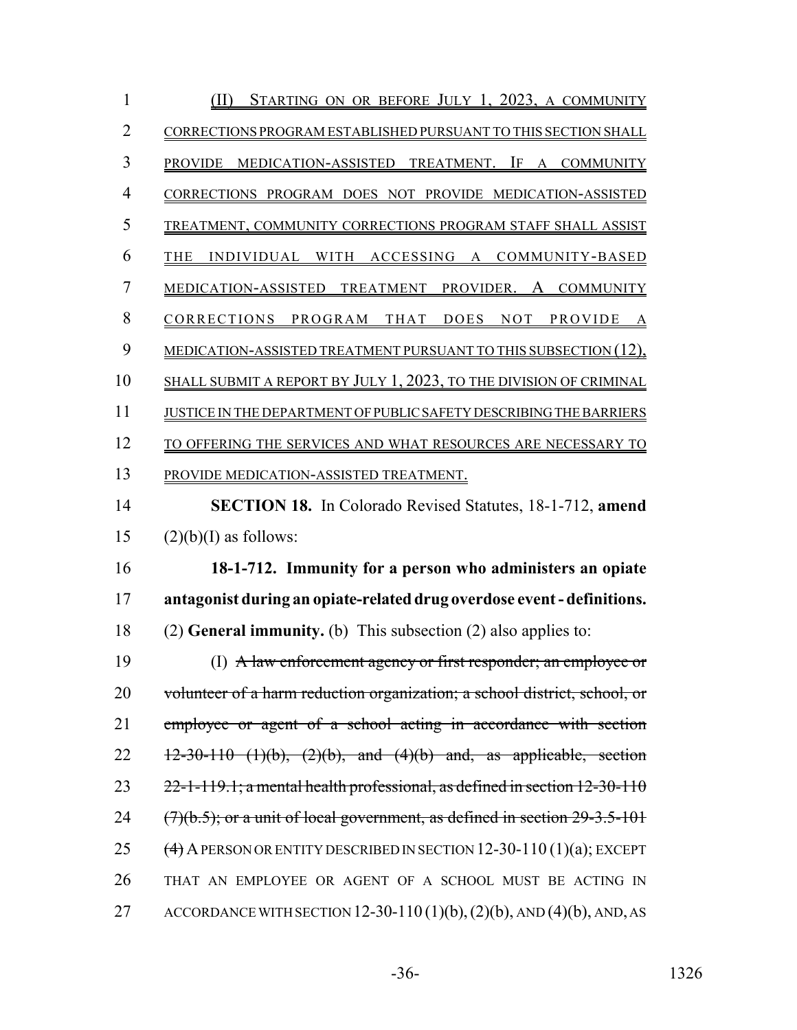| 1  | STARTING ON OR BEFORE JULY 1, 2023, A COMMUNITY                                |
|----|--------------------------------------------------------------------------------|
| 2  | CORRECTIONS PROGRAM ESTABLISHED PURSUANT TO THIS SECTION SHALL                 |
| 3  | MEDICATION-ASSISTED TREATMENT. IF A COMMUNITY<br><b>PROVIDE</b>                |
| 4  | CORRECTIONS PROGRAM DOES NOT PROVIDE MEDICATION-ASSISTED                       |
| 5  | TREATMENT, COMMUNITY CORRECTIONS PROGRAM STAFF SHALL ASSIST                    |
| 6  | INDIVIDUAL WITH<br>ACCESSING A<br>COMMUNITY-BASED<br><b>THE</b>                |
| 7  | TREATMENT PROVIDER. A COMMUNITY<br>MEDICATION-ASSISTED                         |
| 8  | CORRECTIONS<br>PROGRAM<br>THAT<br><b>DOES</b><br>NOT PROVIDE<br>A              |
| 9  | MEDICATION-ASSISTED TREATMENT PURSUANT TO THIS SUBSECTION (12),                |
| 10 | SHALL SUBMIT A REPORT BY JULY 1, 2023, TO THE DIVISION OF CRIMINAL             |
| 11 | JUSTICE IN THE DEPARTMENT OF PUBLIC SAFETY DESCRIBING THE BARRIERS             |
| 12 | TO OFFERING THE SERVICES AND WHAT RESOURCES ARE NECESSARY TO                   |
| 13 | PROVIDE MEDICATION-ASSISTED TREATMENT.                                         |
| 14 | <b>SECTION 18.</b> In Colorado Revised Statutes, 18-1-712, amend               |
| 15 | $(2)(b)(I)$ as follows:                                                        |
| 16 | 18-1-712. Immunity for a person who administers an opiate                      |
| 17 | antagonist during an opiate-related drug overdose event - definitions.         |
| 18 | $(2)$ General immunity. (b) This subsection $(2)$ also applies to:             |
| 19 | (I) A law enforcement agency or first responder; an employee or                |
| 20 | volunteer of a harm reduction organization; a school district, school, or      |
|    |                                                                                |
| 21 | employee or agent of a school acting in accordance with section                |
| 22 | $12-30-110$ (1)(b), (2)(b), and (4)(b) and, as applicable, section             |
| 23 | $22$ -1-119.1; a mental health professional, as defined in section 12-30-110   |
| 24 | $(7)(b.5)$ ; or a unit of local government, as defined in section $29-3.5-101$ |
| 25 | $(4)$ A PERSON OR ENTITY DESCRIBED IN SECTION 12-30-110 (1)(a); EXCEPT         |
| 26 | THAT AN EMPLOYEE OR AGENT OF A SCHOOL MUST BE ACTING IN                        |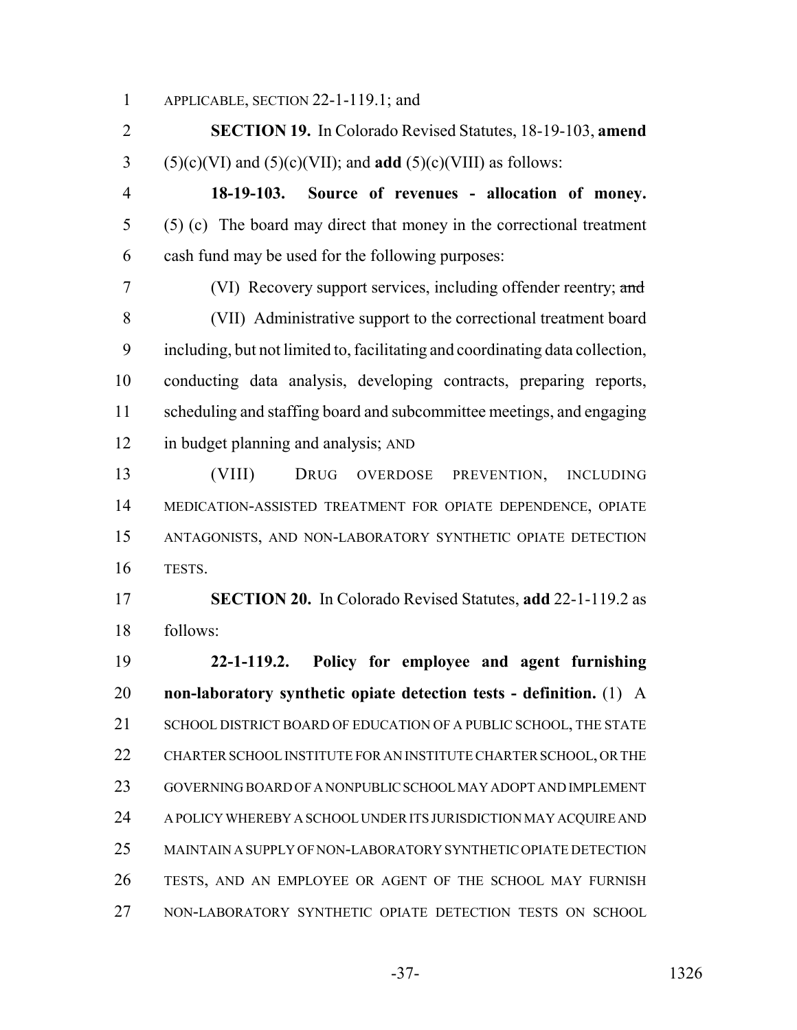APPLICABLE, SECTION 22-1-119.1; and

 **SECTION 19.** In Colorado Revised Statutes, 18-19-103, **amend** (5)(c)(VI) and (5)(c)(VII); and **add** (5)(c)(VIII) as follows:

 **18-19-103. Source of revenues - allocation of money.** (5) (c) The board may direct that money in the correctional treatment cash fund may be used for the following purposes:

 (VI) Recovery support services, including offender reentry; and (VII) Administrative support to the correctional treatment board including, but not limited to, facilitating and coordinating data collection, conducting data analysis, developing contracts, preparing reports, scheduling and staffing board and subcommittee meetings, and engaging in budget planning and analysis; AND

 (VIII) DRUG OVERDOSE PREVENTION, INCLUDING MEDICATION-ASSISTED TREATMENT FOR OPIATE DEPENDENCE, OPIATE ANTAGONISTS, AND NON-LABORATORY SYNTHETIC OPIATE DETECTION TESTS.

 **SECTION 20.** In Colorado Revised Statutes, **add** 22-1-119.2 as follows:

 **22-1-119.2. Policy for employee and agent furnishing non-laboratory synthetic opiate detection tests - definition.** (1) A 21 SCHOOL DISTRICT BOARD OF EDUCATION OF A PUBLIC SCHOOL, THE STATE CHARTER SCHOOL INSTITUTE FOR AN INSTITUTE CHARTER SCHOOL, OR THE GOVERNING BOARD OF A NONPUBLIC SCHOOL MAY ADOPT AND IMPLEMENT A POLICY WHEREBY A SCHOOL UNDER ITS JURISDICTION MAY ACQUIRE AND MAINTAIN A SUPPLY OF NON-LABORATORY SYNTHETIC OPIATE DETECTION TESTS, AND AN EMPLOYEE OR AGENT OF THE SCHOOL MAY FURNISH NON-LABORATORY SYNTHETIC OPIATE DETECTION TESTS ON SCHOOL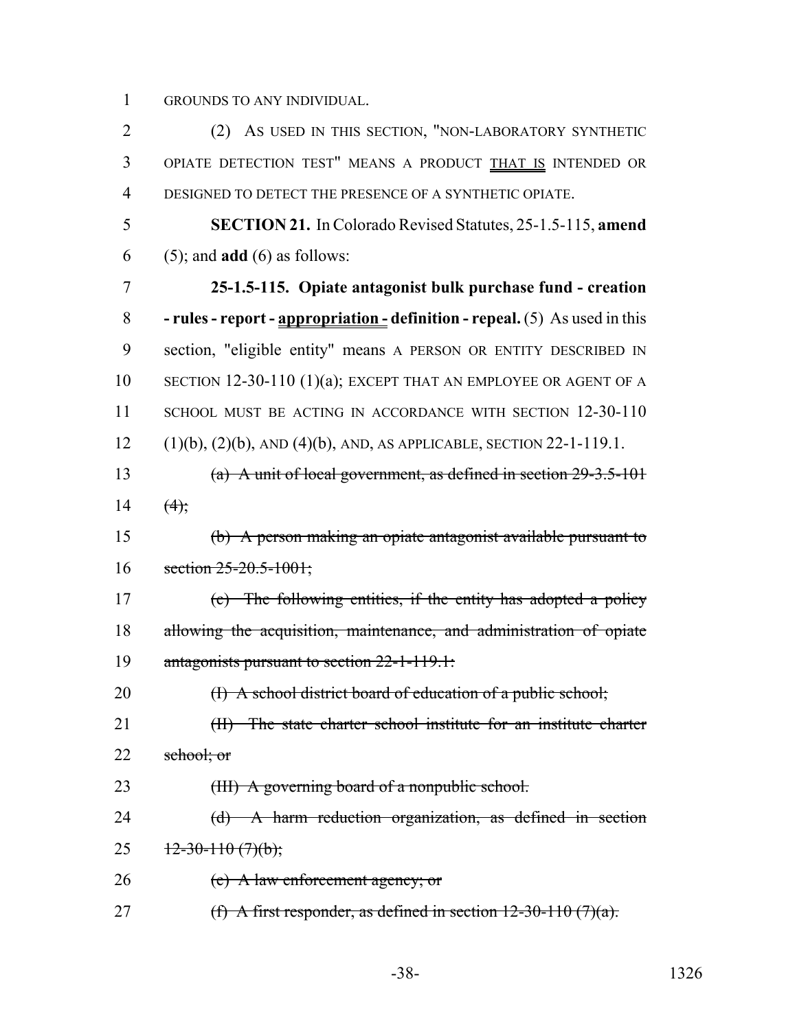GROUNDS TO ANY INDIVIDUAL.

 (2) AS USED IN THIS SECTION, "NON-LABORATORY SYNTHETIC OPIATE DETECTION TEST" MEANS A PRODUCT THAT IS INTENDED OR DESIGNED TO DETECT THE PRESENCE OF A SYNTHETIC OPIATE. **SECTION 21.** In Colorado Revised Statutes, 25-1.5-115, **amend** (5); and **add** (6) as follows: **25-1.5-115. Opiate antagonist bulk purchase fund - creation - rules - report - appropriation - definition - repeal.** (5) As used in this section, "eligible entity" means A PERSON OR ENTITY DESCRIBED IN SECTION 12-30-110 (1)(a); EXCEPT THAT AN EMPLOYEE OR AGENT OF A 11 SCHOOL MUST BE ACTING IN ACCORDANCE WITH SECTION 12-30-110 (1)(b), (2)(b), AND (4)(b), AND, AS APPLICABLE, SECTION 22-1-119.1. (a) A unit of local government, as defined in section 29-3.5-101 14  $(4)$ ; (b) A person making an opiate antagonist available pursuant to 16 section 25-20.5-1001; (c) The following entities, if the entity has adopted a policy allowing the acquisition, maintenance, and administration of opiate antagonists pursuant to section 22-1-119.1: 20 (I) A school district board of education of a public school; 21 (II) The state charter school institute for an institute charter 22 school; or 23 (III) A governing board of a nonpublic school. (d) A harm reduction organization, as defined in section  $12-30-110(7)(b)$ ; 26 (e) A law enforcement agency; or 27 (f) A first responder, as defined in section  $12-30-110$  (7)(a).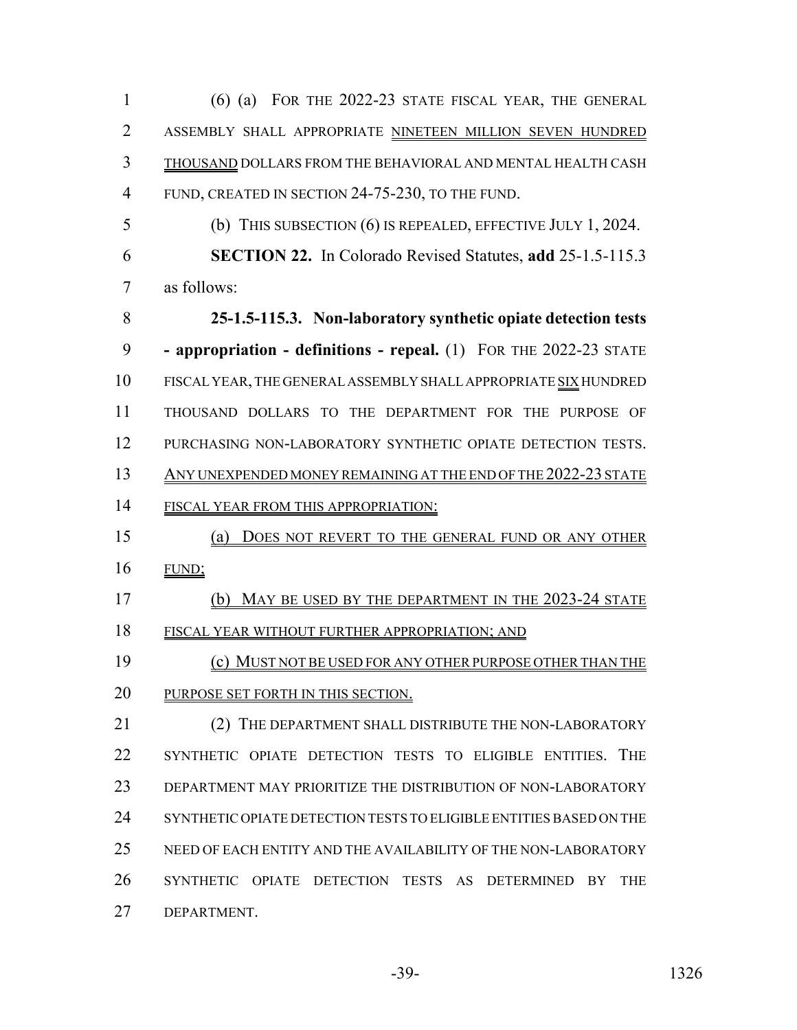(6) (a) FOR THE 2022-23 STATE FISCAL YEAR, THE GENERAL ASSEMBLY SHALL APPROPRIATE NINETEEN MILLION SEVEN HUNDRED THOUSAND DOLLARS FROM THE BEHAVIORAL AND MENTAL HEALTH CASH FUND, CREATED IN SECTION 24-75-230, TO THE FUND.

 (b) THIS SUBSECTION (6) IS REPEALED, EFFECTIVE JULY 1, 2024. **SECTION 22.** In Colorado Revised Statutes, **add** 25-1.5-115.3 as follows:

 **25-1.5-115.3. Non-laboratory synthetic opiate detection tests - appropriation - definitions - repeal.** (1) FOR THE 2022-23 STATE FISCAL YEAR, THE GENERAL ASSEMBLY SHALL APPROPRIATE SIX HUNDRED THOUSAND DOLLARS TO THE DEPARTMENT FOR THE PURPOSE OF PURCHASING NON-LABORATORY SYNTHETIC OPIATE DETECTION TESTS. ANY UNEXPENDED MONEY REMAINING AT THE END OF THE 2022-23 STATE 14 FISCAL YEAR FROM THIS APPROPRIATION:

 (a) DOES NOT REVERT TO THE GENERAL FUND OR ANY OTHER FUND;

 (b) MAY BE USED BY THE DEPARTMENT IN THE 2023-24 STATE FISCAL YEAR WITHOUT FURTHER APPROPRIATION; AND

 (c) MUST NOT BE USED FOR ANY OTHER PURPOSE OTHER THAN THE 20 PURPOSE SET FORTH IN THIS SECTION.

21 (2) THE DEPARTMENT SHALL DISTRIBUTE THE NON-LABORATORY SYNTHETIC OPIATE DETECTION TESTS TO ELIGIBLE ENTITIES. THE DEPARTMENT MAY PRIORITIZE THE DISTRIBUTION OF NON-LABORATORY SYNTHETIC OPIATE DETECTION TESTS TO ELIGIBLE ENTITIES BASED ON THE NEED OF EACH ENTITY AND THE AVAILABILITY OF THE NON-LABORATORY SYNTHETIC OPIATE DETECTION TESTS AS DETERMINED BY THE DEPARTMENT.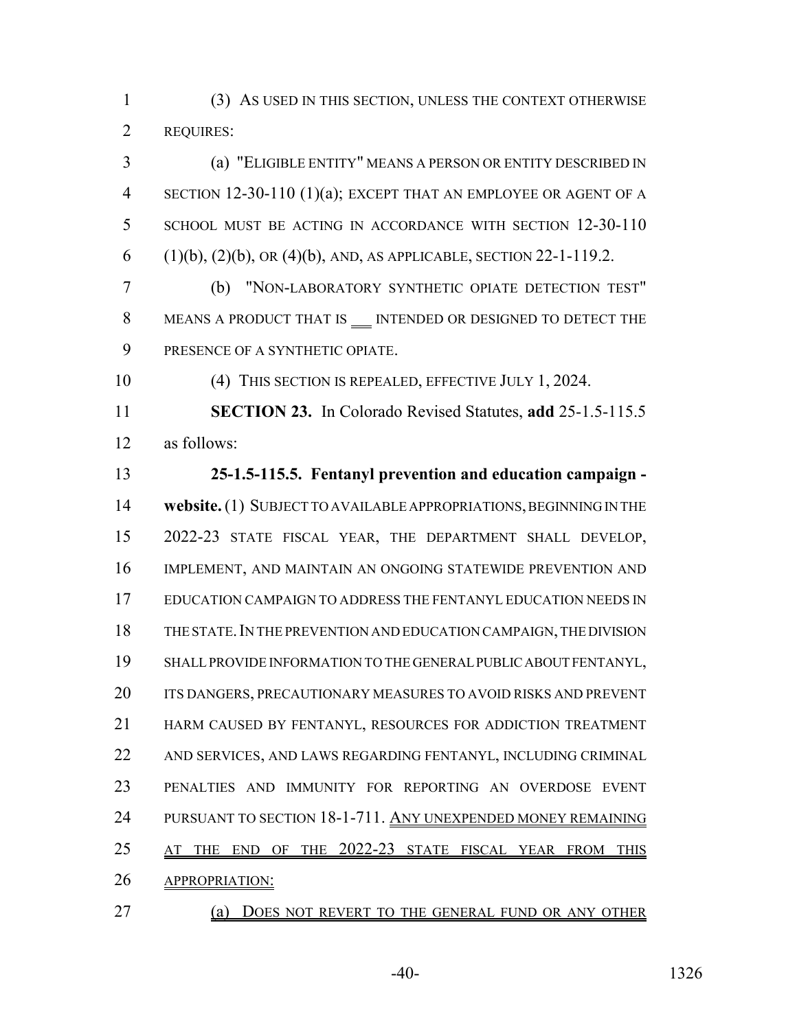(3) AS USED IN THIS SECTION, UNLESS THE CONTEXT OTHERWISE REQUIRES:

 (a) "ELIGIBLE ENTITY" MEANS A PERSON OR ENTITY DESCRIBED IN SECTION 12-30-110 (1)(a); EXCEPT THAT AN EMPLOYEE OR AGENT OF A SCHOOL MUST BE ACTING IN ACCORDANCE WITH SECTION 12-30-110 6 (1)(b), (2)(b), OR (4)(b), AND, AS APPLICABLE, SECTION 22-1-119.2.

 (b) "NON-LABORATORY SYNTHETIC OPIATE DETECTION TEST" 8 MEANS A PRODUCT THAT IS MEENDED OR DESIGNED TO DETECT THE PRESENCE OF A SYNTHETIC OPIATE.

(4) THIS SECTION IS REPEALED, EFFECTIVE JULY 1, 2024.

 **SECTION 23.** In Colorado Revised Statutes, **add** 25-1.5-115.5 as follows:

 **25-1.5-115.5. Fentanyl prevention and education campaign - website.** (1) SUBJECT TO AVAILABLE APPROPRIATIONS, BEGINNING IN THE 2022-23 STATE FISCAL YEAR, THE DEPARTMENT SHALL DEVELOP, IMPLEMENT, AND MAINTAIN AN ONGOING STATEWIDE PREVENTION AND EDUCATION CAMPAIGN TO ADDRESS THE FENTANYL EDUCATION NEEDS IN THE STATE.IN THE PREVENTION AND EDUCATION CAMPAIGN, THE DIVISION SHALL PROVIDE INFORMATION TO THE GENERAL PUBLIC ABOUT FENTANYL, 20 ITS DANGERS, PRECAUTIONARY MEASURES TO AVOID RISKS AND PREVENT 21 HARM CAUSED BY FENTANYL, RESOURCES FOR ADDICTION TREATMENT AND SERVICES, AND LAWS REGARDING FENTANYL, INCLUDING CRIMINAL PENALTIES AND IMMUNITY FOR REPORTING AN OVERDOSE EVENT 24 PURSUANT TO SECTION 18-1-711. ANY UNEXPENDED MONEY REMAINING 25 AT THE END OF THE 2022-23 STATE FISCAL YEAR FROM THIS APPROPRIATION:

(a) DOES NOT REVERT TO THE GENERAL FUND OR ANY OTHER

-40- 1326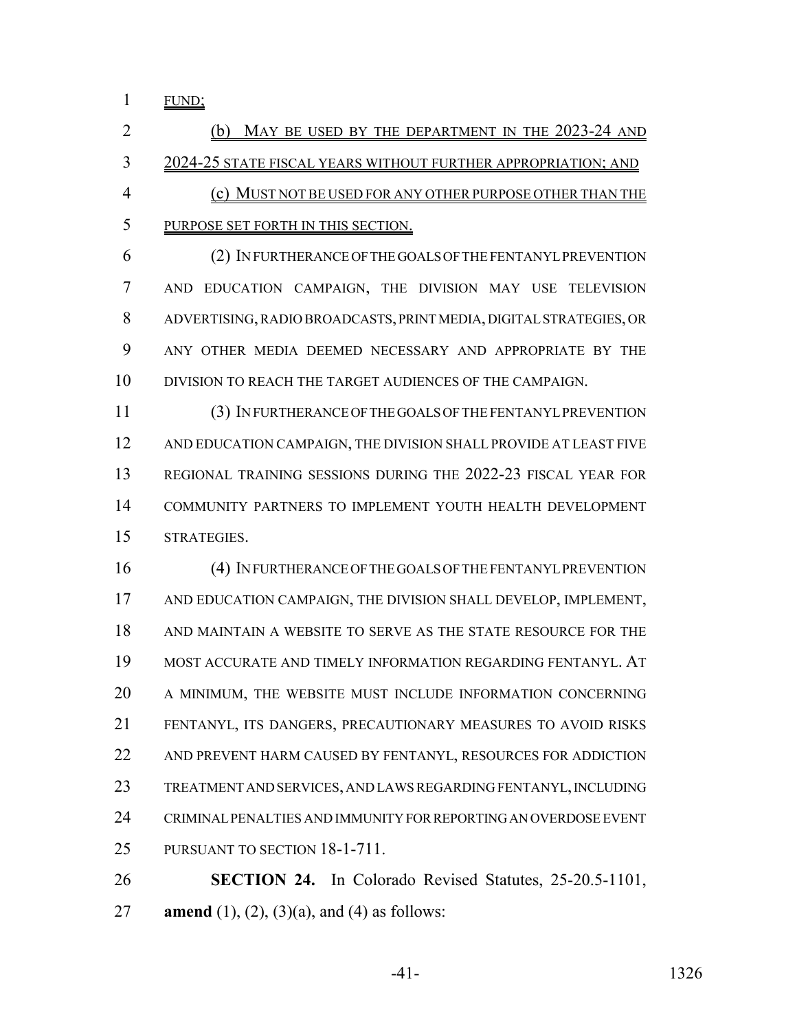FUND;

 (b) MAY BE USED BY THE DEPARTMENT IN THE 2023-24 AND 2024-25 STATE FISCAL YEARS WITHOUT FURTHER APPROPRIATION; AND (c) MUST NOT BE USED FOR ANY OTHER PURPOSE OTHER THAN THE PURPOSE SET FORTH IN THIS SECTION.

 (2) IN FURTHERANCE OF THE GOALS OF THE FENTANYL PREVENTION AND EDUCATION CAMPAIGN, THE DIVISION MAY USE TELEVISION ADVERTISING, RADIO BROADCASTS, PRINT MEDIA, DIGITAL STRATEGIES, OR ANY OTHER MEDIA DEEMED NECESSARY AND APPROPRIATE BY THE DIVISION TO REACH THE TARGET AUDIENCES OF THE CAMPAIGN.

 (3) IN FURTHERANCE OF THE GOALS OF THE FENTANYL PREVENTION AND EDUCATION CAMPAIGN, THE DIVISION SHALL PROVIDE AT LEAST FIVE REGIONAL TRAINING SESSIONS DURING THE 2022-23 FISCAL YEAR FOR COMMUNITY PARTNERS TO IMPLEMENT YOUTH HEALTH DEVELOPMENT STRATEGIES.

 (4) IN FURTHERANCE OF THE GOALS OF THE FENTANYL PREVENTION AND EDUCATION CAMPAIGN, THE DIVISION SHALL DEVELOP, IMPLEMENT, AND MAINTAIN A WEBSITE TO SERVE AS THE STATE RESOURCE FOR THE MOST ACCURATE AND TIMELY INFORMATION REGARDING FENTANYL. AT A MINIMUM, THE WEBSITE MUST INCLUDE INFORMATION CONCERNING FENTANYL, ITS DANGERS, PRECAUTIONARY MEASURES TO AVOID RISKS AND PREVENT HARM CAUSED BY FENTANYL, RESOURCES FOR ADDICTION TREATMENT AND SERVICES, AND LAWS REGARDING FENTANYL, INCLUDING CRIMINAL PENALTIES AND IMMUNITY FOR REPORTING AN OVERDOSE EVENT PURSUANT TO SECTION 18-1-711.

 **SECTION 24.** In Colorado Revised Statutes, 25-20.5-1101, **amend** (1), (2), (3)(a), and (4) as follows: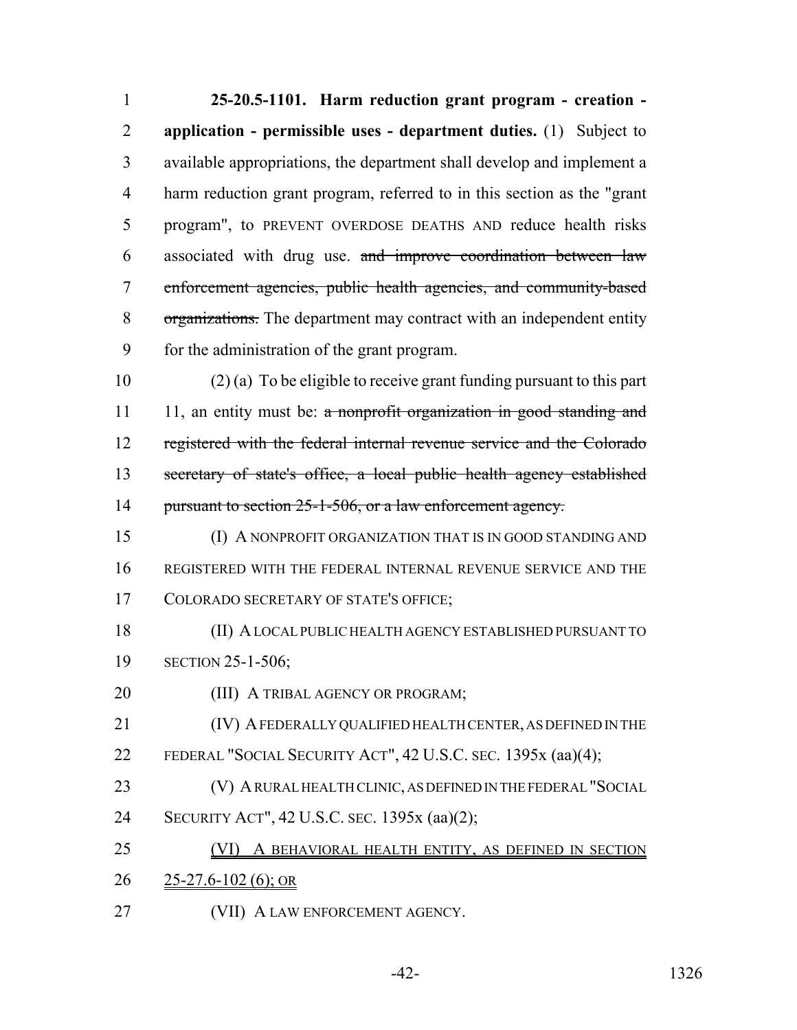**25-20.5-1101. Harm reduction grant program - creation - application - permissible uses - department duties.** (1) Subject to available appropriations, the department shall develop and implement a harm reduction grant program, referred to in this section as the "grant program", to PREVENT OVERDOSE DEATHS AND reduce health risks associated with drug use. and improve coordination between law enforcement agencies, public health agencies, and community-based organizations. The department may contract with an independent entity for the administration of the grant program.

 (2) (a) To be eligible to receive grant funding pursuant to this part 11 11, an entity must be:  $\alpha$  nonprofit organization in good standing and registered with the federal internal revenue service and the Colorado secretary of state's office, a local public health agency established 14 pursuant to section 25-1-506, or a law enforcement agency.

 (I) A NONPROFIT ORGANIZATION THAT IS IN GOOD STANDING AND REGISTERED WITH THE FEDERAL INTERNAL REVENUE SERVICE AND THE COLORADO SECRETARY OF STATE'S OFFICE;

 (II) A LOCAL PUBLIC HEALTH AGENCY ESTABLISHED PURSUANT TO SECTION 25-1-506;

**(III) A TRIBAL AGENCY OR PROGRAM;** 

 (IV) A FEDERALLY QUALIFIED HEALTH CENTER, AS DEFINED IN THE FEDERAL "SOCIAL SECURITY ACT", 42 U.S.C. SEC. 1395x (aa)(4);

- (V) A RURAL HEALTH CLINIC, AS DEFINED IN THE FEDERAL "SOCIAL
- SECURITY ACT", 42 U.S.C. SEC. 1395x (aa)(2);

 (VI) A BEHAVIORAL HEALTH ENTITY, AS DEFINED IN SECTION 25-27.6-102 (6); OR

27 (VII) A LAW ENFORCEMENT AGENCY.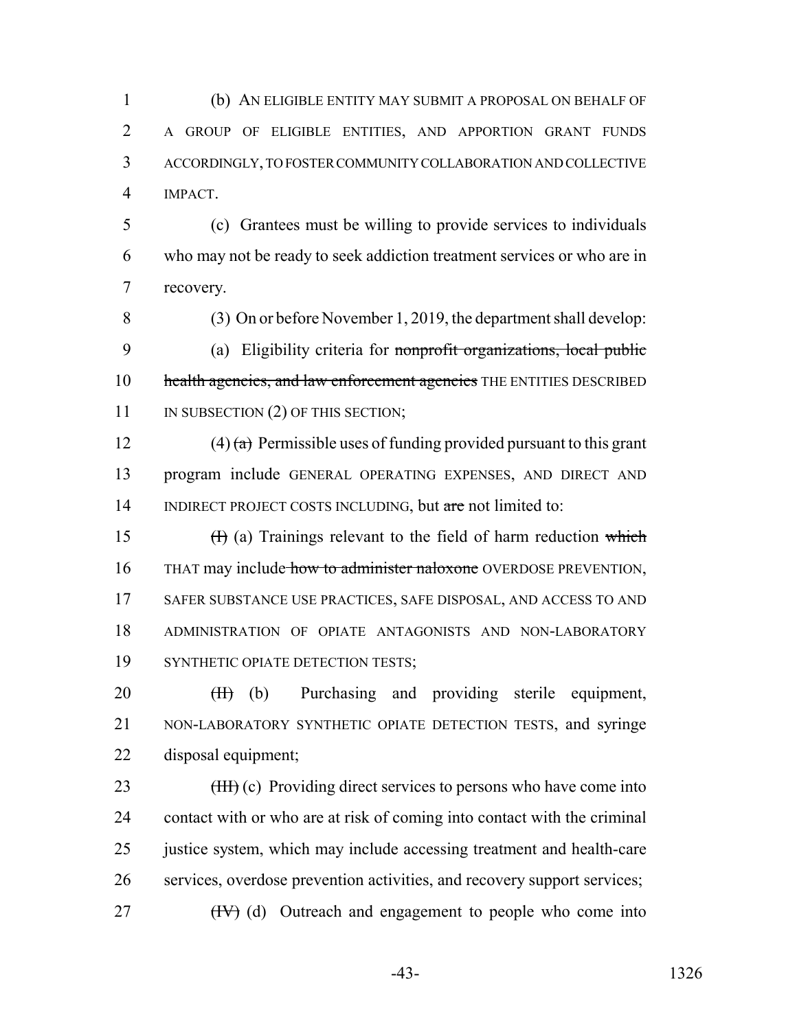(b) AN ELIGIBLE ENTITY MAY SUBMIT A PROPOSAL ON BEHALF OF A GROUP OF ELIGIBLE ENTITIES, AND APPORTION GRANT FUNDS ACCORDINGLY, TO FOSTER COMMUNITY COLLABORATION AND COLLECTIVE IMPACT.

 (c) Grantees must be willing to provide services to individuals who may not be ready to seek addiction treatment services or who are in recovery.

 (3) On or before November 1, 2019, the department shall develop: (a) Eligibility criteria for nonprofit organizations, local public 10 health agencies, and law enforcement agencies THE ENTITIES DESCRIBED 11 IN SUBSECTION (2) OF THIS SECTION;

12 (4) (a) Permissible uses of funding provided pursuant to this grant program include GENERAL OPERATING EXPENSES, AND DIRECT AND 14 INDIRECT PROJECT COSTS INCLUDING, but are not limited to:

15  $(H)$  (a) Trainings relevant to the field of harm reduction which 16 THAT may include how to administer naloxone OVERDOSE PREVENTION, SAFER SUBSTANCE USE PRACTICES, SAFE DISPOSAL, AND ACCESS TO AND ADMINISTRATION OF OPIATE ANTAGONISTS AND NON-LABORATORY 19 SYNTHETIC OPIATE DETECTION TESTS;

20 (H) (b) Purchasing and providing sterile equipment, NON-LABORATORY SYNTHETIC OPIATE DETECTION TESTS, and syringe disposal equipment;

23 (HH) (c) Providing direct services to persons who have come into contact with or who are at risk of coming into contact with the criminal 25 justice system, which may include accessing treatment and health-care services, overdose prevention activities, and recovery support services; (IV) (d) Outreach and engagement to people who come into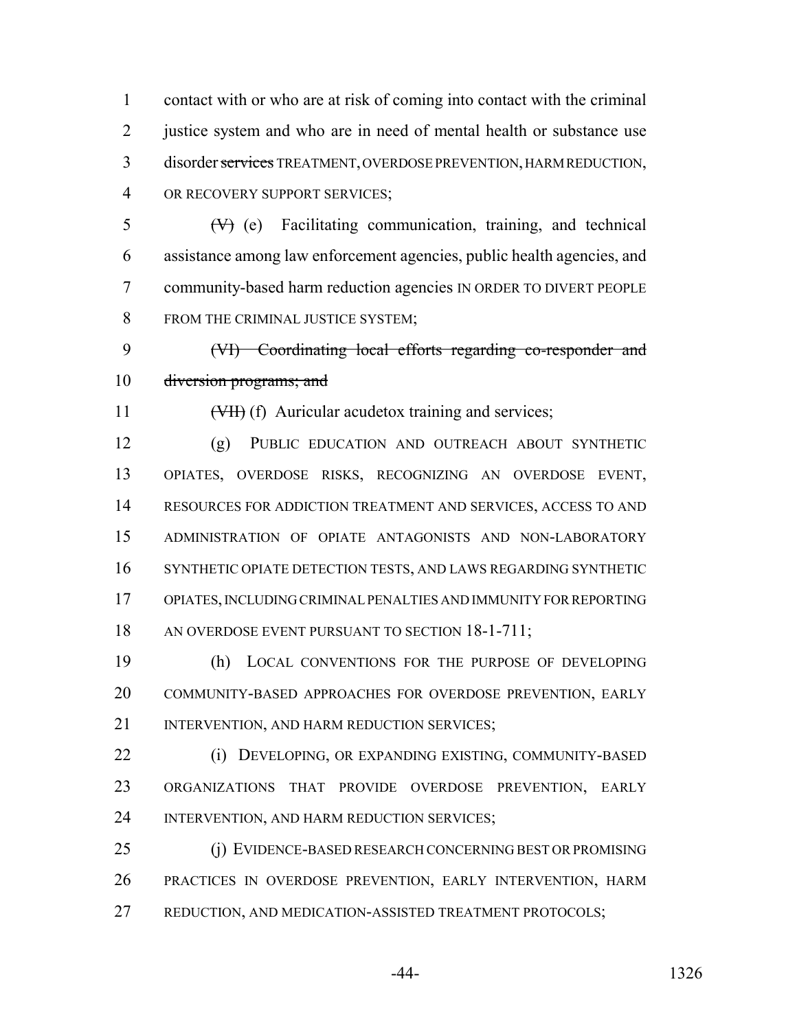contact with or who are at risk of coming into contact with the criminal justice system and who are in need of mental health or substance use disorder services TREATMENT, OVERDOSE PREVENTION, HARM REDUCTION, OR RECOVERY SUPPORT SERVICES;

 $5 \left( V \right)$  (e) Facilitating communication, training, and technical assistance among law enforcement agencies, public health agencies, and community-based harm reduction agencies IN ORDER TO DIVERT PEOPLE 8 FROM THE CRIMINAL JUSTICE SYSTEM;

 (VI) Coordinating local efforts regarding co-responder and 10 diversion programs; and

11 (VII) (f) Auricular acudetox training and services;

 (g) PUBLIC EDUCATION AND OUTREACH ABOUT SYNTHETIC OPIATES, OVERDOSE RISKS, RECOGNIZING AN OVERDOSE EVENT, RESOURCES FOR ADDICTION TREATMENT AND SERVICES, ACCESS TO AND ADMINISTRATION OF OPIATE ANTAGONISTS AND NON-LABORATORY SYNTHETIC OPIATE DETECTION TESTS, AND LAWS REGARDING SYNTHETIC OPIATES, INCLUDING CRIMINAL PENALTIES AND IMMUNITY FOR REPORTING 18 AN OVERDOSE EVENT PURSUANT TO SECTION 18-1-711;

 (h) LOCAL CONVENTIONS FOR THE PURPOSE OF DEVELOPING COMMUNITY-BASED APPROACHES FOR OVERDOSE PREVENTION, EARLY 21 INTERVENTION, AND HARM REDUCTION SERVICES;

 (i) DEVELOPING, OR EXPANDING EXISTING, COMMUNITY-BASED ORGANIZATIONS THAT PROVIDE OVERDOSE PREVENTION, EARLY INTERVENTION, AND HARM REDUCTION SERVICES;

 (j) EVIDENCE-BASED RESEARCH CONCERNING BEST OR PROMISING PRACTICES IN OVERDOSE PREVENTION, EARLY INTERVENTION, HARM REDUCTION, AND MEDICATION-ASSISTED TREATMENT PROTOCOLS;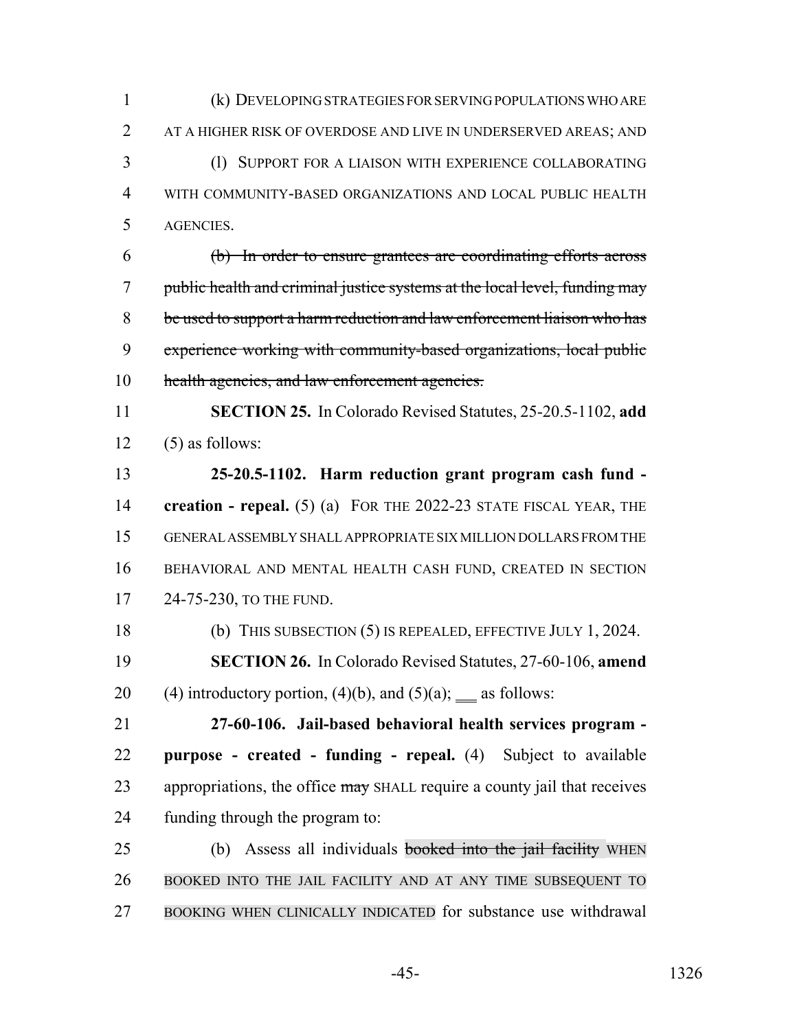(k) DEVELOPING STRATEGIES FOR SERVING POPULATIONS WHO ARE AT A HIGHER RISK OF OVERDOSE AND LIVE IN UNDERSERVED AREAS; AND (l) SUPPORT FOR A LIAISON WITH EXPERIENCE COLLABORATING WITH COMMUNITY-BASED ORGANIZATIONS AND LOCAL PUBLIC HEALTH AGENCIES. (b) In order to ensure grantees are coordinating efforts across public health and criminal justice systems at the local level, funding may be used to support a harm reduction and law enforcement liaison who has experience working with community-based organizations, local public 10 health agencies, and law enforcement agencies. **SECTION 25.** In Colorado Revised Statutes, 25-20.5-1102, **add** 12 (5) as follows: **25-20.5-1102. Harm reduction grant program cash fund - creation - repeal.** (5) (a) FOR THE 2022-23 STATE FISCAL YEAR, THE GENERAL ASSEMBLY SHALL APPROPRIATE SIX MILLION DOLLARS FROM THE BEHAVIORAL AND MENTAL HEALTH CASH FUND, CREATED IN SECTION 17 24-75-230, TO THE FUND. (b) THIS SUBSECTION (5) IS REPEALED, EFFECTIVE JULY 1, 2024. **SECTION 26.** In Colorado Revised Statutes, 27-60-106, **amend** 20 (4) introductory portion, (4)(b), and (5)(a);  $\_\_$ as follows: **27-60-106. Jail-based behavioral health services program - purpose - created - funding - repeal.** (4) Subject to available 23 appropriations, the office  $\frac{m}{dy}$  SHALL require a county jail that receives funding through the program to: 25 (b) Assess all individuals **booked into the jail facility** WHEN BOOKED INTO THE JAIL FACILITY AND AT ANY TIME SUBSEQUENT TO

BOOKING WHEN CLINICALLY INDICATED for substance use withdrawal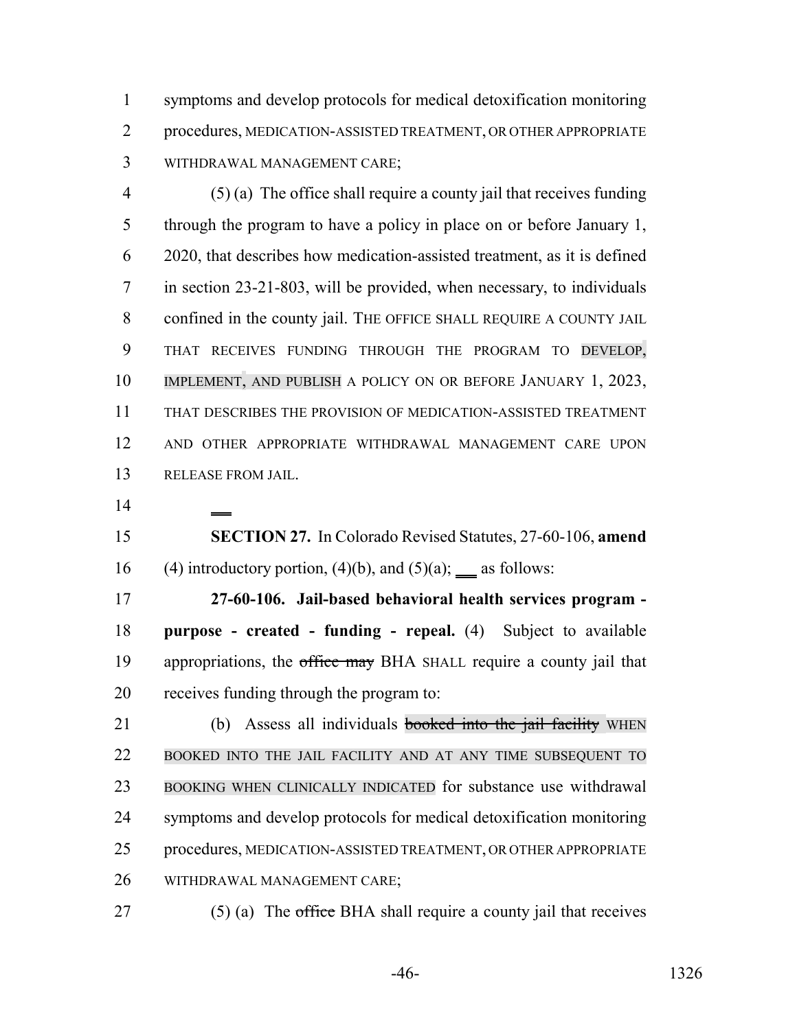symptoms and develop protocols for medical detoxification monitoring procedures, MEDICATION-ASSISTED TREATMENT, OR OTHER APPROPRIATE WITHDRAWAL MANAGEMENT CARE;

 (5) (a) The office shall require a county jail that receives funding through the program to have a policy in place on or before January 1, 2020, that describes how medication-assisted treatment, as it is defined in section 23-21-803, will be provided, when necessary, to individuals 8 confined in the county jail. THE OFFICE SHALL REQUIRE A COUNTY JAIL THAT RECEIVES FUNDING THROUGH THE PROGRAM TO DEVELOP, IMPLEMENT, AND PUBLISH A POLICY ON OR BEFORE JANUARY 1, 2023, THAT DESCRIBES THE PROVISION OF MEDICATION-ASSISTED TREATMENT AND OTHER APPROPRIATE WITHDRAWAL MANAGEMENT CARE UPON RELEASE FROM JAIL.

 **SECTION 27.** In Colorado Revised Statutes, 27-60-106, **amend** 16 (4) introductory portion, (4)(b), and (5)(a);  $\_\$ as follows:

 **27-60-106. Jail-based behavioral health services program - purpose - created - funding - repeal.** (4) Subject to available 19 appropriations, the office may BHA SHALL require a county jail that receives funding through the program to:

21 (b) Assess all individuals **booked into the jail facility** WHEN BOOKED INTO THE JAIL FACILITY AND AT ANY TIME SUBSEQUENT TO BOOKING WHEN CLINICALLY INDICATED for substance use withdrawal symptoms and develop protocols for medical detoxification monitoring procedures, MEDICATION-ASSISTED TREATMENT, OR OTHER APPROPRIATE WITHDRAWAL MANAGEMENT CARE;

- 
- 27  $(5)$  (a) The office BHA shall require a county jail that receives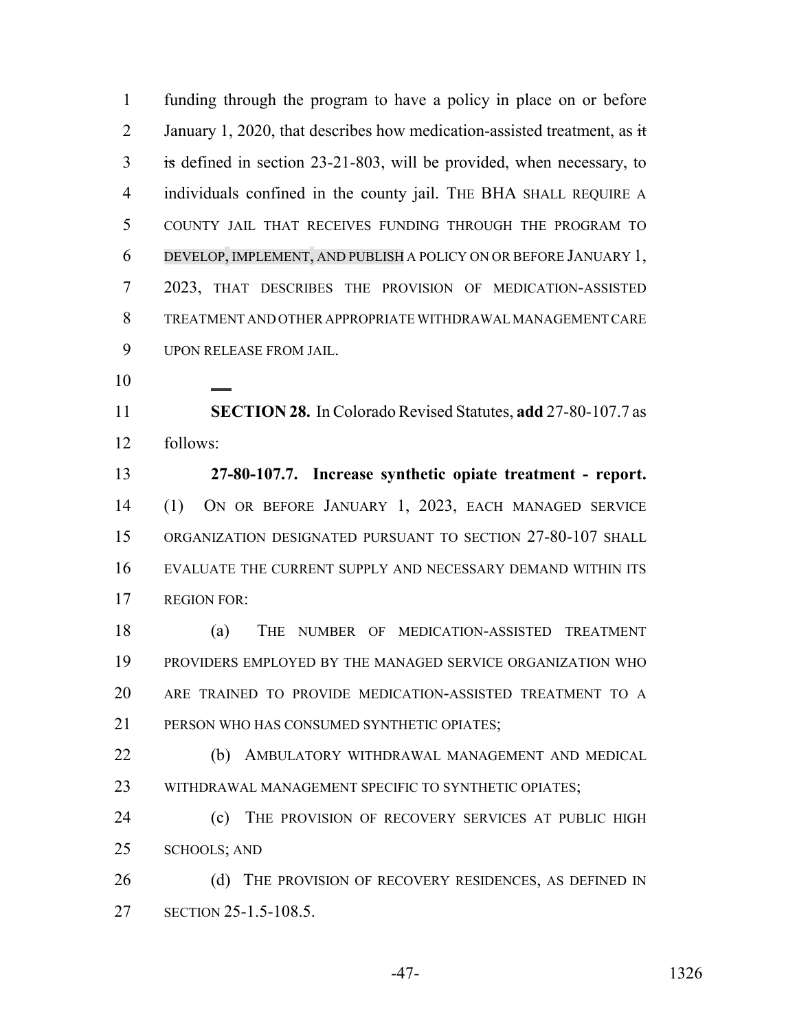funding through the program to have a policy in place on or before 2 January 1, 2020, that describes how medication-assisted treatment, as  $\dot{\mathbf{t}}$  is defined in section 23-21-803, will be provided, when necessary, to individuals confined in the county jail. THE BHA SHALL REQUIRE A COUNTY JAIL THAT RECEIVES FUNDING THROUGH THE PROGRAM TO DEVELOP, IMPLEMENT, AND PUBLISH A POLICY ON OR BEFORE JANUARY 1, 2023, THAT DESCRIBES THE PROVISION OF MEDICATION-ASSISTED TREATMENT AND OTHER APPROPRIATE WITHDRAWAL MANAGEMENT CARE UPON RELEASE FROM JAIL.

 **SECTION 28.** In Colorado Revised Statutes, **add** 27-80-107.7 as follows:

 **27-80-107.7. Increase synthetic opiate treatment - report.** (1) ON OR BEFORE JANUARY 1, 2023, EACH MANAGED SERVICE ORGANIZATION DESIGNATED PURSUANT TO SECTION 27-80-107 SHALL EVALUATE THE CURRENT SUPPLY AND NECESSARY DEMAND WITHIN ITS REGION FOR:

 (a) THE NUMBER OF MEDICATION-ASSISTED TREATMENT PROVIDERS EMPLOYED BY THE MANAGED SERVICE ORGANIZATION WHO ARE TRAINED TO PROVIDE MEDICATION-ASSISTED TREATMENT TO A PERSON WHO HAS CONSUMED SYNTHETIC OPIATES;

 (b) AMBULATORY WITHDRAWAL MANAGEMENT AND MEDICAL WITHDRAWAL MANAGEMENT SPECIFIC TO SYNTHETIC OPIATES;

 (c) THE PROVISION OF RECOVERY SERVICES AT PUBLIC HIGH SCHOOLS; AND

26 (d) THE PROVISION OF RECOVERY RESIDENCES, AS DEFINED IN SECTION 25-1.5-108.5.

-47- 1326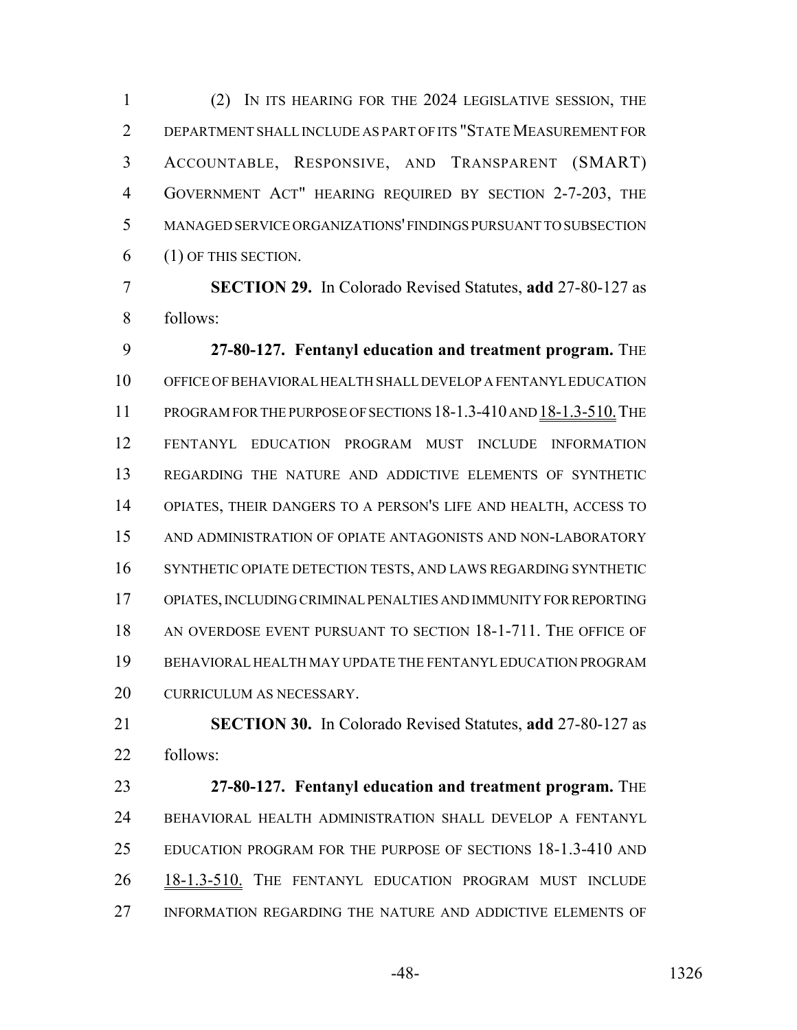(2) IN ITS HEARING FOR THE 2024 LEGISLATIVE SESSION, THE DEPARTMENT SHALL INCLUDE AS PART OF ITS "STATE MEASUREMENT FOR ACCOUNTABLE, RESPONSIVE, AND TRANSPARENT (SMART) GOVERNMENT ACT" HEARING REQUIRED BY SECTION 2-7-203, THE MANAGED SERVICE ORGANIZATIONS' FINDINGS PURSUANT TO SUBSECTION (1) OF THIS SECTION.

 **SECTION 29.** In Colorado Revised Statutes, **add** 27-80-127 as follows:

 **27-80-127. Fentanyl education and treatment program.** THE OFFICE OF BEHAVIORAL HEALTH SHALL DEVELOP A FENTANYL EDUCATION PROGRAM FOR THE PURPOSE OF SECTIONS 18-1.3-410 AND 18-1.3-510.THE FENTANYL EDUCATION PROGRAM MUST INCLUDE INFORMATION REGARDING THE NATURE AND ADDICTIVE ELEMENTS OF SYNTHETIC OPIATES, THEIR DANGERS TO A PERSON'S LIFE AND HEALTH, ACCESS TO AND ADMINISTRATION OF OPIATE ANTAGONISTS AND NON-LABORATORY SYNTHETIC OPIATE DETECTION TESTS, AND LAWS REGARDING SYNTHETIC OPIATES, INCLUDING CRIMINAL PENALTIES AND IMMUNITY FOR REPORTING AN OVERDOSE EVENT PURSUANT TO SECTION 18-1-711. THE OFFICE OF BEHAVIORAL HEALTH MAY UPDATE THE FENTANYL EDUCATION PROGRAM CURRICULUM AS NECESSARY.

 **SECTION 30.** In Colorado Revised Statutes, **add** 27-80-127 as follows:

 **27-80-127. Fentanyl education and treatment program.** THE BEHAVIORAL HEALTH ADMINISTRATION SHALL DEVELOP A FENTANYL EDUCATION PROGRAM FOR THE PURPOSE OF SECTIONS 18-1.3-410 AND 18-1.3-510. THE FENTANYL EDUCATION PROGRAM MUST INCLUDE INFORMATION REGARDING THE NATURE AND ADDICTIVE ELEMENTS OF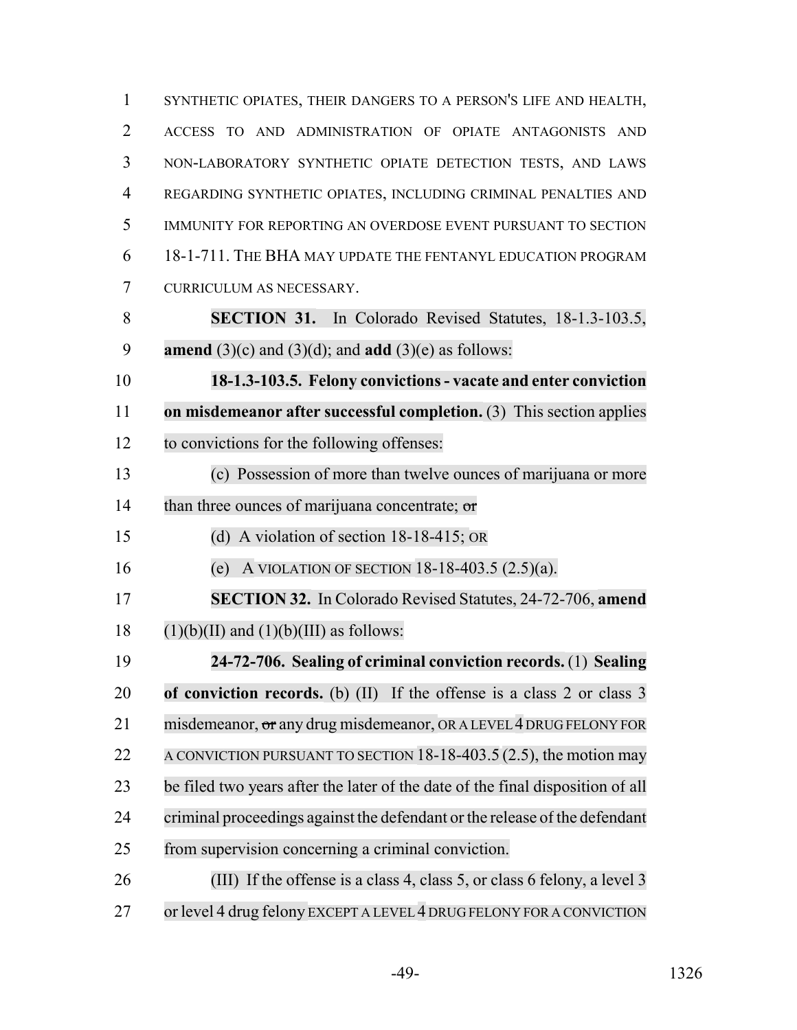SYNTHETIC OPIATES, THEIR DANGERS TO A PERSON'S LIFE AND HEALTH, ACCESS TO AND ADMINISTRATION OF OPIATE ANTAGONISTS AND NON-LABORATORY SYNTHETIC OPIATE DETECTION TESTS, AND LAWS REGARDING SYNTHETIC OPIATES, INCLUDING CRIMINAL PENALTIES AND IMMUNITY FOR REPORTING AN OVERDOSE EVENT PURSUANT TO SECTION 18-1-711. THE BHA MAY UPDATE THE FENTANYL EDUCATION PROGRAM CURRICULUM AS NECESSARY. **SECTION 31.** In Colorado Revised Statutes, 18-1.3-103.5, **amend** (3)(c) and (3)(d); and **add** (3)(e) as follows: **18-1.3-103.5. Felony convictions - vacate and enter conviction on misdemeanor after successful completion.** (3) This section applies to convictions for the following offenses: (c) Possession of more than twelve ounces of marijuana or more 14 than three ounces of marijuana concentrate; or (d) A violation of section 18-18-415; OR (e) A VIOLATION OF SECTION 18-18-403.5 (2.5)(a). **SECTION 32.** In Colorado Revised Statutes, 24-72-706, **amend**  $(1)(b)(II)$  and  $(1)(b)(III)$  as follows: **24-72-706. Sealing of criminal conviction records.** (1) **Sealing of conviction records.** (b) (II) If the offense is a class 2 or class 3 21 misdemeanor, or any drug misdemeanor, OR A LEVEL 4 DRUG FELONY FOR 22 A CONVICTION PURSUANT TO SECTION  $18-18-403.5(2.5)$ , the motion may be filed two years after the later of the date of the final disposition of all criminal proceedings against the defendant orthe release of the defendant from supervision concerning a criminal conviction. (III) If the offense is a class 4, class 5, or class 6 felony, a level 3 or level 4 drug felony EXCEPT A LEVEL 4 DRUG FELONY FOR A CONVICTION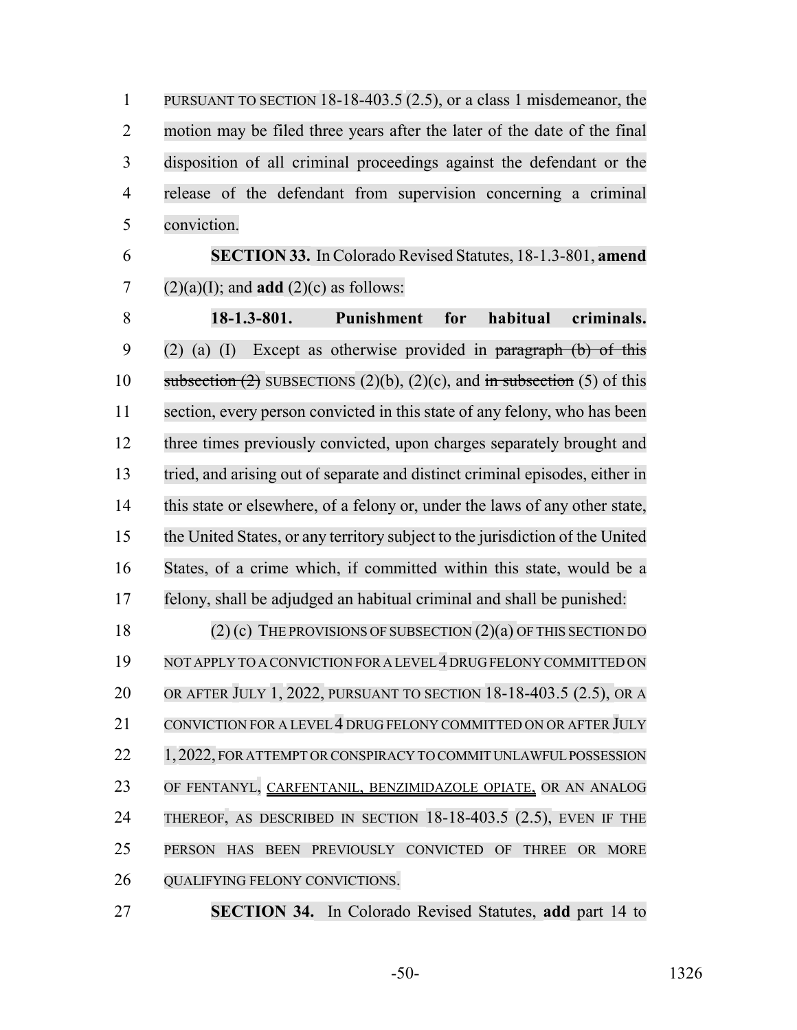PURSUANT TO SECTION 18-18-403.5 (2.5), or a class 1 misdemeanor, the motion may be filed three years after the later of the date of the final disposition of all criminal proceedings against the defendant or the release of the defendant from supervision concerning a criminal conviction.

 **SECTION 33.** In Colorado Revised Statutes, 18-1.3-801, **amend** 7 (2)(a)(I); and **add** (2)(c) as follows:

 **18-1.3-801. Punishment for habitual criminals.** 9 (2) (a) (I) Except as otherwise provided in paragraph  $(b)$  of this 10 subsection  $(2)$  SUBSECTIONS  $(2)(b)$ ,  $(2)(c)$ , and in subsection (5) of this section, every person convicted in this state of any felony, who has been three times previously convicted, upon charges separately brought and tried, and arising out of separate and distinct criminal episodes, either in this state or elsewhere, of a felony or, under the laws of any other state, the United States, or any territory subject to the jurisdiction of the United States, of a crime which, if committed within this state, would be a felony, shall be adjudged an habitual criminal and shall be punished:

 (2) (c) THE PROVISIONS OF SUBSECTION (2)(a) OF THIS SECTION DO 19 NOT APPLY TO A CONVICTION FOR A LEVEL 4 DRUG FELONY COMMITTED ON OR AFTER JULY 1, 2022, PURSUANT TO SECTION 18-18-403.5 (2.5), OR A 21 CONVICTION FOR A LEVEL 4 DRUG FELONY COMMITTED ON OR AFTER JULY 22 1, 2022, FOR ATTEMPT OR CONSPIRACY TO COMMIT UNLAWFUL POSSESSION OF FENTANYL, CARFENTANIL, BENZIMIDAZOLE OPIATE, OR AN ANALOG THEREOF, AS DESCRIBED IN SECTION 18-18-403.5 (2.5), EVEN IF THE PERSON HAS BEEN PREVIOUSLY CONVICTED OF THREE OR MORE 26 QUALIFYING FELONY CONVICTIONS.

**SECTION 34.** In Colorado Revised Statutes, **add** part 14 to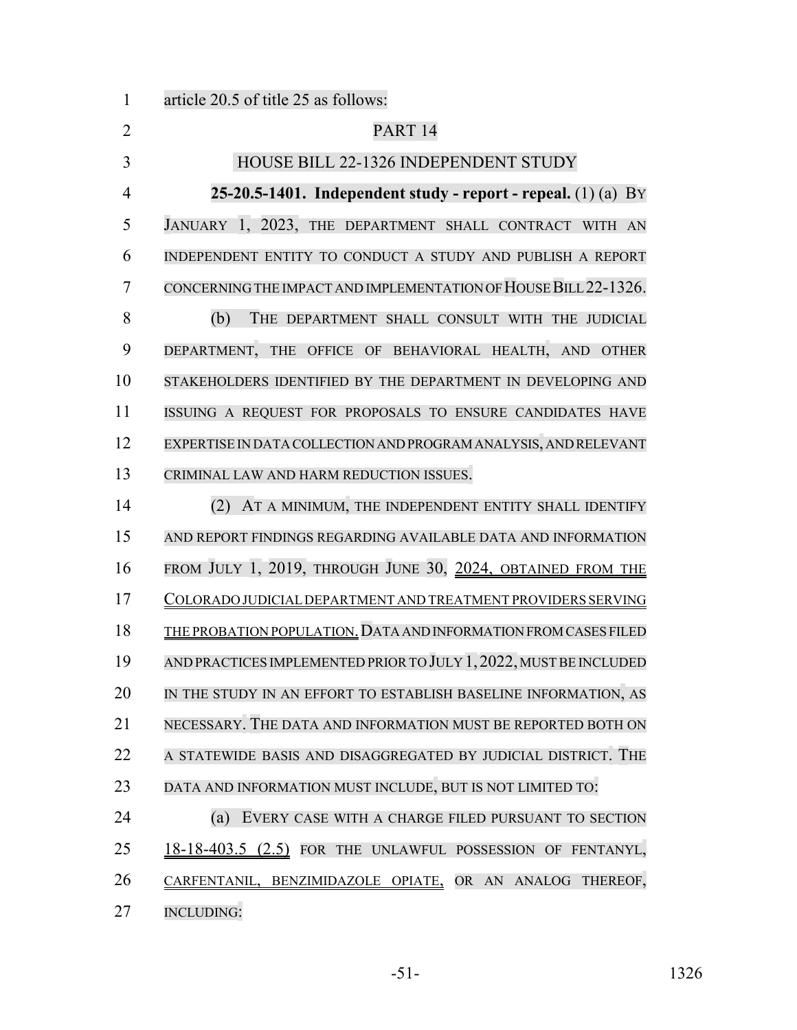article 20.5 of title 25 as follows: 2 PART 14 3 HOUSE BILL 22-1326 INDEPENDENT STUDY **25-20.5-1401. Independent study - report - repeal.** (1) (a) BY JANUARY 1, 2023, THE DEPARTMENT SHALL CONTRACT WITH AN INDEPENDENT ENTITY TO CONDUCT A STUDY AND PUBLISH A REPORT CONCERNING THE IMPACT AND IMPLEMENTATION OF HOUSE BILL22-1326. (b) THE DEPARTMENT SHALL CONSULT WITH THE JUDICIAL DEPARTMENT, THE OFFICE OF BEHAVIORAL HEALTH, AND OTHER STAKEHOLDERS IDENTIFIED BY THE DEPARTMENT IN DEVELOPING AND ISSUING A REQUEST FOR PROPOSALS TO ENSURE CANDIDATES HAVE EXPERTISE IN DATA COLLECTION AND PROGRAM ANALYSIS, AND RELEVANT CRIMINAL LAW AND HARM REDUCTION ISSUES. (2) AT A MINIMUM, THE INDEPENDENT ENTITY SHALL IDENTIFY AND REPORT FINDINGS REGARDING AVAILABLE DATA AND INFORMATION

 FROM JULY 1, 2019, THROUGH JUNE 30, 2024, OBTAINED FROM THE COLORADO JUDICIAL DEPARTMENT AND TREATMENT PROVIDERS SERVING THE PROBATION POPULATION.DATA AND INFORMATION FROM CASES FILED AND PRACTICES IMPLEMENTED PRIORTO JULY 1,2022, MUSTBE INCLUDED IN THE STUDY IN AN EFFORT TO ESTABLISH BASELINE INFORMATION, AS NECESSARY. THE DATA AND INFORMATION MUST BE REPORTED BOTH ON A STATEWIDE BASIS AND DISAGGREGATED BY JUDICIAL DISTRICT. THE DATA AND INFORMATION MUST INCLUDE, BUT IS NOT LIMITED TO:

 (a) EVERY CASE WITH A CHARGE FILED PURSUANT TO SECTION 25 18-18-403.5 (2.5) FOR THE UNLAWFUL POSSESSION OF FENTANYL, CARFENTANIL, BENZIMIDAZOLE OPIATE, OR AN ANALOG THEREOF, INCLUDING: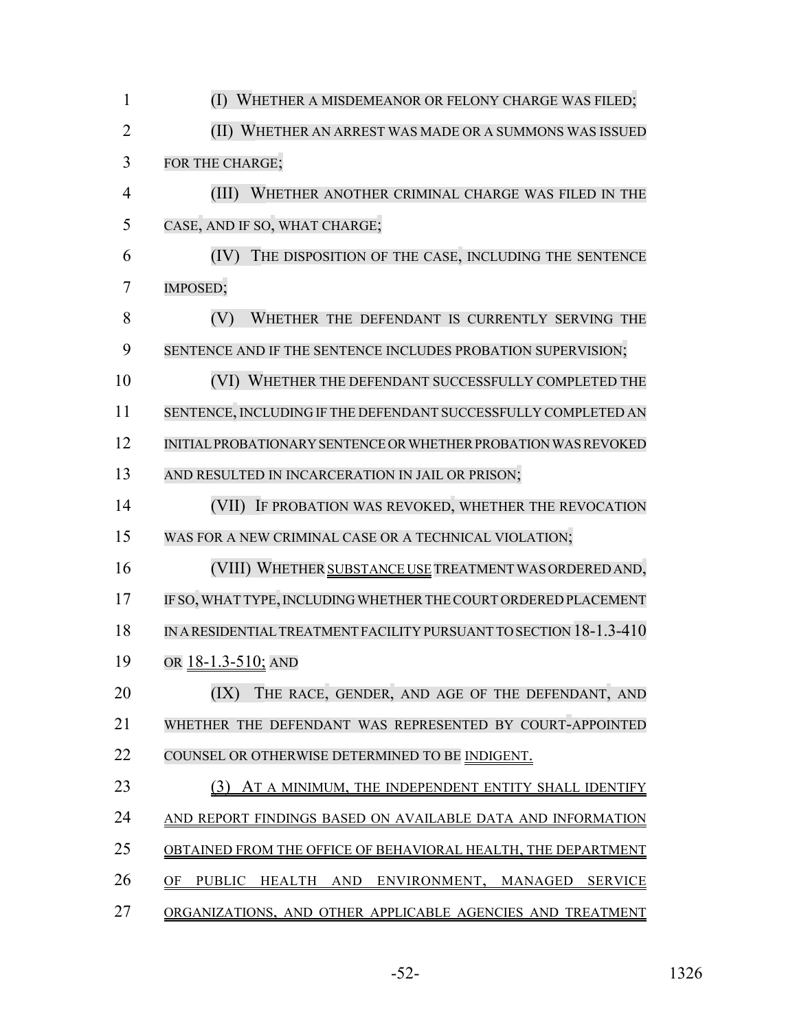| $\mathbf{1}$   | (I) WHETHER A MISDEMEANOR OR FELONY CHARGE WAS FILED;              |
|----------------|--------------------------------------------------------------------|
| $\overline{2}$ | (II) WHETHER AN ARREST WAS MADE OR A SUMMONS WAS ISSUED            |
| 3              | FOR THE CHARGE;                                                    |
| 4              | (III)<br>WHETHER ANOTHER CRIMINAL CHARGE WAS FILED IN THE          |
| 5              | CASE, AND IF SO, WHAT CHARGE;                                      |
| 6              | (IV)<br>THE DISPOSITION OF THE CASE, INCLUDING THE SENTENCE        |
| 7              | IMPOSED;                                                           |
| 8              | WHETHER THE DEFENDANT IS CURRENTLY SERVING THE<br>(V)              |
| 9              | SENTENCE AND IF THE SENTENCE INCLUDES PROBATION SUPERVISION;       |
| 10             | (VI) WHETHER THE DEFENDANT SUCCESSFULLY COMPLETED THE              |
| 11             | SENTENCE, INCLUDING IF THE DEFENDANT SUCCESSFULLY COMPLETED AN     |
| 12             | INITIAL PROBATIONARY SENTENCE OR WHETHER PROBATION WAS REVOKED     |
| 13             | AND RESULTED IN INCARCERATION IN JAIL OR PRISON;                   |
| 14             | (VII) IF PROBATION WAS REVOKED, WHETHER THE REVOCATION             |
| 15             | WAS FOR A NEW CRIMINAL CASE OR A TECHNICAL VIOLATION;              |
| 16             | (VIII) WHETHER SUBSTANCE USE TREATMENT WAS ORDERED AND,            |
| 17             | IF SO, WHAT TYPE, INCLUDING WHETHER THE COURT ORDERED PLACEMENT    |
| 18             | IN A RESIDENTIAL TREATMENT FACILITY PURSUANT TO SECTION 18-1.3-410 |
| 19             | OR 18-1.3-510; AND                                                 |
| 20             | (IX)<br>THE RACE, GENDER, AND AGE OF THE DEFENDANT, AND            |
| 21             | WHETHER THE DEFENDANT WAS REPRESENTED BY COURT-APPOINTED           |
| 22             | COUNSEL OR OTHERWISE DETERMINED TO BE INDIGENT.                    |
| 23             | (3)<br>AT A MINIMUM, THE INDEPENDENT ENTITY SHALL IDENTIFY         |
| 24             | AND REPORT FINDINGS BASED ON AVAILABLE DATA AND INFORMATION        |
| 25             | OBTAINED FROM THE OFFICE OF BEHAVIORAL HEALTH, THE DEPARTMENT      |
| 26             | PUBLIC HEALTH AND ENVIRONMENT, MANAGED<br>OF<br><b>SERVICE</b>     |
| 27             | ORGANIZATIONS, AND OTHER APPLICABLE AGENCIES AND TREATMENT         |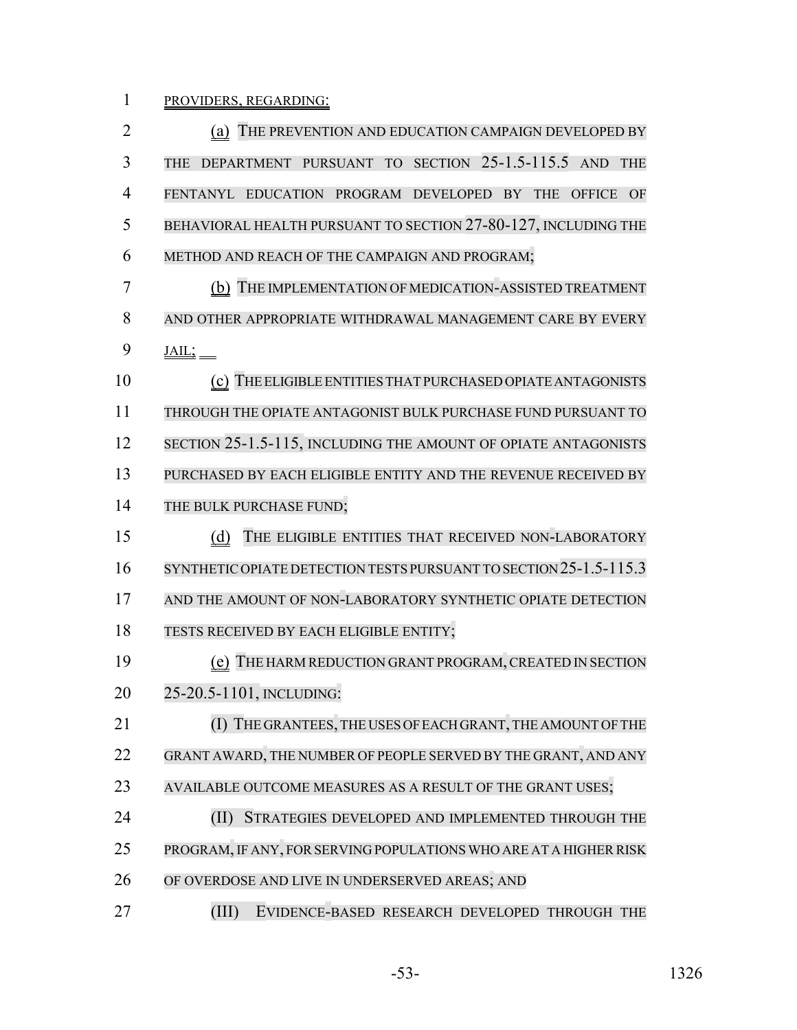PROVIDERS, REGARDING:

| $\overline{2}$ | (a) THE PREVENTION AND EDUCATION CAMPAIGN DEVELOPED BY                      |
|----------------|-----------------------------------------------------------------------------|
| 3              | DEPARTMENT PURSUANT TO SECTION 25-1.5-115.5 AND<br><b>THE</b><br><b>THE</b> |
| 4              | FENTANYL EDUCATION PROGRAM DEVELOPED BY THE<br><b>OFFICE</b><br>OF          |
| 5              | BEHAVIORAL HEALTH PURSUANT TO SECTION 27-80-127, INCLUDING THE              |
| 6              | METHOD AND REACH OF THE CAMPAIGN AND PROGRAM;                               |
| 7              | (b) THE IMPLEMENTATION OF MEDICATION-ASSISTED TREATMENT                     |
| 8              | AND OTHER APPROPRIATE WITHDRAWAL MANAGEMENT CARE BY EVERY                   |
| 9              | $\underline{\text{JAIL}}$                                                   |
| 10             | (c) THE ELIGIBLE ENTITIES THAT PURCHASED OPIATE ANTAGONISTS                 |
| 11             | THROUGH THE OPIATE ANTAGONIST BULK PURCHASE FUND PURSUANT TO                |
| 12             | SECTION 25-1.5-115, INCLUDING THE AMOUNT OF OPIATE ANTAGONISTS              |
| 13             | PURCHASED BY EACH ELIGIBLE ENTITY AND THE REVENUE RECEIVED BY               |
| 14             | THE BULK PURCHASE FUND;                                                     |
| 15             | THE ELIGIBLE ENTITIES THAT RECEIVED NON-LABORATORY<br>(d)                   |
| 16             | SYNTHETIC OPIATE DETECTION TESTS PURSUANT TO SECTION 25-1.5-115.3           |
| 17             | AND THE AMOUNT OF NON-LABORATORY SYNTHETIC OPIATE DETECTION                 |
| 18             | TESTS RECEIVED BY EACH ELIGIBLE ENTITY;                                     |
| 19             | (e) THE HARM REDUCTION GRANT PROGRAM, CREATED IN SECTION                    |
| 20             | 25-20.5-1101, INCLUDING:                                                    |
| 21             | (I) THE GRANTEES, THE USES OF EACH GRANT, THE AMOUNT OF THE                 |
| 22             | GRANT AWARD, THE NUMBER OF PEOPLE SERVED BY THE GRANT, AND ANY              |
| 23             | AVAILABLE OUTCOME MEASURES AS A RESULT OF THE GRANT USES;                   |
| 24             | (II)<br>STRATEGIES DEVELOPED AND IMPLEMENTED THROUGH THE                    |
| 25             | PROGRAM, IF ANY, FOR SERVING POPULATIONS WHO ARE AT A HIGHER RISK           |
| 26             | OF OVERDOSE AND LIVE IN UNDERSERVED AREAS; AND                              |
|                |                                                                             |

-53- 1326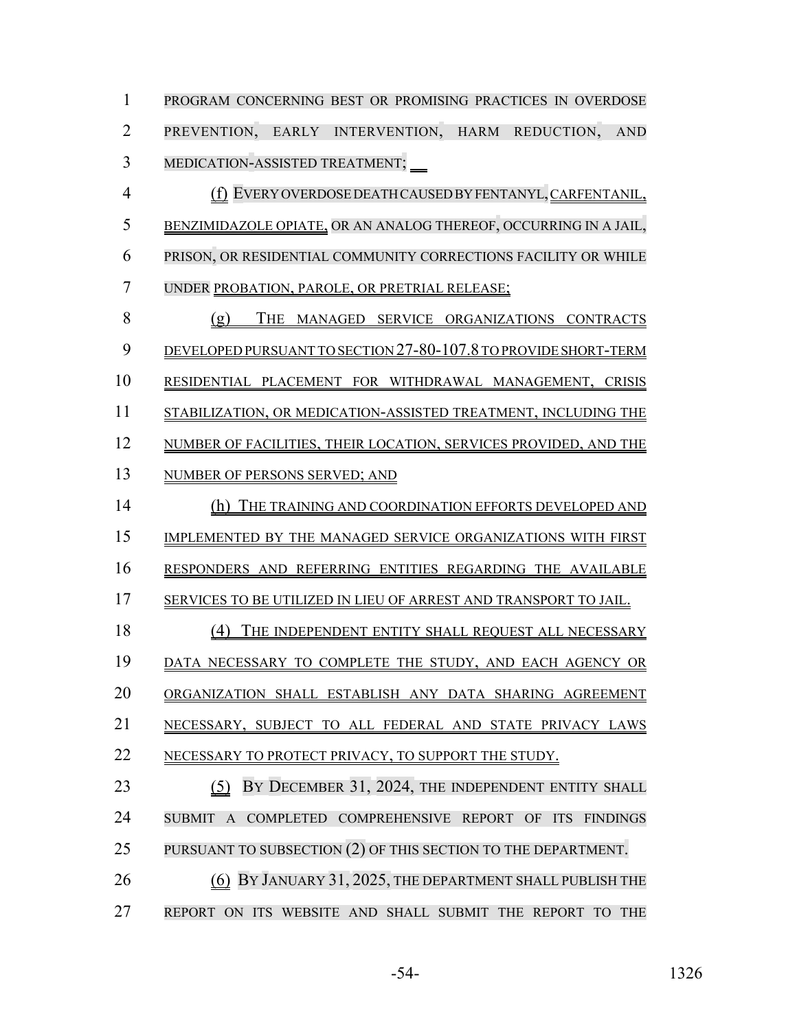PROGRAM CONCERNING BEST OR PROMISING PRACTICES IN OVERDOSE PREVENTION, EARLY INTERVENTION, HARM REDUCTION, AND MEDICATION-ASSISTED TREATMENT;

 (f) EVERY OVERDOSE DEATH CAUSED BY FENTANYL, CARFENTANIL, BENZIMIDAZOLE OPIATE, OR AN ANALOG THEREOF, OCCURRING IN A JAIL, PRISON, OR RESIDENTIAL COMMUNITY CORRECTIONS FACILITY OR WHILE UNDER PROBATION, PAROLE, OR PRETRIAL RELEASE;

 (g) THE MANAGED SERVICE ORGANIZATIONS CONTRACTS DEVELOPED PURSUANT TO SECTION 27-80-107.8 TO PROVIDE SHORT-TERM RESIDENTIAL PLACEMENT FOR WITHDRAWAL MANAGEMENT, CRISIS STABILIZATION, OR MEDICATION-ASSISTED TREATMENT, INCLUDING THE NUMBER OF FACILITIES, THEIR LOCATION, SERVICES PROVIDED, AND THE NUMBER OF PERSONS SERVED; AND (h) THE TRAINING AND COORDINATION EFFORTS DEVELOPED AND IMPLEMENTED BY THE MANAGED SERVICE ORGANIZATIONS WITH FIRST RESPONDERS AND REFERRING ENTITIES REGARDING THE AVAILABLE SERVICES TO BE UTILIZED IN LIEU OF ARREST AND TRANSPORT TO JAIL. 18 (4) THE INDEPENDENT ENTITY SHALL REQUEST ALL NECESSARY DATA NECESSARY TO COMPLETE THE STUDY, AND EACH AGENCY OR ORGANIZATION SHALL ESTABLISH ANY DATA SHARING AGREEMENT NECESSARY, SUBJECT TO ALL FEDERAL AND STATE PRIVACY LAWS 22 NECESSARY TO PROTECT PRIVACY, TO SUPPORT THE STUDY. 23 (5) BY DECEMBER 31, 2024, THE INDEPENDENT ENTITY SHALL SUBMIT A COMPLETED COMPREHENSIVE REPORT OF ITS FINDINGS PURSUANT TO SUBSECTION (2) OF THIS SECTION TO THE DEPARTMENT.

**1200 (6) BY JANUARY 31, 2025, THE DEPARTMENT SHALL PUBLISH THE** REPORT ON ITS WEBSITE AND SHALL SUBMIT THE REPORT TO THE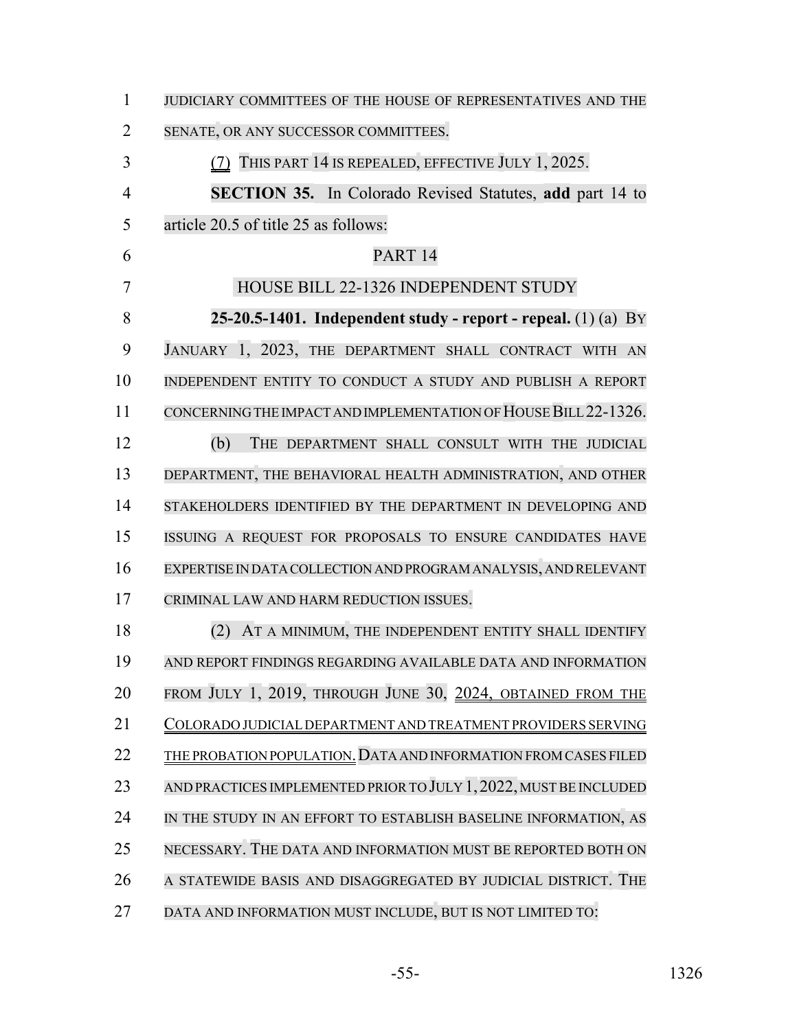| $\mathbf{1}$   | JUDICIARY COMMITTEES OF THE HOUSE OF REPRESENTATIVES AND THE      |
|----------------|-------------------------------------------------------------------|
| 2              | SENATE, OR ANY SUCCESSOR COMMITTEES.                              |
| 3              | (7) THIS PART 14 IS REPEALED, EFFECTIVE JULY 1, 2025.             |
| $\overline{4}$ | <b>SECTION 35.</b> In Colorado Revised Statutes, add part 14 to   |
| 5              | article 20.5 of title 25 as follows:                              |
| 6              | PART <sub>14</sub>                                                |
| 7              | HOUSE BILL 22-1326 INDEPENDENT STUDY                              |
| 8              | 25-20.5-1401. Independent study - report - repeal. $(1)$ (a) BY   |
| 9              | JANUARY 1, 2023, THE DEPARTMENT SHALL CONTRACT WITH AN            |
| 10             | INDEPENDENT ENTITY TO CONDUCT A STUDY AND PUBLISH A REPORT        |
| 11             | CONCERNING THE IMPACT AND IMPLEMENTATION OF HOUSE BILL 22-1326.   |
| 12             | (b)<br>THE DEPARTMENT SHALL CONSULT WITH THE JUDICIAL             |
| 13             | DEPARTMENT, THE BEHAVIORAL HEALTH ADMINISTRATION, AND OTHER       |
| 14             | STAKEHOLDERS IDENTIFIED BY THE DEPARTMENT IN DEVELOPING AND       |
| 15             | ISSUING A REQUEST FOR PROPOSALS TO ENSURE CANDIDATES HAVE         |
| 16             | EXPERTISE IN DATA COLLECTION AND PROGRAM ANALYSIS, AND RELEVANT   |
| 17             | CRIMINAL LAW AND HARM REDUCTION ISSUES.                           |
| 18             | AT A MINIMUM, THE INDEPENDENT ENTITY SHALL IDENTIFY<br>(2)        |
| 19             | AND REPORT FINDINGS REGARDING AVAILABLE DATA AND INFORMATION      |
| 20             | FROM JULY 1, 2019, THROUGH JUNE 30, 2024, OBTAINED FROM THE       |
| 21             | COLORADO JUDICIAL DEPARTMENT AND TREATMENT PROVIDERS SERVING      |
| 22             | THE PROBATION POPULATION. DATA AND INFORMATION FROM CASES FILED   |
| 23             | AND PRACTICES IMPLEMENTED PRIOR TO JULY 1, 2022, MUST BE INCLUDED |
| 24             | IN THE STUDY IN AN EFFORT TO ESTABLISH BASELINE INFORMATION, AS   |
| 25             | NECESSARY. THE DATA AND INFORMATION MUST BE REPORTED BOTH ON      |
| 26             | A STATEWIDE BASIS AND DISAGGREGATED BY JUDICIAL DISTRICT. THE     |
| 27             | DATA AND INFORMATION MUST INCLUDE, BUT IS NOT LIMITED TO:         |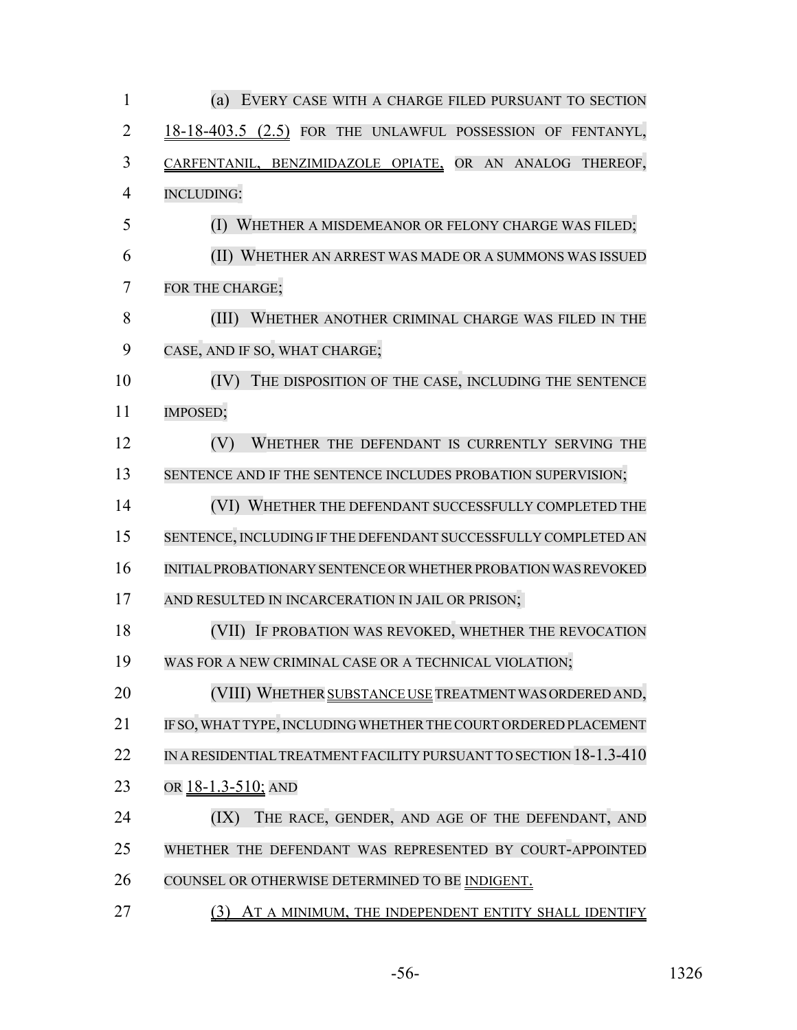| $\mathbf{1}$   | (a) EVERY CASE WITH A CHARGE FILED PURSUANT TO SECTION             |
|----------------|--------------------------------------------------------------------|
| 2              | 18-18-403.5 (2.5) FOR THE UNLAWFUL POSSESSION OF FENTANYL,         |
| 3              | CARFENTANIL, BENZIMIDAZOLE OPIATE, OR AN ANALOG THEREOF,           |
| $\overline{4}$ | <b>INCLUDING:</b>                                                  |
| 5              | (I) WHETHER A MISDEMEANOR OR FELONY CHARGE WAS FILED;              |
| 6              | (II) WHETHER AN ARREST WAS MADE OR A SUMMONS WAS ISSUED            |
| 7              | FOR THE CHARGE;                                                    |
| 8              | (III)<br>WHETHER ANOTHER CRIMINAL CHARGE WAS FILED IN THE          |
| 9              | CASE, AND IF SO, WHAT CHARGE;                                      |
| 10             | (IV)<br>THE DISPOSITION OF THE CASE, INCLUDING THE SENTENCE        |
| 11             | IMPOSED;                                                           |
| 12             | (V)<br>WHETHER THE DEFENDANT IS CURRENTLY SERVING THE              |
| 13             | SENTENCE AND IF THE SENTENCE INCLUDES PROBATION SUPERVISION;       |
| 14             | (VI) WHETHER THE DEFENDANT SUCCESSFULLY COMPLETED THE              |
| 15             | SENTENCE, INCLUDING IF THE DEFENDANT SUCCESSFULLY COMPLETED AN     |
| 16             | INITIAL PROBATIONARY SENTENCE OR WHETHER PROBATION WAS REVOKED     |
| 17             | AND RESULTED IN INCARCERATION IN JAIL OR PRISON;                   |
| 18             | IF PROBATION WAS REVOKED, WHETHER THE REVOCATION<br>(VII)          |
| 19             | WAS FOR A NEW CRIMINAL CASE OR A TECHNICAL VIOLATION;              |
| 20             | (VIII) WHETHER SUBSTANCE USE TREATMENT WAS ORDERED AND,            |
| 21             | IF SO, WHAT TYPE, INCLUDING WHETHER THE COURT ORDERED PLACEMENT    |
| 22             | IN A RESIDENTIAL TREATMENT FACILITY PURSUANT TO SECTION 18-1.3-410 |
| 23             | OR 18-1.3-510; AND                                                 |
| 24             | (IX)<br>THE RACE, GENDER, AND AGE OF THE DEFENDANT, AND            |
| 25             | WHETHER THE DEFENDANT WAS REPRESENTED BY COURT-APPOINTED           |
| 26             | COUNSEL OR OTHERWISE DETERMINED TO BE INDIGENT.                    |
| 27             | (3) AT A MINIMUM, THE INDEPENDENT ENTITY SHALL IDENTIFY            |

-56- 1326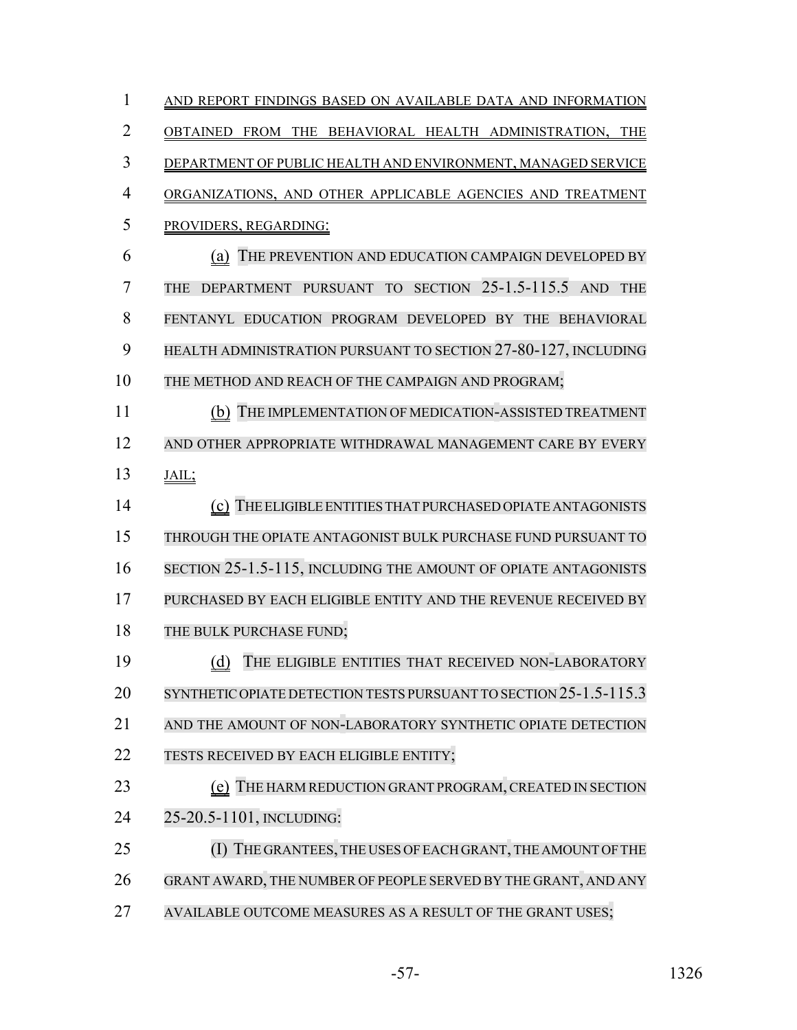| $\mathbf{1}$   | AND REPORT FINDINGS BASED ON AVAILABLE DATA AND INFORMATION          |
|----------------|----------------------------------------------------------------------|
| $\overline{2}$ | OBTAINED FROM THE BEHAVIORAL HEALTH ADMINISTRATION, THE              |
| 3              | DEPARTMENT OF PUBLIC HEALTH AND ENVIRONMENT, MANAGED SERVICE         |
| 4              | ORGANIZATIONS, AND OTHER APPLICABLE AGENCIES AND TREATMENT           |
| 5              | PROVIDERS, REGARDING:                                                |
| 6              | THE PREVENTION AND EDUCATION CAMPAIGN DEVELOPED BY<br>(a)            |
| 7              | DEPARTMENT PURSUANT TO SECTION 25-1.5-115.5 AND<br><b>THE</b><br>THE |
| 8              | FENTANYL EDUCATION PROGRAM DEVELOPED BY THE BEHAVIORAL               |
| 9              | HEALTH ADMINISTRATION PURSUANT TO SECTION 27-80-127, INCLUDING       |
| 10             | THE METHOD AND REACH OF THE CAMPAIGN AND PROGRAM;                    |
| 11             | (b) THE IMPLEMENTATION OF MEDICATION-ASSISTED TREATMENT              |
| 12             | AND OTHER APPROPRIATE WITHDRAWAL MANAGEMENT CARE BY EVERY            |
| 13             | JAIL;                                                                |
| 14             | (c) THE ELIGIBLE ENTITIES THAT PURCHASED OPIATE ANTAGONISTS          |
| 15             | THROUGH THE OPIATE ANTAGONIST BULK PURCHASE FUND PURSUANT TO         |
| 16             | SECTION 25-1.5-115, INCLUDING THE AMOUNT OF OPIATE ANTAGONISTS       |
| 17             | PURCHASED BY EACH ELIGIBLE ENTITY AND THE REVENUE RECEIVED BY        |
| 18             | THE BULK PURCHASE FUND;                                              |
| 19             | THE ELIGIBLE ENTITIES THAT RECEIVED NON-LABORATORY<br>(d)            |
| 20             | SYNTHETIC OPIATE DETECTION TESTS PURSUANT TO SECTION 25-1.5-115.3    |
| 21             | AND THE AMOUNT OF NON-LABORATORY SYNTHETIC OPIATE DETECTION          |
| 22             | TESTS RECEIVED BY EACH ELIGIBLE ENTITY;                              |
| 23             | THE HARM REDUCTION GRANT PROGRAM, CREATED IN SECTION<br>(e)          |
| 24             | 25-20.5-1101, INCLUDING:                                             |
| 25             | (I) THE GRANTEES, THE USES OF EACH GRANT, THE AMOUNT OF THE          |
| 26             | GRANT AWARD, THE NUMBER OF PEOPLE SERVED BY THE GRANT, AND ANY       |
| 27             | AVAILABLE OUTCOME MEASURES AS A RESULT OF THE GRANT USES;            |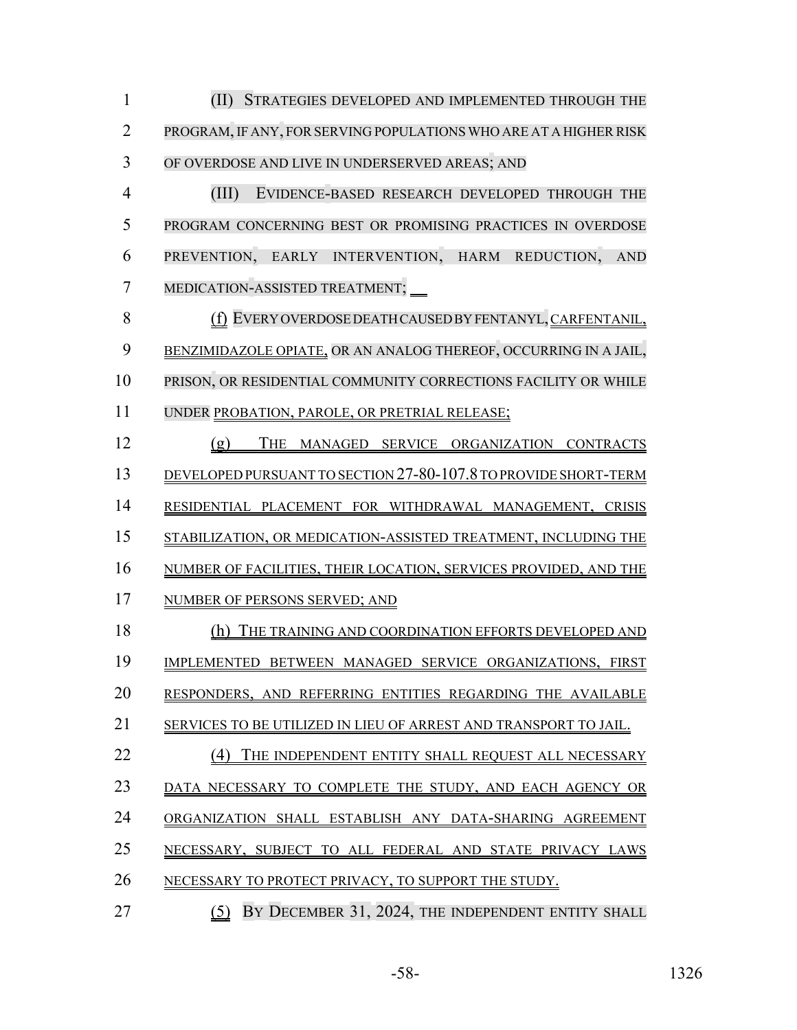(II) STRATEGIES DEVELOPED AND IMPLEMENTED THROUGH THE PROGRAM,IF ANY, FORSERVING POPULATIONS WHO ARE AT A HIGHER RISK OF OVERDOSE AND LIVE IN UNDERSERVED AREAS; AND

 (III) EVIDENCE-BASED RESEARCH DEVELOPED THROUGH THE PROGRAM CONCERNING BEST OR PROMISING PRACTICES IN OVERDOSE PREVENTION, EARLY INTERVENTION, HARM REDUCTION, AND MEDICATION-ASSISTED TREATMENT;

 (f) EVERY OVERDOSE DEATH CAUSED BY FENTANYL, CARFENTANIL, BENZIMIDAZOLE OPIATE, OR AN ANALOG THEREOF, OCCURRING IN A JAIL, PRISON, OR RESIDENTIAL COMMUNITY CORRECTIONS FACILITY OR WHILE UNDER PROBATION, PAROLE, OR PRETRIAL RELEASE;

 (g) THE MANAGED SERVICE ORGANIZATION CONTRACTS DEVELOPED PURSUANT TO SECTION 27-80-107.8 TO PROVIDE SHORT-TERM RESIDENTIAL PLACEMENT FOR WITHDRAWAL MANAGEMENT, CRISIS STABILIZATION, OR MEDICATION-ASSISTED TREATMENT, INCLUDING THE NUMBER OF FACILITIES, THEIR LOCATION, SERVICES PROVIDED, AND THE NUMBER OF PERSONS SERVED; AND (h) THE TRAINING AND COORDINATION EFFORTS DEVELOPED AND IMPLEMENTED BETWEEN MANAGED SERVICE ORGANIZATIONS, FIRST RESPONDERS, AND REFERRING ENTITIES REGARDING THE AVAILABLE SERVICES TO BE UTILIZED IN LIEU OF ARREST AND TRANSPORT TO JAIL. 22 (4) THE INDEPENDENT ENTITY SHALL REQUEST ALL NECESSARY DATA NECESSARY TO COMPLETE THE STUDY, AND EACH AGENCY OR ORGANIZATION SHALL ESTABLISH ANY DATA-SHARING AGREEMENT

- NECESSARY, SUBJECT TO ALL FEDERAL AND STATE PRIVACY LAWS
- 26 NECESSARY TO PROTECT PRIVACY, TO SUPPORT THE STUDY.
- **EXAMPLE 12024, THE INDEPENDENT ENTITY SHALL**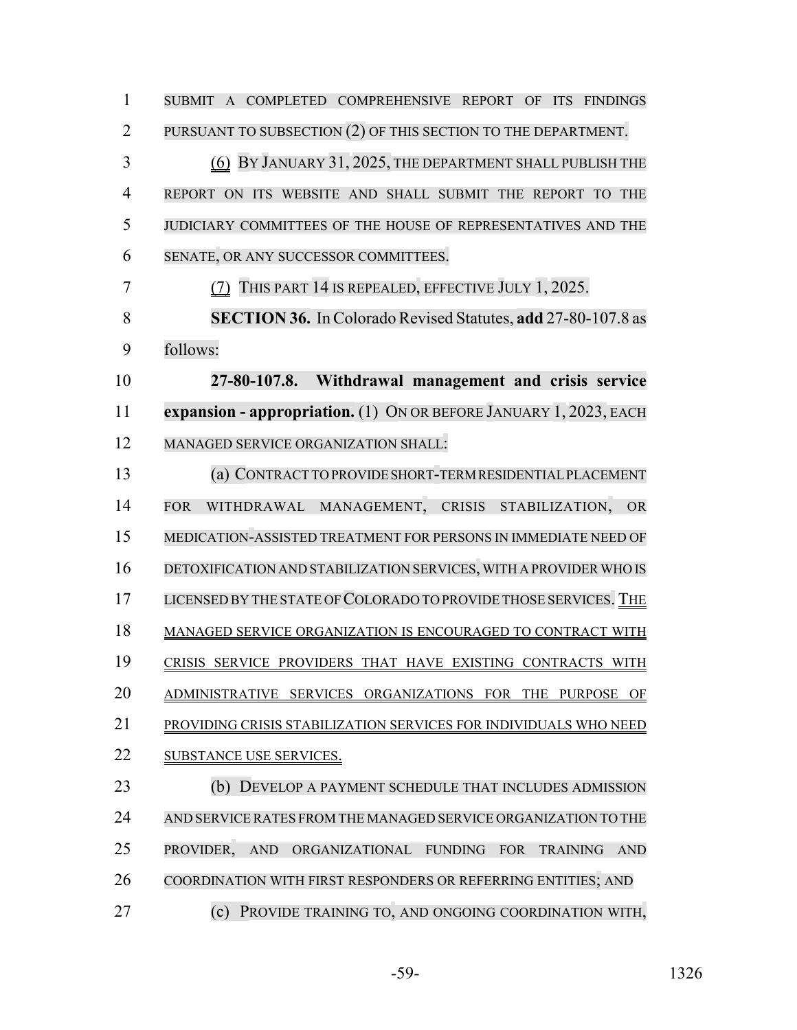| $\mathbf{1}$   | SUBMIT A COMPLETED COMPREHENSIVE REPORT OF ITS FINDINGS                                                    |
|----------------|------------------------------------------------------------------------------------------------------------|
| $\overline{2}$ | PURSUANT TO SUBSECTION (2) OF THIS SECTION TO THE DEPARTMENT.                                              |
| 3              | (6) BY JANUARY 31, 2025, THE DEPARTMENT SHALL PUBLISH THE                                                  |
| $\overline{4}$ | REPORT ON ITS WEBSITE AND SHALL SUBMIT THE REPORT TO<br><b>THE</b>                                         |
| 5              | JUDICIARY COMMITTEES OF THE HOUSE OF REPRESENTATIVES AND THE                                               |
| 6              | SENATE, OR ANY SUCCESSOR COMMITTEES.                                                                       |
| 7              | THIS PART 14 IS REPEALED, EFFECTIVE JULY 1, 2025.                                                          |
| 8              | <b>SECTION 36.</b> In Colorado Revised Statutes, add 27-80-107.8 as                                        |
| 9              | follows:                                                                                                   |
| 10             | 27-80-107.8. Withdrawal management and crisis service                                                      |
| 11             | expansion - appropriation. (1) ON OR BEFORE JANUARY 1, 2023, EACH                                          |
| 12             | MANAGED SERVICE ORGANIZATION SHALL:                                                                        |
| 13             | (a) CONTRACT TO PROVIDE SHORT-TERM RESIDENTIAL PLACEMENT                                                   |
| 14             | WITHDRAWAL MANAGEMENT, CRISIS STABILIZATION,<br><b>FOR</b><br><b>OR</b>                                    |
| 15             | MEDICATION-ASSISTED TREATMENT FOR PERSONS IN IMMEDIATE NEED OF                                             |
| 16             | DETOXIFICATION AND STABILIZATION SERVICES, WITH A PROVIDER WHO IS                                          |
| 17             | LICENSED BY THE STATE OF COLORADO TO PROVIDE THOSE SERVICES. THE                                           |
| 18             | MANAGED SERVICE ORGANIZATION IS ENCOURAGED TO CONTRACT WITH                                                |
| 19             | CRISIS SERVICE PROVIDERS THAT HAVE EXISTING CONTRACTS WITH                                                 |
| 20             | ADMINISTRATIVE SERVICES ORGANIZATIONS FOR<br><b>THE</b><br><b>PURPOSE</b><br>OF                            |
| 21             | PROVIDING CRISIS STABILIZATION SERVICES FOR INDIVIDUALS WHO NEED                                           |
| 22             | <b>SUBSTANCE USE SERVICES.</b>                                                                             |
| 23             | DEVELOP A PAYMENT SCHEDULE THAT INCLUDES ADMISSION<br>(b)                                                  |
| 24             | AND SERVICE RATES FROM THE MANAGED SERVICE ORGANIZATION TO THE                                             |
| 25             | PROVIDER,<br>ORGANIZATIONAL<br><b>AND</b><br><b>FUNDING</b><br><b>FOR</b><br><b>TRAINING</b><br><b>AND</b> |
| 26             | COORDINATION WITH FIRST RESPONDERS OR REFERRING ENTITIES; AND                                              |
| 27             | (c)<br>PROVIDE TRAINING TO, AND ONGOING COORDINATION WITH,                                                 |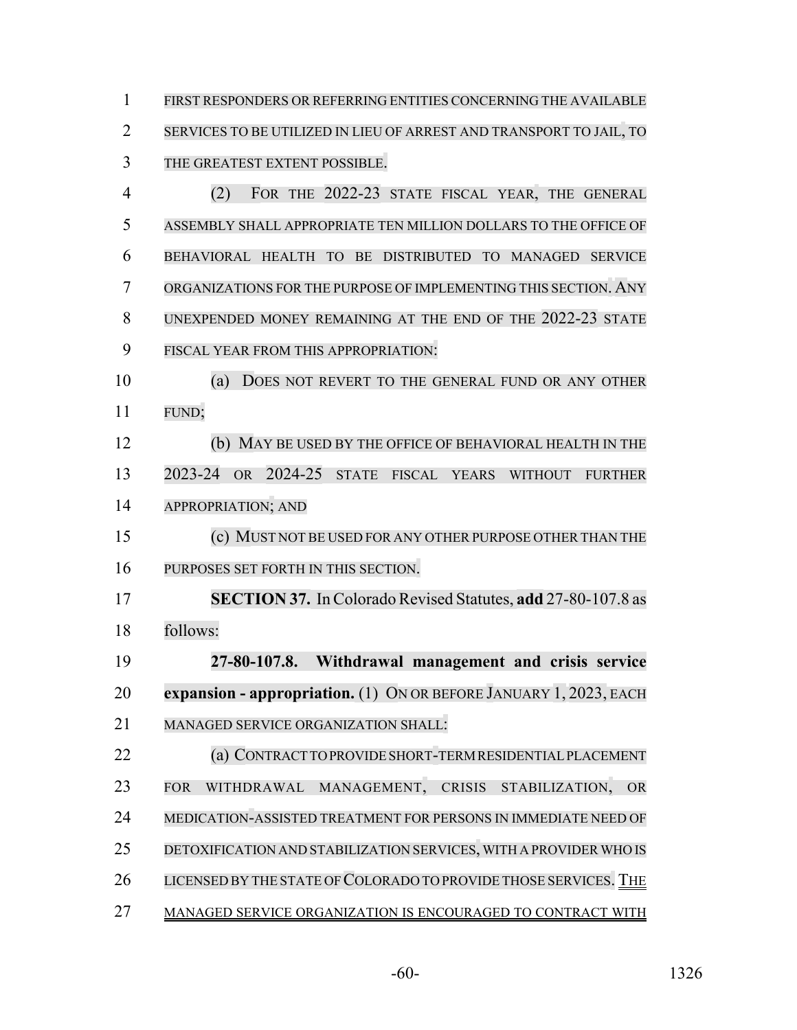FIRST RESPONDERS OR REFERRING ENTITIES CONCERNING THE AVAILABLE SERVICES TO BE UTILIZED IN LIEU OF ARREST AND TRANSPORT TO JAIL, TO THE GREATEST EXTENT POSSIBLE. (2) FOR THE 2022-23 STATE FISCAL YEAR, THE GENERAL ASSEMBLY SHALL APPROPRIATE TEN MILLION DOLLARS TO THE OFFICE OF BEHAVIORAL HEALTH TO BE DISTRIBUTED TO MANAGED SERVICE ORGANIZATIONS FOR THE PURPOSE OF IMPLEMENTING THIS SECTION. ANY UNEXPENDED MONEY REMAINING AT THE END OF THE 2022-23 STATE FISCAL YEAR FROM THIS APPROPRIATION: (a) DOES NOT REVERT TO THE GENERAL FUND OR ANY OTHER FUND; (b) MAY BE USED BY THE OFFICE OF BEHAVIORAL HEALTH IN THE 2023-24 OR 2024-25 STATE FISCAL YEARS WITHOUT FURTHER APPROPRIATION; AND (c) MUST NOT BE USED FOR ANY OTHER PURPOSE OTHER THAN THE PURPOSES SET FORTH IN THIS SECTION. **SECTION 37.** In Colorado Revised Statutes, **add** 27-80-107.8 as follows: **27-80-107.8. Withdrawal management and crisis service expansion - appropriation.** (1) ON OR BEFORE JANUARY 1, 2023, EACH MANAGED SERVICE ORGANIZATION SHALL: (a) CONTRACT TO PROVIDE SHORT-TERMRESIDENTIALPLACEMENT FOR WITHDRAWAL MANAGEMENT, CRISIS STABILIZATION, OR MEDICATION-ASSISTED TREATMENT FOR PERSONS IN IMMEDIATE NEED OF DETOXIFICATION AND STABILIZATION SERVICES, WITH A PROVIDER WHO IS 26 LICENSED BY THE STATE OF COLORADO TO PROVIDE THOSE SERVICES. THE MANAGED SERVICE ORGANIZATION IS ENCOURAGED TO CONTRACT WITH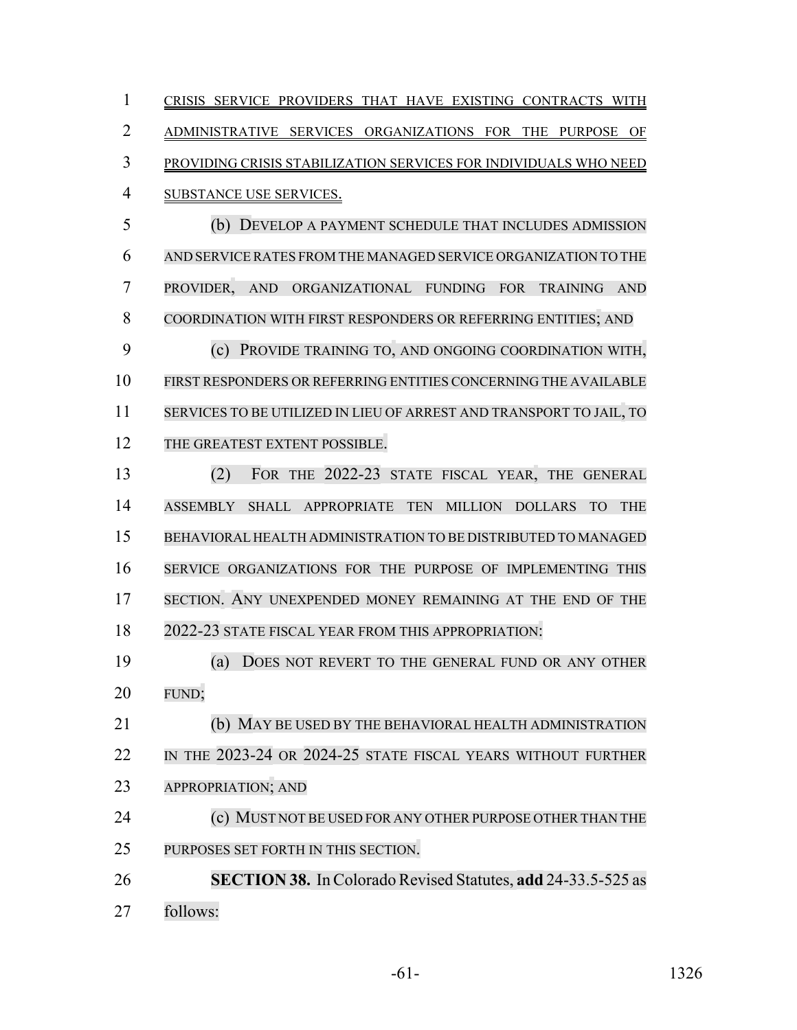CRISIS SERVICE PROVIDERS THAT HAVE EXISTING CONTRACTS WITH ADMINISTRATIVE SERVICES ORGANIZATIONS FOR THE PURPOSE OF PROVIDING CRISIS STABILIZATION SERVICES FOR INDIVIDUALS WHO NEED SUBSTANCE USE SERVICES. (b) DEVELOP A PAYMENT SCHEDULE THAT INCLUDES ADMISSION AND SERVICE RATES FROM THE MANAGED SERVICE ORGANIZATION TO THE PROVIDER, AND ORGANIZATIONAL FUNDING FOR TRAINING AND COORDINATION WITH FIRST RESPONDERS OR REFERRING ENTITIES; AND (c) PROVIDE TRAINING TO, AND ONGOING COORDINATION WITH, FIRST RESPONDERS OR REFERRING ENTITIES CONCERNING THE AVAILABLE SERVICES TO BE UTILIZED IN LIEU OF ARREST AND TRANSPORT TO JAIL, TO 12 THE GREATEST EXTENT POSSIBLE. (2) FOR THE 2022-23 STATE FISCAL YEAR, THE GENERAL ASSEMBLY SHALL APPROPRIATE TEN MILLION DOLLARS TO THE BEHAVIORAL HEALTH ADMINISTRATION TO BE DISTRIBUTED TO MANAGED SERVICE ORGANIZATIONS FOR THE PURPOSE OF IMPLEMENTING THIS SECTION. ANY UNEXPENDED MONEY REMAINING AT THE END OF THE 2022-23 STATE FISCAL YEAR FROM THIS APPROPRIATION:

 (a) DOES NOT REVERT TO THE GENERAL FUND OR ANY OTHER FUND;

 (b) MAY BE USED BY THE BEHAVIORAL HEALTH ADMINISTRATION 22 IN THE 2023-24 OR 2024-25 STATE FISCAL YEARS WITHOUT FURTHER APPROPRIATION; AND **(c) MUST NOT BE USED FOR ANY OTHER PURPOSE OTHER THAN THE** 

PURPOSES SET FORTH IN THIS SECTION.

 **SECTION 38.** In Colorado Revised Statutes, **add** 24-33.5-525 as follows: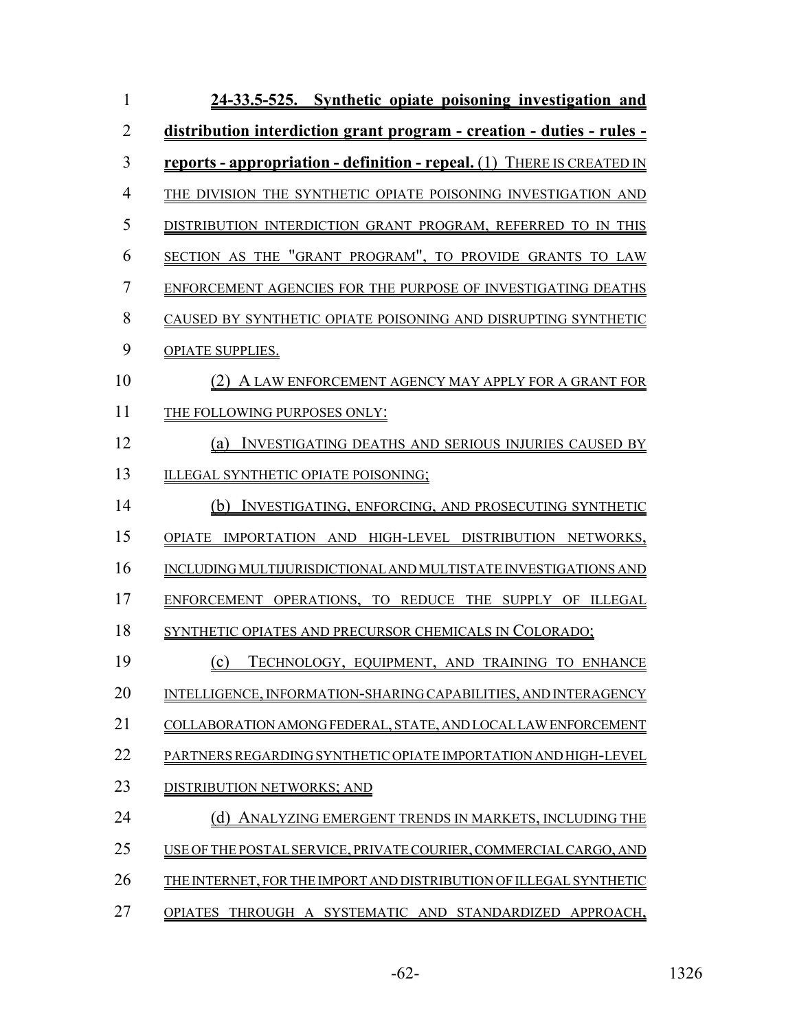| $\mathbf{1}$   | 24-33.5-525. Synthetic opiate poisoning investigation and                     |
|----------------|-------------------------------------------------------------------------------|
| $\overline{2}$ | distribution interdiction grant program - creation - duties - rules -         |
| 3              | <u>reports - appropriation - definition - repeal. (1) THERE IS CREATED IN</u> |
| $\overline{4}$ | THE DIVISION THE SYNTHETIC OPIATE POISONING INVESTIGATION AND                 |
| 5              | DISTRIBUTION INTERDICTION GRANT PROGRAM, REFERRED TO IN THIS                  |
| 6              | SECTION AS THE "GRANT PROGRAM", TO PROVIDE GRANTS TO LAW                      |
| $\overline{7}$ | ENFORCEMENT AGENCIES FOR THE PURPOSE OF INVESTIGATING DEATHS                  |
| 8              | CAUSED BY SYNTHETIC OPIATE POISONING AND DISRUPTING SYNTHETIC                 |
| 9              | <b>OPIATE SUPPLIES.</b>                                                       |
| 10             | (2) A LAW ENFORCEMENT AGENCY MAY APPLY FOR A GRANT FOR                        |
| 11             | THE FOLLOWING PURPOSES ONLY:                                                  |
| 12             | (a) INVESTIGATING DEATHS AND SERIOUS INJURIES CAUSED BY                       |
| 13             | ILLEGAL SYNTHETIC OPIATE POISONING;                                           |
| 14             | (b) INVESTIGATING, ENFORCING, AND PROSECUTING SYNTHETIC                       |
| 15             | OPIATE IMPORTATION AND HIGH-LEVEL DISTRIBUTION NETWORKS,                      |
| 16             | INCLUDING MULTIJURISDICTIONAL AND MULTISTATE INVESTIGATIONS AND               |
| 17             | ENFORCEMENT OPERATIONS, TO REDUCE THE SUPPLY OF ILLEGAL                       |
| 18             | SYNTHETIC OPIATES AND PRECURSOR CHEMICALS IN COLORADO;                        |
| 19             | TECHNOLOGY, EQUIPMENT, AND TRAINING TO ENHANCE<br>(c)                         |
| 20             | INTELLIGENCE, INFORMATION-SHARING CAPABILITIES, AND INTERAGENCY               |
| 21             | COLLABORATION AMONG FEDERAL, STATE, AND LOCAL LAW ENFORCEMENT                 |
| 22             | PARTNERS REGARDING SYNTHETIC OPIATE IMPORTATION AND HIGH-LEVEL                |
| 23             | DISTRIBUTION NETWORKS: AND                                                    |
| 24             | ANALYZING EMERGENT TRENDS IN MARKETS, INCLUDING THE                           |
| 25             | USE OF THE POSTAL SERVICE. PRIVATE COURIER, COMMERCIAL CARGO, AND             |
| 26             | THE INTERNET, FOR THE IMPORT AND DISTRIBUTION OF ILLEGAL SYNTHETIC            |
| 27             | <b>OPIATES</b><br>THROUGH A SYSTEMATIC AND STANDARDIZED APPROACH,             |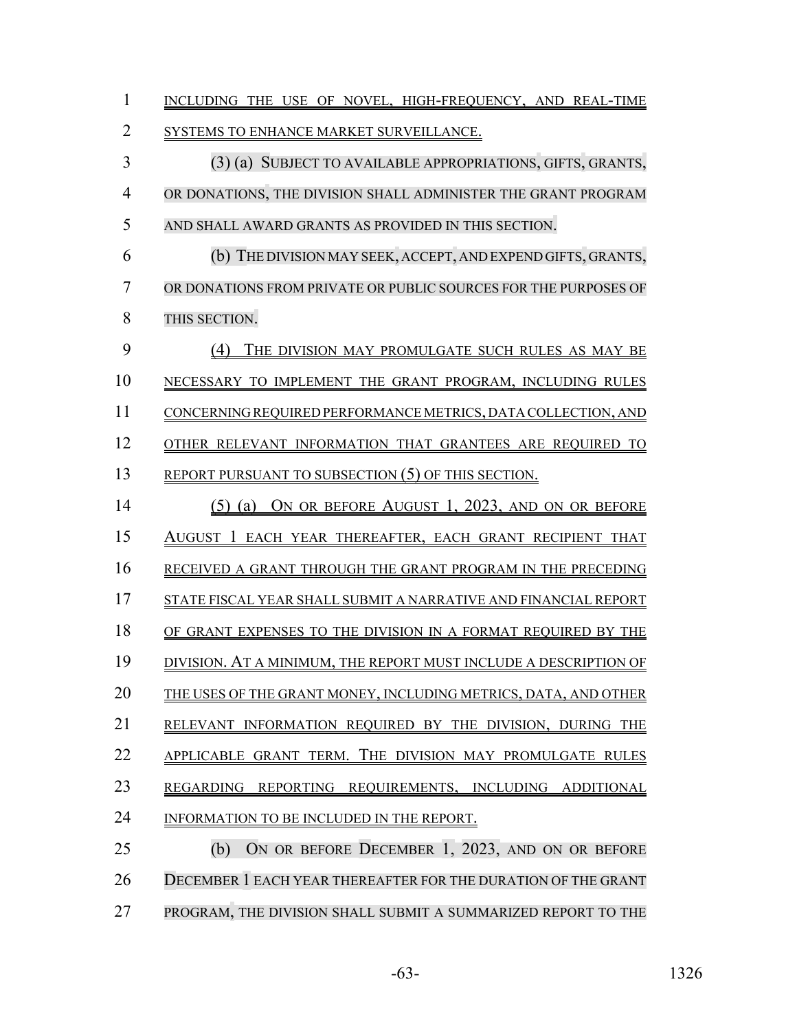| $\mathbf{1}$ | INCLUDING THE USE OF NOVEL, HIGH-FREQUENCY, AND REAL-TIME           |
|--------------|---------------------------------------------------------------------|
| 2            | SYSTEMS TO ENHANCE MARKET SURVEILLANCE.                             |
| 3            | (3) (a) SUBJECT TO AVAILABLE APPROPRIATIONS, GIFTS, GRANTS,         |
| 4            | OR DONATIONS, THE DIVISION SHALL ADMINISTER THE GRANT PROGRAM       |
| 5            | AND SHALL AWARD GRANTS AS PROVIDED IN THIS SECTION.                 |
| 6            | (b) THE DIVISION MAY SEEK, ACCEPT, AND EXPEND GIFTS, GRANTS,        |
| 7            | OR DONATIONS FROM PRIVATE OR PUBLIC SOURCES FOR THE PURPOSES OF     |
| 8            | THIS SECTION.                                                       |
| 9            | (4)<br>THE DIVISION MAY PROMULGATE SUCH RULES AS MAY BE             |
| 10           | NECESSARY TO IMPLEMENT THE GRANT PROGRAM, INCLUDING RULES           |
| 11           | CONCERNING REQUIRED PERFORMANCE METRICS, DATA COLLECTION, AND       |
| 12           | OTHER RELEVANT INFORMATION THAT GRANTEES ARE REQUIRED TO            |
| 13           | REPORT PURSUANT TO SUBSECTION (5) OF THIS SECTION.                  |
| 14           | (5) (a) ON OR BEFORE AUGUST 1, 2023, AND ON OR BEFORE               |
| 15           | AUGUST 1 EACH YEAR THEREAFTER, EACH GRANT RECIPIENT THAT            |
| 16           | RECEIVED A GRANT THROUGH THE GRANT PROGRAM IN THE PRECEDING         |
| 17           | STATE FISCAL YEAR SHALL SUBMIT A NARRATIVE AND FINANCIAL REPORT     |
| 18           | OF GRANT EXPENSES TO THE DIVISION IN A FORMAT REQUIRED BY THE       |
| 19           | DIVISION. AT A MINIMUM, THE REPORT MUST INCLUDE A DESCRIPTION OF    |
| 20           | THE USES OF THE GRANT MONEY, INCLUDING METRICS, DATA, AND OTHER     |
| 21           | RELEVANT INFORMATION REQUIRED BY THE DIVISION, DURING THE           |
| 22           | APPLICABLE GRANT TERM. THE DIVISION MAY PROMULGATE RULES            |
| 23           | REGARDING<br><b>REPORTING</b><br>REQUIREMENTS, INCLUDING ADDITIONAL |
| 24           | INFORMATION TO BE INCLUDED IN THE REPORT.                           |
| 25           | ON OR BEFORE DECEMBER 1, 2023, AND ON OR BEFORE<br>(b)              |
| 26           | DECEMBER 1 EACH YEAR THEREAFTER FOR THE DURATION OF THE GRANT       |
| 27           | PROGRAM, THE DIVISION SHALL SUBMIT A SUMMARIZED REPORT TO THE       |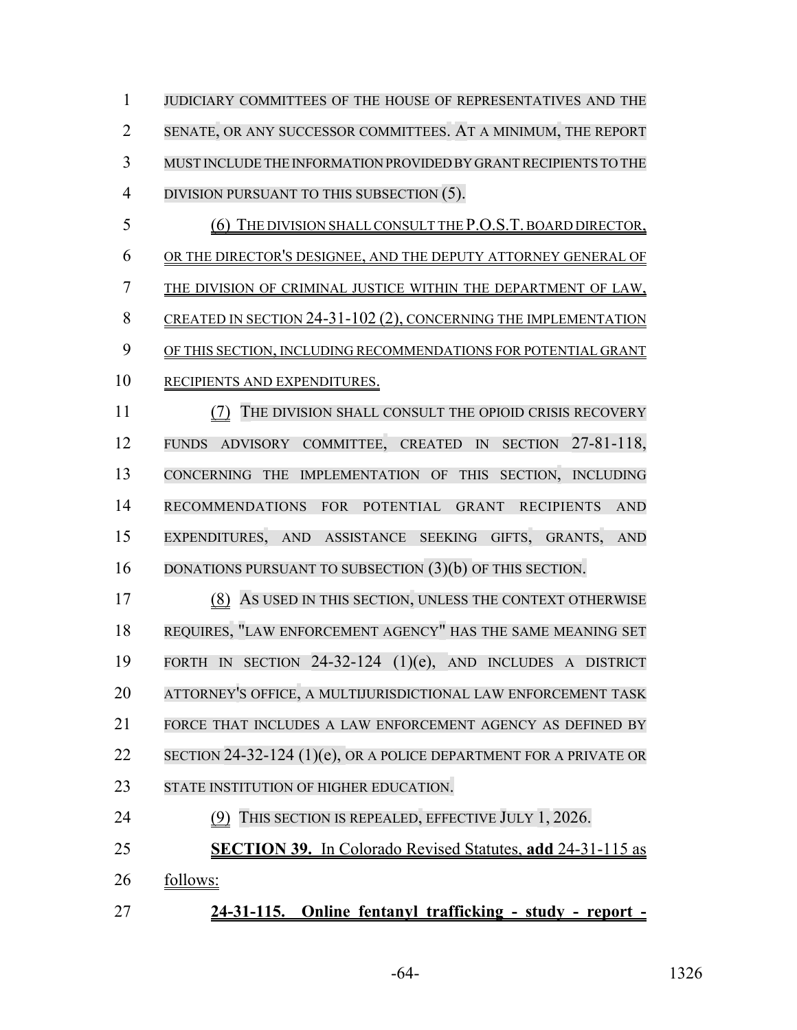JUDICIARY COMMITTEES OF THE HOUSE OF REPRESENTATIVES AND THE SENATE, OR ANY SUCCESSOR COMMITTEES. AT A MINIMUM, THE REPORT MUST INCLUDE THE INFORMATION PROVIDED BY GRANT RECIPIENTS TO THE 4 DIVISION PURSUANT TO THIS SUBSECTION (5).

 (6) THE DIVISION SHALL CONSULT THE P.O.S.T. BOARD DIRECTOR, OR THE DIRECTOR'S DESIGNEE, AND THE DEPUTY ATTORNEY GENERAL OF THE DIVISION OF CRIMINAL JUSTICE WITHIN THE DEPARTMENT OF LAW, 8 CREATED IN SECTION 24-31-102 (2), CONCERNING THE IMPLEMENTATION OF THIS SECTION, INCLUDING RECOMMENDATIONS FOR POTENTIAL GRANT RECIPIENTS AND EXPENDITURES.

 (7) THE DIVISION SHALL CONSULT THE OPIOID CRISIS RECOVERY FUNDS ADVISORY COMMITTEE, CREATED IN SECTION 27-81-118, CONCERNING THE IMPLEMENTATION OF THIS SECTION, INCLUDING RECOMMENDATIONS FOR POTENTIAL GRANT RECIPIENTS AND EXPENDITURES, AND ASSISTANCE SEEKING GIFTS, GRANTS, AND 16 DONATIONS PURSUANT TO SUBSECTION (3)(b) OF THIS SECTION.

 (8) AS USED IN THIS SECTION, UNLESS THE CONTEXT OTHERWISE REQUIRES, "LAW ENFORCEMENT AGENCY" HAS THE SAME MEANING SET FORTH IN SECTION 24-32-124 (1)(e), AND INCLUDES A DISTRICT ATTORNEY'S OFFICE, A MULTIJURISDICTIONAL LAW ENFORCEMENT TASK FORCE THAT INCLUDES A LAW ENFORCEMENT AGENCY AS DEFINED BY 22 SECTION 24-32-124 (1)(e), OR A POLICE DEPARTMENT FOR A PRIVATE OR 23 STATE INSTITUTION OF HIGHER EDUCATION. (9) THIS SECTION IS REPEALED, EFFECTIVE JULY 1, 2026.

- 
- **SECTION 39.** In Colorado Revised Statutes, **add** 24-31-115 as
- follows:
- **24-31-115. Online fentanyl trafficking study report -**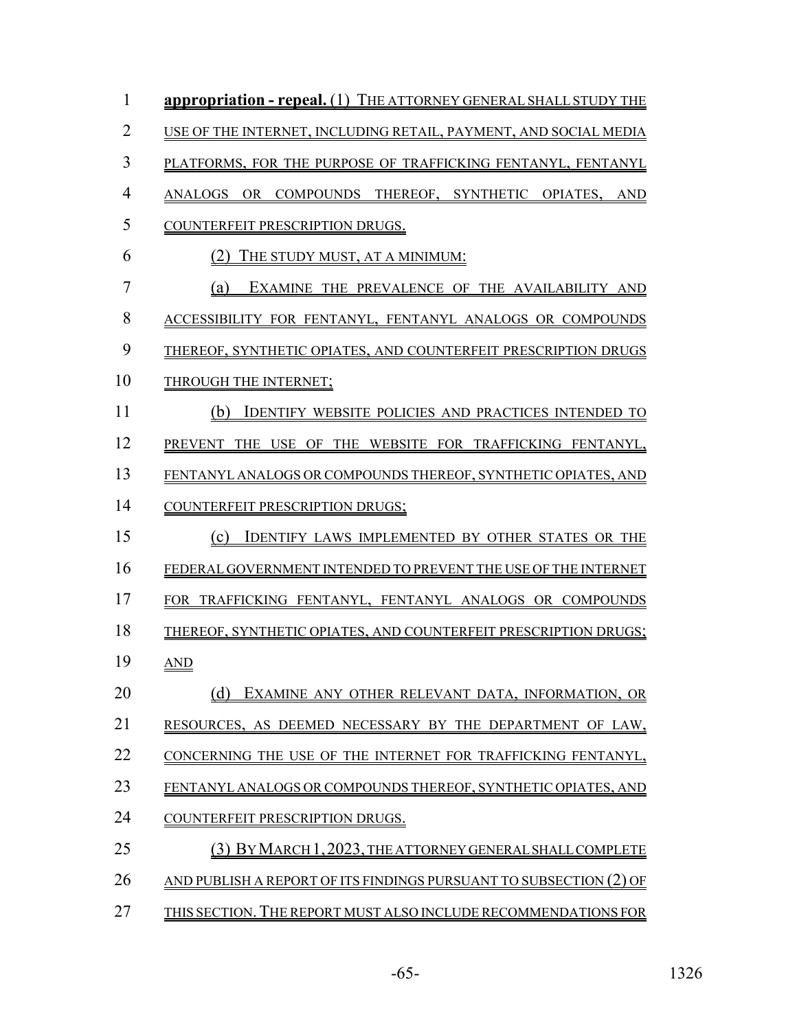| $\mathbf{1}$   | <b>appropriation - repeal.</b> (1) THE ATTORNEY GENERAL SHALL STUDY THE   |
|----------------|---------------------------------------------------------------------------|
| $\overline{2}$ | USE OF THE INTERNET, INCLUDING RETAIL, PAYMENT, AND SOCIAL MEDIA          |
| 3              | PLATFORMS, FOR THE PURPOSE OF TRAFFICKING FENTANYL, FENTANYL              |
| $\overline{4}$ | ANALOGS OR COMPOUNDS THEREOF, SYNTHETIC OPIATES, AND                      |
| 5              | COUNTERFEIT PRESCRIPTION DRUGS.                                           |
| 6              | (2)<br>THE STUDY MUST, AT A MINIMUM:                                      |
| $\overline{7}$ | EXAMINE THE PREVALENCE OF THE AVAILABILITY AND<br>(a)                     |
| 8              | ACCESSIBILITY FOR FENTANYL, FENTANYL ANALOGS OR COMPOUNDS                 |
| 9              | THEREOF, SYNTHETIC OPIATES, AND COUNTERFEIT PRESCRIPTION DRUGS            |
| 10             | THROUGH THE INTERNET;                                                     |
| 11             | (b)<br><b>IDENTIFY WEBSITE POLICIES AND PRACTICES INTENDED TO</b>         |
| 12             | PREVENT THE USE OF THE WEBSITE FOR TRAFFICKING FENTANYL,                  |
| 13             | FENTANYL ANALOGS OR COMPOUNDS THEREOF, SYNTHETIC OPIATES, AND             |
| 14             | COUNTERFEIT PRESCRIPTION DRUGS;                                           |
| 15             | (c)<br><b>IDENTIFY LAWS IMPLEMENTED BY OTHER STATES OR THE</b>            |
| 16             | FEDERAL GOVERNMENT INTENDED TO PREVENT THE USE OF THE INTERNET            |
| 17             | FOR TRAFFICKING FENTANYL, FENTANYL ANALOGS OR COMPOUNDS                   |
| 18             | THEREOF, SYNTHETIC OPIATES, AND COUNTERFEIT PRESCRIPTION DRUGS;           |
| 19             | <b>AND</b>                                                                |
| 20             | (d)<br>EXAMINE ANY OTHER RELEVANT DATA, INFORMATION, OR                   |
| 21             | RESOURCES, AS DEEMED NECESSARY BY THE DEPARTMENT OF LAW,                  |
| 22             | CONCERNING THE USE OF THE INTERNET FOR TRAFFICKING FENTANYL,              |
| 23             | FENTANYL ANALOGS OR COMPOUNDS THEREOF, SYNTHETIC OPIATES, AND             |
| 24             | COUNTERFEIT PRESCRIPTION DRUGS.                                           |
| 25             | (3) BY MARCH 1, 2023, THE ATTORNEY GENERAL SHALL COMPLETE                 |
| 26             | <u>AND PUBLISH A REPORT OF ITS FINDINGS PURSUANT TO SUBSECTION (2) OF</u> |
| 27             | THIS SECTION. THE REPORT MUST ALSO INCLUDE RECOMMENDATIONS FOR            |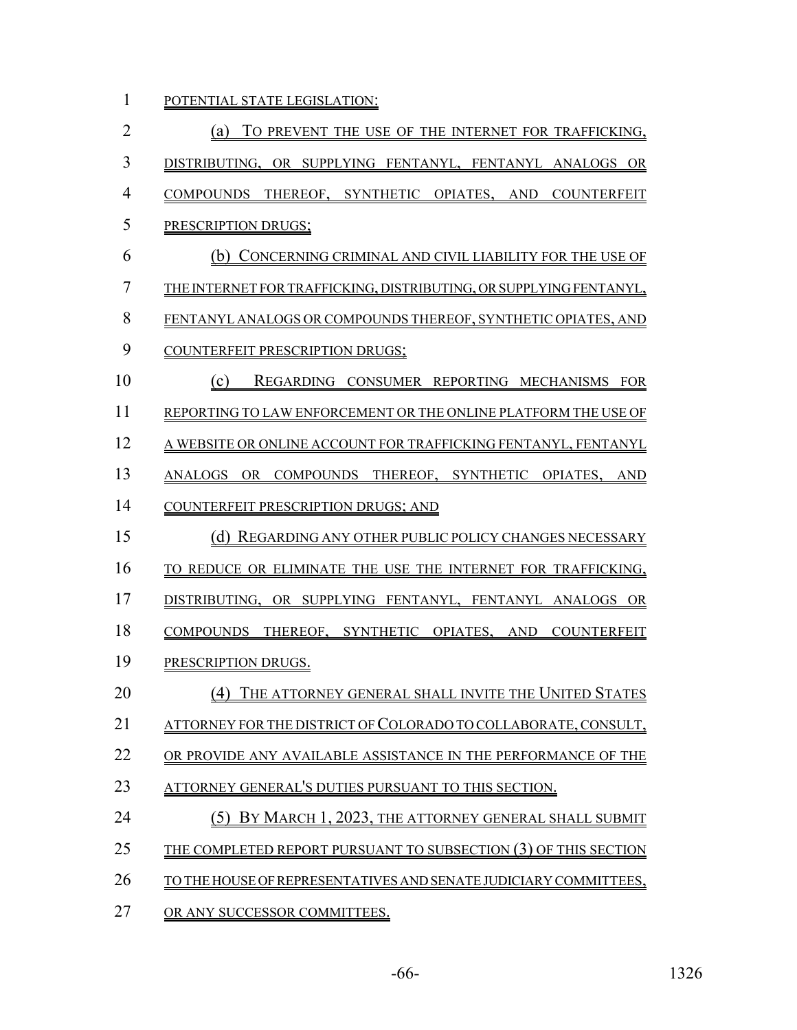1 POTENTIAL STATE LEGISLATION:

| $\overline{2}$ | (a) TO PREVENT THE USE OF THE INTERNET FOR TRAFFICKING,                |
|----------------|------------------------------------------------------------------------|
| 3              | DISTRIBUTING, OR SUPPLYING FENTANYL, FENTANYL ANALOGS OR               |
| $\overline{4}$ | COMPOUNDS THEREOF, SYNTHETIC OPIATES, AND COUNTERFEIT                  |
| 5              | PRESCRIPTION DRUGS;                                                    |
| 6              | (b) CONCERNING CRIMINAL AND CIVIL LIABILITY FOR THE USE OF             |
| $\overline{7}$ | THE INTERNET FOR TRAFFICKING, DISTRIBUTING, OR SUPPLYING FENTANYL,     |
| 8              | FENTANYL ANALOGS OR COMPOUNDS THEREOF, SYNTHETIC OPIATES, AND          |
| 9              | COUNTERFEIT PRESCRIPTION DRUGS;                                        |
| 10             | (c)<br>REGARDING CONSUMER REPORTING MECHANISMS FOR                     |
| 11             | REPORTING TO LAW ENFORCEMENT OR THE ONLINE PLATFORM THE USE OF         |
| 12             | A WEBSITE OR ONLINE ACCOUNT FOR TRAFFICKING FENTANYL, FENTANYL         |
| 13             | ANALOGS OR COMPOUNDS THEREOF, SYNTHETIC OPIATES, AND                   |
| 14             | COUNTERFEIT PRESCRIPTION DRUGS; AND                                    |
| 15             | (d) REGARDING ANY OTHER PUBLIC POLICY CHANGES NECESSARY                |
| 16             | TO REDUCE OR ELIMINATE THE USE THE INTERNET FOR TRAFFICKING,           |
| 17             | DISTRIBUTING, OR SUPPLYING FENTANYL, FENTANYL ANALOGS OR               |
| 18             | COMPOUNDS THEREOF, SYNTHETIC OPIATES, AND COUNTERFEIT                  |
| 19             | PRESCRIPTION DRUGS.                                                    |
| 20             | (4) THE ATTORNEY GENERAL SHALL INVITE THE UNITED STATES                |
| 21             | <u>ATTORNEY FOR THE DISTRICT OF COLORADO TO COLLABORATE, CONSULT, </u> |
| 22             | OR PROVIDE ANY AVAILABLE ASSISTANCE IN THE PERFORMANCE OF THE          |
| 23             | ATTORNEY GENERAL'S DUTIES PURSUANT TO THIS SECTION.                    |
| 24             | (5) BY MARCH 1, 2023, THE ATTORNEY GENERAL SHALL SUBMIT                |
| 25             | <u>THE COMPLETED REPORT PURSUANT TO SUBSECTION (3) OF THIS SECTION</u> |
| 26             | TO THE HOUSE OF REPRESENTATIVES AND SENATE JUDICIARY COMMITTEES,       |
| 27             | OR ANY SUCCESSOR COMMITTEES.                                           |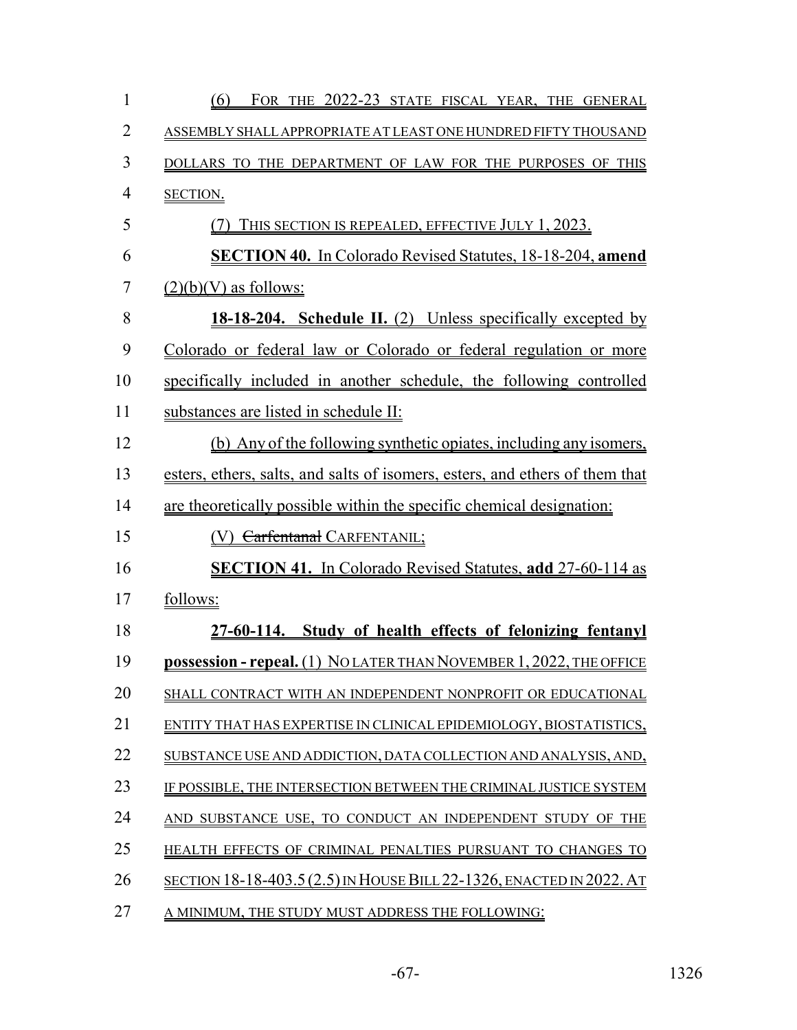| $\mathbf{1}$   | FOR THE 2022-23 STATE FISCAL YEAR, THE GENERAL<br>(6)                        |
|----------------|------------------------------------------------------------------------------|
| $\overline{2}$ | ASSEMBLY SHALL APPROPRIATE AT LEAST ONE HUNDRED FIFTY THOUSAND               |
| 3              | DOLLARS TO THE DEPARTMENT OF LAW FOR THE PURPOSES OF THIS                    |
| $\overline{4}$ | SECTION.                                                                     |
| 5              | THIS SECTION IS REPEALED, EFFECTIVE JULY 1, 2023.<br>(7)                     |
| 6              | <b>SECTION 40.</b> In Colorado Revised Statutes, 18-18-204, amend            |
| 7              | $(2)(b)(V)$ as follows:                                                      |
| 8              | 18-18-204. Schedule II. (2) Unless specifically excepted by                  |
| 9              | Colorado or federal law or Colorado or federal regulation or more            |
| 10             | specifically included in another schedule, the following controlled          |
| 11             | substances are listed in schedule II:                                        |
| 12             | (b) Any of the following synthetic opiates, including any isomers,           |
| 13             | esters, ethers, salts, and salts of isomers, esters, and ethers of them that |
| 14             | are theoretically possible within the specific chemical designation:         |
| 15             | <b>Carfentanal CARFENTANIL;</b>                                              |
| 16             | <b>SECTION 41.</b> In Colorado Revised Statutes, add 27-60-114 as            |
| 17             | follows:                                                                     |
| 18             | 27-60-114. Study of health effects of felonizing fentanyl                    |
| 19             | <b>possession - repeal.</b> (1) NOLATER THAN NOVEMBER 1, 2022, THE OFFICE    |
| 20             | SHALL CONTRACT WITH AN INDEPENDENT NONPROFIT OR EDUCATIONAL                  |
| 21             | ENTITY THAT HAS EXPERTISE IN CLINICAL EPIDEMIOLOGY, BIOSTATISTICS,           |
| 22             | SUBSTANCE USE AND ADDICTION, DATA COLLECTION AND ANALYSIS, AND,              |
| 23             | IF POSSIBLE. THE INTERSECTION BETWEEN THE CRIMINAL JUSTICE SYSTEM            |
| 24             | AND SUBSTANCE USE, TO CONDUCT AN INDEPENDENT STUDY OF THE                    |
| 25             | HEALTH EFFECTS OF CRIMINAL PENALTIES PURSUANT TO CHANGES TO                  |
| 26             | SECTION 18-18-403.5 (2.5) IN HOUSE BILL 22-1326, ENACTED IN 2022. AT         |
| 27             | A MINIMUM, THE STUDY MUST ADDRESS THE FOLLOWING:                             |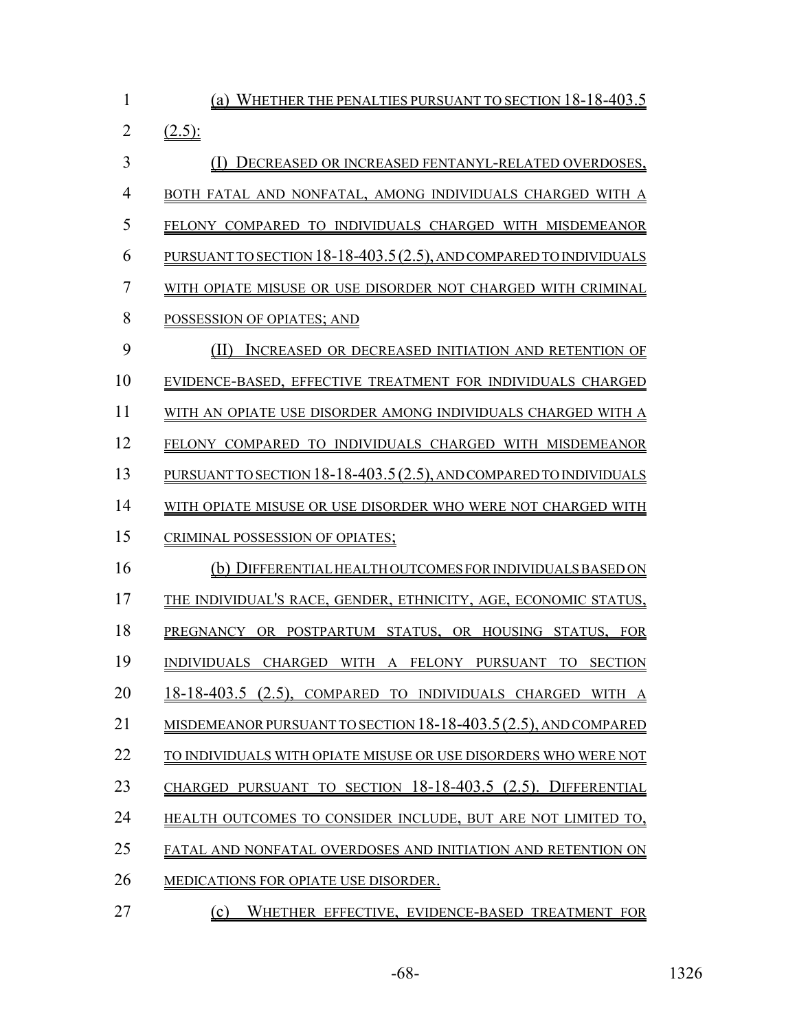| 1              | (a) WHETHER THE PENALTIES PURSUANT TO SECTION 18-18-403.5          |
|----------------|--------------------------------------------------------------------|
| $\overline{2}$ | $(2.5)$ :                                                          |
| 3              | DECREASED OR INCREASED FENTANYL-RELATED OVERDOSES,                 |
| $\overline{4}$ | BOTH FATAL AND NONFATAL, AMONG INDIVIDUALS CHARGED WITH A          |
| 5              | FELONY COMPARED TO INDIVIDUALS CHARGED WITH MISDEMEANOR            |
| 6              | PURSUANT TO SECTION 18-18-403.5 (2.5), AND COMPARED TO INDIVIDUALS |
| 7              | WITH OPIATE MISUSE OR USE DISORDER NOT CHARGED WITH CRIMINAL       |
| 8              | POSSESSION OF OPIATES; AND                                         |
| 9              | (11)<br>INCREASED OR DECREASED INITIATION AND RETENTION OF         |
| 10             | EVIDENCE-BASED, EFFECTIVE TREATMENT FOR INDIVIDUALS CHARGED        |
| 11             | WITH AN OPIATE USE DISORDER AMONG INDIVIDUALS CHARGED WITH A       |
| 12             | FELONY COMPARED TO INDIVIDUALS CHARGED WITH MISDEMEANOR            |
| 13             | PURSUANT TO SECTION 18-18-403.5 (2.5), AND COMPARED TO INDIVIDUALS |
| 14             | WITH OPIATE MISUSE OR USE DISORDER WHO WERE NOT CHARGED WITH       |
| 15             | CRIMINAL POSSESSION OF OPIATES;                                    |
| 16             | (b) DIFFERENTIAL HEALTH OUTCOMES FOR INDIVIDUALS BASED ON          |
| 17             | THE INDIVIDUAL'S RACE, GENDER, ETHNICITY, AGE, ECONOMIC STATUS,    |
| 18             | PREGNANCY OR POSTPARTUM STATUS, OR HOUSING STATUS, FOR             |
| 19             | INDIVIDUALS CHARGED WITH A FELONY PURSUANT TO SECTION              |
| 20             | 18-18-403.5 (2.5), COMPARED TO INDIVIDUALS CHARGED WITH A          |
| 21             | MISDEMEANOR PURSUANT TO SECTION 18-18-403.5 (2.5), AND COMPARED    |
| 22             | TO INDIVIDUALS WITH OPIATE MISUSE OR USE DISORDERS WHO WERE NOT    |
| 23             | CHARGED PURSUANT TO SECTION 18-18-403.5 (2.5). DIFFERENTIAL        |
| 24             | HEALTH OUTCOMES TO CONSIDER INCLUDE, BUT ARE NOT LIMITED TO,       |
| 25             | FATAL AND NONFATAL OVERDOSES AND INITIATION AND RETENTION ON       |
| 26             | MEDICATIONS FOR OPIATE USE DISORDER.                               |
| 27             | Wurturn                                                            |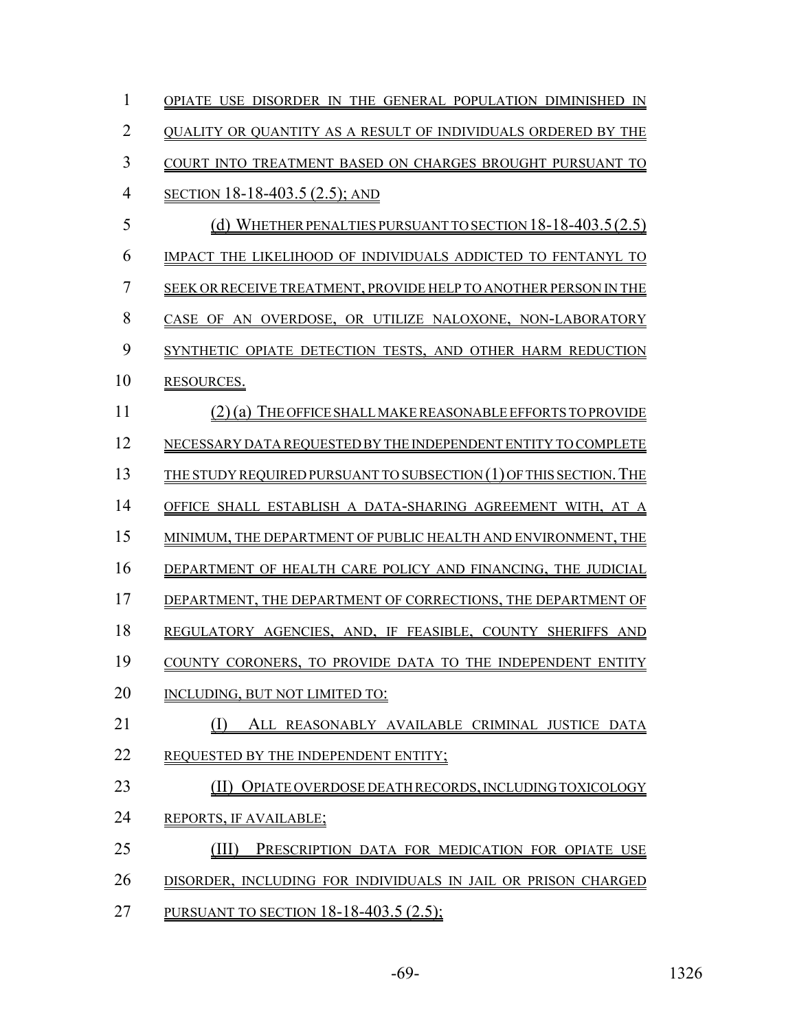| 1              | OPIATE USE DISORDER IN THE GENERAL POPULATION DIMINISHED IN        |
|----------------|--------------------------------------------------------------------|
| 2              | QUALITY OR QUANTITY AS A RESULT OF INDIVIDUALS ORDERED BY THE      |
| 3              | COURT INTO TREATMENT BASED ON CHARGES BROUGHT PURSUANT TO          |
| $\overline{4}$ | SECTION 18-18-403.5 (2.5); AND                                     |
| 5              | (d) WHETHER PENALTIES PURSUANT TO SECTION $18-18-403.5(2.5)$       |
| 6              | IMPACT THE LIKELIHOOD OF INDIVIDUALS ADDICTED TO FENTANYL TO       |
| 7              | SEEK OR RECEIVE TREATMENT, PROVIDE HELP TO ANOTHER PERSON IN THE   |
| 8              | CASE OF AN OVERDOSE, OR UTILIZE NALOXONE, NON-LABORATORY           |
| 9              | SYNTHETIC OPIATE DETECTION TESTS, AND OTHER HARM REDUCTION         |
| 10             | RESOURCES.                                                         |
| 11             | (2) (a) THE OFFICE SHALL MAKE REASONABLE EFFORTS TO PROVIDE        |
| 12             | NECESSARY DATA REQUESTED BY THE INDEPENDENT ENTITY TO COMPLETE     |
| 13             | THE STUDY REOUIRED PURSUANT TO SUBSECTION (1) OF THIS SECTION. THE |
| 14             | OFFICE SHALL ESTABLISH A DATA-SHARING AGREEMENT WITH, AT A         |
| 15             | MINIMUM, THE DEPARTMENT OF PUBLIC HEALTH AND ENVIRONMENT, THE      |
| 16             | DEPARTMENT OF HEALTH CARE POLICY AND FINANCING, THE JUDICIAL       |
| 17             | DEPARTMENT, THE DEPARTMENT OF CORRECTIONS, THE DEPARTMENT OF       |
| 18             | REGULATORY AGENCIES, AND, IF FEASIBLE, COUNTY SHERIFFS AND         |
| 19             | COUNTY CORONERS, TO PROVIDE DATA TO THE INDEPENDENT ENTITY         |
| 20             | INCLUDING, BUT NOT LIMITED TO:                                     |
| 21             | ALL REASONABLY AVAILABLE CRIMINAL JUSTICE DATA                     |
| 22             | REOUESTED BY THE INDEPENDENT ENTITY;                               |
| 23             | (II) OPIATE OVERDOSE DEATH RECORDS, INCLUDING TOXICOLOGY           |
| 24             | REPORTS, IF AVAILABLE;                                             |
| 25             | (III)<br>PRESCRIPTION DATA FOR MEDICATION FOR OPIATE USE           |
| 26             | DISORDER, INCLUDING FOR INDIVIDUALS IN JAIL OR PRISON CHARGED      |
| 27             | PURSUANT TO SECTION 18-18-403.5 (2.5);                             |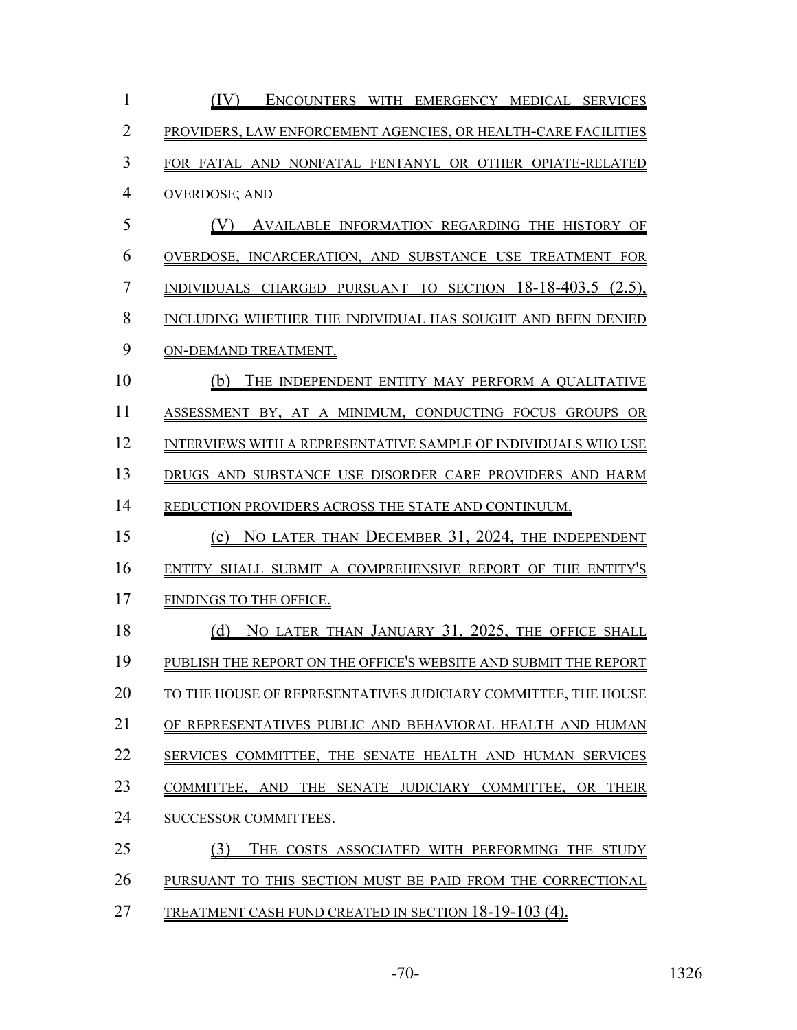| $\mathbf{1}$   | (IV)<br>ENCOUNTERS WITH EMERGENCY MEDICAL SERVICES                       |
|----------------|--------------------------------------------------------------------------|
| $\overline{2}$ | PROVIDERS, LAW ENFORCEMENT AGENCIES, OR HEALTH-CARE FACILITIES           |
| 3              | FOR FATAL AND NONFATAL FENTANYL OR OTHER OPIATE-RELATED                  |
| $\overline{4}$ | <b>OVERDOSE; AND</b>                                                     |
| 5              | (V)<br>AVAILABLE INFORMATION REGARDING THE HISTORY OF                    |
| 6              | OVERDOSE, INCARCERATION, AND SUBSTANCE USE TREATMENT FOR                 |
| $\overline{7}$ | INDIVIDUALS CHARGED PURSUANT TO SECTION $18-18-403.5$ (2.5),             |
| 8              | INCLUDING WHETHER THE INDIVIDUAL HAS SOUGHT AND BEEN DENIED              |
| 9              | ON-DEMAND TREATMENT.                                                     |
| 10             | THE INDEPENDENT ENTITY MAY PERFORM A QUALITATIVE<br>(b)                  |
| 11             | ASSESSMENT BY, AT A MINIMUM, CONDUCTING FOCUS GROUPS OR                  |
| 12             | INTERVIEWS WITH A REPRESENTATIVE SAMPLE OF INDIVIDUALS WHO USE           |
| 13             | DRUGS AND SUBSTANCE USE DISORDER CARE PROVIDERS AND HARM                 |
| 14             | REDUCTION PROVIDERS ACROSS THE STATE AND CONTINUUM.                      |
| 15             | (c) NO LATER THAN DECEMBER 31, 2024, THE INDEPENDENT                     |
| 16             | ENTITY SHALL SUBMIT A COMPREHENSIVE REPORT OF THE ENTITY'S               |
| 17             | FINDINGS TO THE OFFICE.                                                  |
| 18             | NO LATER THAN JANUARY 31, 2025, THE OFFICE SHALL<br>(d)                  |
| 19             | PUBLISH THE REPORT ON THE OFFICE'S WEBSITE AND SUBMIT THE REPORT         |
| 20             | TO THE HOUSE OF REPRESENTATIVES JUDICIARY COMMITTEE, THE HOUSE           |
| 21             | OF REPRESENTATIVES PUBLIC AND BEHAVIORAL HEALTH AND HUMAN                |
| 22             | SERVICES COMMITTEE, THE SENATE HEALTH AND HUMAN SERVICES                 |
| 23             | COMMITTEE, AND<br>THE SENATE JUDICIARY COMMITTEE.<br>OR.<br><b>THEIR</b> |
| 24             | SUCCESSOR COMMITTEES.                                                    |
| 25             | THE COSTS ASSOCIATED WITH PERFORMING THE STUDY                           |
| 26             | PURSUANT TO THIS SECTION MUST BE PAID FROM THE CORRECTIONAL              |
| 27             | TREATMENT CASH FUND CREATED IN SECTION 18-19-103(4).                     |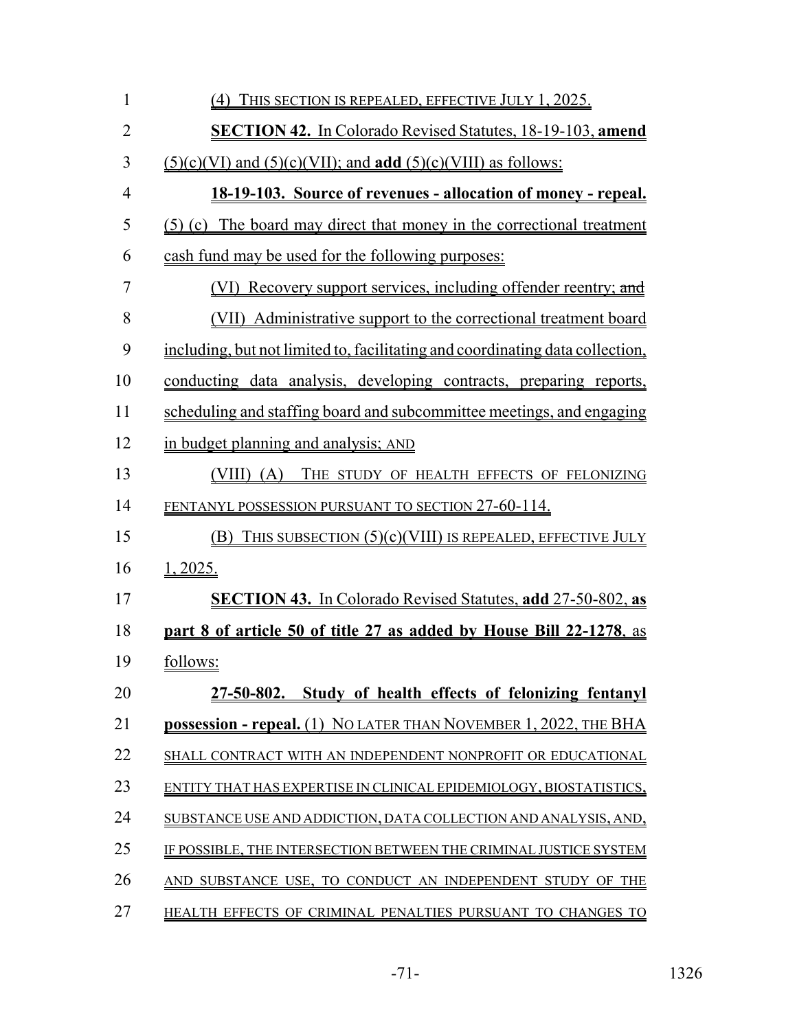| $\mathbf{1}$   | <u>(4) THIS SECTION IS REPEALED, EFFECTIVE JULY 1, 2025.</u>                  |
|----------------|-------------------------------------------------------------------------------|
| $\overline{2}$ | <b>SECTION 42.</b> In Colorado Revised Statutes, 18-19-103, amend             |
| 3              | $(5)(c)(VI)$ and $(5)(c)(VII)$ ; and <b>add</b> $(5)(c)(VIII)$ as follows:    |
| $\overline{4}$ | <u> 18-19-103. Source of revenues - allocation of money - repeal.</u>         |
| 5              | (5) (c) The board may direct that money in the correctional treatment         |
| 6              | cash fund may be used for the following purposes:                             |
| 7              | (VI) Recovery support services, including offender reentry; and               |
| 8              | (VII) Administrative support to the correctional treatment board              |
| 9              | including, but not limited to, facilitating and coordinating data collection, |
| 10             | conducting data analysis, developing contracts, preparing reports,            |
| 11             | scheduling and staffing board and subcommittee meetings, and engaging         |
| 12             | in budget planning and analysis; AND                                          |
| 13             | $(VIII)$ $(A)$<br>THE STUDY OF HEALTH EFFECTS OF FELONIZING                   |
| 14             | <u>FENTANYL POSSESSION PURSUANT TO SECTION 27-60-114.</u>                     |
| 15             | THIS SUBSECTION $(5)(c)(VIII)$ IS REPEALED, EFFECTIVE JULY<br>(B)             |
| 16             | 1,2025.                                                                       |
| 17             | <b>SECTION 43.</b> In Colorado Revised Statutes, add 27-50-802, as            |
| 18             | part 8 of article 50 of title 27 as added by House Bill 22-1278, as           |
| 19             | follows:                                                                      |
| 20             | 27-50-802. Study of health effects of felonizing fentanyl                     |
| 21             | possession - repeal. (1) NO LATER THAN NOVEMBER 1, 2022, THE BHA              |
| 22             | SHALL CONTRACT WITH AN INDEPENDENT NONPROFIT OR EDUCATIONAL                   |
| 23             | ENTITY THAT HAS EXPERTISE IN CLINICAL EPIDEMIOLOGY, BIOSTATISTICS,            |
| 24             | SUBSTANCE USE AND ADDICTION, DATA COLLECTION AND ANALYSIS, AND,               |
| 25             | IF POSSIBLE, THE INTERSECTION BETWEEN THE CRIMINAL JUSTICE SYSTEM             |
| 26             | AND SUBSTANCE USE, TO CONDUCT AN INDEPENDENT STUDY OF THE                     |
| 27             | HEALTH EFFECTS OF CRIMINAL PENALTIES PURSUANT TO CHANGES TO                   |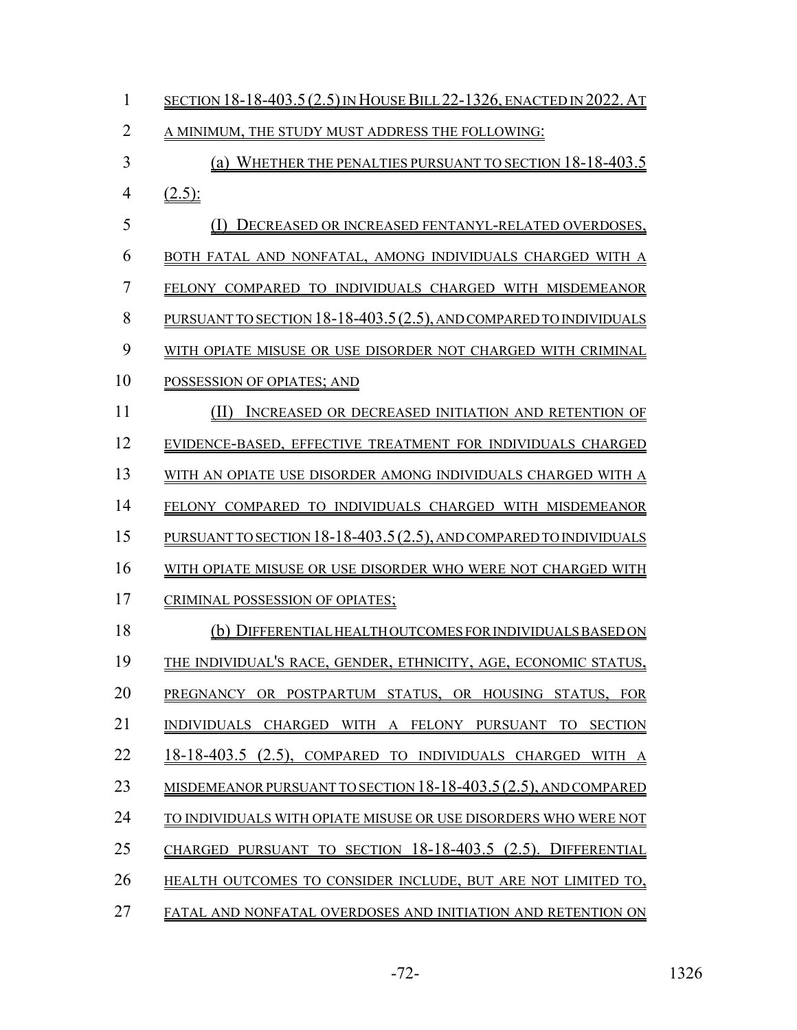| $\mathbf{1}$   | <u>SECTION 18-18-403.5 (2.5) IN HOUSE BILL 22-1326, ENACTED IN 2022. AT</u> |
|----------------|-----------------------------------------------------------------------------|
| $\overline{2}$ | A MINIMUM, THE STUDY MUST ADDRESS THE FOLLOWING:                            |
| $\overline{3}$ | (a) WHETHER THE PENALTIES PURSUANT TO SECTION 18-18-403.5                   |
| $\overline{4}$ | $(2.5)$ :                                                                   |
| 5              | (I)<br>DECREASED OR INCREASED FENTANYL-RELATED OVERDOSES,                   |
| 6              | BOTH FATAL AND NONFATAL, AMONG INDIVIDUALS CHARGED WITH A                   |
| $\overline{7}$ | FELONY COMPARED TO INDIVIDUALS CHARGED WITH MISDEMEANOR                     |
| 8              | PURSUANT TO SECTION 18-18-403.5 (2.5), AND COMPARED TO INDIVIDUALS          |
| 9              | WITH OPIATE MISUSE OR USE DISORDER NOT CHARGED WITH CRIMINAL                |
| 10             | POSSESSION OF OPIATES; AND                                                  |
| 11             | (II)<br>INCREASED OR DECREASED INITIATION AND RETENTION OF                  |
| 12             | EVIDENCE-BASED, EFFECTIVE TREATMENT FOR INDIVIDUALS CHARGED                 |
| 13             | WITH AN OPIATE USE DISORDER AMONG INDIVIDUALS CHARGED WITH A                |
| 14             | FELONY COMPARED TO INDIVIDUALS CHARGED WITH MISDEMEANOR                     |
| 15             | PURSUANT TO SECTION 18-18-403.5 (2.5), AND COMPARED TO INDIVIDUALS          |
| 16             | WITH OPIATE MISUSE OR USE DISORDER WHO WERE NOT CHARGED WITH                |
| 17             | CRIMINAL POSSESSION OF OPIATES;                                             |
| 18             | (b) DIFFERENTIAL HEALTHOUTCOMES FOR INDIVIDUALS BASED ON                    |
| 19             | THE INDIVIDUAL'S RACE, GENDER, ETHNICITY, AGE, ECONOMIC STATUS,             |
| 20             | PREGNANCY OR POSTPARTUM STATUS, OR HOUSING STATUS, FOR                      |
| 21             | INDIVIDUALS CHARGED WITH A FELONY PURSUANT TO SECTION                       |
| 22             | 18-18-403.5 (2.5), COMPARED TO INDIVIDUALS CHARGED WITH A                   |
| 23             | <u>MISDEMEANOR PURSUANT TO SECTION 18-18-403.5(2.5), AND COMPARED</u>       |
| 24             | TO INDIVIDUALS WITH OPIATE MISUSE OR USE DISORDERS WHO WERE NOT             |
| 25             | CHARGED PURSUANT TO SECTION 18-18-403.5 (2.5). DIFFERENTIAL                 |
| 26             | HEALTH OUTCOMES TO CONSIDER INCLUDE, BUT ARE NOT LIMITED TO,                |
| 27             | FATAL AND NONFATAL OVERDOSES AND INITIATION AND RETENTION ON                |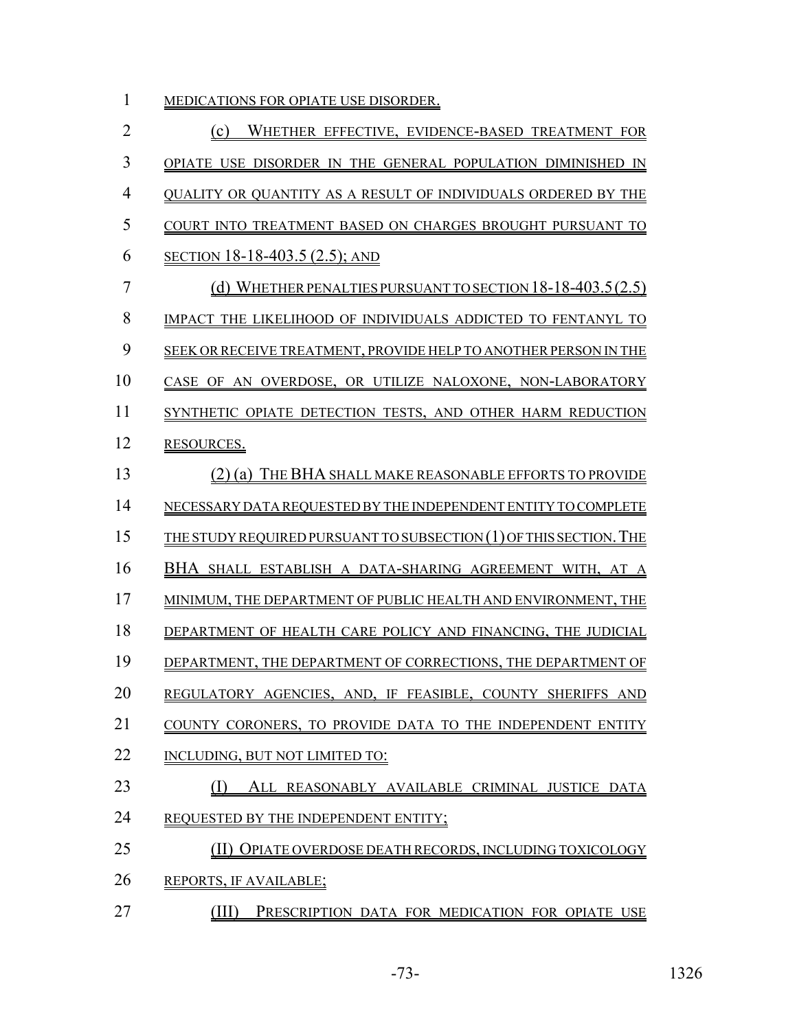| MEDICATIONS FOR OPIATE USE DISORDER.                               |
|--------------------------------------------------------------------|
| WHETHER EFFECTIVE, EVIDENCE-BASED TREATMENT FOR<br>(c)             |
| OPIATE USE DISORDER IN THE GENERAL POPULATION DIMINISHED IN        |
| QUALITY OR QUANTITY AS A RESULT OF INDIVIDUALS ORDERED BY THE      |
| COURT INTO TREATMENT BASED ON CHARGES BROUGHT PURSUANT TO          |
| <u>SECTION 18-18-403.5 (2.5); AND</u>                              |
| (d) WHETHER PENALTIES PURSUANT TO SECTION $18-18-403.5(2.5)$       |
| IMPACT THE LIKELIHOOD OF INDIVIDUALS ADDICTED TO FENTANYL TO       |
| SEEK OR RECEIVE TREATMENT, PROVIDE HELP TO ANOTHER PERSON IN THE   |
| CASE OF AN OVERDOSE, OR UTILIZE NALOXONE, NON-LABORATORY           |
| SYNTHETIC OPIATE DETECTION TESTS, AND OTHER HARM REDUCTION         |
| RESOURCES.                                                         |
| THE BHA SHALL MAKE REASONABLE EFFORTS TO PROVIDE<br>$(2)$ (a)      |
| NECESSARY DATA REQUESTED BY THE INDEPENDENT ENTITY TO COMPLETE     |
| THE STUDY REQUIRED PURSUANT TO SUBSECTION (1) OF THIS SECTION. THE |
| BHA SHALL ESTABLISH A DATA-SHARING AGREEMENT WITH, AT A            |
| MINIMUM, THE DEPARTMENT OF PUBLIC HEALTH AND ENVIRONMENT, THE      |
| DEPARTMENT OF HEALTH CARE POLICY AND FINANCING, THE JUDICIAL       |
| DEPARTMENT, THE DEPARTMENT OF CORRECTIONS, THE DEPARTMENT OF       |
| REGULATORY AGENCIES, AND, IF FEASIBLE, COUNTY SHERIFFS AND         |
| COUNTY CORONERS, TO PROVIDE DATA TO THE INDEPENDENT ENTITY         |
| INCLUDING, BUT NOT LIMITED TO:                                     |
| (I)<br>ALL REASONABLY AVAILABLE CRIMINAL JUSTICE DATA              |
| REQUESTED BY THE INDEPENDENT ENTITY;                               |
| (II) OPIATE OVERDOSE DEATH RECORDS, INCLUDING TOXICOLOGY           |
| REPORTS, IF AVAILABLE;                                             |
|                                                                    |

**(III)** PRESCRIPTION DATA FOR MEDICATION FOR OPIATE USE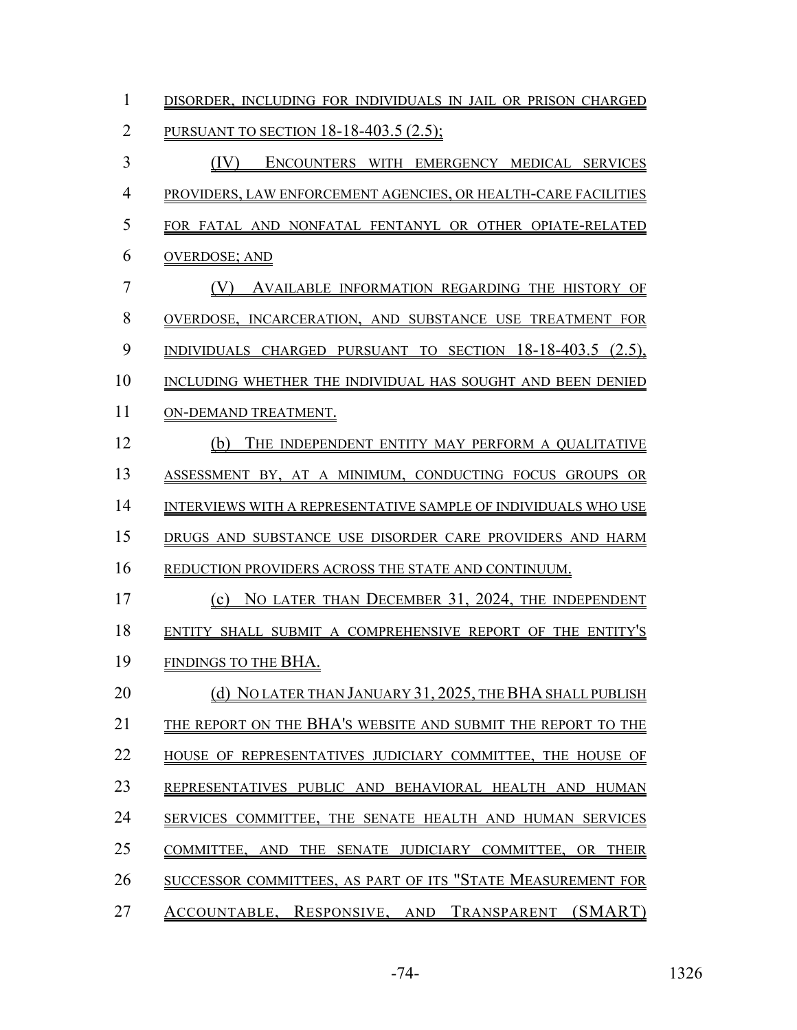| $\mathbf{1}$   | DISORDER, INCLUDING FOR INDIVIDUALS IN JAIL OR PRISON CHARGED  |
|----------------|----------------------------------------------------------------|
| $\overline{2}$ | <b>PURSUANT TO SECTION 18-18-403.5 (2.5);</b>                  |
| $\overline{3}$ | (IV)<br>ENCOUNTERS WITH EMERGENCY MEDICAL SERVICES             |
| $\overline{4}$ | PROVIDERS, LAW ENFORCEMENT AGENCIES, OR HEALTH-CARE FACILITIES |
| 5              | FOR FATAL AND NONFATAL FENTANYL OR OTHER OPIATE-RELATED        |
| 6              | <b>OVERDOSE; AND</b>                                           |
| $\overline{7}$ | (V)<br>AVAILABLE INFORMATION REGARDING THE HISTORY OF          |
| 8              | OVERDOSE, INCARCERATION, AND SUBSTANCE USE TREATMENT FOR       |
| 9              | INDIVIDUALS CHARGED PURSUANT TO SECTION 18-18-403.5 (2.5),     |
| 10             | INCLUDING WHETHER THE INDIVIDUAL HAS SOUGHT AND BEEN DENIED    |
| 11             | ON-DEMAND TREATMENT.                                           |
| 12             | (b)<br>THE INDEPENDENT ENTITY MAY PERFORM A QUALITATIVE        |
| 13             | ASSESSMENT BY, AT A MINIMUM, CONDUCTING FOCUS GROUPS OR        |
| 14             | INTERVIEWS WITH A REPRESENTATIVE SAMPLE OF INDIVIDUALS WHO USE |
| 15             | DRUGS AND SUBSTANCE USE DISORDER CARE PROVIDERS AND HARM       |
| 16             | REDUCTION PROVIDERS ACROSS THE STATE AND CONTINUUM.            |
| 17             | (c) NO LATER THAN DECEMBER 31, 2024, THE INDEPENDENT           |
| 18             | ENTITY SHALL SUBMIT A COMPREHENSIVE REPORT OF THE ENTITY'S     |
| 19             | FINDINGS TO THE BHA.                                           |
| 20             | (d) NO LATER THAN JANUARY 31, 2025, THE BHA SHALL PUBLISH      |
| 21             | THE REPORT ON THE BHA'S WEBSITE AND SUBMIT THE REPORT TO THE   |
| 22             | HOUSE OF REPRESENTATIVES JUDICIARY COMMITTEE, THE HOUSE OF     |
| 23             | REPRESENTATIVES PUBLIC AND BEHAVIORAL HEALTH AND HUMAN         |
| 24             | SERVICES COMMITTEE, THE SENATE HEALTH AND HUMAN SERVICES       |
| 25             | THE SENATE JUDICIARY COMMITTEE, OR THEIR<br>COMMITTEE, AND     |
| 26             | SUCCESSOR COMMITTEES, AS PART OF ITS "STATE MEASUREMENT FOR    |
| 27             | ACCOUNTABLE, RESPONSIVE, AND TRANSPARENT (SMART)               |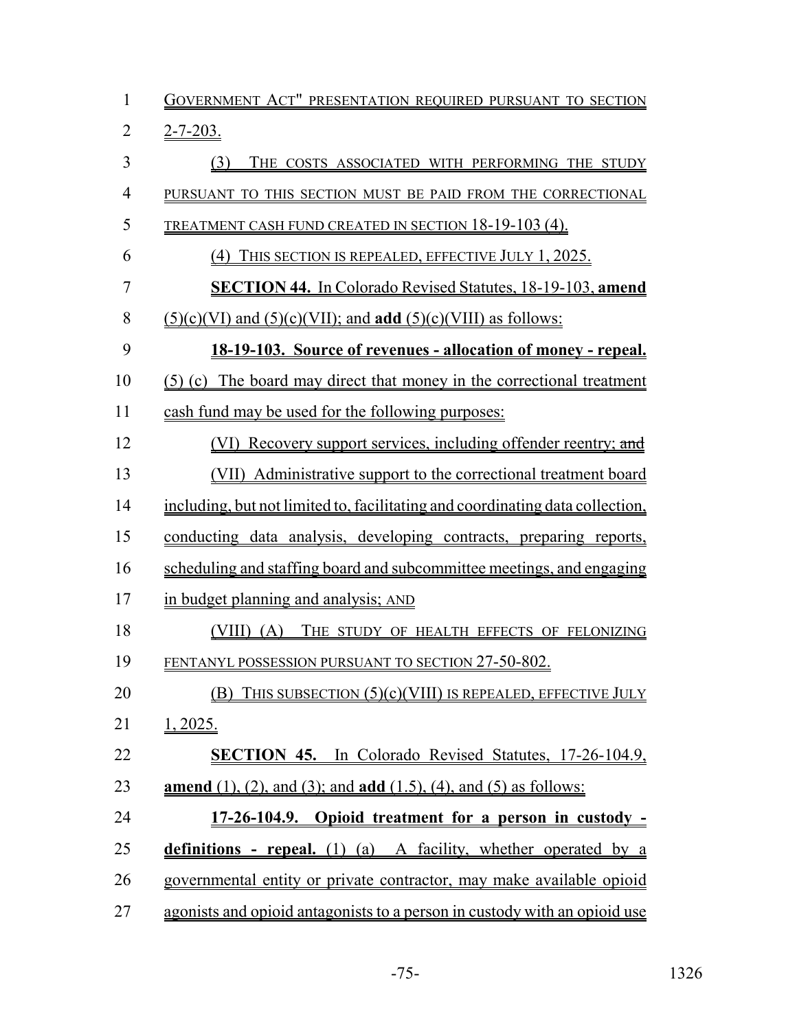| $\mathbf{1}$   | GOVERNMENT ACT" PRESENTATION REQUIRED PURSUANT TO SECTION                      |
|----------------|--------------------------------------------------------------------------------|
| $\overline{2}$ | $2 - 7 - 203$ .                                                                |
| 3              | (3)<br>THE COSTS ASSOCIATED WITH PERFORMING THE STUDY                          |
| $\overline{4}$ | PURSUANT TO THIS SECTION MUST BE PAID FROM THE CORRECTIONAL                    |
| 5              | <b>TREATMENT CASH FUND CREATED IN SECTION 18-19-103 (4).</b>                   |
| 6              | (4) THIS SECTION IS REPEALED, EFFECTIVE JULY 1, 2025.                          |
| 7              | <b>SECTION 44.</b> In Colorado Revised Statutes, 18-19-103, amend              |
| 8              | $(5)(c)(VI)$ and $(5)(c)(VII)$ ; and <b>add</b> $(5)(c)(VIII)$ as follows:     |
| 9              | 18-19-103. Source of revenues - allocation of money - repeal.                  |
| 10             | (5) (c) The board may direct that money in the correctional treatment          |
| 11             | cash fund may be used for the following purposes:                              |
| 12             | (VI) Recovery support services, including offender reentry; and                |
| 13             | (VII) Administrative support to the correctional treatment board               |
| 14             | including, but not limited to, facilitating and coordinating data collection,  |
| 15             | conducting data analysis, developing contracts, preparing reports,             |
| 16             | scheduling and staffing board and subcommittee meetings, and engaging          |
| 17             | in budget planning and analysis; AND                                           |
| 18             | THE STUDY OF HEALTH EFFECTS OF FELONIZING<br>$(VIII)$ (A)                      |
| 19             | FENTANYL POSSESSION PURSUANT TO SECTION 27-50-802.                             |
| 20             | THIS SUBSECTION $(5)(c)(VIII)$ IS REPEALED, EFFECTIVE JULY<br>(B)              |
| 21             | <u>1, 2025.</u>                                                                |
| 22             | <b>SECTION 45.</b> In Colorado Revised Statutes, 17-26-104.9,                  |
| 23             | <b>amend</b> (1), (2), and (3); and <b>add</b> (1.5), (4), and (5) as follows: |
| 24             | 17-26-104.9. Opioid treatment for a person in custody -                        |
| 25             | <b>definitions - repeal.</b> (1) (a) A facility, whether operated by a         |
| 26             | governmental entity or private contractor, may make available opioid           |
| 27             | agonists and opioid antagonists to a person in custody with an opioid use      |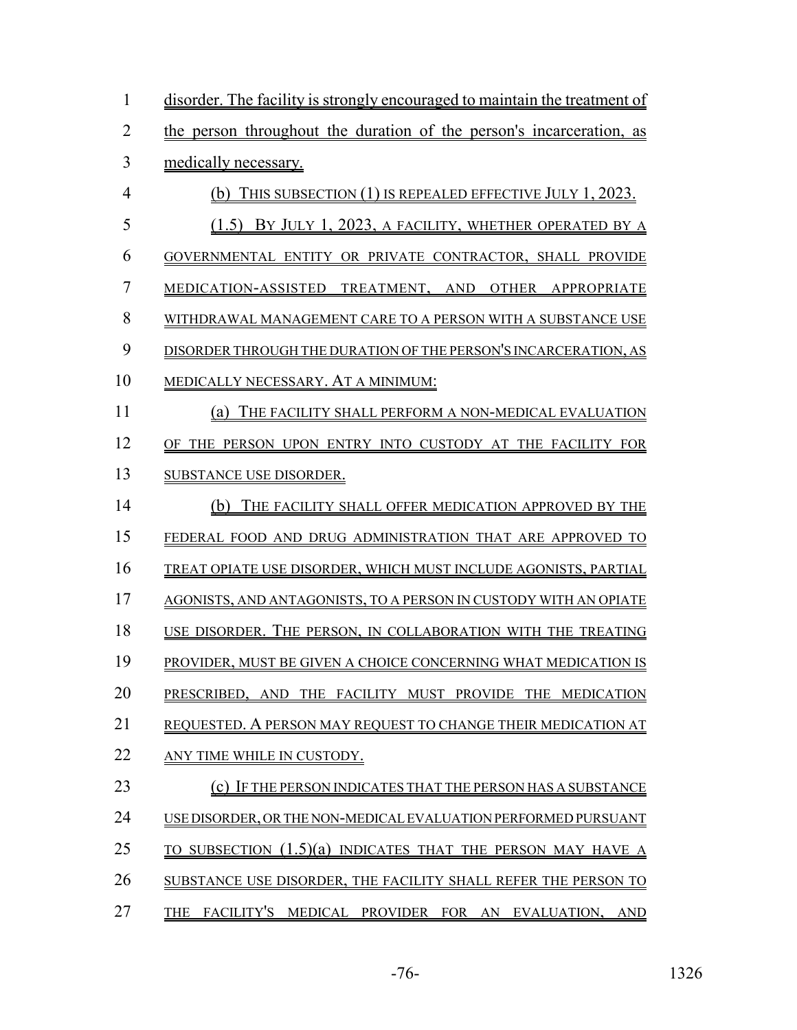| 1              | disorder. The facility is strongly encouraged to maintain the treatment of |
|----------------|----------------------------------------------------------------------------|
| $\overline{2}$ | the person throughout the duration of the person's incarceration, as       |
| 3              | medically necessary.                                                       |
| $\overline{4}$ | (b) THIS SUBSECTION (1) IS REPEALED EFFECTIVE JULY 1, 2023.                |
| 5              | (1.5) BY JULY 1, 2023, A FACILITY, WHETHER OPERATED BY A                   |
| 6              | GOVERNMENTAL ENTITY OR PRIVATE CONTRACTOR, SHALL PROVIDE                   |
| 7              | MEDICATION-ASSISTED TREATMENT, AND OTHER APPROPRIATE                       |
| 8              | WITHDRAWAL MANAGEMENT CARE TO A PERSON WITH A SUBSTANCE USE                |
| 9              | DISORDER THROUGH THE DURATION OF THE PERSON'S INCARCERATION, AS            |
| 10             | MEDICALLY NECESSARY. AT A MINIMUM:                                         |
| 11             | THE FACILITY SHALL PERFORM A NON-MEDICAL EVALUATION<br>$\left( a\right)$   |
| 12             | OF THE PERSON UPON ENTRY INTO CUSTODY AT THE FACILITY FOR                  |
| 13             | SUBSTANCE USE DISORDER.                                                    |
| 14             | THE FACILITY SHALL OFFER MEDICATION APPROVED BY THE<br>(b)                 |
| 15             | FEDERAL FOOD AND DRUG ADMINISTRATION THAT ARE APPROVED TO                  |
| 16             | TREAT OPIATE USE DISORDER, WHICH MUST INCLUDE AGONISTS, PARTIAL            |
| 17             | AGONISTS, AND ANTAGONISTS, TO A PERSON IN CUSTODY WITH AN OPIATE           |
| 18             | USE DISORDER. THE PERSON, IN COLLABORATION WITH THE TREATING               |
| 19             | PROVIDER, MUST BE GIVEN A CHOICE CONCERNING WHAT MEDICATION IS             |
| 20             | PRESCRIBED, AND THE FACILITY MUST PROVIDE THE MEDICATION                   |
| 21             | REQUESTED. A PERSON MAY REQUEST TO CHANGE THEIR MEDICATION AT              |
| 22             | ANY TIME WHILE IN CUSTODY.                                                 |
| 23             | (c) IF THE PERSON INDICATES THAT THE PERSON HAS A SUBSTANCE                |
| 24             | USE DISORDER, OR THE NON-MEDICAL EVALUATION PERFORMED PURSUANT             |
| 25             | TO SUBSECTION (1.5)(a) INDICATES THAT THE PERSON MAY HAVE A                |
| 26             | SUBSTANCE USE DISORDER, THE FACILITY SHALL REFER THE PERSON TO             |
| 27             | THE FACILITY'S MEDICAL PROVIDER FOR AN EVALUATION, AND                     |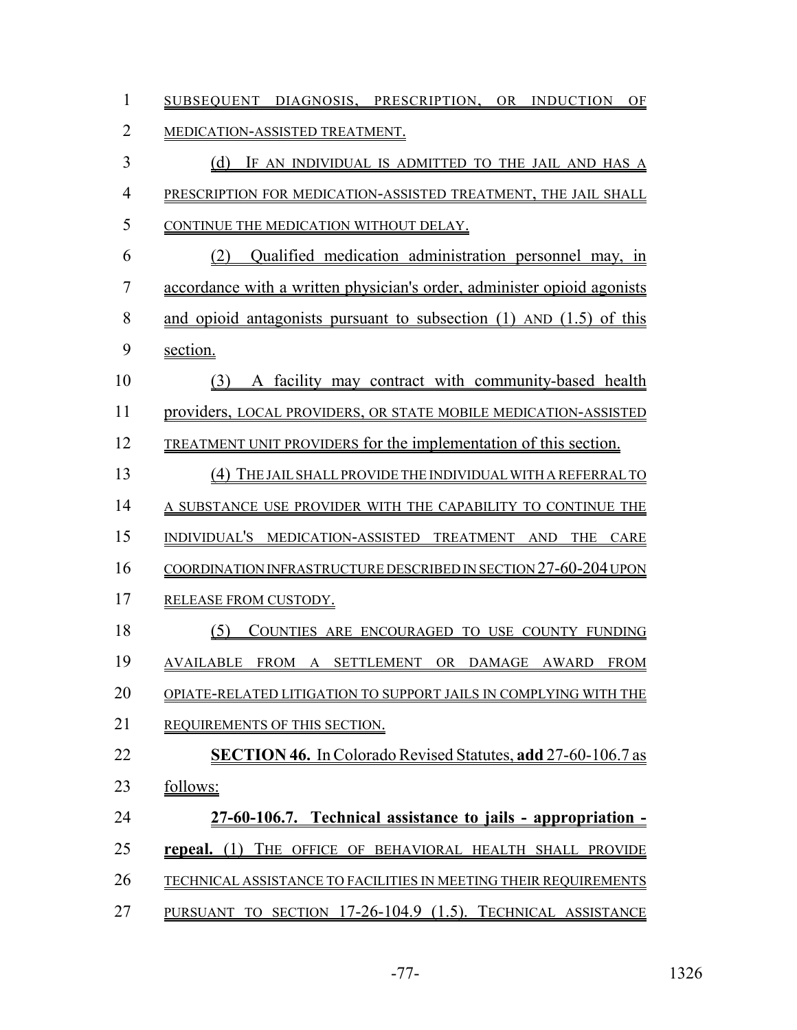| $\mathbf{1}$   | SUBSEQUENT DIAGNOSIS, PRESCRIPTION, OR INDUCTION OF                     |
|----------------|-------------------------------------------------------------------------|
| $\overline{2}$ | MEDICATION-ASSISTED TREATMENT.                                          |
| 3              | (d) IF AN INDIVIDUAL IS ADMITTED TO THE JAIL AND HAS A                  |
| $\overline{4}$ | PRESCRIPTION FOR MEDICATION-ASSISTED TREATMENT, THE JAIL SHALL          |
| 5              | CONTINUE THE MEDICATION WITHOUT DELAY.                                  |
| 6              | (2) Qualified medication administration personnel may, in               |
| $\overline{7}$ | accordance with a written physician's order, administer opioid agonists |
| 8              | and opioid antagonists pursuant to subsection $(1)$ AND $(1.5)$ of this |
| 9              | section.                                                                |
| 10             | (3) A facility may contract with community-based health                 |
| 11             | providers, LOCAL PROVIDERS, OR STATE MOBILE MEDICATION-ASSISTED         |
| 12             | <b>TREATMENT UNIT PROVIDERS for the implementation of this section.</b> |
| 13             | (4) THE JAIL SHALL PROVIDE THE INDIVIDUAL WITH A REFERRAL TO            |
| 14             | A SUBSTANCE USE PROVIDER WITH THE CAPABILITY TO CONTINUE THE            |
| 15             | INDIVIDUAL'S MEDICATION-ASSISTED TREATMENT AND THE CARE                 |
| 16             | COORDINATION INFRASTRUCTURE DESCRIBED IN SECTION 27-60-204 UPON         |
| 17             | RELEASE FROM CUSTODY.                                                   |
| 18             | (5)<br>COUNTIES ARE ENCOURAGED TO USE COUNTY FUNDING                    |
| 19             | AVAILABLE FROM A SETTLEMENT OR DAMAGE AWARD FROM                        |
| 20             | OPIATE-RELATED LITIGATION TO SUPPORT JAILS IN COMPLYING WITH THE        |
| 21             | REQUIREMENTS OF THIS SECTION.                                           |
| 22             | <b>SECTION 46.</b> In Colorado Revised Statutes, add 27-60-106.7 as     |
| 23             | follows:                                                                |
| 24             | 27-60-106.7. Technical assistance to jails - appropriation -            |
| 25             | repeal. (1) THE OFFICE OF BEHAVIORAL HEALTH SHALL PROVIDE               |
| 26             | TECHNICAL ASSISTANCE TO FACILITIES IN MEETING THEIR REQUIREMENTS        |
| 27             | PURSUANT TO SECTION 17-26-104.9 (1.5). TECHNICAL ASSISTANCE             |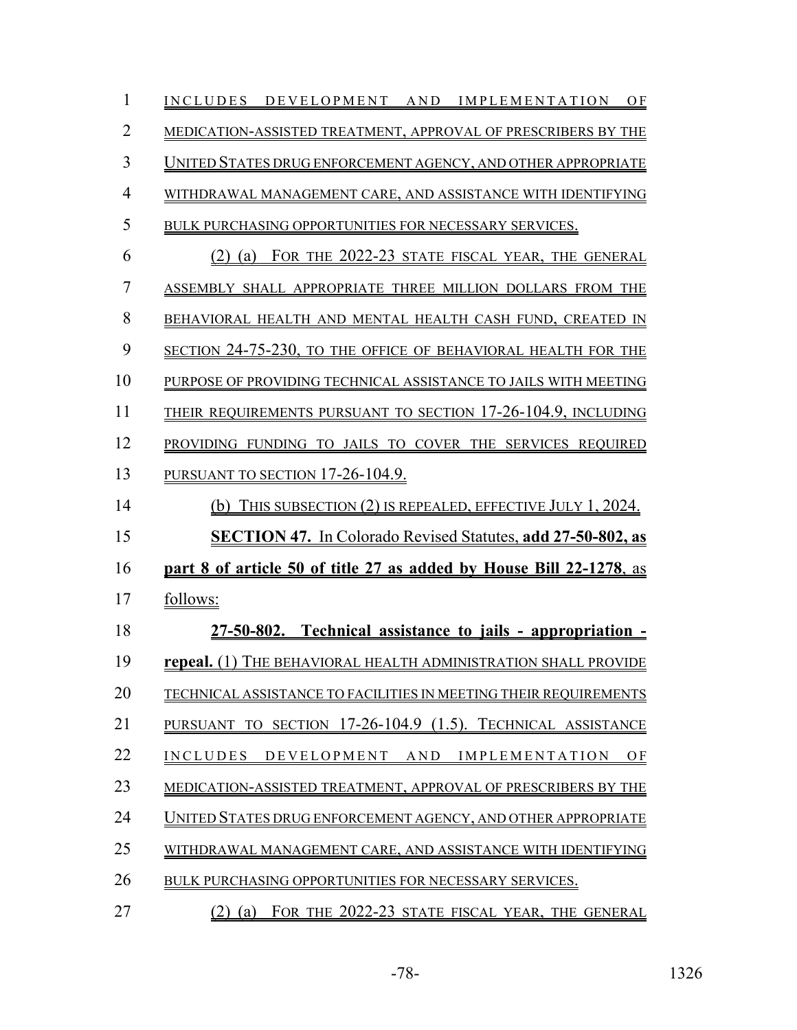| 1              | INCLUDES DEVELOPMENT AND IMPLEMENTATION OF                          |
|----------------|---------------------------------------------------------------------|
| $\overline{2}$ | MEDICATION-ASSISTED TREATMENT, APPROVAL OF PRESCRIBERS BY THE       |
| 3              | UNITED STATES DRUG ENFORCEMENT AGENCY, AND OTHER APPROPRIATE        |
| $\overline{4}$ | WITHDRAWAL MANAGEMENT CARE, AND ASSISTANCE WITH IDENTIFYING         |
| 5              | BULK PURCHASING OPPORTUNITIES FOR NECESSARY SERVICES.               |
| 6              | (2) (a) FOR THE 2022-23 STATE FISCAL YEAR, THE GENERAL              |
| 7              | ASSEMBLY SHALL APPROPRIATE THREE MILLION DOLLARS FROM THE           |
| 8              | BEHAVIORAL HEALTH AND MENTAL HEALTH CASH FUND, CREATED IN           |
| 9              | SECTION 24-75-230, TO THE OFFICE OF BEHAVIORAL HEALTH FOR THE       |
| 10             | PURPOSE OF PROVIDING TECHNICAL ASSISTANCE TO JAILS WITH MEETING     |
| 11             | THEIR REQUIREMENTS PURSUANT TO SECTION 17-26-104.9, INCLUDING       |
| 12             | PROVIDING FUNDING TO JAILS TO COVER THE SERVICES REQUIRED           |
| 13             | PURSUANT TO SECTION 17-26-104.9.                                    |
| 14             | (b) THIS SUBSECTION (2) IS REPEALED, EFFECTIVE JULY 1, 2024.        |
| 15             | <b>SECTION 47.</b> In Colorado Revised Statutes, add 27-50-802, as  |
| 16             | part 8 of article 50 of title 27 as added by House Bill 22-1278, as |
| 17             | follows:                                                            |
| 18             | 27-50-802. Technical assistance to jails - appropriation -          |
| 19             | repeal. (1) THE BEHAVIORAL HEALTH ADMINISTRATION SHALL PROVIDE      |
| 20             | TECHNICAL ASSISTANCE TO FACILITIES IN MEETING THEIR REQUIREMENTS    |
| 21             | PURSUANT TO SECTION 17-26-104.9 (1.5). TECHNICAL ASSISTANCE         |
| 22             | INCLUDES DEVELOPMENT AND IMPLEMENTATION OF                          |
| 23             | MEDICATION-ASSISTED TREATMENT, APPROVAL OF PRESCRIBERS BY THE       |
| 24             | UNITED STATES DRUG ENFORCEMENT AGENCY, AND OTHER APPROPRIATE        |
| 25             | WITHDRAWAL MANAGEMENT CARE, AND ASSISTANCE WITH IDENTIFYING         |
| 26             | BULK PURCHASING OPPORTUNITIES FOR NECESSARY SERVICES.               |
| 27             | FOR THE 2022-23 STATE FISCAL YEAR, THE GENERAL<br>(2)<br>(a)        |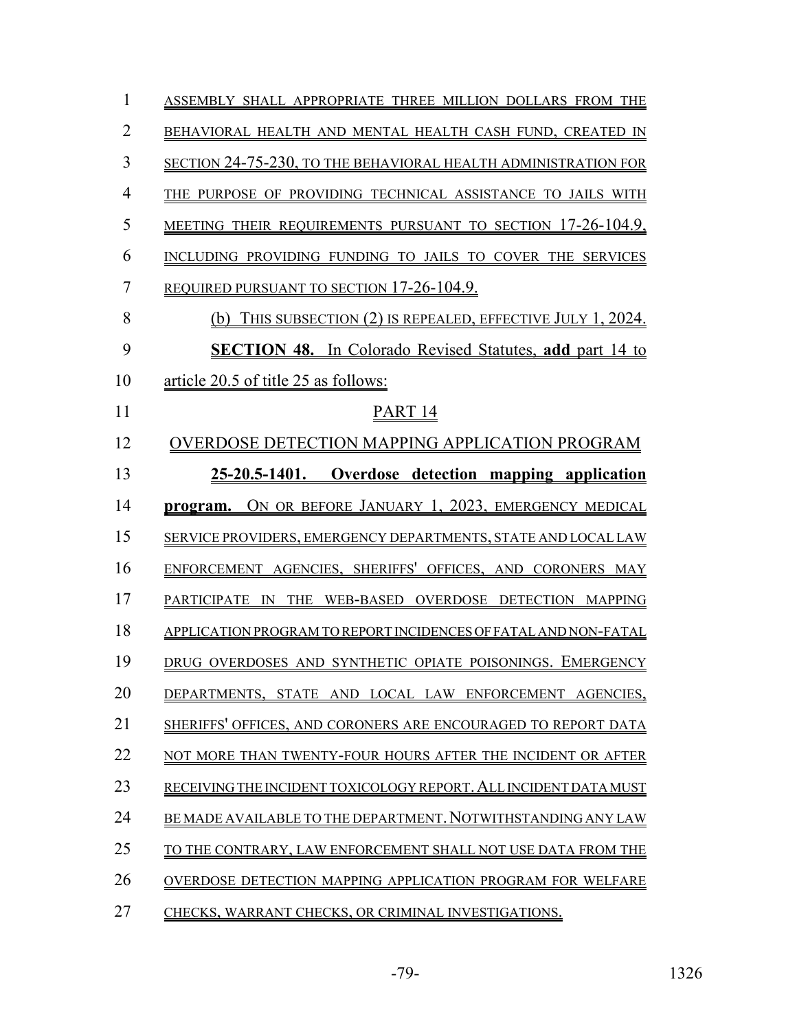| $\mathbf{1}$   | ASSEMBLY SHALL APPROPRIATE THREE MILLION DOLLARS FROM THE        |
|----------------|------------------------------------------------------------------|
| $\overline{2}$ | BEHAVIORAL HEALTH AND MENTAL HEALTH CASH FUND, CREATED IN        |
| 3              | SECTION 24-75-230, TO THE BEHAVIORAL HEALTH ADMINISTRATION FOR   |
| $\overline{4}$ | THE PURPOSE OF PROVIDING TECHNICAL ASSISTANCE TO JAILS WITH      |
| 5              | MEETING THEIR REQUIREMENTS PURSUANT TO SECTION 17-26-104.9,      |
| 6              | INCLUDING PROVIDING FUNDING TO JAILS TO COVER THE SERVICES       |
| 7              | REQUIRED PURSUANT TO SECTION 17-26-104.9.                        |
| 8              | THIS SUBSECTION (2) IS REPEALED, EFFECTIVE JULY 1, 2024.<br>(b)  |
| 9              | <b>SECTION 48.</b> In Colorado Revised Statutes, add part 14 to  |
| 10             | article 20.5 of title 25 as follows:                             |
| 11             | PART <sub>14</sub>                                               |
| 12             | OVERDOSE DETECTION MAPPING APPLICATION PROGRAM                   |
| 13             | 25-20.5-1401. Overdose detection mapping application             |
| 14             | program. ON OR BEFORE JANUARY 1, 2023, EMERGENCY MEDICAL         |
| 15             | SERVICE PROVIDERS, EMERGENCY DEPARTMENTS, STATE AND LOCAL LAW    |
| 16             | ENFORCEMENT AGENCIES, SHERIFFS' OFFICES, AND CORONERS MAY        |
| 17             | PARTICIPATE IN THE WEB-BASED OVERDOSE DETECTION MAPPING          |
| 18             | APPLICATION PROGRAM TO REPORT INCIDENCES OF FATAL AND NON-FATAL  |
| 19             | DRUG OVERDOSES AND SYNTHETIC OPIATE POISONINGS. EMERGENCY        |
| 20             | DEPARTMENTS, STATE AND LOCAL LAW ENFORCEMENT AGENCIES,           |
| 21             | SHERIFFS' OFFICES, AND CORONERS ARE ENCOURAGED TO REPORT DATA    |
| 22             | NOT MORE THAN TWENTY-FOUR HOURS AFTER THE INCIDENT OR AFTER      |
| 23             | RECEIVING THE INCIDENT TOXICOLOGY REPORT. ALL INCIDENT DATA MUST |
| 24             | BE MADE AVAILABLE TO THE DEPARTMENT. NOTWITHSTANDING ANY LAW     |
| 25             | TO THE CONTRARY, LAW ENFORCEMENT SHALL NOT USE DATA FROM THE     |
| 26             | OVERDOSE DETECTION MAPPING APPLICATION PROGRAM FOR WELFARE       |
| 27             | CHECKS, WARRANT CHECKS, OR CRIMINAL INVESTIGATIONS.              |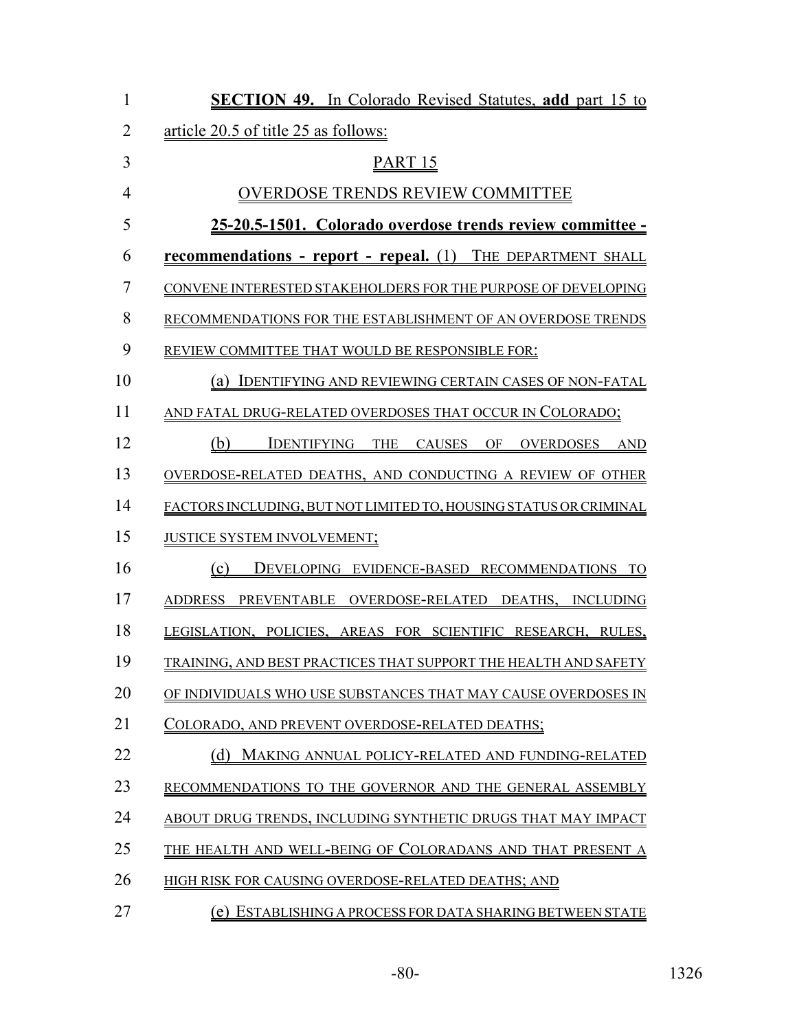| $\mathbf{1}$   | <b>SECTION 49.</b> In Colorado Revised Statutes, add part 15 to    |
|----------------|--------------------------------------------------------------------|
| $\overline{2}$ | article 20.5 of title 25 as follows:                               |
| 3              | PART <sub>15</sub>                                                 |
| $\overline{4}$ | <b>OVERDOSE TRENDS REVIEW COMMITTEE</b>                            |
| 5              | 25-20.5-1501. Colorado overdose trends review committee -          |
| 6              | <b>recommendations - report - repeal.</b> (1) THE DEPARTMENT SHALL |
| 7              | CONVENE INTERESTED STAKEHOLDERS FOR THE PURPOSE OF DEVELOPING      |
| 8              | RECOMMENDATIONS FOR THE ESTABLISHMENT OF AN OVERDOSE TRENDS        |
| 9              | REVIEW COMMITTEE THAT WOULD BE RESPONSIBLE FOR:                    |
| 10             | (a) IDENTIFYING AND REVIEWING CERTAIN CASES OF NON-FATAL           |
| 11             | AND FATAL DRUG-RELATED OVERDOSES THAT OCCUR IN COLORADO;           |
| 12             | IDENTIFYING THE CAUSES OF OVERDOSES AND<br>(b)                     |
| 13             | OVERDOSE-RELATED DEATHS, AND CONDUCTING A REVIEW OF OTHER          |
| 14             | FACTORS INCLUDING, BUT NOT LIMITED TO, HOUSING STATUS OR CRIMINAL  |
| 15             | JUSTICE SYSTEM INVOLVEMENT;                                        |
| 16             | (c)<br>DEVELOPING EVIDENCE-BASED RECOMMENDATIONS TO                |
| 17             | ADDRESS PREVENTABLE OVERDOSE-RELATED DEATHS, INCLUDING             |
| 18             | LEGISLATION, POLICIES, AREAS FOR SCIENTIFIC RESEARCH, RULES,       |
| 19             | TRAINING, AND BEST PRACTICES THAT SUPPORT THE HEALTH AND SAFETY    |
| 20             | OF INDIVIDUALS WHO USE SUBSTANCES THAT MAY CAUSE OVERDOSES IN      |
| 21             | COLORADO, AND PREVENT OVERDO <u>SE-RELATED DEATHS;</u>             |
| 22             | (d)<br>MAKING ANNUAL POLICY-RELATED AND FUNDING-RELATED            |
| 23             | RECOMMENDATIONS TO THE GOVERNOR AND THE GENERAL ASSEMBLY           |
| 24             | ABOUT DRUG TRENDS, INCLUDING SYNTHETIC DRUGS THAT MAY IMPACT       |
| 25             | THE HEALTH AND WELL-BEING OF COLORADANS AND THAT PRESENT A         |
| 26             | HIGH RISK FOR CAUSING OVERDOSE-RELATED DEATHS; AND                 |
| 27             | (e) ESTABLISHING A PROCESS FOR DATA SHARING BETWEEN STATE          |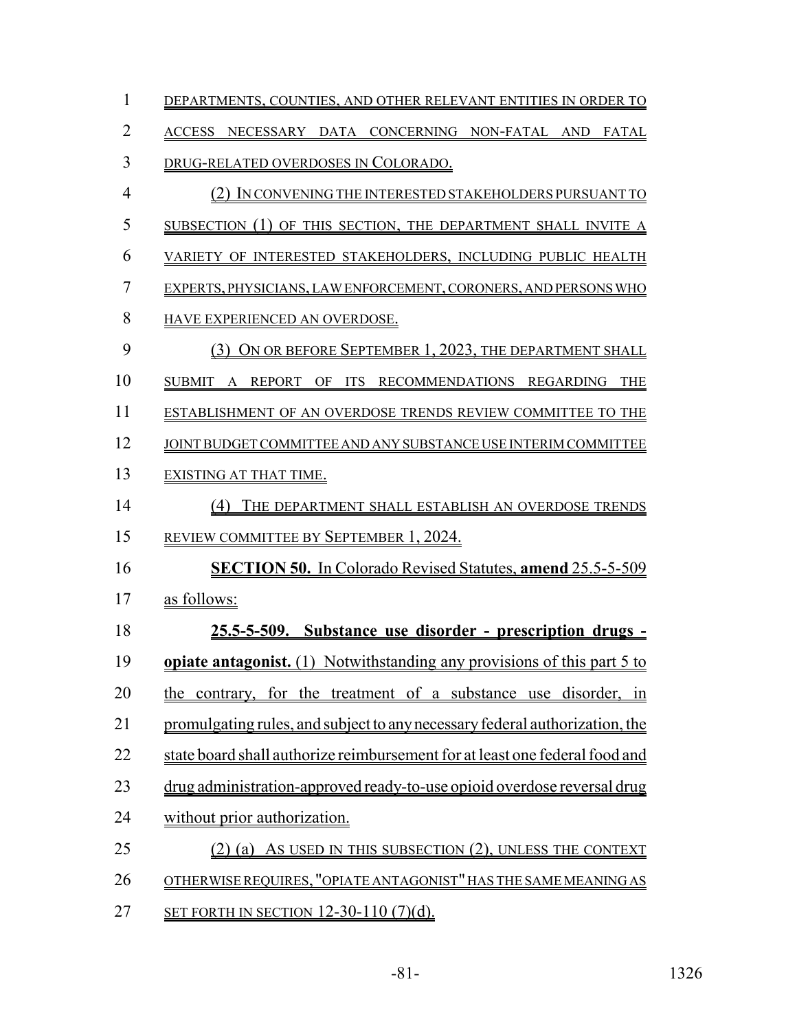| $\mathbf{1}$   | DEPARTMENTS, COUNTIES, AND OTHER RELEVANT ENTITIES IN ORDER TO              |
|----------------|-----------------------------------------------------------------------------|
| $\overline{2}$ | ACCESS NECESSARY DATA CONCERNING NON-FATAL AND FATAL                        |
| 3              | DRUG-RELATED OVERDOSES IN COLORADO.                                         |
| $\overline{4}$ | (2) IN CONVENING THE INTERESTED STAKEHOLDERS PURSUANT TO                    |
| 5              | SUBSECTION (1) OF THIS SECTION, THE DEPARTMENT SHALL INVITE A               |
| 6              | VARIETY OF INTERESTED STAKEHOLDERS, INCLUDING PUBLIC HEALTH                 |
| $\overline{7}$ | EXPERTS, PHYSICIANS, LAW ENFORCEMENT, CORONERS, AND PERSONS WHO             |
| 8              | HAVE EXPERIENCED AN OVERDOSE.                                               |
| 9              | (3) ON OR BEFORE SEPTEMBER 1, 2023, THE DEPARTMENT SHALL                    |
| 10             | SUBMIT A REPORT OF ITS RECOMMENDATIONS REGARDING THE                        |
| 11             | ESTABLISHMENT OF AN OVERDOSE TRENDS REVIEW COMMITTEE TO THE                 |
| 12             | JOINT BUDGET COMMITTEE AND ANY SUBSTANCE USE INTERIM COMMITTEE              |
| 13             | EXISTING AT THAT TIME.                                                      |
| 14             | (4) THE DEPARTMENT SHALL ESTABLISH AN OVERDOSE TRENDS                       |
| 15             | REVIEW COMMITTEE BY SEPTEMBER 1, 2024.                                      |
| 16             | <b>SECTION 50.</b> In Colorado Revised Statutes, amend 25.5-5-509           |
| 17             | as follows:                                                                 |
| 18             | 25.5-5-509. Substance use disorder - prescription drugs -                   |
| 19             | opiate antagonist. (1) Notwithstanding any provisions of this part 5 to     |
| 20             | the contrary, for the treatment of a substance use disorder, in             |
| 21             | promulgating rules, and subject to any necessary federal authorization, the |
| 22             | state board shall authorize reimbursement for at least one federal food and |
| 23             | drug administration-approved ready-to-use opioid overdose reversal drug     |
| 24             | without prior authorization.                                                |
| 25             | (2) (a) As USED IN THIS SUBSECTION (2), UNLESS THE CONTEXT                  |
| 26             | OTHERWISE REQUIRES, "OPIATE ANTAGONIST" HAS THE SAME MEANING AS             |
| 27             | <u>SET FORTH IN SECTION 12-30-110 (7)(d).</u>                               |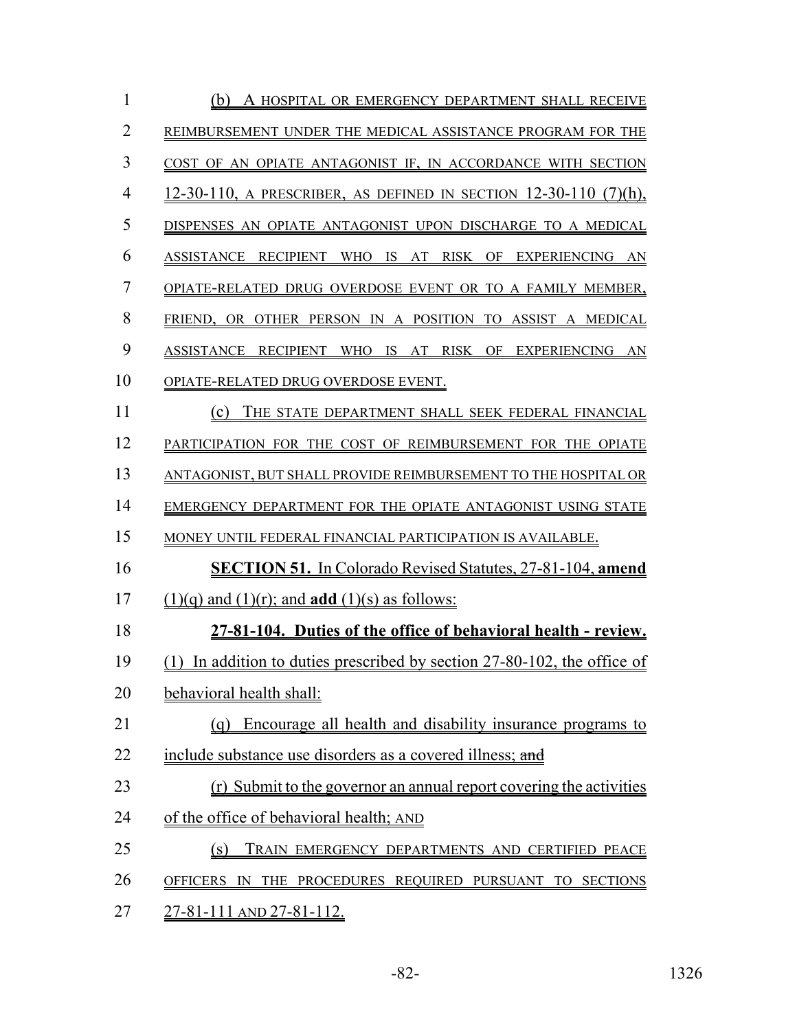| $\mathbf{1}$   | (b) A HOSPITAL OR EMERGENCY DEPARTMENT SHALL RECEIVE                     |
|----------------|--------------------------------------------------------------------------|
| $\overline{2}$ | REIMBURSEMENT UNDER THE MEDICAL ASSISTANCE PROGRAM FOR THE               |
| 3              | COST OF AN OPIATE ANTAGONIST IF, IN ACCORDANCE WITH SECTION              |
| $\overline{4}$ | 12-30-110, A PRESCRIBER, AS DEFINED IN SECTION 12-30-110 (7)(h),         |
| 5              | DISPENSES AN OPIATE ANTAGONIST UPON DISCHARGE TO A MEDICAL               |
| 6              | ASSISTANCE RECIPIENT WHO IS AT RISK OF EXPERIENCING AN                   |
| $\overline{7}$ | OPIATE-RELATED DRUG OVERDOSE EVENT OR TO A FAMILY MEMBER,                |
| 8              | FRIEND, OR OTHER PERSON IN A POSITION TO ASSIST A MEDICAL                |
| 9              | ASSISTANCE RECIPIENT WHO IS AT RISK OF EXPERIENCING AN                   |
| 10             | OPIATE-RELATED DRUG OVERDOSE EVENT.                                      |
| 11             | (c) THE STATE DEPARTMENT SHALL SEEK FEDERAL FINANCIAL                    |
| 12             | PARTICIPATION FOR THE COST OF REIMBURSEMENT FOR THE OPIATE               |
| 13             | ANTAGONIST, BUT SHALL PROVIDE REIMBURSEMENT TO THE HOSPITAL OR           |
| 14             | EMERGENCY DEPARTMENT FOR THE OPIATE ANTAGONIST USING STATE               |
| 15             | MONEY UNTIL FEDERAL FINANCIAL PARTICIPATION IS AVAILABLE.                |
| 16             | <b>SECTION 51.</b> In Colorado Revised Statutes, 27-81-104, amend        |
| 17             | $(1)(q)$ and $(1)(r)$ ; and <b>add</b> $(1)(s)$ as follows:              |
| 18             | 27-81-104. Duties of the office of behavioral health - review.           |
| 19             | (1) In addition to duties prescribed by section 27-80-102, the office of |
| 20             | behavioral health shall:                                                 |
| 21             | Encourage all health and disability insurance programs to<br>(g)         |
| 22             | include substance use disorders as a covered illness; and                |
| 23             | (r) Submit to the governor an annual report covering the activities      |
| 24             | of the office of behavioral health; AND                                  |
| 25             | (s)<br>TRAIN EMERGENCY DEPARTMENTS AND CERTIFIED PEACE                   |
| 26             | OFFICERS IN THE PROCEDURES REQUIRED PURSUANT TO SECTIONS                 |
| 27             | 27-81-111 AND 27-81-112.                                                 |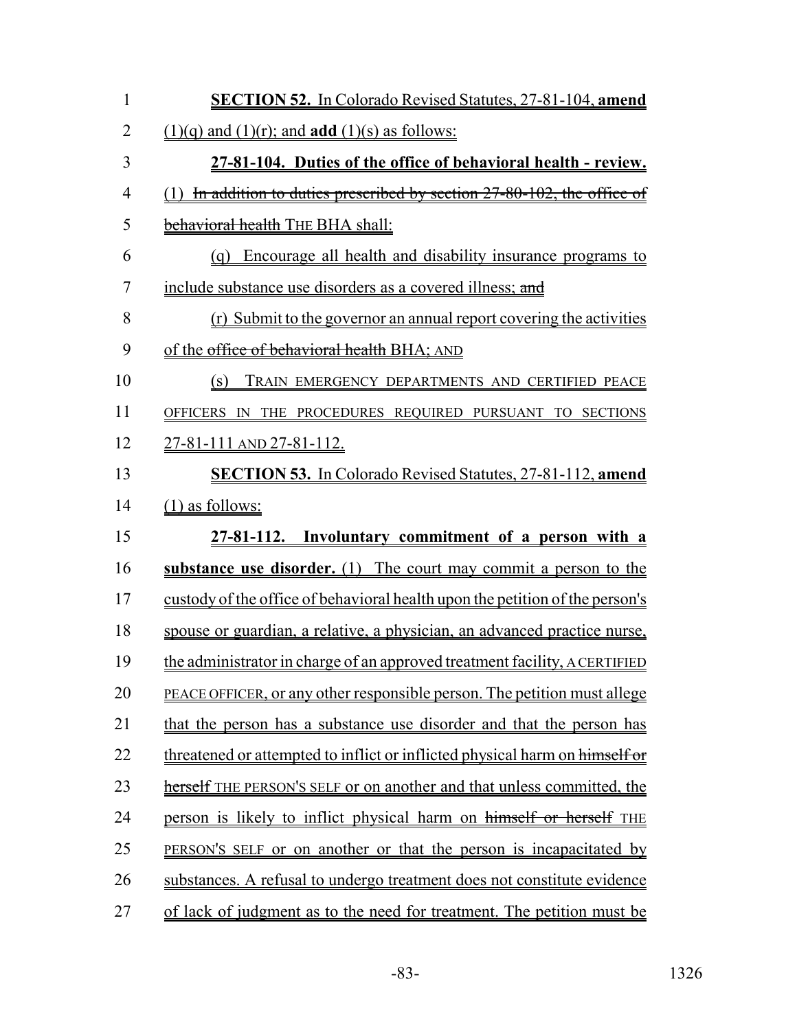| $\mathbf{1}$   | <b>SECTION 52.</b> In Colorado Revised Statutes, 27-81-104, amend            |
|----------------|------------------------------------------------------------------------------|
| $\overline{2}$ | $(1)(q)$ and $(1)(r)$ ; and <b>add</b> $(1)(s)$ as follows:                  |
| 3              | 27-81-104. Duties of the office of behavioral health - review.               |
| $\overline{4}$ | (1) In addition to duties prescribed by section 27-80-102, the office of     |
| 5              | behavioral health THE BHA shall:                                             |
| 6              | (q) Encourage all health and disability insurance programs to                |
| $\overline{7}$ | include substance use disorders as a covered illness; and                    |
| 8              | (r) Submit to the governor an annual report covering the activities          |
| 9              | of the office of behavioral health BHA; AND                                  |
| 10             | (s) TRAIN EMERGENCY DEPARTMENTS AND CERTIFIED PEACE                          |
| 11             | OFFICERS IN THE PROCEDURES REQUIRED PURSUANT TO SECTIONS                     |
| 12             | <u>27-81-111 AND 27-81-112.</u>                                              |
| 13             | <b>SECTION 53.</b> In Colorado Revised Statutes, 27-81-112, amend            |
| 14             | $(1)$ as follows:                                                            |
| 15             | 27-81-112. Involuntary commitment of a person with a                         |
| 16             | substance use disorder. (1) The court may commit a person to the             |
| 17             | custody of the office of behavioral health upon the petition of the person's |
| 18             | spouse or guardian, a relative, a physician, an advanced practice nurse,     |
| 19             | the administrator in charge of an approved treatment facility, A CERTIFIED   |
| 20             | PEACE OFFICER, or any other responsible person. The petition must allege     |
| 21             | that the person has a substance use disorder and that the person has         |
| 22             | threatened or attempted to inflict or inflicted physical harm on himself or  |
| 23             | herself THE PERSON'S SELF or on another and that unless committed, the       |
| 24             | person is likely to inflict physical harm on himself or herself THE          |
| 25             | PERSON'S SELF or on another or that the person is incapacitated by           |
| 26             | substances. A refusal to undergo treatment does not constitute evidence      |
| 27             | of lack of judgment as to the need for treatment. The petition must be       |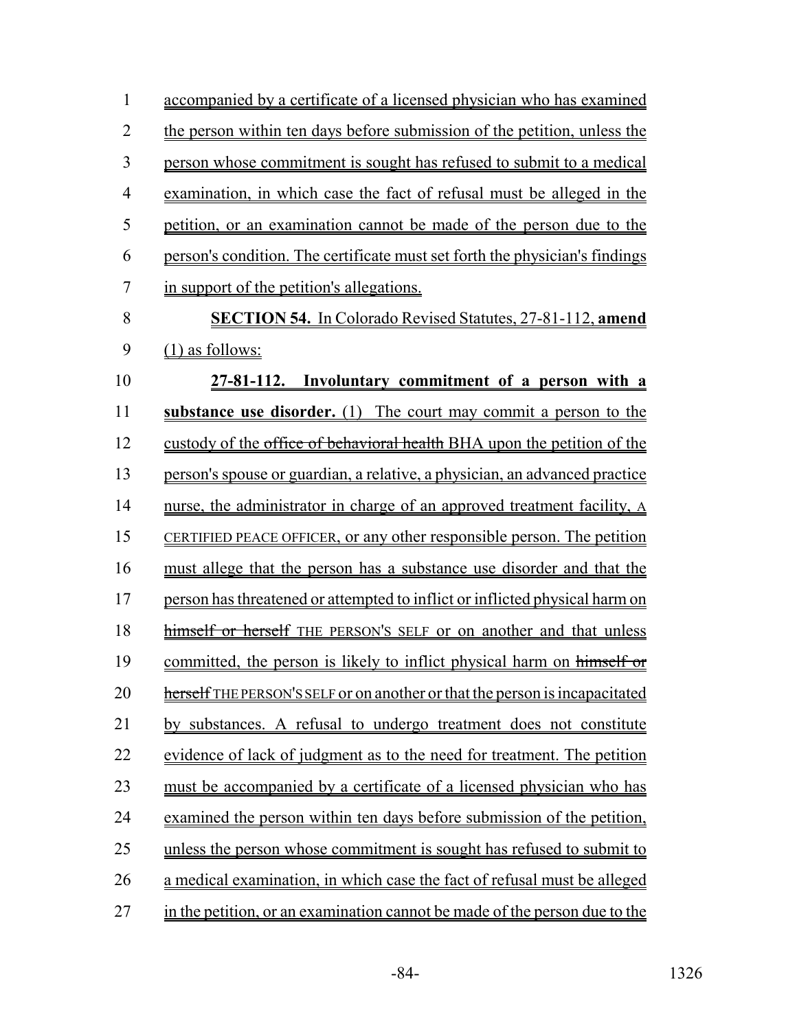| $\mathbf{1}$   | accompanied by a certificate of a licensed physician who has examined       |
|----------------|-----------------------------------------------------------------------------|
| $\overline{2}$ | the person within ten days before submission of the petition, unless the    |
| 3              | person whose commitment is sought has refused to submit to a medical        |
| 4              | examination, in which case the fact of refusal must be alleged in the       |
| 5              | petition, or an examination cannot be made of the person due to the         |
| 6              | person's condition. The certificate must set forth the physician's findings |
| 7              | in support of the petition's allegations.                                   |
| 8              | <b>SECTION 54.</b> In Colorado Revised Statutes, 27-81-112, amend           |
| 9              | (1) as follows:                                                             |
| 10             | 27-81-112. Involuntary commitment of a person with a                        |
| 11             | substance use disorder. (1) The court may commit a person to the            |
| 12             | custody of the office of behavioral health BHA upon the petition of the     |
| 13             | person's spouse or guardian, a relative, a physician, an advanced practice  |
| 14             | nurse, the administrator in charge of an approved treatment facility, A     |
| 15             | CERTIFIED PEACE OFFICER, or any other responsible person. The petition      |
| 16             | must allege that the person has a substance use disorder and that the       |
| 17             | person has threatened or attempted to inflict or inflicted physical harm on |
| 18             | himself or herself THE PERSON'S SELF or on another and that unless          |
| 19             | committed, the person is likely to inflict physical harm on himself or      |
| 20             | herself THE PERSON'S SELF or on another or that the person is incapacitated |
| 21             | by substances. A refusal to undergo treatment does not constitute           |
| 22             | evidence of lack of judgment as to the need for treatment. The petition     |
| 23             | must be accompanied by a certificate of a licensed physician who has        |
| 24             | examined the person within ten days before submission of the petition,      |
| 25             | unless the person whose commitment is sought has refused to submit to       |
| 26             | a medical examination, in which case the fact of refusal must be alleged    |
| 27             | in the petition, or an examination cannot be made of the person due to the  |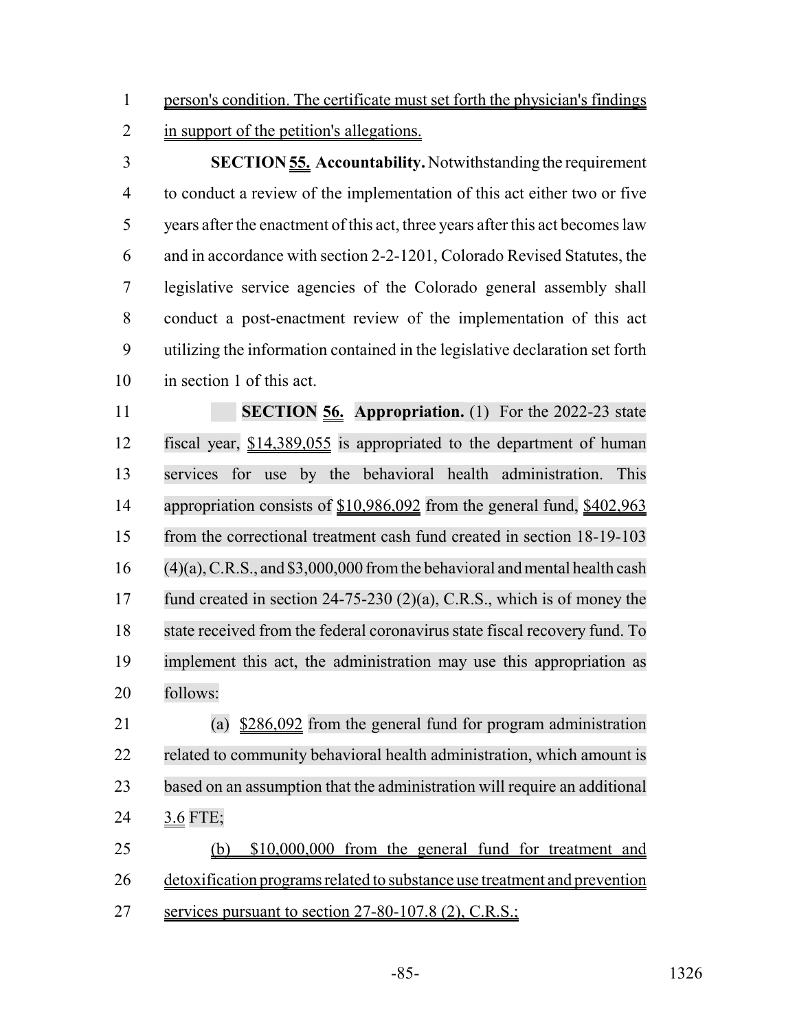person's condition. The certificate must set forth the physician's findings

2 in support of the petition's allegations.

 **SECTION 55. Accountability.** Notwithstanding the requirement to conduct a review of the implementation of this act either two or five years after the enactment of this act, three years after this act becomes law and in accordance with section 2-2-1201, Colorado Revised Statutes, the legislative service agencies of the Colorado general assembly shall conduct a post-enactment review of the implementation of this act utilizing the information contained in the legislative declaration set forth in section 1 of this act.

**SECTION 56. Appropriation.** (1) For the 2022-23 state fiscal year, \$14,389,055 is appropriated to the department of human services for use by the behavioral health administration. This 14 appropriation consists of \$10,986,092 from the general fund, \$402,963 from the correctional treatment cash fund created in section 18-19-103 (4)(a), C.R.S., and \$3,000,000 from the behavioral and mental health cash fund created in section 24-75-230 (2)(a), C.R.S., which is of money the 18 state received from the federal coronavirus state fiscal recovery fund. To implement this act, the administration may use this appropriation as follows:

 (a) \$286,092 from the general fund for program administration 22 related to community behavioral health administration, which amount is based on an assumption that the administration will require an additional 3.6 FTE;

 (b) \$10,000,000 from the general fund for treatment and detoxification programs related to substance use treatment and prevention services pursuant to section 27-80-107.8 (2), C.R.S.;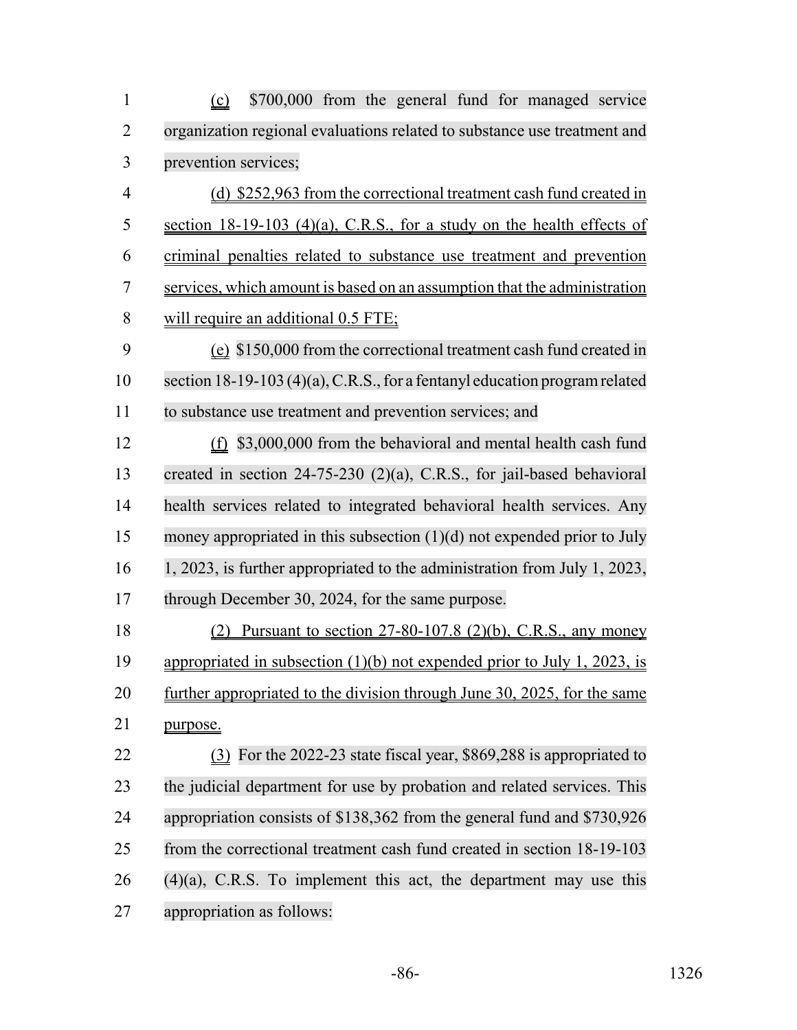| $\mathbf{1}$   | \$700,000 from the general fund for managed service<br>(c)                 |
|----------------|----------------------------------------------------------------------------|
| $\overline{2}$ | organization regional evaluations related to substance use treatment and   |
| 3              | prevention services;                                                       |
| $\overline{4}$ | (d) \$252,963 from the correctional treatment cash fund created in         |
| 5              | section $18-19-103$ (4)(a), C.R.S., for a study on the health effects of   |
| 6              | criminal penalties related to substance use treatment and prevention       |
| 7              | services, which amount is based on an assumption that the administration   |
| 8              | will require an additional 0.5 FTE;                                        |
| 9              | (e) \$150,000 from the correctional treatment cash fund created in         |
| 10             | section 18-19-103 (4)(a), C.R.S., for a fentanyl education program related |
| 11             | to substance use treatment and prevention services; and                    |
| 12             | $(f)$ \$3,000,000 from the behavioral and mental health cash fund          |
| 13             | created in section $24-75-230$ (2)(a), C.R.S., for jail-based behavioral   |
| 14             | health services related to integrated behavioral health services. Any      |
| 15             | money appropriated in this subsection $(1)(d)$ not expended prior to July  |
| 16             | 1, 2023, is further appropriated to the administration from July 1, 2023,  |
| 17             | through December 30, 2024, for the same purpose.                           |
| 18             | Pursuant to section 27-80-107.8 (2)(b), C.R.S., any money                  |
| 19             | appropriated in subsection $(1)(b)$ not expended prior to July 1, 2023, is |
| 20             | further appropriated to the division through June 30, 2025, for the same   |
| 21             | purpose.                                                                   |
| 22             | (3) For the 2022-23 state fiscal year, \$869,288 is appropriated to        |
| 23             | the judicial department for use by probation and related services. This    |
| 24             | appropriation consists of \$138,362 from the general fund and \$730,926    |
| 25             | from the correctional treatment cash fund created in section 18-19-103     |
| 26             | $(4)(a)$ , C.R.S. To implement this act, the department may use this       |
| 27             | appropriation as follows:                                                  |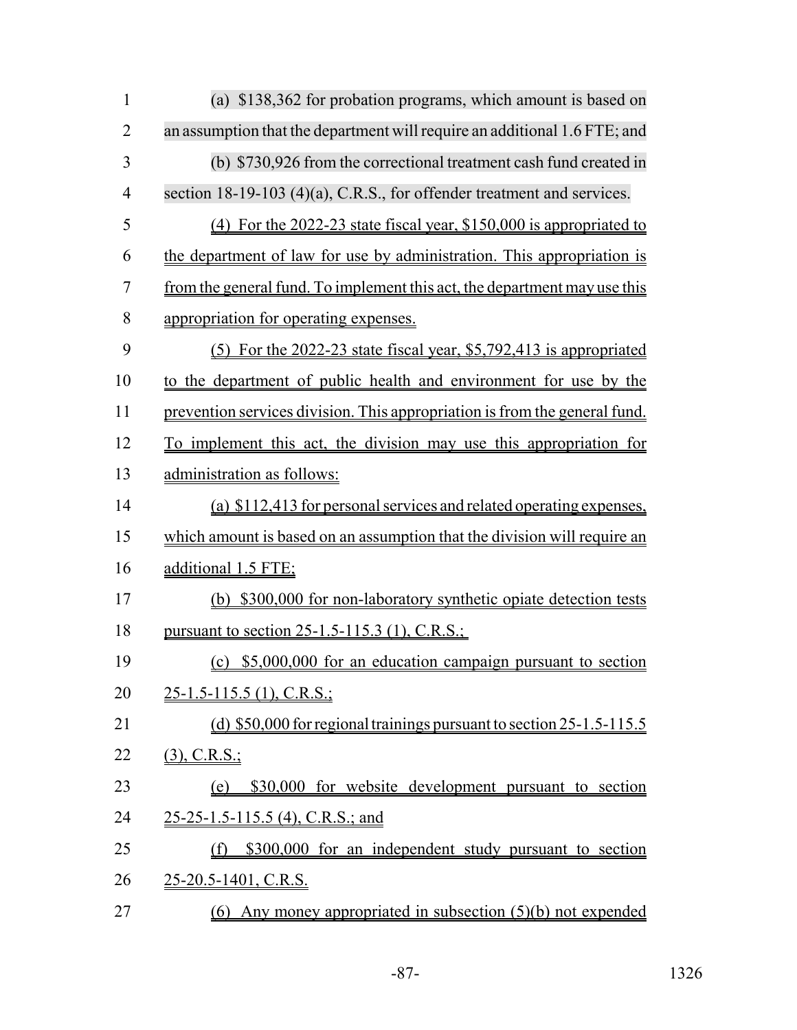| $\mathbf{1}$   | (a) \$138,362 for probation programs, which amount is based on             |
|----------------|----------------------------------------------------------------------------|
| $\overline{2}$ | an assumption that the department will require an additional 1.6 FTE; and  |
| 3              | (b) \$730,926 from the correctional treatment cash fund created in         |
| $\overline{4}$ | section 18-19-103 (4)(a), C.R.S., for offender treatment and services.     |
| 5              | (4) For the 2022-23 state fiscal year, \$150,000 is appropriated to        |
| 6              | the department of law for use by administration. This appropriation is     |
| 7              | from the general fund. To implement this act, the department may use this  |
| 8              | appropriation for operating expenses.                                      |
| 9              | $(5)$ For the 2022-23 state fiscal year, \$5,792,413 is appropriated       |
| 10             | to the department of public health and environment for use by the          |
| 11             | prevention services division. This appropriation is from the general fund. |
| 12             | To implement this act, the division may use this appropriation for         |
| 13             | administration as follows:                                                 |
| 14             | (a) \$112,413 for personal services and related operating expenses,        |
| 15             | which amount is based on an assumption that the division will require an   |
| 16             | additional 1.5 FTE;                                                        |
| 17             | (b) \$300,000 for non-laboratory synthetic opiate detection tests          |
| 18             | <u>pursuant to section 25-1.5-115.3 (1), C.R.S.;</u>                       |
| 19             | (c) \$5,000,000 for an education campaign pursuant to section              |
| 20             | $25-1.5-115.5$ (1), C.R.S.;                                                |
| 21             | (d) $$50,000$ for regional trainings pursuant to section 25-1.5-115.5      |
| 22             | $(3)$ , C.R.S.;                                                            |
| 23             | \$30,000 for website development pursuant to section<br>(e)                |
| 24             | 25-25-1.5-115.5 (4), C.R.S.; and                                           |
| 25             | \$300,000 for an independent study pursuant to section<br>(f)              |
| 26             | 25-20.5-1401, C.R.S.                                                       |
| 27             | $(6)$ Any money appropriated in subsection $(5)(b)$ not expended           |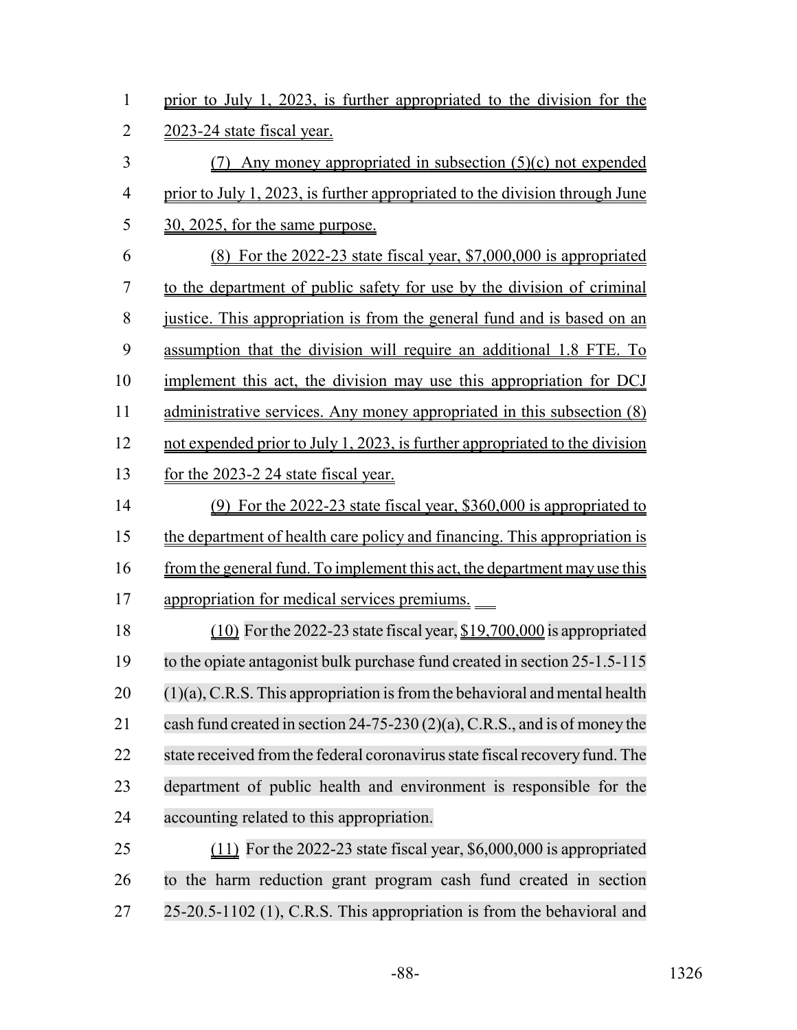| $\mathbf{1}$   | prior to July 1, 2023, is further appropriated to the division for the        |
|----------------|-------------------------------------------------------------------------------|
| $\overline{2}$ | 2023-24 state fiscal year.                                                    |
| 3              | $(7)$ Any money appropriated in subsection $(5)(c)$ not expended              |
| $\overline{4}$ | prior to July 1, 2023, is further appropriated to the division through June   |
| 5              | 30, 2025, for the same purpose.                                               |
| 6              | $(8)$ For the 2022-23 state fiscal year, \$7,000,000 is appropriated          |
| 7              | to the department of public safety for use by the division of criminal        |
| 8              | justice. This appropriation is from the general fund and is based on an       |
| 9              | assumption that the division will require an additional 1.8 FTE. To           |
| 10             | implement this act, the division may use this appropriation for DCJ           |
| 11             | administrative services. Any money appropriated in this subsection (8)        |
| 12             | not expended prior to July 1, 2023, is further appropriated to the division   |
| 13             | for the 2023-2 24 state fiscal year.                                          |
| 14             | (9) For the 2022-23 state fiscal year, \$360,000 is appropriated to           |
| 15             | the department of health care policy and financing. This appropriation is     |
| 16             | from the general fund. To implement this act, the department may use this     |
| 17             | appropriation for medical services premiums.                                  |
| 18             | $(10)$ For the 2022-23 state fiscal year, $$19,700,000$ is appropriated       |
| 19             | to the opiate antagonist bulk purchase fund created in section 25-1.5-115     |
| 20             | $(1)(a)$ , C.R.S. This appropriation is from the behavioral and mental health |
| 21             | cash fund created in section 24-75-230 (2)(a), C.R.S., and is of money the    |
| 22             | state received from the federal coronavirus state fiscal recovery fund. The   |
| 23             | department of public health and environment is responsible for the            |
| 24             | accounting related to this appropriation.                                     |
| 25             | $(11)$ For the 2022-23 state fiscal year, \$6,000,000 is appropriated         |
| 26             | to the harm reduction grant program cash fund created in section              |
| 27             | 25-20.5-1102 (1), C.R.S. This appropriation is from the behavioral and        |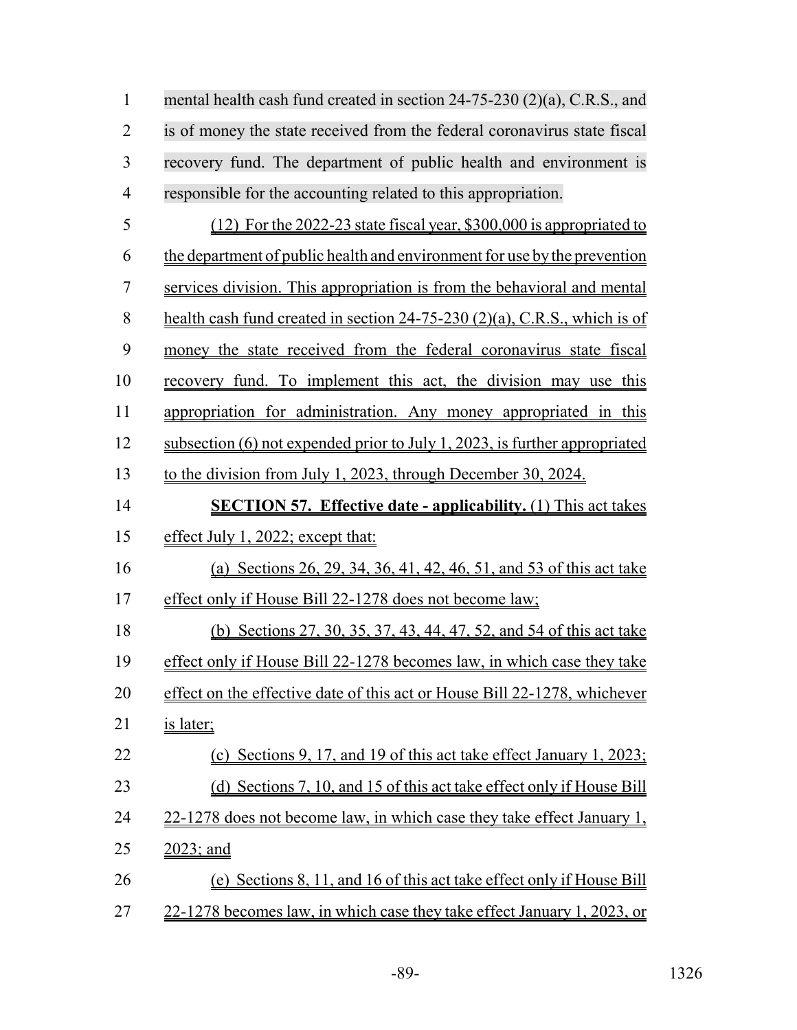1 mental health cash fund created in section 24-75-230 (2)(a), C.R.S., and is of money the state received from the federal coronavirus state fiscal recovery fund. The department of public health and environment is responsible for the accounting related to this appropriation.

| 5  | $(12)$ For the 2022-23 state fiscal year, \$300,000 is appropriated to         |
|----|--------------------------------------------------------------------------------|
| 6  | the department of public health and environment for use by the prevention      |
| 7  | services division. This appropriation is from the behavioral and mental        |
| 8  | health cash fund created in section $24-75-230$ $(2)(a)$ , C.R.S., which is of |
| 9  | money the state received from the federal coronavirus state fiscal             |
| 10 | recovery fund. To implement this act, the division may use this                |
| 11 | appropriation for administration. Any money appropriated in this               |
| 12 | subsection $(6)$ not expended prior to July 1, 2023, is further appropriated   |
| 13 | to the division from July 1, 2023, through December 30, 2024.                  |
| 14 | <b>SECTION 57. Effective date - applicability.</b> (1) This act takes          |
| 15 | effect July 1, 2022; except that:                                              |
| 16 | (a) Sections 26, 29, 34, 36, 41, 42, 46, 51, and 53 of this act take           |
| 17 | effect only if House Bill 22-1278 does not become law;                         |
| 18 | (b) Sections 27, 30, 35, 37, 43, 44, 47, 52, and 54 of this act take           |
| 19 | effect only if House Bill 22-1278 becomes law, in which case they take         |
| 20 | effect on the effective date of this act or House Bill 22-1278, whichever      |
| 21 | is later;                                                                      |
| 22 | Sections 9, 17, and 19 of this act take effect January 1, 2023;<br>(c)         |
| 23 | (d) Sections 7, 10, and 15 of this act take effect only if House Bill          |
| 24 | 22-1278 does not become law, in which case they take effect January 1,         |
| 25 | 2023; and                                                                      |
| 26 | Sections 8, 11, and 16 of this act take effect only if House Bill<br>(e)       |
| 27 | 22-1278 becomes law, in which case they take effect January 1, 2023, or        |